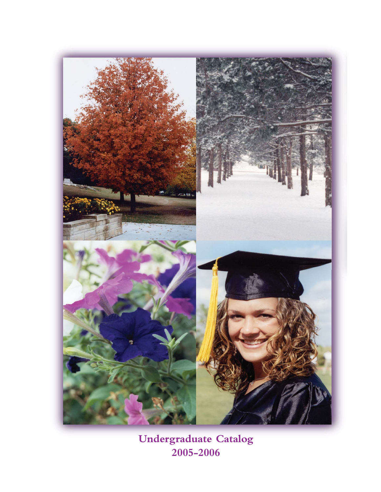

**Undergraduate Catalog 2005-2006**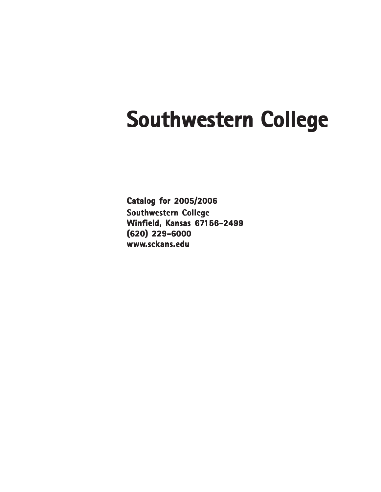# **Southwestern College**

**Catalog for 2005/2006 Southwestern College Winfield, Kansas 67156-2499 (620) 229-6000 www.sckans.edu**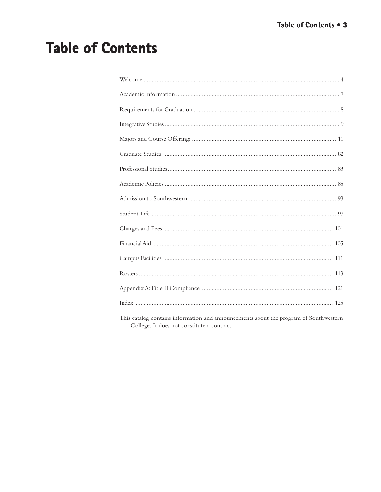## **Table of Contents**

| This catalog contains information and announcements about the program of Southwestern |
|---------------------------------------------------------------------------------------|

This catalog contains information and announcements about the program of Southwestern College. It does not constitute a contract.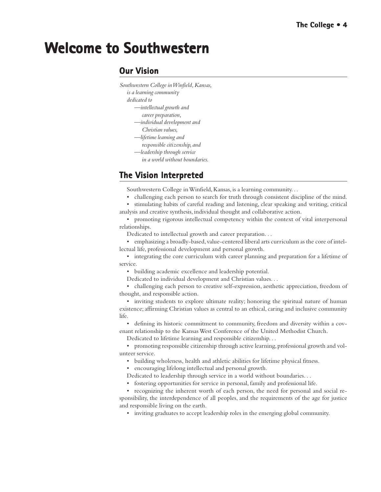## <span id="page-3-0"></span>**Welcome to Southwestern**

### **Our Vision**

- *Southwestern College in Winfield, Kansas,*
	- *is a learning community*
	- *dedicated to*
		- *—intellectual growth and*
		- *career preparation,*
		- *—individual development and Christian values,*
		- *—lifetime learning and*
		- *responsible citizenship, and*
		- *—leadership through service*
			- *in a world without boundaries.*

## **The Vision Interpreted**

Southwestern College in Winfield, Kansas, is a learning community. . .

- challenging each person to search for truth through consistent discipline of the mind. • stimulating habits of careful reading and listening, clear speaking and writing, critical
- analysis and creative synthesis, individual thought and collaborative action.

• promoting rigorous intellectual competency within the context of vital interpersonal relationships.

Dedicated to intellectual growth and career preparation. . .

• emphasizing a broadly-based, value-centered liberal arts curriculum as the core of intellectual life, professional development and personal growth.

• integrating the core curriculum with career planning and preparation for a lifetime of service.

• building academic excellence and leadership potential.

Dedicated to individual development and Christian values. . .

• challenging each person to creative self-expression, aesthetic appreciation, freedom of thought, and responsible action.

• inviting students to explore ultimate reality; honoring the spiritual nature of human existence; affirming Christian values as central to an ethical, caring and inclusive community life.

• defining its historic commitment to community, freedom and diversity within a covenant relationship to the Kansas West Conference of the United Methodist Church.

Dedicated to lifetime learning and responsible citizenship. . .

• promoting responsible citizenship through active learning, professional growth and volunteer service.

- building wholeness, health and athletic abilities for lifetime physical fitness.
- encouraging lifelong intellectual and personal growth.
- Dedicated to leadership through service in a world without boundaries. . .
- fostering opportunities for service in personal, family and professional life.

• recognizing the inherent worth of each person, the need for personal and social responsibility, the interdependence of all peoples, and the requirements of the age for justice and responsible living on the earth.

• inviting graduates to accept leadership roles in the emerging global community.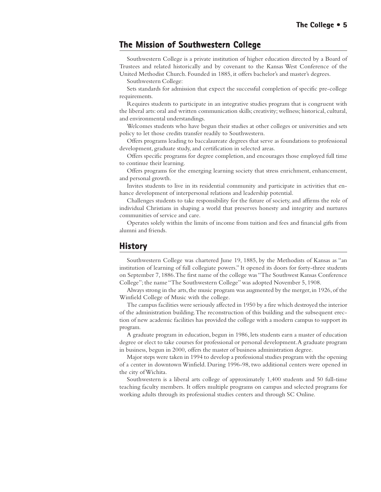### **The Mission of Southwestern College The Mission of Southwestern College**

Southwestern College is a private institution of higher education directed by a Board of Trustees and related historically and by covenant to the Kansas West Conference of the United Methodist Church. Founded in 1885, it offers bachelor's and master's degrees.

Southwestern College:

Sets standards for admission that expect the successful completion of specific pre-college requirements.

Requires students to participate in an integrative studies program that is congruent with the liberal arts: oral and written communication skills; creativity; wellness; historical, cultural, and environmental understandings.

Welcomes students who have begun their studies at other colleges or universities and sets policy to let those credits transfer readily to Southwestern.

Offers programs leading to baccalaureate degrees that serve as foundations to professional development, graduate study, and certification in selected areas.

Offers specific programs for degree completion, and encourages those employed full time to continue their learning.

Offers programs for the emerging learning society that stress enrichment, enhancement, and personal growth.

Invites students to live in its residential community and participate in activities that enhance development of interpersonal relations and leadership potential.

Challenges students to take responsibility for the future of society, and affirms the role of individual Christians in shaping a world that preserves honesty and integrity and nurtures communities of service and care.

Operates solely within the limits of income from tuition and fees and financial gifts from alumni and friends.

#### **History**

Southwestern College was chartered June 19, 1885, by the Methodists of Kansas as "an institution of learning of full collegiate powers." It opened its doors for forty-three students on September 7, 1886. The first name of the college was "The Southwest Kansas Conference College"; the name "The Southwestern College'' was adopted November 5, 1908.

Always strong in the arts, the music program was augmented by the merger, in 1926, of the Winfield College of Music with the college.

The campus facilities were seriously affected in 1950 by a fire which destroyed the interior of the administration building. The reconstruction of this building and the subsequent erection of new academic facilities has provided the college with a modern campus to support its program.

A graduate program in education, begun in 1986, lets students earn a master of education degree or elect to take courses for professional or personal development. A graduate program in business, begun in 2000, offers the master of business administration degree.

Major steps were taken in 1994 to develop a professional studies program with the opening of a center in downtown Winfield. During 1996-98, two additional centers were opened in the city of Wichita.

Southwestern is a liberal arts college of approximately 1,400 students and 50 full-time teaching faculty members. It offers multiple programs on campus and selected programs for working adults through its professional studies centers and through SC Online.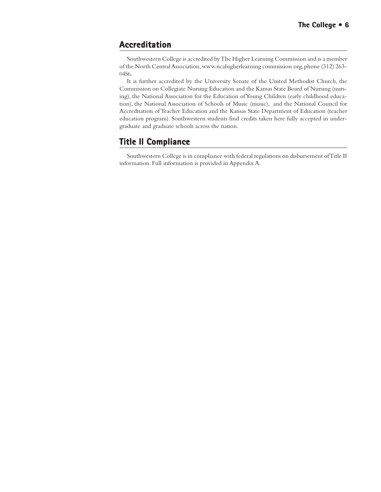### **Accreditation**

Southwestern College is accredited by The Higher Learning Commission and is a member of the North Central Association, www.ncahigherlearning commission.org, phone (312) 263- 0456.

It is further accredited by the University Senate of the United Methodist Church, the Commission on Collegiate Nursing Education and the Kansas State Board of Nursing (nursing), the National Association for the Education of Young Children (early childhood education), the National Association of Schools of Music (music), and the National Council for Accreditation of Teacher Education and the Kansas State Department of Education (teacher education program). Southwestern students find credits taken here fully accepted in undergraduate and graduate schools across the nation.

## **Title II Compliance**

Southwestern College is in compliance with federal regulations on disbursement of Title II information. Full information is provided in Appendix A.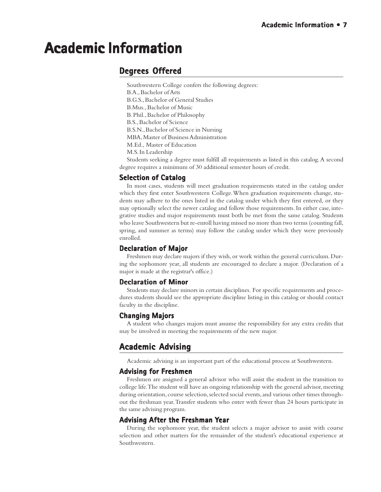## <span id="page-6-0"></span>**Academic Information Academic Information**

## **Degrees Offered**

Southwestern College confers the following degrees: B.A., Bachelor of Arts B.G.S., Bachelor of General Studies B.Mus., Bachelor of Music B. Phil., Bachelor of Philosophy B.S., Bachelor of Science B.S.N., Bachelor of Science in Nursing MBA, Master of Business Administration M.Ed., Master of Education M.S. In Leadership

Students seeking a degree must fulfill all requirements as listed in this catalog. A second degree requires a minimum of 30 additional semester hours of credit.

#### **Selection of Catalog**

In most cases, students will meet graduation requirements stated in the catalog under which they first enter Southwestern College. When graduation requirements change, students may adhere to the ones listed in the catalog under which they first entered, or they may optionally select the newer catalog and follow those requirements. In either case, integrative studies and major requirements must both be met from the same catalog. Students who leave Southwestern but re-enroll having missed no more than two terms (counting fall, spring, and summer as terms) may follow the catalog under which they were previously enrolled.

#### **Declaration of Major Major**

Freshmen may declare majors if they wish, or work within the general curriculum. During the sophomore year, all students are encouraged to declare a major. (Declaration of a major is made at the registrar's office.)

#### **Declaration of Minor**

Students may declare minors in certain disciplines. For specific requirements and procedures students should see the appropriate discipline listing in this catalog or should contact faculty in the discipline.

#### **Changing Majors Changing**

A student who changes majors must assume the responsibility for any extra credits that may be involved in meeting the requirements of the new major.

## **Academic Advising**

Academic advising is an important part of the educational process at Southwestern.

#### **Advising for Freshmen**

Freshmen are assigned a general advisor who will assist the student in the transition to college life. The student will have an ongoing relationship with the general advisor, meeting during orientation, course selection, selected social events, and various other times throughout the freshman year. Transfer students who enter with fewer than 24 hours participate in the same advising program.

#### **Advising After the Freshman Year**

During the sophomore year, the student selects a major advisor to assist with course selection and other matters for the remainder of the student's educational experience at Southwestern.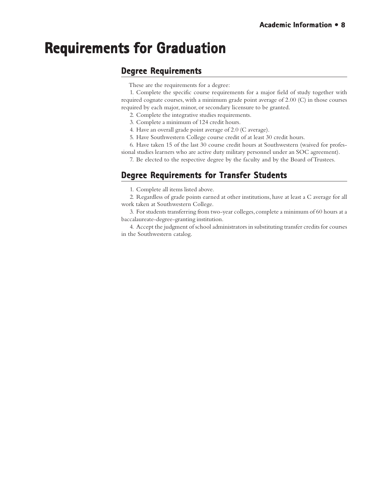## <span id="page-7-0"></span>**Requirements for Graduation Requirements for Graduation**

### **Degree Requirements**

These are the requirements for a degree:

1. Complete the specific course requirements for a major field of study together with required cognate courses, with a minimum grade point average of 2.00 (C) in those courses required by each major, minor, or secondary licensure to be granted.

- 2. Complete the integrative studies requirements.
- 3. Complete a minimum of 124 credit hours.
- 4. Have an overall grade point average of 2.0 (C average).
- 5. Have Southwestern College course credit of at least 30 credit hours.
- 6. Have taken 15 of the last 30 course credit hours at Southwestern (waived for profes-
- sional studies learners who are active duty military personnel under an SOC agreement).
	- 7. Be elected to the respective degree by the faculty and by the Board of Trustees.

## **Degree Requirements for Transfer Students**

1. Complete all items listed above.

2. Regardless of grade points earned at other institutions, have at least a C average for all work taken at Southwestern College.

3. For students transferring from two-year colleges, complete a minimum of 60 hours at a baccalaureate-degree-granting institution.

4. Accept the judgment of school administrators in substituting transfer credits for courses in the Southwestern catalog.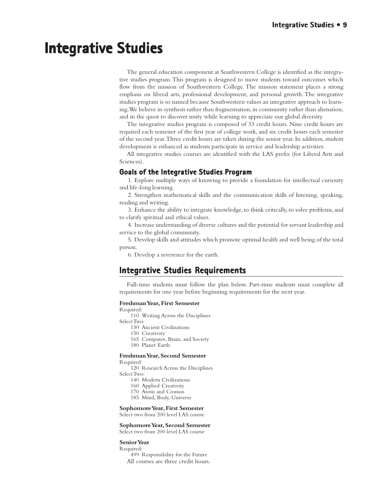## <span id="page-8-0"></span>**Integrative Studies Integrative Studies**

The general education component at Southwestern College is identified as the integrative studies program. This program is designed to move students toward outcomes which flow from the mission of Southwestern College. The mission statement places a strong emphasis on liberal arts, professional development, and personal growth. The integrative studies program is so named because Southwestern values an integrative approach to learning. We believe in synthesis rather than fragmentation, in community rather than alienation, and in the quest to discover unity while learning to appreciate our global diversity.

The integrative studies program is composed of 33 credit hours. Nine credit hours are required each semester of the first year of college work, and six credit hours each semester of the second year. Three credit hours are taken during the senior year. In addition, student development is enhanced as students participate in service and leadership activities.

All integrative studies courses are identified with the LAS prefix (for Liberal Arts and Sciences).

#### **Goals of the Integrative Studies Program**

1. Explore multiple ways of knowing to provide a foundation for intellectual curiosity and life-long learning.

2. Strengthen mathematical skills and the communication skills of listening, speaking, reading and writing.

3. Enhance the ability to integrate knowledge, to think critically, to solve problems, and to clarify spiritual and ethical values.

4. Increase understanding of diverse cultures and the potential for servant leadership and service to the global community.

5. Develop skills and attitudes which promote optimal health and well being of the total person.

6. Develop a reverence for the earth.

### **Integrative Studies Requirements Integrative Studies Requirements**

Full-time students must follow the plan below. Part-time students must complete all requirements for one year before beginning requirements for the next year.

#### **Freshman Year, First Semester**

Required:

110 Writing Across the Disciplines

Select Two:

130 Ancient Civilizations

150 Creativity

- 165 Computer, Brain, and Society
- 180 Planet Earth

#### **Freshman Year, Second Semester**

Required:

120 Research Across the Disciplines Select Two:

- 140 Modern Civilizations
- 160 Applied Creativity
- 170 Atom and Cosmos
- 185 Mind, Body, Universe

#### **Sophomore Year, First Semester**

Select two from 200 level LAS course

#### **Sophomore Year, Second Semester**

Select two from 200 level LAS course

#### **Senior Year**

Required:

499 Responsibility for the Future All courses are three credit hours.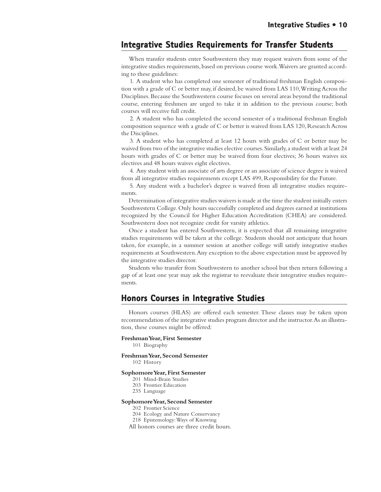#### **Integrative Studies Requirements for Transfer Students**

When transfer students enter Southwestern they may request waivers from some of the integrative studies requirements, based on previous course work. Waivers are granted according to these guidelines:

1. A student who has completed one semester of traditional freshman English composition with a grade of C or better may, if desired, be waived from LAS 110, Writing Across the Disciplines. Because the Southwestern course focuses on several areas beyond the traditional course, entering freshmen are urged to take it in addition to the previous course; both courses will receive full credit.

2. A student who has completed the second semester of a traditional freshman English composition sequence with a grade of C or better is waived from LAS 120, Research Across the Disciplines.

3. A student who has completed at least 12 hours with grades of C or better may be waived from two of the integrative studies elective courses. Similarly, a student with at least 24 hours with grades of C or better may be waived from four electives; 36 hours waives six electives and 48 hours waives eight electives.

4. Any student with an associate of arts degree or an associate of science degree is waived from all integrative studies requirements except LAS 499, Responsibility for the Future.

5. Any student with a bachelor's degree is waived from all integrative studies requirements.

Determination of integrative studies waivers is made at the time the student initially enters Southwestern College. Only hours successfully completed and degrees earned at institutions recognized by the Council for Higher Education Accreditation (CHEA) are considered. Southwestern does not recognize credit for varsity athletics.

Once a student has entered Southwestern, it is expected that all remaining integrative studies requirements will be taken at the college. Students should not anticipate that hours taken, for example, in a summer session at another college will satisfy integrative studies requirements at Southwestern. Any exception to the above expectation must be approved by the integrative studies director.

Students who transfer from Southwestern to another school but then return following a gap of at least one year may ask the registrar to reevaluate their integrative studies requirements.

#### **Honors Courses in Integrative Studies Honors Courses in Integrative Studies**

Honors courses (HLAS) are offered each semester. These classes may be taken upon recommendation of the integrative studies program director and the instructor. As an illustration, these courses might be offered:

**Freshman Year, First Semester**

101 Biography

**Freshman Year, Second Semester**

102 History

#### **Sophomore Year, First Semester**

- 201 Mind-Brain Studies
- 203 Frontier Education
- 235 Language

#### **Sophomore Year, Second Semester**

- 202 Frontier Science
- 204 Ecology and Nature Conservancy
- 218 Epistemology: Ways of Knowing

All honors courses are three credit hours.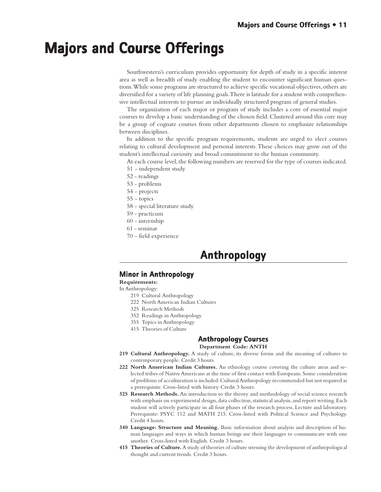## <span id="page-10-0"></span>**Majors and Course Offerings Majors and Course and Offerings**

Southwestern's curriculum provides opportunity for depth of study in a specific interest area as well as breadth of study enabling the student to encounter significant human questions. While some programs are structured to achieve specific vocational objectives, others are diversified for a variety of life planning goals. There is latitude for a student with comprehensive intellectual interests to pursue an individually structured program of general studies.

The organization of each major or program of study includes a core of essential major courses to develop a basic understanding of the chosen field. Clustered around this core may be a group of cognate courses from other departments chosen to emphasize relationships between disciplines.

In addition to the specific program requirements, students are urged to elect courses relating to cultural development and personal interests. These choices may grow out of the student's intellectual curiosity and broad commitment to the human community.

At each course level, the following numbers are reserved for the type of courses indicated.

- 51 independent study
- 52 readings
- 53 problems
- 54 projects
- 55 topics
- 58 special literature study
- 59 practicum
- 60 internship
- 61 seminar
- 70 field experience

## **Anthropology Anthropology**

#### **Minor in Anthropology**

**Requirements:**

In Anthropology:

- 219 Cultural Anthropology
- 222 North American Indian Cultures
- 325 Research Methods
- 352 Readings in Anthropology
- 355 Topics in Anthropology
- 415 Theories of Culture

#### **Anthropology Courses Anthropology**

#### **Department Code: ANTH**

- **219 Cultural Anthropology.** A study of culture, its diverse forms and the meaning of cultures to contemporary people. Credit 3 hours.
- **222 North American Indian Cultures.** An ethnology course covering the culture areas and selected tribes of Native Americans at the time of first contact with Europeans. Some consideration of problems of acculturation is included. Cultural Anthropology recommended but not required as a prerequisite. Cross-listed with history. Credit 3 hours.
- **325 Research Methods.** An introduction to the theory and methodology of social science research with emphasis on experimental design, data collection, statistical analysis, and report writing. Each student will actively participate in all four phases of the research process. Lecture and laboratory. Prerequisite: PSYC 112 and MATH 215. Cross-listed with Political Science and Psychology. Credit 4 hours.
- **340 Language: Structure and Meaning.** Basic information about analysis and description of human languages and ways in which human beings use their languages to communicate with one another. Cross-listed with English. Credit 3 hours.
- **415 Theories of Culture.** A study of theories of culture stressing the development of anthropological thought and current trends. Credit 3 hours.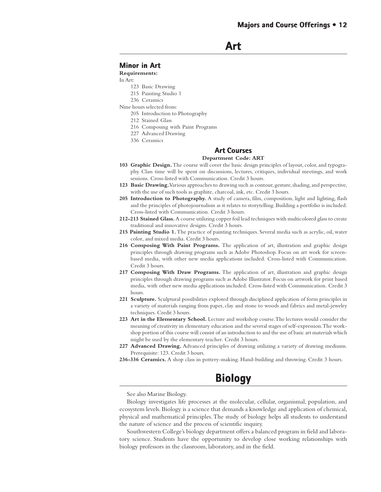**Art**

#### **Minor in Art in**

**Requirements:**

#### In Art:

- 123 Basic Drawing
- 215 Painting Studio 1
- 236 Ceramics

Nine hours selected from:

- 205 Introduction to Photography
- 212 Stained Glass
- 216 Composing with Paint Programs
- 227 Advanced Drawing
- 336 Ceramics

#### **Art Courses Art Courses**

#### **Department Code: ART**

- **103 Graphic Design.** The course will cover the basic design principles of layout, color, and typography. Class time will be spent on discussions, lectures, critiques, individual meetings, and work sessions. Cross-listed with Communication. Credit 3 hours.
- **123 Basic Drawing.**Various approaches to drawing such as contour, gesture, shading, and perspective, with the use of such tools as graphite, charcoal, ink, etc. Credit 3 hours.
- 205 Introduction to Photography. A study of camera, film, composition, light and lighting, flash and the principles of photojournalism as it relates to storytelling. Building a portfolio is included. Cross-listed with Communication. Credit 3 hours.
- **212-213 Stained Glass.** A course utilizing copper foil lead techniques with multicolored glass to create traditional and innovative designs. Credit 3 hours.
- **215 Painting Studio 1.** The practice of painting techniques. Several media such as acrylic, oil, water color, and mixed media. Credit 3 hours.
- **216 Composing With Paint Programs.** The application of art, illustration and graphic design principles through drawing programs such as Adobe Photoshop. Focus on art work for screenbased media, with other new media applications included. Cross-listed with Communication. Credit 3 hours.
- **217 Composing With Draw Programs.** The application of art, illustration and graphic design principles through drawing programs such as Adobe Illustrator. Focus on artwork for print based media, with other new media applications included. Cross-listed with Communication. Credit 3 hours.
- **221 Sculpture.** Sculptural possibilities explored through disciplined application of form principles in a variety of materials ranging from paper, clay and stone to woods and fabrics and metal-jewelry techniques. Credit 3 hours.
- **223 Art in the Elementary School.** Lecture and workshop course. The lectures would consider the meaning of creativity in elementary education and the several stages of self-expression. The workshop portion of this course will consist of an introduction to and the use of basic art materials which might be used by the elementary teacher. Credit 3 hours.
- **227 Advanced Drawing.** Advanced principles of drawing utilizing a variety of drawing mediums. Prerequisite: 123. Credit 3 hours.
- **236-336 Ceramics.** A shop class in pottery-making. Hand-building and throwing. Credit 3 hours.



See also Marine Biology.

Biology investigates life processes at the molecular, cellular, organismal, population, and ecosystem levels. Biology is a science that demands a knowledge and application of chemical, physical and mathematical principles. The study of biology helps all students to understand the nature of science and the process of scientific inquiry.

Southwestern College's biology department offers a balanced program in field and laboratory science. Students have the opportunity to develop close working relationships with biology professors in the classroom, laboratory, and in the field.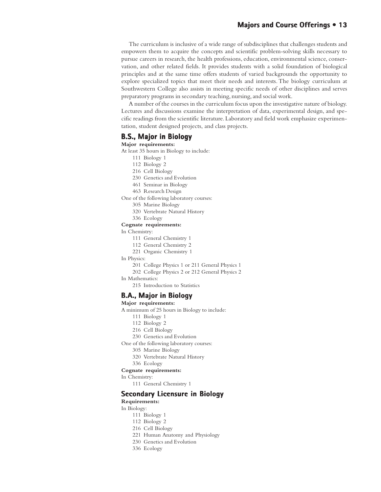#### **Majors and Course Offerings • 13**

The curriculum is inclusive of a wide range of subdisciplines that challenges students and empowers them to acquire the concepts and scientific problem-solving skills necessary to pursue careers in research, the health professions, education, environmental science, conservation, and other related fields. It provides students with a solid foundation of biological principles and at the same time offers students of varied backgrounds the opportunity to explore specialized topics that meet their needs and interests. The biology curriculum at Southwestern College also assists in meeting specific needs of other disciplines and serves preparatory programs in secondary teaching, nursing, and social work.

A number of the courses in the curriculum focus upon the investigative nature of biology. Lectures and discussions examine the interpretation of data, experimental design, and specific readings from the scientific literature. Laboratory and field work emphasize experimentation, student designed projects, and class projects.

#### **B.S., Major in Biology**

#### **Major requirements:**

- At least 35 hours in Biology to include:
	- 111 Biology 1
	- 112 Biology 2
	- 216 Cell Biology
	- 230 Genetics and Evolution
	- 461 Seminar in Biology
	- 463 Research Design
- One of the following laboratory courses:
	- 305 Marine Biology
	- 320 Vertebrate Natural History
	- 336 Ecology

#### **Cognate requirements:**

#### In Chemistry:

- 111 General Chemistry 1
- 112 General Chemistry 2
- 221 Organic Chemistry 1

#### In Physics:

- 201 College Physics 1 or 211 General Physics 1
- 202 College Physics 2 or 212 General Physics 2
- In Mathematics:
	- 215 Introduction to Statistics

#### **B.A., Major in Biology**

#### **Major requirements:**

- A minimum of 25 hours in Biology to include:
	- 111 Biology 1
	- 112 Biology 2
	- 216 Cell Biology
	- 230 Genetics and Evolution

One of the following laboratory courses:

- 305 Marine Biology
- 320 Vertebrate Natural History
- 336 Ecology

#### **Cognate requirements:**

#### In Chemistry:

111 General Chemistry 1

#### **Secondary Licensure in Biology**

#### **Requirements:**

#### In Biology:

- 111 Biology 1
- 112 Biology 2
- 216 Cell Biology
- 221 Human Anatomy and Physiology
- 230 Genetics and Evolution
- 336 Ecology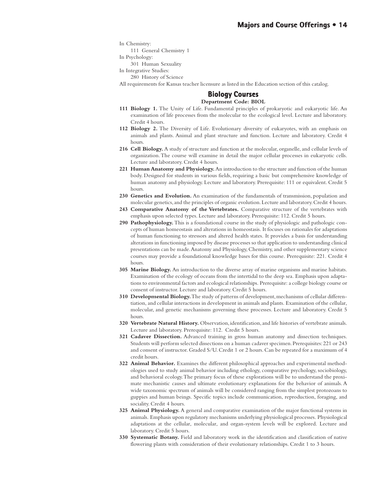In Chemistry:

111 General Chemistry 1

In Psychology:

301 Human Sexuality

In Integrative Studies:

280 History of Science

All requirements for Kansas teacher licensure as listed in the Education section of this catalog.

#### **Biology Courses Biology Courses Department Code: BIOL**

- **111 Biology 1.** The Unity of Life. Fundamental principles of prokaryotic and eukaryotic life. An examination of life processes from the molecular to the ecological level. Lecture and laboratory. Credit 4 hours.
- **112 Biology 2.** The Diversity of Life. Evolutionary diversity of eukaryotes, with an emphasis on animals and plants. Animal and plant structure and function. Lecture and laboratory. Credit 4 hours.
- **216 Cell Biology.** A study of structure and function at the molecular, organelle, and cellular levels of organization. The course will examine in detail the major cellular processes in eukaryotic cells. Lecture and laboratory. Credit 4 hours.
- **221 Human Anatomy and Physiology.** An introduction to the structure and function of the human body. Designed for students in various fields, requiring a basic but comprehensive knowledge of human anatomy and physiology. Lecture and laboratory. Prerequisite: 111 or equivalent. Credit 5 hours.
- **230 Genetics and Evolution.** An examination of the fundamentals of transmission, population and molecular genetics, and the principles of organic evolution. Lecture and laboratory. Credit 4 hours.
- **243 Comparative Anatomy of the Vertebrates.** Comparative structure of the vertebrates with emphasis upon selected types. Lecture and laboratory. Prerequisite: 112. Credit 5 hours.
- **290 Pathophysiology.** This is a foundational course in the study of physiologic and pathologic concepts of human homeostasis and alterations in homeostasis. It focuses on rationales for adaptations of human functioning to stressors and altered health states. It provides a basis for understanding alterations in functioning imposed by disease processes so that application to understanding clinical presentations can be made. Anatomy and Physiology, Chemistry, and other supplementary science courses may provide a foundational knowledge bases for this course. Prerequisite: 221. Credit 4 hours.
- **305 Marine Biology.** An introduction to the diverse array of marine organisms and marine habitats. Examination of the ecology of oceans from the intertidal to the deep sea. Emphasis upon adaptations to environmental factors and ecological relationships. Prerequisite: a college biology course or consent of instructor. Lecture and laboratory. Credit 5 hours.
- **310 Developmental Biology.** The study of patterns of development, mechanisms of cellular differentiation, and cellular interactions in development in animals and plants. Examination of the cellular, molecular, and genetic mechanisms governing these processes. Lecture and laboratory. Credit 5 hours.
- **320 Vertebrate Natural History.** Observation, identification, and life histories of vertebrate animals. Lecture and laboratory. Prerequisite: 112. Credit 5 hours.
- **321 Cadaver Dissection.** Advanced training in gross human anatomy and dissection techniques. Students will perform selected dissections on a human cadaver specimen. Prerequisites: 221 or 243 and consent of instructor. Graded S/U. Credit 1 or 2 hours. Can be repeated for a maximum of 4 credit hours.
- **322 Animal Behavior.** Examines the different philosophical approaches and experimental methodologies used to study animal behavior including ethology, comparative psychology, sociobiology, and behavioral ecology. The primary focus of these explorations will be to understand the proximate mechanistic causes and ultimate evolutionary explanations for the behavior of animals. A wide taxonomic spectrum of animals will be considered ranging from the simplest protozoans to guppies and human beings. Specific topics include communication, reproduction, foraging, and sociality. Credit 4 hours.
- **325 Animal Physiology.** A general and comparative examination of the major functional systems in animals. Emphasis upon regulatory mechanisms underlying physiological processes. Physiological adaptations at the cellular, molecular, and organ-system levels will be explored. Lecture and laboratory. Credit 5 hours.
- **330 Systematic Botany.** Field and laboratory work in the identification and classification of native flowering plants with consideration of their evolutionary relationships. Credit 1 to 3 hours.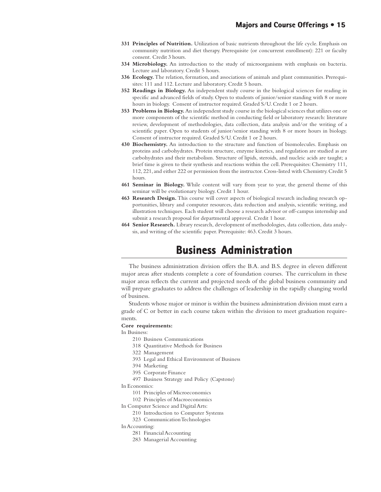- **331 Principles of Nutrition.** Utilization of basic nutrients throughout the life cycle. Emphasis on community nutrition and diet therapy. Prerequisite (or concurrent enrollment): 221 or faculty consent. Credit 3 hours.
- **334 Microbiology.** An introduction to the study of microorganisms with emphasis on bacteria. Lecture and laboratory. Credit 5 hours.
- **336 Ecology.** The relation, formation, and associations of animals and plant communities. Prerequisites: 111 and 112. Lecture and laboratory. Credit 5 hours.
- **352 Readings in Biology.** An independent study course in the biological sciences for reading in specific and advanced fields of study. Open to students of junior/senior standing with 8 or more hours in biology. Consent of instructor required. Graded S/U. Credit 1 or 2 hours.
- **353 Problems in Biology.** An independent study course in the biological sciences that utilizes one or more components of the scientific method in conducting field or laboratory research: literature review, development of methodologies, data collection, data analysis and/or the writing of a scientific paper. Open to students of junior/senior standing with 8 or more hours in biology. Consent of instructor required. Graded S/U. Credit 1 or 2 hours.
- **430 Biochemistry.** An introduction to the structure and function of biomolecules. Emphasis on proteins and carbohydrates. Protein structure, enzyme kinetics, and regulation are studied as are carbohydrates and their metabolism. Structure of lipids, steroids, and nucleic acids are taught; a brief time is given to their synthesis and reactions within the cell. Prerequisites: Chemistry 111, 112, 221, and either 222 or permission from the instructor. Cross-listed with Chemistry. Credit 5 hours.
- **461 Seminar in Biology.** While content will vary from year to year, the general theme of this seminar will be evolutionary biology. Credit 1 hour.
- **463 Research Design.** This course will cover aspects of biological research including research opportunities, library and computer resources, data reduction and analysis, scientific writing, and illustration techniques. Each student will choose a research advisor or off-campus internship and submit a research proposal for departmental approval. Credit 1 hour.
- **464 Senior Research.** Library research, development of methodologies, data collection, data analysis, and writing of the scientific paper. Prerequisite: 463. Credit 3 hours.

## **Business Administration Business Administration**

The business administration division offers the B.A. and B.S. degree in eleven different major areas after students complete a core of foundation courses. The curriculum in these major areas reflects the current and projected needs of the global business community and will prepare graduates to address the challenges of leadership in the rapidly changing world of business.

Students whose major or minor is within the business administration division must earn a grade of C or better in each course taken within the division to meet graduation requirements.

#### **Core requirements:**

In Business:

- 210 Business Communications
- 318 Quantitative Methods for Business
- 322 Management
- 393 Legal and Ethical Environment of Business
- 394 Marketing
- 395 Corporate Finance
- 497 Business Strategy and Policy (Capstone)

In Economics:

- 101 Principles of Microeconomics
- 102 Principles of Macroeconomics
- In Computer Science and Digital Arts:
	- 210 Introduction to Computer Systems
	- 323 Communication Technologies

In Accounting:

- 281 Financial Accounting
- 283 Managerial Accounting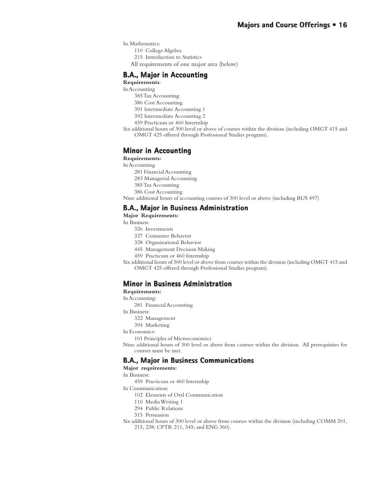In Mathematics:

- 110 College Algebra
- 215 Introduction to Statistics
- All requirements of one major area (below)

#### **B.A., Major in Accounting**

#### **Requirements**:

- In Accounting
	- 385 Tax Accounting
	- 386 Cost Accounting
	- 391 Intermediate Accounting 1
	- 392 Intermediate Accounting 2
- 459 Practicum or 460 Internship
- Six additional hours of 300 level or above of courses within the division (including OMGT 415 and OMGT 425 offered through Professional Studies program).

#### **Minor in Accounting**

#### **Requirements:**

In Accounting

- 281 Financial Accounting
- 283 Managerial Accounting
- 385 Tax Accounting
- 386 Cost Accounting

Nine additional hours of accounting courses of 300 level or above (including BUS 497)

#### **B.A., Major in Business Administration**

**Major Requirements:**

- In Business
	- 326 Investments
	- 327 Consumer Behavior
	- 328 Organizational Behavior
	- 445 Management Decision Making
	- 459 Practicum or 460 Internship
- Six additional hours of 300 level or above from courses within the division (including OMGT 415 and OMGT 425 offered through Professional Studies program).

#### **Minor in Business Administration**

**Requirements:**

#### In Accounting:

- 281 Financial Accounting
- In Business:
	- 322 Management
	- 394 Marketing
- In Economics:
- 101 Principles of Microeconomics

Nine additional hours of 300 level or above from courses within the division. All prerequisites for courses must be met.

#### **B.A., Major in Business Communications**

**Major requirements:**

In Business:

- 459 Practicum or 460 Internship
- In Communication:
	- 102 Elements of Oral Communication
	- 110 Media Writing 1
	- 294 Public Relations
	- 315 Persuasion
- Six additional hours of 300 level or above from courses within the division (including COMM 201, 215, 238; CPTR 211, 345; and ENG 360).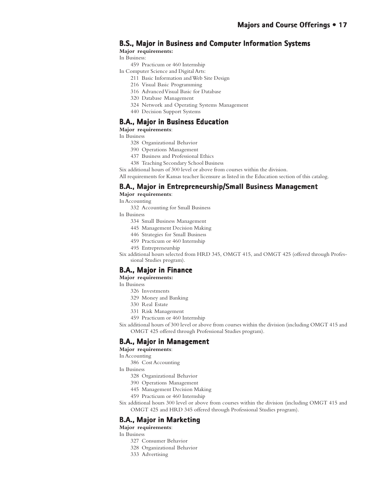#### **B.S., Major in Business and Computer Information Systems**

**Major requirements:**

In Business:

- 459 Practicum or 460 Internship
- In Computer Science and Digital Arts:
	- 211 Basic Information and Web Site Design
	- 216 Visual Basic Programming
	- 316 Advanced Visual Basic for Database
	- 320 Database Management
	- 324 Network and Operating Systems Management
	- 440 Decision Support Systems

#### **B.A., Major in Business Education**

**Major requirements**:

In Business

- 328 Organizational Behavior
- 390 Operations Management
- 437 Business and Professional Ethics
- 438 Teaching Secondary School Business

Six additional hours of 300 level or above from courses within the division.

All requirements for Kansas teacher licensure as listed in the Education section of this catalog.

#### **B.A., Major in Entrepreneurship/Small Business Management**

**Major requirements**:

In Accounting

332 Accounting for Small Business

In Business

- 334 Small Business Management
- 445 Management Decision Making
- 446 Strategies for Small Business
- 459 Practicum or 460 Internship

495 Entrepreneurship

Six additional hours selected from HRD 345, OMGT 415, and OMGT 425 (offered through Professional Studies program).

#### **B.A., Major in Finance**

**Major requirements:**

- In Business
	- 326 Investments
	- 329 Money and Banking
	- 330 Real Estate
	- 331 Risk Management
	- 459 Practicum or 460 Internship

Six additional hours of 300 level or above from courses within the division (including OMGT 415 and OMGT 425 offered through Professional Studies program).

#### **B.A., Major in Management Major in**

#### **Major requirements**:

In Accounting

386 Cost Accounting

In Business

- 328 Organizational Behavior
- 390 Operations Management
- 445 Management Decision Making
- 459 Practicum or 460 Internship

Six additional hours 300 level or above from courses within the division (including OMGT 415 and OMGT 425 and HRD 345 offered through Professional Studies program).

#### **B.A., Major in Marketing**

**Major requirements**:

In Business

- 327 Consumer Behavior
- 328 Organizational Behavior
- 333 Advertising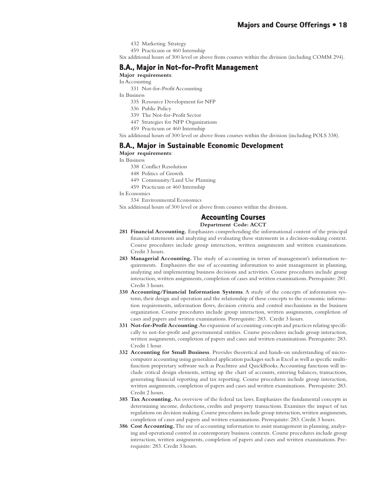- 432 Marketing Strategy
- 459 Practicum or 460 Internship

Six additional hours of 300 level or above from courses within the division (including COMM 294).

#### **B.A., Major in Not-for-Profit Management Major in Not-for-Profit**

**Major requirements**:

- In Accounting
	- 331 Not-for-Profit Accounting
- In Business
	- 335 Resource Development for NFP
	- 336 Public Policy
	- 339 The Not-for-Profit Sector
	- 447 Strategies for NFP Organizations
	- 459 Practicum or 460 Internship

Six additional hours of 300 level or above from courses within the division (including POLS 338).

#### **B.A., Major in Sustainable Economic Development Major in Sustainable Economic**

**Major requirements**:

In Business

- 338 Conflict Resolution
- 448 Politics of Growth
- 449 Community/Land Use Planning
- 459 Practicum or 460 Internship

In Economics

334 Environmental Economics

Six additional hours of 300 level or above from courses within the division.

#### **Accounting Courses Accounting Courses**

#### **Department Code: ACCT**

- **281 Financial Accounting.** Emphasizes comprehending the informational content of the principal financial statements and analyzing and evaluating these statements in a decision-making context. Course procedures include group interaction, written assignments and written examinations. Credit 3 hours.
- 283 Managerial Accounting. The study of accounting in terms of management's information requirements. Emphasizes the use of accounting information to assist management in planning, analyzing and implementing business decisions and activities. Course procedures include group interaction, written assignments, completion of cases and written examinations. Prerequisite: 281. Credit 3 hours.
- **330 Accounting/Financial Information Systems**. A study of the concepts of information systems, their design and operation and the relationship of these concepts to the economic information requirements, information flows, decision criteria and control mechanisms in the business organization. Course procedures include group interaction, written assignments, completion of cases and papers and written examinations. Prerequisite: 283. Credit 3 hours.
- **331 Not-for-Profit Accounting**. An expansion of accounting concepts and practices relating specifically to not-for-profit and governmental entities. Course procedures include group interaction, written assignments, completion of papers and cases and written examinations. Prerequisite: 283. Credit 1 hour.
- **332 Accounting for Small Business**. Provides theoretical and hands-on understanding of microcomputer accounting using generalized application packages such as Excel as well as specific multifunction proprietary software such as Peachtree and QuickBooks. Accounting functions will include critical design elements, setting up the chart of accounts, entering balances, transactions, generating financial reporting and tax reporting. Course procedures include group interaction, written assignments, completion of papers and cases and written examinations. Prerequisite: 283. Credit 2 hours.
- **385 Tax Accounting.** An overview of the federal tax laws. Emphasizes the fundamental concepts in determining income, deductions, credits and property transactions. Examines the impact of tax regulations on decision making. Course procedures include group interaction, written assignments, completion of cases and papers and written examinations. Prerequisite: 283. Credit 3 hours.
- **386 Cost Accounting.** The use of accounting information to assist management in planning, analyzing and operational control in contemporary business contexts. Course procedures include group interaction, written assignments, completion of papers and cases and written examinations. Prerequisite: 283. Credit 3 hours.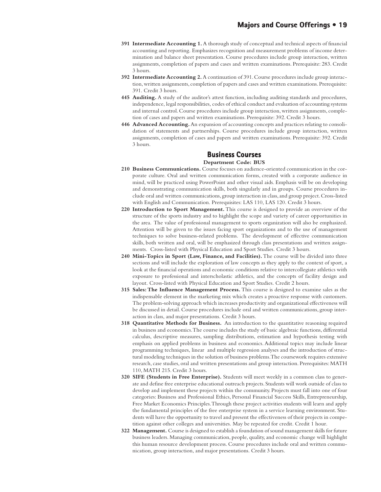- **391 Intermediate Accounting 1.** A thorough study of conceptual and technical aspects of financial accounting and reporting. Emphasizes recognition and measurement problems of income determination and balance sheet presentation. Course procedures include group interaction, written assignments, completion of papers and cases and written examinations. Prerequisite: 283. Credit 3 hours.
- **392 Intermediate Accounting 2.** A continuation of 391. Course procedures include group interaction, written assignments, completion of papers and cases and written examinations. Prerequisite: 391. Credit 3 hours.
- **445 Auditing.** A study of the auditor's attest function, including auditing standards and procedures, independence, legal responsibilities, codes of ethical conduct and evaluation of accounting systems and internal control. Course procedures include group interaction, written assignments, completion of cases and papers and written examinations. Prerequisite: 392. Credit 3 hours.
- **446 Advanced Accounting.** An expansion of accounting concepts and practices relating to consolidation of statements and partnerships. Course procedures include group interaction, written assignments, completion of cases and papers and written examinations. Prerequisite: 392. Credit 3 hours.

#### **Business Courses Business Courses**

#### **Department Code: BUS**

- **210 Business Communications.** Course focuses on audience-oriented communication in the corporate culture. Oral and written communication forms, created with a corporate audience in mind, will be practiced using PowerPoint and other visual aids. Emphasis will be on developing and demonstrating communication skills, both singularly and in groups. Course procedures include oral and written communications, group interaction in class, and group project. Cross-listed with English and Communication. Prerequisites: LAS 110, LAS 120. Credit 3 hours.
- **220 Introduction to Sport Management.** This course is designed to provide an overview of the structure of the sports industry and to highlight the scope and variety of career opportunities in the area. The value of professional management to sports organization will also be emphasized. Attention will be given to the issues facing sport organizations and to the use of management techniques to solve business-related problems. The development of effective communication skills, both written and oral, will be emphasized through class presentations and written assignments. Cross-listed with Physical Education and Sport Studies. Credit 3 hours.
- **240 Mini-Topics in Sport (Law, Finance, and Facilities).** The course will be divided into three sections and will include the exploration of law concepts as they apply to the context of sport, a look at the financial operations and economic conditions relative to intercollegiate athletics with exposure to professional and interscholastic athletics, and the concepts of facility design and layout. Cross-listed with Physical Education and Sport Studies. Credit 2 hours.
- **315 Sales: The Influence Management Process.** This course is designed to examine sales as the indispensable element in the marketing mix which creates a proactive response with customers. The problem-solving approach which increases productivity and organizational effectiveness will be discussed in detail. Course procedures include oral and written communications, group interaction in class, and major presentations. Credit 3 hours.
- **318 Quantitative Methods for Business.** An introduction to the quantitative reasoning required in business and economics. The course includes the study of basic algebraic functions, differential calculus, descriptive measures, sampling distributions, estimation and hypothesis testing with emphasis on applied problems in business and economics. Additional topics may include linear programming techniques, linear and multiple regression analyses and the introduction of structural modeling techniques in the solution of business problems. The coursework requires extensive research, case studies, oral and written presentations and group interaction. Prerequisites: MATH 110, MATH 215. Credit 3 hours.
- **320 SIFE (Students in Free Enterprise).** Students will meet weekly in a common class to generate and define free enterprise educational outreach projects. Students will work outside of class to develop and implement these projects within the community. Projects must fall into one of four categories: Business and Professional Ethics, Personal Financial Success Skills, Entrepreneurship, Free Market Economics Principles. Through these project activities students will learn and apply the fundamental principles of the free enterprise system in a service learning environment. Students will have the opportunity to travel and present the effectiveness of their projects in competition against other colleges and universities. May be repeated for credit. Credit 1 hour.
- **322 Management.** Course is designed to establish a foundation of sound management skills for future business leaders. Managing communication, people, quality, and economic change will highlight this human resource development process. Course procedures include oral and written communication, group interaction, and major presentations. Credit 3 hours.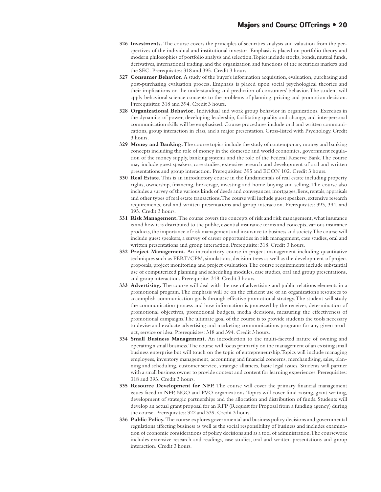- **326 Investments.** The course covers the principles of securities analysis and valuation from the perspectives of the individual and institutional investor. Emphasis is placed on portfolio theory and modern philosophies of portfolio analysis and selection. Topics include stocks, bonds, mutual funds, derivatives, international trading, and the organization and functions of the securities markets and the SEC. Prerequisites: 318 and 395. Credit 3 hours.
- **327 Consumer Behavior.** A study of the buyer's information acquisition, evaluation, purchasing and post-purchasing evaluation process. Emphasis is placed upon social psychological theories and their implications on the understanding and prediction of consumers' behavior. The student will apply behavioral science concepts to the problems of planning, pricing and promotion decision. Prerequisites: 318 and 394. Credit 3 hours.
- **328 Organizational Behavior.** Individual and work group behavior in organizations. Exercises in the dynamics of power, developing leadership, facilitating quality and change, and interpersonal communication skills will be emphasized. Course procedures include oral and written communications, group interaction in class, and a major presentation. Cross-listed with Psychology. Credit 3 hours.
- **329 Money and Banking.** The course topics include the study of contemporary money and banking concepts including the role of money in the domestic and world economies, government regulation of the money supply, banking systems and the role of the Federal Reserve Bank. The course may include guest speakers, case studies, extensive research and development of oral and written presentations and group interaction. Prerequisites: 395 and ECON 102. Credit 3 hours.
- **330 Real Estate.** This is an introductory course in the fundamentals of real estate including property rights, ownership, financing, brokerage, investing and home buying and selling. The course also includes a survey of the various kinds of deeds and conveyances, mortgages, liens, rentals, appraisals and other types of real estate transactions. The course will include guest speakers, extensive research requirements, oral and written presentations and group interaction. Prerequisites: 393, 394, and 395. Credit 3 hours.
- **331 Risk Management.** The course covers the concepts of risk and risk management, what insurance is and how it is distributed to the public, essential insurance terms and concepts, various insurance products, the importance of risk management and insurance to business and society. The course will include guest speakers, a survey of career opportunities in risk management, case studies, oral and written presentations and group interaction. Prerequisite: 318. Credit 3 hours.
- **332 Project Management.** An introductory course in project management including quantitative techniques such as PERT/CPM, simulations, decision trees as well as the development of project proposals, project monitoring and project evaluation. The course requirements include substantial use of computerized planning and scheduling modules, case studies, oral and group presentations, and group interaction. Prerequisite: 318. Credit 3 hours.
- **333 Advertising.** The course will deal with the use of advertising and public relations elements in a promotional program. The emphasis will be on the efficient use of an organization's resources to accomplish communication goals through effective promotional strategy. The student will study the communication process and how information is processed by the receiver, determination of promotional objectives, promotional budgets, media decisions, measuring the effectiveness of promotional campaigns. The ultimate goal of the course is to provide students the tools necessary to devise and evaluate advertising and marketing communications programs for any given product, service or idea. Prerequisites: 318 and 394. Credit 3 hours.
- **334 Small Business Management.** An introduction to the multi-faceted nature of owning and operating a small business. The course will focus primarily on the management of an existing small business enterprise but will touch on the topic of entrepreneurship. Topics will include managing employees, inventory management, accounting and financial concerns, merchandising, sales, planning and scheduling, customer service, strategic alliances, basic legal issues. Students will partner with a small business owner to provide context and content for learning experiences. Prerequisites: 318 and 393. Credit 3 hours.
- **335 Resource Development for NFP.** The course will cover the primary financial management issues faced in NFP, NGO and PVO organizations. Topics will cover fund raising, grant writing, development of strategic partnerships and the allocation and distribution of funds. Students will develop an actual grant proposal for an RFP (Request for Proposal from a funding agency) during the course. Prerequisites: 322 and 339. Credit 3 hours.
- **336 Public Policy.** The course explores governmental and business policy decisions and governmental regulations affecting business as well as the social responsibility of business and includes examination of economic considerations of policy decisions and as a tool of administration. The coursework includes extensive research and readings, case studies, oral and written presentations and group interaction. Credit 3 hours.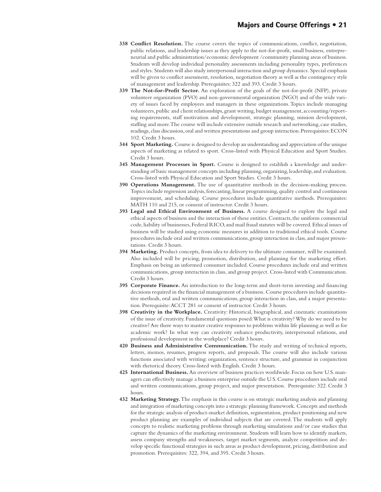- **338 Conflict Resolution.** The course covers the topics of communications, conflict, negotiation, public relations, and leadership issues as they apply to the not-for-profit, small business, entrepreneurial and public administration/economic development /community planning areas of business. Students will develop individual personality assessments including personality types, preferences and styles. Students will also study interpersonal interaction and group dynamics. Special emphasis will be given to conflict assessment, resolution, negotiation theory as well as the contingency style of management and leadership. Prerequisites: 322 and 393. Credit 3 hours.
- **339 The Not-for-Profit Sector.** An exploration of the goals of the not-for-profit (NFP), private volunteer organization (PVO) and non-governmental organization (NGO) and of the wide variety of issues faced by employees and managers in these organizations. Topics include managing volunteers, public and client relationships, grant writing, budget management, accounting/reporting requirements, staff motivation and development, strategic planning, mission development, staffing and more. The course will include extensive outside research and networking, case studies, readings, class discussion, oral and written presentations and group interaction. Prerequisites: ECON 102. Credit 3 hours.
- **344 Sport Marketing.** Course is designed to develop an understanding and appreciation of the unique aspects of marketing as related to sport. Cross-listed with Physical Education and Sport Studies. Credit 3 hours.
- **345 Management Processes in Sport.** Course is designed to establish a knowledge and understanding of basic management concepts including planning, organizing, leadership, and evaluation. Cross-listed with Physical Education and Sport Studies. Credit 3 hours.
- **390 Operations Management.** The use of quantitative methods in the decision-making process. Topics include regression analysis, forecasting, linear programming, quality control and continuous improvement, and scheduling. Course procedures include quantitative methods. Prerequisites: MATH 110 and 215, or consent of instructor. Credit 3 hours.
- **393 Legal and Ethical Environment of Business.** A course designed to explore the legal and ethical aspects of business and the interaction of these entities. Contracts, the uniform commercial code, liability of businesses, Federal RICO, and mail fraud statutes will be covered. Ethical issues of business will be studied using economic measures in addition to traditional ethical tools. Course procedures include oral and written communications, group interaction in class, and major presentations. Credit 3 hours.
- **394 Marketing.** Product concepts, from idea to delivery to the ultimate consumer, will be examined. Also included will be pricing, promotion, distribution, and planning for the marketing effort. Emphasis on being an informed consumer included. Course procedures include oral and written communications, group interaction in class, and group project. Cross-listed with Communication. Credit 3 hours.
- **395 Corporate Finance.** An introduction to the long-term and short-term investing and financing decisions required in the financial management of a business. Course procedures include quantitative methods, oral and written communications, group interaction in class, and a major presentation. Prerequisite: ACCT 281 or consent of instructor. Credit 3 hours.
- **398 Creativity in the Workplace.** Creativity: Historical, biographical, and cinematic examinations of the issue of creativity. Fundamental questions posed: What is creativity? Why do we need to be creative? Are there ways to master creative responses to problems within life planning as well as for academic work? In what way can creativity enhance productivity, interpersonal relations, and professional development in the workplace? Credit 3 hours.
- **420 Business and Administrative Communication.** The study and writing of technical reports, letters, memos, resumes, progress reports, and proposals. The course will also include various functions associated with writing: organization, sentence structure, and grammar in conjunction with rhetorical theory. Cross-listed with English. Credit 3 hours.
- **425 International Business.** An overview of business practices worldwide. Focus on how U.S. managers can effectively manage a business enterprise outside the U.S. Course procedures include oral and written communications, group project, and major presentation. Prerequisite: 322. Credit 3 hours.
- **432 Marketing Strategy.** The emphasis in this course is on strategic marketing analysis and planning and integration of marketing concepts into a strategic planning framework. Concepts and methods for the strategic analysis of product-market definition, segmentation, product positioning and new product planning are examples of individual subjects that are covered. The students will apply concepts to realistic marketing problems through marketing simulations and/or case studies that capture the dynamics of the marketing environment. Students will learn how to identify markets, assess company strengths and weaknesses, target market segments, analyze competition and develop specific functional strategies in such areas as product development, pricing, distribution and promotion. Prerequisites: 322, 394, and 395. Credit 3 hours.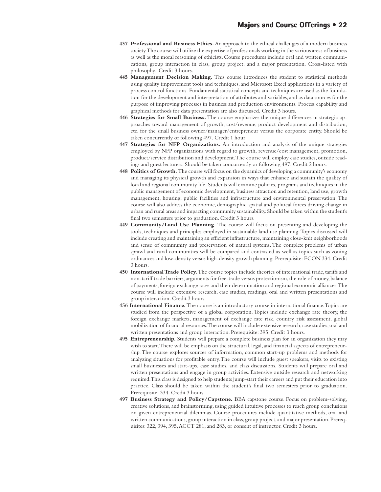- **437 Professional and Business Ethics.** An approach to the ethical challenges of a modern business society. The course will utilize the expertise of professionals working in the various areas of business as well as the moral reasoning of ethicists. Course procedures include oral and written communications, group interaction in class, group project, and a major presentation. Cross-listed with philosophy. Credit 3 hours.
- **445 Management Decision Making.** This course introduces the student to statistical methods using quality improvement tools and techniques, and Microsoft Excel applications in a variety of process control functions. Fundamental statistical concepts and techniques are used as the foundation for the development and interpretation of attributes and variables, and as data sources for the purpose of improving processes in business and production environments. Process capability and graphical methods for data presentation are also discussed. Credit 3 hours.
- **446 Strategies for Small Business.** The course emphasizes the unique differences in strategic approaches toward management of growth, cost/revenue, product development and distribution, etc. for the small business owner/manager/entrepreneur versus the corporate entity. Should be taken concurrently or following 497. Credit 1 hour.
- **447 Strategies for NFP Organizations.** An introduction and analysis of the unique strategies employed by NFP organizations with regard to growth, revenue/cost management, promotion, product/service distribution and development. The course will employ case studies, outside readings and guest lecturers. Should be taken concurrently or following 497. Credit 2 hours.
- **448 Politics of Growth.** The course will focus on the dynamics of developing a community's economy and managing its physical growth and expansion in ways that enhance and sustain the quality of local and regional community life. Students will examine policies, programs and techniques in the public management of economic development, business attraction and retention, land use, growth management, housing, public facilities and infrastructure and environmental preservation. The course will also address the economic, demographic, spatial and political forces driving change in urban and rural areas and impacting community sustainability. Should be taken within the student's final two semesters prior to graduation. Credit 3 hours.
- **449 Community/Land Use Planning.** The course will focus on presenting and developing the tools, techniques and principles employed in sustainable land use planning. Topics discussed will include creating and maintaining an efficient infrastructure, maintaining close-knit neighborhoods and sense of community and preservation of natural systems. The complex problems of urban sprawl and rural communities will be compared and contrasted as well as topics such as zoning ordinances and low-density versus high-density growth planning. Prerequisite: ECON 334. Credit 3 hours.
- **450 International Trade Policy.** The course topics include theories of international trade, tariffs and non-tariff trade barriers, arguments for free-trade versus protectionism, the role of money, balance of payments, foreign exchange rates and their determination and regional economic alliances. The course will include extensive research, case studies, readings, oral and written presentations and group interaction. Credit 3 hours.
- **456 International Finance.** The course is an introductory course in international finance. Topics are studied from the perspective of a global corporation. Topics include exchange rate theory, the foreign exchange markets, management of exchange rate risk, country risk assessment, global mobilization of financial resources. The course will include extensive research, case studies, oral and written presentations and group interaction. Prerequisite: 395. Credit 3 hours.
- **495 Entrepreneurship.** Students will prepare a complete business plan for an organization they may wish to start. There will be emphasis on the structural, legal, and financial aspects of entrepreneurship. The course explores sources of information, common start-up problems and methods for analyzing situations for profitable entry. The course will include guest speakers, visits to existing small businesses and start-ups, case studies, and class discussions. Students will prepare oral and written presentations and engage in group activities. Extensive outside research and networking required. This class is designed to help students jump-start their careers and put their education into practice. Class should be taken within the student's final two semesters prior to graduation. Prerequisite: 334. Credit 3 hours.
- **497 Business Strategy and Policy/Capstone.** BBA capstone course. Focus on problem-solving, creative solutions, and brainstorming, using guided intuitive processes to reach group conclusions on given entrepreneurial dilemmas. Course procedures include quantitative methods, oral and written communications, group interaction in class, group project, and major presentation. Prerequisites: 322, 394, 395, ACCT 281, and 283, or consent of instructor. Credit 3 hours.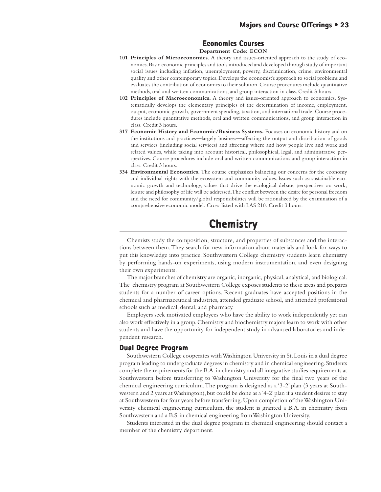#### **Economics Courses Economics Courses**

#### **Department Code: ECON**

- **101 Principles of Microeconomics.** A theory and issues-oriented approach to the study of economics. Basic economic principles and tools introduced and developed through study of important social issues including inflation, unemployment, poverty, discrimination, crime, environmental quality and other contemporary topics. Develops the economist's approach to social problems and evaluates the contribution of economics to their solution. Course procedures include quantitative methods, oral and written communications, and group interaction in class. Credit 3 hours.
- **102 Principles of Macroeconomics.** A theory and issues-oriented approach to economics. Systematically develops the elementary principles of the determination of income, employment, output, economic growth, government spending, taxation, and international trade. Course procedures include quantitative methods, oral and written communications, and group interaction in class. Credit 3 hours.
- **317 Economic History and Economic/Business Systems.** Focuses on economic history and on the institutions and practices—largely business—affecting the output and distribution of goods and services (including social services) and affecting where and how people live and work and related values, while taking into account historical, philosophical, legal, and administrative perspectives. Course procedures include oral and written communications and group interaction in class. Credit 3 hours.
- **334 Environmental Economics.** The course emphasizes balancing our concerns for the economy and individual rights with the ecosystem and community values. Issues such as: sustainable economic growth and technology, values that drive the ecological debate, perspectives on work, leisure and philosophy of life will be addressed. The conflict between the desire for personal freedom and the need for community/global responsibilities will be rationalized by the examination of a comprehensive economic model. Cross-listed with LAS 210. Credit 3 hours.

## **Chemistry Chemistry**

Chemists study the composition, structure, and properties of substances and the interactions between them. They search for new information about materials and look for ways to put this knowledge into practice. Southwestern College chemistry students learn chemistry by performing hands-on experiments, using modern instrumentation, and even designing their own experiments.

The major branches of chemistry are organic, inorganic, physical, analytical, and biological. The chemistry program at Southwestern College exposes students to these areas and prepares students for a number of career options. Recent graduates have accepted positions in the chemical and pharmaceutical industries, attended graduate school, and attended professional schools such as medical, dental, and pharmacy.

Employers seek motivated employees who have the ability to work independently yet can also work effectively in a group. Chemistry and biochemistry majors learn to work with other students and have the opportunity for independent study in advanced laboratories and independent research.

#### **Dual Degree Program**

Southwestern College cooperates with Washington University in St. Louis in a dual degree program leading to undergraduate degrees in chemistry and in chemical engineering. Students complete the requirements for the B.A. in chemistry and all integrative studies requirements at Southwestern before transferring to Washington University for the final two years of the chemical engineering curriculum. The program is designed as a '3-2' plan (3 years at Southwestern and 2 years at Washington), but could be done as a '4-2' plan if a student desires to stay at Southwestern for four years before transferring. Upon completion of the Washington University chemical engineering curriculum, the student is granted a B.A. in chemistry from Southwestern and a B.S. in chemical engineering from Washington University.

Students interested in the dual degree program in chemical engineering should contact a member of the chemistry department.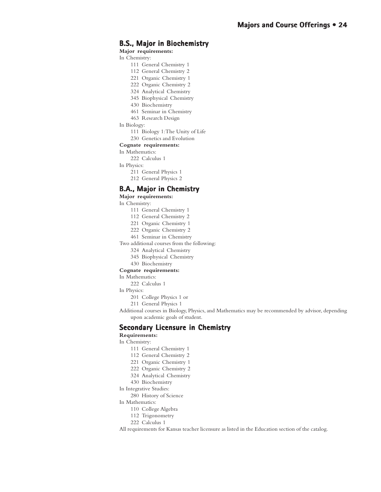#### **B.S., Major in Biochemistry**

**Major requirements:**

In Chemistry:

- 111 General Chemistry 1
- 112 General Chemistry 2
- 221 Organic Chemistry 1
- 222 Organic Chemistry 2
- 324 Analytical Chemistry
- 345 Biophysical Chemistry
- 430 Biochemistry
- 461 Seminar in Chemistry
- 463 Research Design
- In Biology:
	- 111 Biology 1: The Unity of Life
	- 230 Genetics and Evolution

#### **Cognate requirements:**

In Mathematics:

222 Calculus 1

In Physics:

- 211 General Physics 1
- 212 General Physics 2

#### **B.A., Major in Chemistry**

**Major requirements:**

In Chemistry:

- 111 General Chemistry 1
- 112 General Chemistry 2
- 221 Organic Chemistry 1
- 222 Organic Chemistry 2
- 461 Seminar in Chemistry
- Two additional courses from the following:
	- 324 Analytical Chemistry
	- 345 Biophysical Chemistry
	- 430 Biochemistry

**Cognate requirements:**

In Mathematics:

222 Calculus 1

In Physics:

201 College Physics 1 or

211 General Physics 1

Additional courses in Biology, Physics, and Mathematics may be recommended by advisor, depending upon academic goals of student.

#### **Secondary Licensure in Chemistry**

**Requirements:**

In Chemistry:

- 111 General Chemistry 1
- 112 General Chemistry 2
- 221 Organic Chemistry 1
- 222 Organic Chemistry 2
- 324 Analytical Chemistry
- 430 Biochemistry
- In Integrative Studies:

280 History of Science

In Mathematics:

- 110 College Algebra
- 112 Trigonometry
- 222 Calculus 1

All requirements for Kansas teacher licensure as listed in the Education section of the catalog.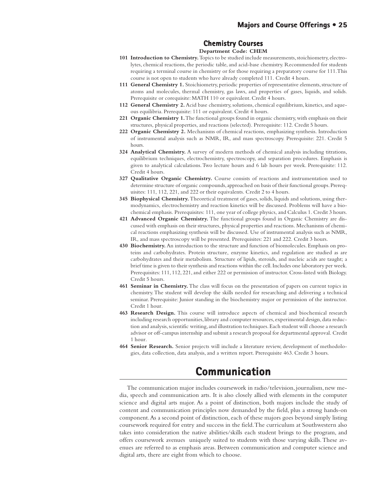#### **Chemistry Courses Chemistry Courses**

#### **Department Code: CHEM**

- **101 Introduction to Chemistry.** Topics to be studied include measurements, stoichiometry, electrolytes, chemical reactions, the periodic table, and acid-base chemistry. Recommended for students requiring a terminal course in chemistry or for those requiring a preparatory course for 111. This course is not open to students who have already completed 111. Credit 4 hours.
- **111 General Chemistry 1.** Stoichiometry, periodic properties of representative elements, structure of atoms and molecules, thermal chemistry, gas laws, and properties of gases, liquids, and solids. Prerequisite or corequisite: MATH 110 or equivalent. Credit 4 hours.
- **112 General Chemistry 2.** Acid base chemistry, solutions, chemical equilibrium, kinetics, and aqueous equilibria. Prerequisite: 111 or equivalent. Credit 4 hours.
- **221 Organic Chemistry 1.** The functional groups found in organic chemistry, with emphasis on their structures, physical properties, and reactions (selected). Prerequisite: 112. Credit 5 hours.
- **222 Organic Chemistry 2.** Mechanisms of chemical reactions, emphasizing synthesis. Introduction of instrumental analysis such as NMR, IR, and mass spectroscopy. Prerequisite: 221. Credit 5 hours.
- **324 Analytical Chemistry.** A survey of modern methods of chemical analysis including titrations, equilibrium techniques, electrochemistry, spectroscopy, and separation procedures. Emphasis is given to analytical calculations. Two lecture hours and 6 lab hours per week. Prerequisite: 112. Credit 4 hours.
- **327 Qualitative Organic Chemistry.** Course consists of reactions and instrumentation used to determine structure of organic compounds, approached on basis of their functional groups. Prerequisites: 111, 112, 221, and 222 or their equivalents. Credit 2 to 4 hours.
- **345 Biophysical Chemistry.** Theoretical treatment of gases, solids, liquids and solutions, using thermodynamics, electrochemistry and reaction kinetics will be discussed. Problems will have a biochemical emphasis. Prerequisites: 111, one year of college physics, and Calculus 1. Credit 3 hours.
- **421 Advanced Organic Chemistry.** The functional groups found in Organic Chemistry are discussed with emphasis on their structures, physical properties and reactions. Mechanisms of chemical reactions emphasizing synthesis will be discussed. Use of instrumental analysis such as NMR, IR, and mass spectroscopy will be presented. Prerequisites: 221 and 222. Credit 3 hours.
- **430 Biochemistry.** An introduction to the structure and function of biomolecules. Emphasis on proteins and carbohydrates. Protein structure, enzyme kinetics, and regulation are studied as are carbohydrates and their metabolism. Structure of lipids, steroids, and nucleic acids are taught; a brief time is given to their synthesis and reactions within the cell. Includes one laboratory per week. Prerequisites: 111, 112, 221, and either 222 or permission of instructor. Cross-listed with Biology. Credit 5 hours.
- **461 Seminar in Chemistry.** The class will focus on the presentation of papers on current topics in chemistry. The student will develop the skills needed for researching and delivering a technical seminar. Prerequisite: Junior standing in the biochemistry major or permission of the instructor. Credit 1 hour.
- **463 Research Design.** This course will introduce aspects of chemical and biochemical research including research opportunities, library and computer resources, experimental design, data reduction and analysis, scientific writing, and illustration techniques. Each student will choose a research advisor or off-campus internship and submit a research proposal for departmental approval. Credit 1 hour.
- **464 Senior Research.** Senior projects will include a literature review, development of methodologies, data collection, data analysis, and a written report. Prerequisite 463. Credit 3 hours.

## **Communication Communication**

The communication major includes coursework in radio/television, journalism, new media, speech and communication arts. It is also closely allied with elements in the computer science and digital arts major. As a point of distinction, both majors include the study of content and communication principles now demanded by the field, plus a strong hands-on component. As a second point of distinction, each of these majors goes beyond simply listing coursework required for entry and success in the field. The curriculum at Southwestern also takes into consideration the native abilities/skills each student brings to the program, and offers coursework avenues uniquely suited to students with those varying skills. These avenues are referred to as emphasis areas. Between communication and computer science and digital arts, there are eight from which to choose.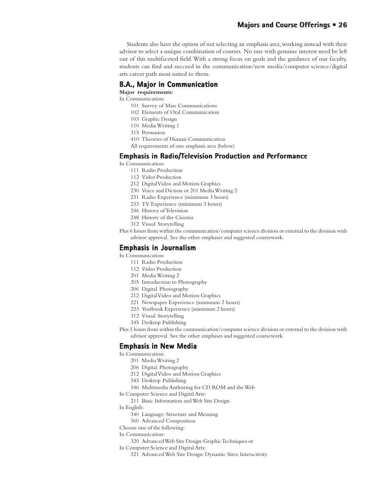#### **Majors and Course Offerings • 26**

Students also have the option of not selecting an emphasis area, working instead with their advisor to select a unique combination of courses. No one with genuine interest need be left out of this multifaceted field. With a strong focus on goals and the guidance of our faculty, students can find and succeed in the communication/new media/computer science/digital arts career path most suited to them.

#### **B.A., Major in Communication**

**Major requirements:**

- In Communication:
	- 101 Survey of Mass Communications
	- 102 Elements of Oral Communication
	- 103 Graphic Design
	- 110 Media Writing 1
	- 315 Persuasion
	- 410 Theories of Human Communication
	- All requirements of one emphasis area (below)

#### **Emphasis in Radio/Television Production and Performance**

In Communication:

- 111 Radio Production
- 112 Video Production
- 212 Digital Video and Motion Graphics
- 230 Voice and Diction or 201 Media Writing 2
- 231 Radio Experience (minimum 3 hours)
- 233 TV Experience (minimum 3 hours)
- 246 History of Television
- 248 History of the Cinema
- 312 Visual Storytelling
- Plus 6 hours from within the communication/computer science division or external to the division with advisor approval. See the other emphases and suggested coursework.

#### **Emphasis in Journalism**

In Communication:

- 111 Radio Production
- 112 Video Production
- 201 Media Writing 2
- 205 Introduction to Photography
- 206 Digital Photography
- 212 Digital Video and Motion Graphics
- 221 Newspaper Experience (minimum 2 hours)
- 223 Yearbook Experience (minimum 2 hours)
- 312 Visual Storytelling
- 345 Desktop Publishing
- Plus 5 hours from within the communication/computer science division or external to the division with advisor approval. See the other emphases and suggested coursework.

#### **Emphasis in New Media**

In Communication:

- 201 Media Writing 2
- 206 Digital Photography
- 212 Digital Video and Motion Graphics
- 345 Desktop Publishing
- 346 Multimedia Authoring for CD ROM and the Web

In Computer Science and Digital Arts:

- 211 Basic Information and Web Site Design
- In English:
	- 340 Language: Structure and Meaning
	- 360 Advanced Composition
- Choose one of the following:
- In Communication:
	- 320 Advanced Web Site Design: Graphic Techniques or
- In Computer Science and Digital Arts:
	- 321 Advanced Web Site Design: Dynamic Sites; Interactivity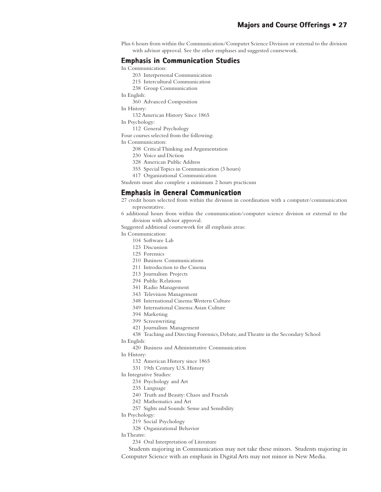Plus 6 hours from within the Communication/Computer Science Division or external to the division with advisor approval. See the other emphases and suggested coursework.

#### **Emphasis in Communication Studies**

In Communication:

- 203 Interpersonal Communication
- 215 Intercultural Communication
- 238 Group Communication
- In English:
	- 360 Advanced Composition
- In History:
	- 132 American History Since 1865

In Psychology:

112 General Psychology

Four courses selected from the following:

- In Communication:
	- 208 Critical Thinking and Argumentation
	- 230 Voice and Diction
	- 328 American Public Address
	- 355 Special Topics in Communication (3 hours)
	- 417 Organizational Communication

Students must also complete a minimum 2 hours practicum

#### **Emphasis in General Communication**

- 27 credit hours selected from within the division in coordination with a computer/communication representative.
- 6 additional hours from within the communication/computer science division or external to the division with advisor approval.

Suggested additional coursework for all emphasis areas:

In Communication:

- 104 Software Lab
- 123 Discussion
- 125 Forensics
- 210 Business Communications
- 211 Introduction to the Cinema
- 213 Journalism Projects
- 294 Public Relations
- 341 Radio Management
- 343 Television Management
- 348 International Cinema: Western Culture
- 349 International Cinema: Asian Culture
- 394 Marketing
- 399 Screenwriting
- 421 Journalism Management
- 438 Teaching and Directing Forensics, Debate, and Theatre in the Secondary School
- In English:
	- 420 Business and Administrative Communication
- In History:
	- 132 American History since 1865
	- 331 19th Century U.S. History
- In Integrative Studies:
	- 234 Psychology and Art
	- 235 Language
	- 240 Truth and Beauty: Chaos and Fractals
	- 242 Mathematics and Art
	- 257 Sights and Sounds: Sense and Sensibility
- In Psychology:
	- 219 Social Psychology
	- 328 Organizational Behavior
- In Theatre:
	- 234 Oral Interpretation of Literature

Students majoring in Communication may not take these minors. Students majoring in Computer Science with an emphasis in Digital Arts may not minor in New Media.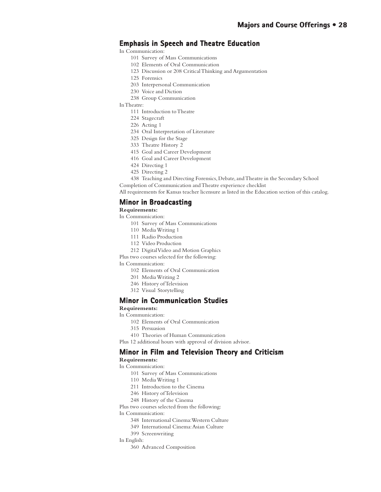#### **Emphasis in Speech and Theatre Education**

In Communication:

- 101 Survey of Mass Communications
- 102 Elements of Oral Communication
- 123 Discussion or 208 Critical Thinking and Argumentation
- 125 Forensics
- 203 Interpersonal Communication
- 230 Voice and Diction
- 238 Group Communication
- In Theatre:
	- 111 Introduction to Theatre
	- 224 Stagecraft
	- 226 Acting 1
	- 234 Oral Interpretation of Literature
	- 325 Design for the Stage
	- 333 Theatre History 2
	- 415 Goal and Career Development
	- 416 Goal and Career Development
	- 424 Directing 1
	- 425 Directing 2
	- 438 Teaching and Directing Forensics, Debate, and Theatre in the Secondary School

Completion of Communication and Theatre experience checklist

All requirements for Kansas teacher licensure as listed in the Education section of this catalog.

#### **Minor in Broadcasting**

**Requirements:**

In Communication:

- 101 Survey of Mass Communications
- 110 Media Writing 1
- 111 Radio Production
- 112 Video Production
- 212 Digital Video and Motion Graphics

Plus two courses selected for the following:

In Communication:

- 102 Elements of Oral Communication
- 201 Media Writing 2
- 246 History of Television
- 312 Visual Storytelling

#### **Minor in Communication Studies**

#### **Requirements:**

In Communication:

- 102 Elements of Oral Communication
- 315 Persuasion
- 410 Theories of Human Communication

Plus 12 additional hours with approval of division advisor.

#### **Minor in Film and Television Theory and Criticism**

**Requirements:**

- In Communication:
	- 101 Survey of Mass Communications
	- 110 Media Writing 1
	- 211 Introduction to the Cinema
	- 246 History of Television
	- 248 History of the Cinema

Plus two courses selected from the following:

In Communication:

- 348 International Cinema: Western Culture
- 349 International Cinema: Asian Culture
- 399 Screenwriting
- In English:
	- 360 Advanced Composition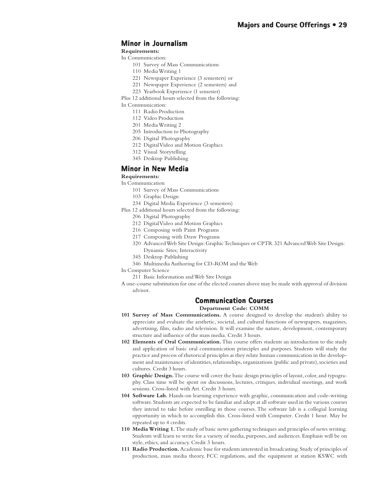#### **Minor in Journalism**

#### **Requirements:**

- In Communication:
	- 101 Survey of Mass Communications
	- 110 Media Writing 1
	- 221 Newspaper Experience (3 semesters) or
	- 221 Newspaper Experience (2 semesters) and
	- 223 Yearbook Experience (1 semester)

Plus 12 additional hours selected from the following:

In Communication:

- 111 Radio Production
- 112 Video Production
- 201 Media Writing 2
- 205 Introduction to Photography
- 206 Digital Photography
- 212 Digital Video and Motion Graphics
- 312 Visual Storytelling
- 345 Desktop Publishing

#### **Minor in New Media**

#### **Requirements:**

In Communication

- 101 Survey of Mass Communications
- 103 Graphic Design
- 234 Digital Media Experience (3 semesters)
- Plus 12 additional hours selected from the following:
	- 206 Digital Photography
	- 212 Digital Video and Motion Graphics
	- 216 Composing with Paint Programs
	- 217 Composing with Draw Programs
	- 320 Advanced Web Site Design: Graphic Techniques or CPTR 321 Advanced Web Site Design: Dynamic Sites; Interactivity
	- 345 Desktop Publishing
	- 346 Multimedia Authoring for CD-ROM and the Web
- In Computer Science
	- 211 Basic Information and Web Site Design
- A one-course substitution for one of the elected courses above may be made with approval of division advisor.

#### **Communication Courses Courses**

#### **Department Code: COMM**

- **101 Survey of Mass Communications.** A course designed to develop the student's ability to appreciate and evaluate the aesthetic, societal, and cultural functions of newspapers, magazines, advertising, film, radio and television. It will examine the nature, development, contemporary structure and influence of the mass media. Credit 3 hours.
- **102 Elements of Oral Communication.** This course offers students an introduction to the study and application of basic oral communication principles and purposes. Students will study the practice and process of rhetorical principles as they relate human communication in the development and maintenance of identities, relationships, organizations (public and private), societies and cultures. Credit 3 hours.
- **103 Graphic Design.** The course will cover the basic design principles of layout, color, and typography. Class time will be spent on discussions, lectures, critiques, individual meetings, and work sessions. Cross-listed with Art. Credit 3 hours.
- **104 Software Lab.** Hands-on learning experience with graphic, communication and code-writing software. Students are expected to be familiar and adept at all software used in the various courses they intend to take before enrolling in those courses. The software lab is a collegial learning opportunity in which to accomplish this. Cross-listed with Computer. Credit 1 hour. May be repeated up to 4 credits.
- **110 Media Writing 1.** The study of basic news gathering techniques and principles of news writing. Students will learn to write for a variety of media, purposes, and audiences. Emphasis will be on style, ethics, and accuracy. Credit 3 hours.
- **111 Radio Production.** Academic base for students interested in broadcasting. Study of principles of production, mass media theory, FCC regulations, and the equipment at station KSWC with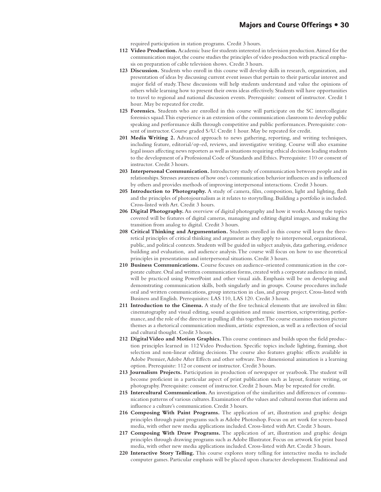required participation in station programs. Credit 3 hours.

- **112 Video Production.** Academic base for students interested in television production. Aimed for the communication major, the course studies the principles of video production with practical emphasis on preparation of cable television shows. Credit 3 hours.
- **123 Discussion.** Students who enroll in this course will develop skills in research, organization, and presentation of ideas by discussing current event issues that pertain to their particular interest and major field of study. These discussions will help students understand and value the opinions of others while learning how to present their owns ideas effectively. Students will have opportunities to travel to regional and national discussion events. Prerequisite: consent of instructor. Credit 1 hour. May be repeated for credit.
- **125 Forensics.** Students who are enrolled in this course will participate on the SC intercollegiate forensics squad. This experience is an extension of the communication classroom to develop public speaking and performance skills through competitive and public performances. Prerequisite: consent of instructor. Course graded S/U. Credit 1 hour. May be repeated for credit.
- **201 Media Writing 2.** Advanced approach to news gathering, reporting, and writing techniques, including feature, editorial/op-ed, reviews, and investigative writing. Course will also examine legal issues affecting news reporters as well as situations requiring ethical decisions leading students to the development of a Professional Code of Standards and Ethics. Prerequisite: 110 or consent of instructor. Credit 3 hours.
- **203 Interpersonal Communication.** Introductory study of communication between people and in relationships. Stresses awareness of how one's communication behavior influences and is influenced by others and provides methods of improving interpersonal interactions. Credit 3 hours.
- **205 Introduction to Photography.** A study of camera, film, composition, light and lighting, flash and the principles of photojournalism as it relates to storytelling. Building a portfolio is included. Cross-listed with Art. Credit 3 hours.
- **206 Digital Photography.** An overview of digital photography and how it works. Among the topics covered will be features of digital cameras, managing and editing digital images, and making the transition from analog to digital. Credit 3 hours.
- **208 Critical Thinking and Argumentation.** Students enrolled in this course will learn the theoretical principles of critical thinking and argument as they apply to interpersonal, organizational, public, and political contexts. Students will be guided in subject analysis, data gathering, evidence building and evaluation, and audience analysis. The course will focus on how to use theoretical principles in presentations and interpersonal situations. Credit 3 hours.
- **210 Business Communications.** Course focuses on audience-oriented communication in the corporate culture. Oral and written communication forms, created with a corporate audience in mind, will be practiced using PowerPoint and other visual aids. Emphasis will be on developing and demonstrating communication skills, both singularly and in groups. Course procedures include oral and written communications, group interaction in class, and group project. Cross-listed with Business and English. Prerequisites: LAS 110, LAS 120. Credit 3 hours.
- **211 Introduction to the Cinema.** A study of the five technical elements that are involved in film: cinematography and visual editing, sound acquisition and music insertion, scriptwriting, performance, and the role of the director in pulling all this together. The course examines motion picture themes as a rhetorical communication medium, artistic expression, as well as a reflection of social and cultural thought. Credit 3 hours.
- **212 Digital Video and Motion Graphics.** This course continues and builds upon the field production principles learned in 112 Video Production. Specific topics include lighting, framing, shot selection and non-linear editing decisions. The course also features graphic effects available in Adobe Premier, Adobe After Effects and other software. Two dimensional animation is a learning option. Prerequisite: 112 or consent or instructor. Credit 3 hours.
- **213 Journalism Projects.** Participation in production of newspaper or yearbook. The student will become proficient in a particular aspect of print publication such as layout, feature writing, or photography. Prerequisite: consent of instructor. Credit 2 hours. May be repeated for credit.
- **215 Intercultural Communication.** An investigation of the similarities and differences of communication patterns of various cultures. Examination of the values and cultural norms that inform and influence a culture's communication. Credit 3 hours.
- **216 Composing With Paint Programs.** The application of art, illustration and graphic design principles through paint programs such as Adobe Photoshop. Focus on art work for screen-based media, with other new media applications included. Cross-listed with Art. Credit 3 hours.
- **217 Composing With Draw Programs.** The application of art, illustration and graphic design principles through drawing programs such as Adobe Illustrator. Focus on artwork for print based media, with other new media applications included. Cross-listed with Art. Credit 3 hours.
- **220 Interactive Story Telling.** This course explores story telling for interactive media to include computer games. Particular emphasis will be placed upon character development. Traditional and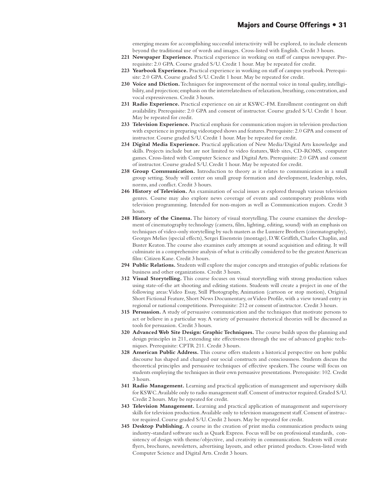emerging means for accomplishing successful interactivity will be explored, to include elements beyond the traditional use of words and images. Cross-listed with English. Credit 3 hours.

- **221 Newspaper Experience.** Practical experience in working on staff of campus newspaper. Prerequisite: 2.0 GPA. Course graded S/U. Credit 1 hour. May be repeated for credit.
- **223 Yearbook Experience.** Practical experience in working on staff of campus yearbook. Prerequisite: 2.0 GPA. Course graded S/U. Credit 1 hour. May be repeated for credit.
- **230 Voice and Diction.** Techniques for improvement of the normal voice in tonal quality, intelligibility, and projection; emphasis on the interrelatedness of relaxation, breathing, concentration, and vocal expressiveness. Credit 3 hours.
- **231 Radio Experience.** Practical experience on air at KSWC-FM. Enrollment contingent on shift availability. Prerequisite: 2.0 GPA and consent of instructor. Course graded S/U. Credit 1 hour. May be repeated for credit.
- **233 Television Experience.** Practical emphasis for communication majors in television production with experience in preparing videotaped shows and features. Prerequisite: 2.0 GPA and consent of instructor. Course graded S/U. Credit 1 hour. May be repeated for credit.
- **234 Digital Media Experience.** Practical application of New Media/Digital Arts knowledge and skills. Projects include but are not limited to video features, Web sites, CD-ROMS, computer games. Cross-listed with Computer Science and Digital Arts. Prerequisite: 2.0 GPA and consent of instructor. Course graded S/U. Credit 1 hour. May be repeated for credit.
- **238 Group Communication.** Introduction to theory as it relates to communication in a small group setting. Study will center on small group formation and development, leadership, roles, norms, and conflict. Credit 3 hours.
- **246 History of Television.** An examination of social issues as explored through various television genres. Course may also explore news coverage of events and contemporary problems with television programming. Intended for non-majors as well as Communication majors. Credit 3 hours.
- **248 History of the Cinema.** The history of visual storytelling. The course examines the development of cinematography technology (camera, film, lighting, editing, sound) with an emphasis on techniques of video-only storytelling by such masters as the Lumiere Brothers (cinematography), Georges Melies (special effects), Sergei Eisenstein (montage), D.W. Griffith, Charles Chaplin, and Buster Keaton. The course also examines early attempts at sound acquisition and editing. It will culminate in a comprehensive analysis of what is critically considered to be the greatest American film: Citizen Kane. Credit 3 hours.
- **294 Public Relations.** Students will explore the major concepts and strategies of public relations for business and other organizations. Credit 3 hours.
- **312 Visual Storytelling.** This course focuses on visual storytelling with strong production values using state-of-the art shooting and editing stations. Students will create a project in one of the following areas: Video Essay, Still Photography, Animation (cartoon or stop motion), Original Short Fictional Feature, Short News Documentary, or Video Profile, with a view toward entry in regional or national competitions. Prerequisite: 212 or consent of instructor. Credit 3 hours.
- **315 Persuasion.** A study of persuasive communication and the techniques that motivate persons to act or believe in a particular way. A variety of persuasive rhetorical theories will be discussed as tools for persuasion. Credit 3 hours.
- **320 Advanced Web Site Design: Graphic Techniques.** The course builds upon the planning and design principles in 211, extending site effectiveness through the use of advanced graphic techniques. Prerequisite: CPTR 211. Credit 3 hours.
- **328 American Public Address.** This course offers students a historical perspective on how public discourse has shaped and changed our social constructs and consciousness. Students discuss the theoretical principles and persuasive techniques of effective speakers. The course will focus on students employing the techniques in their own persuasive presentations. Prerequisite: 102. Credit 3 hours.
- **341 Radio Management.** Learning and practical application of management and supervisory skills for KSWC. Available only to radio management staff. Consent of instructor required. Graded S/U. Credit 2 hours. May be repeated for credit.
- **343 Television Management.** Learning and practical application of management and supervisory skills for television production. Available only to television management staff. Consent of instructor required. Course graded S/U. Credit 2 hours. May be repeated for credit.
- **345 Desktop Publishing.** A course in the creation of print media communication products using industry-standard software such as Quark Express. Focus will be on professional standards, consistency of design with theme/objective, and creativity in communication. Students will create flyers, brochures, newsletters, advertising layouts, and other printed products. Cross-listed with Computer Science and Digital Arts. Credit 3 hours.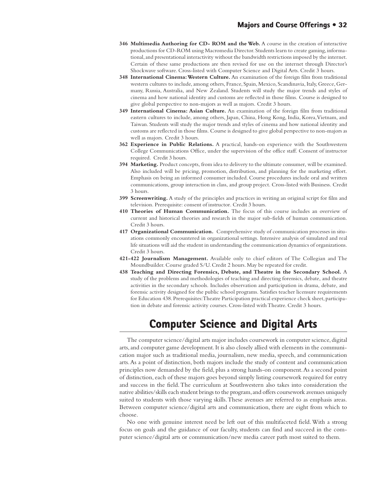- **346 Multimedia Authoring for CD- ROM and the Web.** A course in the creation of interactive productions for CD-ROM using Macromedia Director. Students learn to create gaming, informational, and presentational interactivity without the bandwidth restrictions imposed by the internet. Certain of these same productions are then revised for use on the internet through Director's Shockwave software. Cross-listed with Computer Science and Digital Arts. Credit 3 hours.
- **348 International Cinema: Western Culture.** An examination of the foreign film from traditional western cultures to include, among others, France, Spain, Mexico, Scandinavia, Italy, Greece, Germany, Russia, Australia, and New Zealand. Students will study the major trends and styles of cinema and how national identity and customs are reflected in those films. Course is designed to give global perspective to non-majors as well as majors. Credit 3 hours.
- **349 International Cinema: Asian Culture.** An examination of the foreign film from traditional eastern cultures to include, among others, Japan, China, Hong Kong, India, Korea, Vietnam, and Taiwan. Students will study the major trends and styles of cinema and how national identity and customs are reflected in those films. Course is designed to give global perspective to non-majors as well as majors. Credit 3 hours.
- **362 Experience in Public Relations.** A practical, hands-on experience with the Southwestern College Communications Office, under the supervision of the office staff. Consent of instructor required. Credit 3 hours.
- **394 Marketing.** Product concepts, from idea to delivery to the ultimate consumer, will be examined. Also included will be pricing, promotion, distribution, and planning for the marketing effort. Emphasis on being an informed consumer included. Course procedures include oral and written communications, group interaction in class, and group project. Cross-listed with Business. Credit 3 hours.
- **399 Screenwriting.** A study of the principles and practices in writing an original script for film and television. Prerequisite: consent of instructor. Credit 3 hours.
- **410 Theories of Human Communication.** The focus of this course includes an overview of current and historical theories and research in the major sub-fields of human communication. Credit 3 hours.
- **417 Organizational Communication.** Comprehensive study of communication processes in situations commonly encountered in organizational settings. Intensive analysis of simulated and real life situations will aid the student in understanding the communication dynamics of organizations. Credit 3 hours.
- **421-422 Journalism Management.** Available only to chief editors of The Collegian and The Moundbuilder. Course graded S/U. Credit 2 hours. May be repeated for credit.
- **438 Teaching and Directing Forensics, Debate, and Theatre in the Secondary School.** A study of the problems and methodologies of teaching and directing forensics, debate, and theatre activities in the secondary schools. Includes observation and participation in drama, debate, and forensic activity designed for the public school programs. Satisfies teacher licensure requirements for Education 438. Prerequisites: Theatre Participation practical experience check sheet, participation in debate and forensic activity courses. Cross-listed with Theatre. Credit 3 hours.

## **Computer Science and Digital Arts Computer Science and Digital Arts**

The computer science/digital arts major includes coursework in computer science, digital arts, and computer game development. It is also closely allied with elements in the communication major such as traditional media, journalism, new media, speech, and communication arts. As a point of distinction, both majors include the study of content and communication principles now demanded by the field, plus a strong hands-on component. As a second point of distinction, each of these majors goes beyond simply listing coursework required for entry and success in the field. The curriculum at Southwestern also takes into consideration the native abilities/skills each student brings to the program, and offers coursework avenues uniquely suited to students with those varying skills. These avenues are referred to as emphasis areas. Between computer science/digital arts and communication, there are eight from which to choose.

No one with genuine interest need be left out of this multifaceted field. With a strong focus on goals and the guidance of our faculty, students can find and succeed in the computer science/digital arts or communication/new media career path most suited to them.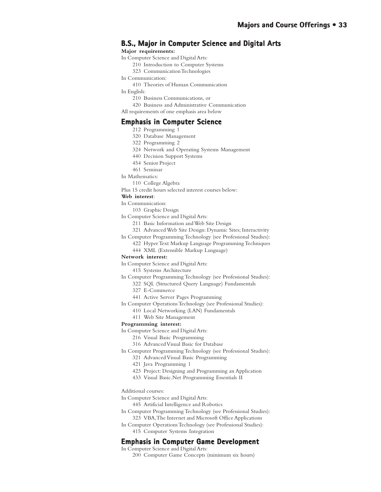#### **B.S., Major in Computer Science and Digital Arts**

#### **Major requirements:**

- In Computer Science and Digital Arts:
	- 210 Introduction to Computer Systems
	- 323 Communication Technologies
- In Communication:
	- 410 Theories of Human Communication
- In English:
	- 210 Business Communications, or
	- 420 Business and Administrative Communication
- All requirements of one emphasis area below

#### **Emphasis in Computer Science**

- 212 Programming 1
- 320 Database Management
- 322 Programming 2
- 324 Network and Operating Systems Management
- 440 Decision Support Systems
- 454 Senior Project
- 461 Seminar
- In Mathematics:
	- 110 College Algebra
- Plus 15 credit hours selected interest courses below:

#### **Web interest**:

- In Communication:
	- 103 Graphic Design
- In Computer Science and Digital Arts:
	- 211 Basic Information and Web Site Design
	- 321 Advanced Web Site Design: Dynamic Sites; Interactivity
- In Computer Programming Technology (see Professional Studies):
	- 422 Hyper Text Markup Language Programming Techniques
		- 444 XML (Extensible Markup Language)

#### **Network interest:**

- In Computer Science and Digital Arts:
	- 415 Systems Architecture
- In Computer Programming Technology (see Professional Studies):
	- 322 SQL (Structured Query Language) Fundamentals
	- 327 E-Commerce
	- 441 Active Server Pages Programming
- In Computer Operations Technology (see Professional Studies):
	- 410 Local Networking (LAN) Fundamentals
	- 411 Web Site Management

#### **Programming interest:**

In Computer Science and Digital Arts:

- 216 Visual Basic Programming
- 316 Advanced Visual Basic for Database

In Computer Programming Technology (see Professional Studies):

- 321 Advanced Visual Basic Programming
- 421 Java Programming 1
- 423 Project: Designing and Programming an Application
- 433 Visual Basic.Net Programming Essentials II

#### Additional courses:

- In Computer Science and Digital Arts:
	- 445 Artificial Intelligence and Robotics
- In Computer Programming Technology (see Professional Studies): 323 VBA, The Internet and Microsoft Office Applications
- In Computer Operations Technology (see Professional Studies): 415 Computer Systems Integration

#### **Emphasis in Computer Game Development Emphasis in Computer Game**

In Computer Science and Digital Arts:

200 Computer Game Concepts (minimum six hours)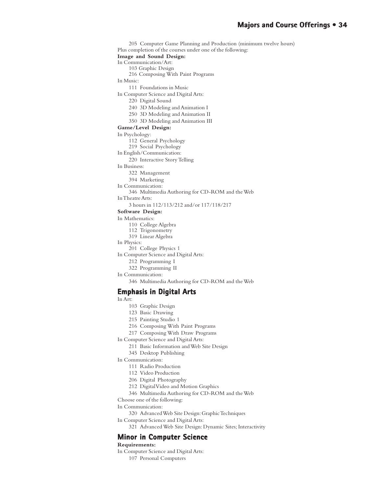205 Computer Game Planning and Production (minimum twelve hours) Plus completion of the courses under one of the following: **Image and Sound Design:** In Communication/Art: 103 Graphic Design 216 Composing With Paint Programs In Music: 111 Foundations in Music In Computer Science and Digital Arts: 220 Digital Sound 240 3D Modeling and Animation I 250 3D Modeling and Animation II 350 3D Modeling and Animation III **Game/Level Design:** In Psychology: 112 General Psychology 219 Social Psychology In English/Communication: 220 Interactive Story Telling In Business: 322 Management 394 Marketing In Communication: 346 Multimedia Authoring for CD-ROM and the Web In Theatre Arts: 3 hours in 112/113/212 and/or 117/118/217 **Software Design:** In Mathematics: 110 College Algebra 112 Trigonometry 319 Linear Algebra In Physics: 201 College Physics 1 In Computer Science and Digital Arts: 212 Programming I 322 Programming II In Communication: 346 Multimedia Authoring for CD-ROM and the Web **Emphasis in Digital Arts Emphasis in Arts** In Art: 103 Graphic Design 123 Basic Drawing 215 Painting Studio 1 216 Composing With Paint Programs

217 Composing With Draw Programs

In Computer Science and Digital Arts:

- 211 Basic Information and Web Site Design
- 345 Desktop Publishing

In Communication:

- 111 Radio Production
- 112 Video Production
- 206 Digital Photography
- 212 Digital Video and Motion Graphics
- 346 Multimedia Authoring for CD-ROM and the Web
- Choose one of the following:
- In Communication:
	- 320 Advanced Web Site Design: Graphic Techniques

In Computer Science and Digital Arts:

321 Advanced Web Site Design: Dynamic Sites; Interactivity

#### **Minor in Computer Science**

**Requirements:**

In Computer Science and Digital Arts: 107 Personal Computers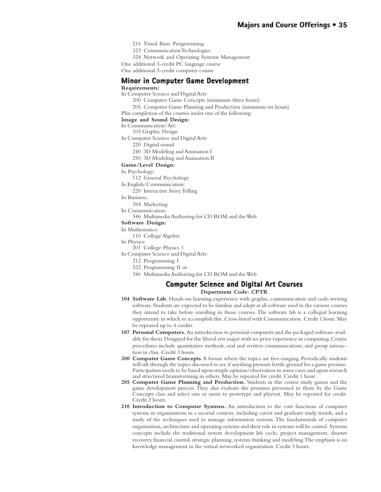- 216 Visual Basic Programming
- 323 Communication Technologies
- 324 Network and Operating Systems Management

One additional 3-credit PC language course

One additional 3-credit computer course

#### **Minor in Computer Game Development in Computer Development**

#### **Requirements:**

In Computer Science and Digital Arts:

- 200 Computer Game Concepts (minimum three hours)
- 205 Computer Game Planning and Production (minimum six hours)

Plus completion of the courses under one of the following:

#### **Image and Sound Design:**

In Communication/Art:

103 Graphic Design

In Computer Science and Digital Arts:

- 220 Digital sound
- 240 3D Modeling and Animation I
- 250 3D Modeling and Animation II

#### **Game/Level Design:**

In Psychology:

- 112 General Psychology
- In English/Communication:

220 Interactive Story Telling

In Business:

- 394 Marketing
- In Communication:
	- 346 Multimedia Authoring for CD ROM and the Web

#### **Software Design:**

In Mathematics:

- 110 College Algebra
- In Physics:
	- 201 College Physics 1
- In Computer Science and Digital Arts:
	- 212 Programming I
	- 322 Programming II or
	- 346 Multimedia Authoring for CD ROM and the Web

#### **Computer Science and Digital Art Courses Computer Science and Digital Art Courses**

**Department Code: CPTR**

- **104 Software Lab.** Hands-on learning experience with graphic, communication and code-writing software. Students are expected to be familiar and adept at all software used in the various courses they intend to take before enrolling in those courses. The software lab is a collegial learning opportunity in which to accomplish this. Cross-listed with Communication. Credit 1 hour. May be repeated up to 4 credits.
- **107 Personal Computers.** An introduction to personal computers and the packaged software available for them. Designed for the liberal arts major with no prior experience in computing. Course procedures include quantitative methods, oral and written communications, and group interaction in class. Credit 3 hours.
- **200 Computer Game Concepts**. A forum where the topics are free-ranging. Periodically students will sift through the topics discussed to see if anything presents fertile ground for a game premise. Participation needs to be based upon simple opinion/observation in some cases and upon research and structured brainstorming in others. May be repeated for credit. Credit 1 hour.
- **205 Computer Game Planning and Production.** Students in this course study games and the game development process. They also evaluate the premises presented to them by the Game Concepts class and select one or more to prototype and playtest. May be repeated for credit. Credit 2 hours.
- **210 Introduction to Computer Systems.** An introduction to the core functions of computer systems in organizations in a societal context, including career and graduate study trends, and a study of the techniques used to manage information systems. The fundamentals of computer organization, architecture and operating systems and their role in systems will be central. Systems concepts include the traditional system development life cycle, project management, disaster recovery, financial control, strategic planning, systems thinking and modeling. The emphasis is on knowledge management in the virtual networked organization. Credit 3 hours.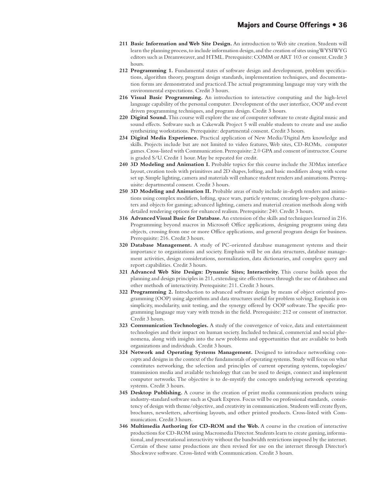- **211 Basic Information and Web Site Design.** An introduction to Web site creation. Students will learn the planning process, to include information design, and the creation of sites using WYSIWYG editors such as Dreamweaver, and HTML. Prerequisite: COMM or ART 103 or consent. Credit 3 hours.
- **212 Programming 1.** Fundamental states of software design and development, problem specifications, algorithm theory, program design standards, implementation techniques, and documentation forms are demonstrated and practiced. The actual programming language may vary with the environmental expectations. Credit 3 hours.
- **216 Visual Basic Programming.** An introduction to interactive computing and the high-level language capability of the personal computer. Development of the user interface, OOP and event driven programming techniques, and program design. Credit 3 hours.
- **220 Digital Sound.** This course will explore the use of computer software to create digital music and sound effects. Software such as Cakewalk Project 5 will enable students to create and use audio synthesizing workstations. Prerequisite: departmental consent. Credit 3 hours.
- **234 Digital Media Experience.** Practical application of New Media/Digital Arts knowledge and skills. Projects include but are not limited to video features, Web sites, CD-ROMs, computer games. Cross-listed with Communication. Prerequisite: 2.0 GPA and consent of instructor. Course is graded S/U. Credit 1 hour. May be repeated for credit.
- **240 3D Modeling and Animation I.** Probable topics for this course include the 3DMax interface layout, creation tools with primitives and 2D shapes, lofting, and basic modifiers along with scene set up. Simple lighting, camera and materials will enhance student renders and animations. Prerequisite: departmental consent. Credit 3 hours.
- **250 3D Modeling and Animation II.** Probable areas of study include in-depth renders and animations using complex modifiers, lofting, space wars, particle systems; creating low-polygon characters and objects for gaming; advanced lighting, camera and material creation methods along with detailed rendering options for enhanced realism. Prerequisite: 240. Credit 3 hours.
- **316 Advanced Visual Basic for Database.** An extension of the skills and techniques learned in 216. Programming beyond macros in Microsoft Office applications, designing programs using data objects, crossing from one or more Office applications, and general program design for business. Prerequisite: 216. Credit 3 hours.
- **320 Database Management.** A study of PC-oriented database management systems and their importance to organizations and society. Emphasis will be on data structures, database management activities, design considerations, normalization, data dictionaries, and complex query and report capabilities. Credit 3 hours.
- **321 Advanced Web Site Design: Dynamic Sites; Interactivity.** This course builds upon the planning and design principles in 211, extending site effectiveness through the use of databases and other methods of interactivity. Prerequisite: 211. Credit 3 hours.
- **322 Programming 2.** Introduction to advanced software design by means of object oriented programming (OOP) using algorithms and data structures useful for problem solving. Emphasis is on simplicity, modularity, unit testing, and the synergy offered by OOP software. The specific programming language may vary with trends in the field. Prerequisite: 212 or consent of instructor. Credit 3 hours.
- **323 Communication Technologies.** A study of the convergence of voice, data and entertainment technologies and their impact on human society. Included technical, commercial and social phenomena, along with insights into the new problems and opportunities that are available to both organizations and individuals. Credit 3 hours.
- **324 Network and Operating Systems Management.** Designed to introduce networking concepts and designs in the context of the fundamentals of operating systems. Study will focus on what constitutes networking, the selection and principles of current operating systems, topologies/ transmission media and available technology that can be used to design, connect and implement computer networks. The objective is to de-mystify the concepts underlying network operating systems. Credit 3 hours.
- **345 Desktop Publishing.** A course in the creation of print media communication products using industry-standard software such as Quark Express. Focus will be on professional standards, consistency of design with theme/objective, and creativity in communication. Students will create flyers, brochures, newsletters, advertising layouts, and other printed products. Cross-listed with Communication. Credit 3 hours.
- **346 Multimedia Authoring for CD-ROM and the Web.** A course in the creation of interactive productions for CD-ROM using Macromedia Director. Students learn to create gaming, informational, and presentational interactivity without the bandwidth restrictions imposed by the internet. Certain of these same productions are then revised for use on the internet through Director's Shockwave software. Cross-listed with Communication. Credit 3 hours.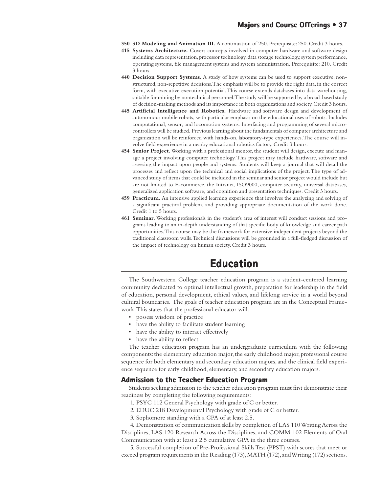- **350 3D Modeling and Animation III.** A continuation of 250. Prerequisite: 250. Credit 3 hours.
- **415 Systems Architecture.** Covers concepts involved in computer hardware and software design including data representation, processor technology, data storage technology, system performance, operating systems, file management systems and system administration. Prerequisite: 210. Credit 3 hours.
- **440 Decision Support Systems.** A study of how systems can be used to support executive, nonstructured, non-repetitive decisions. The emphasis will be to provide the right data, in the correct form, with executive execution potential. This course extends databases into data warehousing, suitable for mining by nontechnical personnel. The study will be supported by a broad-based study of decision-making methods and its importance in both organizations and society. Credit 3 hours.
- **445 Artificial Intelligence and Robotics.** Hardware and software design and development of autonomous mobile robots, with particular emphasis on the educational uses of robots. Includes computational, sensor, and locomotion systems. Interfacing and programming of several microcontrollers will be studied. Previous learning about the fundamentals of computer architecture and organization will be reinforced with hands-on, laboratory-type experiences. The course will involve field experience in a nearby educational robotics factory. Credit 3 hours.
- **454 Senior Project.** Working with a professional mentor, the student will design, execute and manage a project involving computer technology. This project may include hardware, software and assessing the impact upon people and systems. Students will keep a journal that will detail the processes and reflect upon the technical and social implications of the project. The type of advanced study of items that could be included in the seminar and senior project would include but are not limited to E-commerce, the Intranet, ISO9000, computer security, universal databases, generalized application software, and cognition and presentation techniques. Credit 3 hours.
- **459 Practicum.** An intensive applied learning experience that involves the analyzing and solving of a significant practical problem, and providing appropriate documentation of the work done. Credit 1 to 5 hours.
- **461 Seminar.** Working professionals in the student's area of interest will conduct sessions and programs leading to an in-depth understanding of that specific body of knowledge and career path opportunities. This course may be the framework for extensive independent projects beyond the traditional classroom walls. Technical discussions will be grounded in a full-fledged discussion of the impact of technology on human society. Credit 3 hours.

# **Education**

The Southwestern College teacher education program is a student-centered learning community dedicated to optimal intellectual growth, preparation for leadership in the field of education, personal development, ethical values, and lifelong service in a world beyond cultural boundaries. The goals of teacher education program are in the Conceptual Framework. This states that the professional educator will:

- possess wisdom of practice
- have the ability to facilitate student learning
- have the ability to interact effectively
- have the ability to reflect

The teacher education program has an undergraduate curriculum with the following components: the elementary education major, the early childhood major, professional course sequence for both elementary and secondary education majors, and the clinical field experience sequence for early childhood, elementary, and secondary education majors.

### **Admission to the Teacher Education Program**

Students seeking admission to the teacher education program must first demonstrate their readiness by completing the following requirements:

- 1. PSYC 112 General Psychology with grade of C or better.
- 2. EDUC 218 Developmental Psychology with grade of C or better.
- 3. Sophomore standing with a GPA of at least 2.5.

4. Demonstration of communication skills by completion of LAS 110 Writing Across the Disciplines, LAS 120 Research Across the Disciplines, and COMM 102 Elements of Oral Communication with at least a 2.5 cumulative GPA in the three courses.

5. Successful completion of Pre-Professional Skills Test (PPST) with scores that meet or exceed program requirements in the Reading (173), MATH (172), and Writing (172) sections.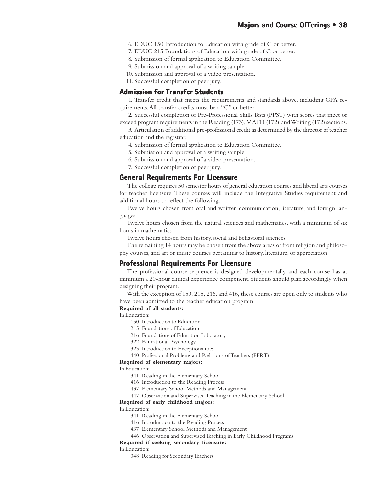- 6. EDUC 150 Introduction to Education with grade of C or better.
- 7. EDUC 215 Foundations of Education with grade of C or better.
- 8. Submission of formal application to Education Committee.
- 9. Submission and approval of a writing sample.
- 10. Submission and approval of a video presentation.

11. Successful completion of peer jury.

### **Admission for Transfer Students Admission Transfer Students**

1. Transfer credit that meets the requirements and standards above, including GPA requirements. All transfer credits must be a "C" or better.

2. Successful completion of Pre-Professional Skills Tests (PPST) with scores that meet or exceed program requirements in the Reading (173), MATH (172), and Writing (172) sections.

3. Articulation of additional pre-professional credit as determined by the director of teacher education and the registrar.

- 4. Submission of formal application to Education Committee.
- 5. Submission and approval of a writing sample.
- 6. Submission and approval of a video presentation.

7. Successful completion of peer jury.

## **General Requirements For Licensure**

 The college requires 50 semester hours of general education courses and liberal arts courses for teacher licensure. These courses will include the Integrative Studies requirement and additional hours to reflect the following:

Twelve hours chosen from oral and written communication, literature, and foreign languages

Twelve hours chosen from the natural sciences and mathematics, with a minimum of six hours in mathematics

Twelve hours chosen from history, social and behavioral sciences

The remaining 14 hours may be chosen from the above areas or from religion and philosophy courses, and art or music courses pertaining to history, literature, or appreciation.

## **Professional Requirements For Licensure**

The professional course sequence is designed developmentally and each course has at minimum a 20-hour clinical experience component. Students should plan accordingly when designing their program.

With the exception of 150, 215, 216, and 416, these courses are open only to students who have been admitted to the teacher education program.

#### **Required of all students:**

#### In Education:

- 150 Introduction to Education
- 215 Foundations of Education
- 216 Foundations of Education Laboratory
- 322 Educational Psychology
- 323 Introduction to Exceptionalities
- 440 Professional Problems and Relations of Teachers (PPRT)

#### **Required of elementary majors:**

In Education:

- 341 Reading in the Elementary School
- 416 Introduction to the Reading Process
- 437 Elementary School Methods and Management
- 447 Observation and Supervised Teaching in the Elementary School

#### **Required of early childhood majors:**

#### In Education:

- 341 Reading in the Elementary School
- 416 Introduction to the Reading Process
- 437 Elementary School Methods and Management
- 446 Observation and Supervised Teaching in Early Childhood Programs

#### **Required if seeking secondary licensure:**

#### In Education:

348 Reading for Secondary Teachers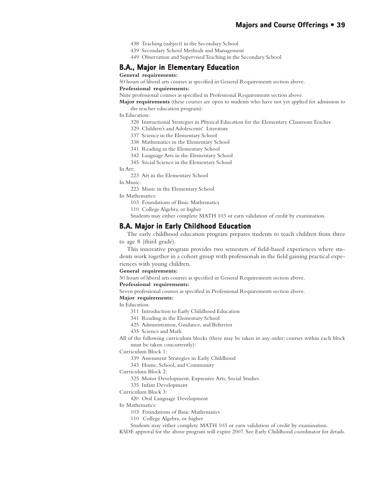- 438 Teaching (subject) in the Secondary School
- 439 Secondary School Methods and Management
- 449 Observation and Supervised Teaching in the Secondary School

## **B.A., Major in Elementary Education**

#### **General requirements:**

50 hours of liberal arts courses as specified in General Requirements section above.

#### **Professional requirements:**

Nine professional courses as specified in Professional Requirements section above.

**Major requirements** (these courses are open to students who have not yet applied for admission to the teacher education program):

In Education:

- 328 Instructional Strategies in Physical Education for the Elementary Classroom Teacher
- 329 Children's and Adolescents' Literature
- 337 Science in the Elementary School
- 338 Mathematics in the Elementary School
- 341 Reading in the Elementary School
- 342 Language Arts in the Elementary School

345 Social Science in the Elementary School

#### In Art:

223 Art in the Elementary School

In Music:

223 Music in the Elementary School

In Mathematics:

- 103 Foundations of Basic Mathematics
- 110 College Algebra, or higher
- Students may either complete MATH 103 or earn validation of credit by examination.

## **B.A. Major in Early Childhood Education**

The early childhood education program prepares students to teach children from three to age 8 (third grade).

This innovative program provides two semesters of field-based experiences where students work together in a cohort group with professionals in the field gaining practical experiences with young children.

#### **General requirements:**

50 hours of liberal arts courses as specified in General Requirements section above.

#### **Professional requirements:**

Seven professional courses as specified in Professional Requirements section above.

#### **Major requirements:**

In Education:

- 311 Introduction to Early Childhood Education
- 341 Reading in the Elementary School
- 425 Administration, Guidance, and Behavior
- 435 Science and Math
- All of the following curriculum blocks (these may be taken in any order; courses within each block must be taken concurrently):

Curriculum Block 1:

- 339 Assessment Strategies in Early Childhood
- 343 Home, School, and Community

Curriculum Block 2:

- 325 Motor Development, Expressive Arts, Social Studies
- 335 Infant Development

#### Curriculum Block 3:

420 Oral Language Development

In Mathematics:

- 103 Foundations of Basic Mathematics
- 110 College Algebra, or higher
- Students may either complete MATH 103 or earn validation of credit by examination.

KSDE approval for the above program will expire 2007. See Early Childhood coordinator for details.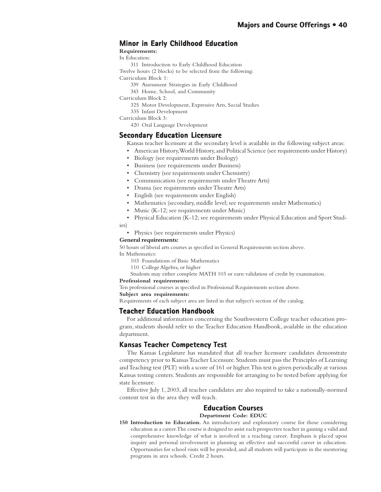# **Minor in Early Childhood Education**

**Requirements:**

In Education:

311 Introduction to Early Childhood Education

Twelve hours (2 blocks) to be selected from the following: Curriculum Block 1:

- 339 Assessment Strategies in Early Childhood
- 343 Home, School, and Community

Curriculum Block 2:

- 325 Motor Development, Expressive Arts, Social Studies
- 335 Infant Development

Curriculum Block 3:

420 Oral Language Development

# **Secondary Education Licensure**

Kansas teacher licensure at the secondary level is available in the following subject areas:

- American History, World History, and Political Science (see requirements under History)
- Biology (see requirements under Biology)
- Business (see requirements under Business)
- Chemistry (see requirements under Chemistry)
- Communication (see requirements under Theatre Arts)
- Drama (see requirements under Theatre Arts)
- English (see requirements under English)
- Mathematics (secondary, middle level; see requirements under Mathematics)
- Music (K-12; see requirements under Music)
- Physical Education (K-12; see requirements under Physical Education and Sport Stud-

ies)

• Physics (see requirements under Physics)

### **General requirements:**

50 hours of liberal arts courses as specified in General Requirements section above.

In Mathematics:

- 103 Foundations of Basic Mathematics
- 110 College Algebra, or higher
- Students may either complete MATH 103 or earn validation of credit by examination.

#### **Professional requirements:**

Ten professional courses as specified in Professional Requirements section above.

**Subject area requirements:**

Requirements of each subject area are listed in that subject's section of the catalog.

## **Teacher Education Handbook**

For additional information concerning the Southwestern College teacher education program, students should refer to the Teacher Education Handbook, available in the education department.

# **Kansas Teacher Competency Test Teacher Test**

The Kansas Legislature has mandated that all teacher licensure candidates demonstrate competency prior to Kansas Teacher Licensure. Students must pass the Principles of Learning and Teaching test (PLT) with a score of 161 or higher. This test is given periodically at various Kansas testing centers. Students are responsible for arranging to be tested before applying for state licensure.

Effective July 1, 2003, all teacher candidates are also required to take a nationally-normed content test in the area they will teach.

## **Education Courses Education Courses**

**Department Code: EDUC**

**150 Introduction to Education.** An introductory and exploratory course for those considering education as a career. The course is designed to assist each prospective teacher in gaining a valid and comprehensive knowledge of what is involved in a teaching career. Emphasis is placed upon inquiry and personal involvement in planning an effective and successful career in education. Opportunities for school visits will be provided, and all students will participate in the mentoring programs in area schools. Credit 2 hours.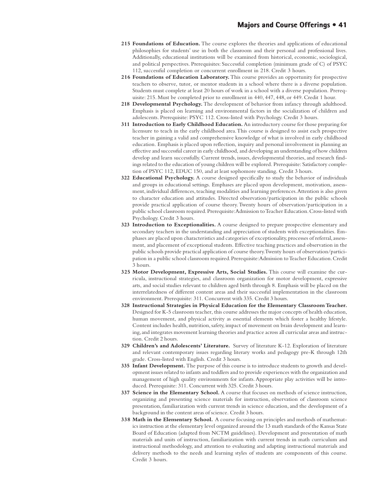- **215 Foundations of Education.** The course explores the theories and applications of educational philosophies for students' use in both the classroom and their personal and professional lives. Additionally, educational institutions will be examined from historical, economic, sociological, and political perspectives. Prerequisites: Successful completion (minimum grade of C) of PSYC 112, successful completion or concurrent enrollment in 218. Credit 3 hours.
- **216 Foundations of Education Laboratory.** This course provides an opportunity for prospective teachers to observe, tutor, or mentor students in a school where there is a diverse population. Students must complete at least 20 hours of work in a school with a diverse population. Prerequisite: 215. Must be completed prior to enrollment in 440, 447, 448, or 449. Credit 1 hour.
- **218 Developmental Psychology.** The development of behavior from infancy through adulthood. Emphasis is placed on learning and environmental factors in the socialization of children and adolescents. Prerequisite: PSYC 112. Cross-listed with Psychology. Credit 3 hours.
- **311 Introduction to Early Childhood Education.** An introductory course for those preparing for licensure to teach in the early childhood area. This course is designed to assist each prospective teacher in gaining a valid and comprehensive knowledge of what is involved in early childhood education. Emphasis is placed upon reflection, inquiry and personal involvement in planning an effective and successful career in early childhood, and developing an understanding of how children develop and learn successfully. Current trends, issues, developmental theories, and research findings related to the education of young children will be explored. Prerequisite: Satisfactory completion of PSYC 112, EDUC 150, and at least sophomore standing. Credit 3 hours.
- **322 Educational Psychology.** A course designed specifically to study the behavior of individuals and groups in educational settings. Emphases are placed upon development, motivation, assessment, individual differences, teaching modalities and learning preferences. Attention is also given to character education and attitudes. Directed observation/participation in the public schools provide practical application of course theory. Twenty hours of observation/participation in a public school classroom required. Prerequisite: Admission to Teacher Education. Cross-listed with Psychology. Credit 3 hours.
- **323 Introduction to Exceptionalities.** A course designed to prepare prospective elementary and secondary teachers in the understanding and appreciation of students with exceptionalities. Emphases are placed upon characteristics and categories of exceptionality, processes of referral, assessment, and placement of exceptional students. Effective teaching practices and observation in the public schools provide practical application of course theory. Twenty hours of observation/participation in a public school classroom required. Prerequisite: Admission to Teacher Education. Credit 3 hours.
- **325 Motor Development, Expressive Arts, Social Studies.** This course will examine the curricula, instructional strategies, and classroom organization for motor development, expressive arts, and social studies relevant to children aged birth through 8. Emphasis will be placed on the interrelatedness of different content areas and their successful implementation in the classroom environment. Prerequisite: 311. Concurrent with 335. Credit 3 hours.
- **328 Instructional Strategies in Physical Education for the Elementary Classroom Teacher.** Designed for K-5 classroom teacher, this course addresses the major concepts of health education, human movement, and physical activity as essential elements which foster a healthy lifestyle. Content includes health, nutrition, safety, impact of movement on brain development and learning, and integrates movement learning theories and practice across all curricular areas and instruction. Credit 2 hours.
- **329 Children's and Adolescents' Literature.** Survey of literature K-12. Exploration of literature and relevant contemporary issues regarding literary works and pedagogy pre-K through 12th grade. Cross-listed with English. Credit 3 hours.
- **335 Infant Development.** The purpose of this course is to introduce students to growth and development issues related to infants and toddlers and to provide experiences with the organization and management of high quality environments for infants. Appropriate play activities will be introduced. Prerequisite: 311. Concurrent with 325. Credit 3 hours.
- **337 Science in the Elementary School.** A course that focuses on methods of science instruction, organizing and presenting science materials for instruction, observation of classroom science presentation, familiarization with current trends in science education, and the development of a background in the content areas of science. Credit 3 hours.
- **338 Math in the Elementary School.** A course focusing on principles and methods of mathematics instruction at the elementary level organized around the 13 math standards of the Kansas State Board of Education (adapted from NCTM guidelines). Development and presentation of math materials and units of instruction, familiarization with current trends in math curriculum and instructional methodology, and attention to evaluating and adapting instructional materials and delivery methods to the needs and learning styles of students are components of this course. Credit 3 hours.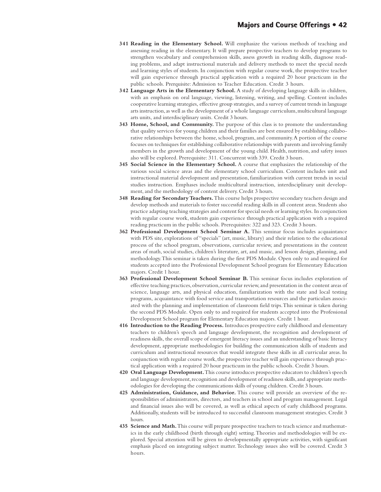- **341 Reading in the Elementary School.** Will emphasize the various methods of teaching and assessing reading in the elementary. It will prepare prospective teachers to develop programs to strengthen vocabulary and comprehension skills, assess growth in reading skills, diagnose reading problems, and adapt instructional materials and delivery methods to meet the special needs and learning styles of students. In conjunction with regular course work, the prospective teacher will gain experience through practical application with a required 20 hour practicum in the public schools. Prerquisite: Admission to Teacher Education. Credit 3 hours.
- **342 Language Arts in the Elementary School.** A study of developing language skills in children, with an emphasis on oral language, viewing, listening, writing, and spelling. Content includes cooperative learning strategies, effective group strategies, and a survey of current trends in language arts instruction, as well as the development of a whole language curriculum, multicultural language arts units, and interdisciplinary units. Credit 3 hours.
- **343 Home, School, and Community.** The purpose of this class is to promote the understanding that quality services for young children and their families are best ensured by establishing collaborative relationships between the home, school, program, and community. A portion of the course focuses on techniques for establishing collaborative relationships with parents and involving family members in the growth and development of the young child. Health, nutrition, and safety issues also will be explored. Prerequisite: 311. Concurrent with 339. Credit 3 hours.
- **345 Social Science in the Elementary School.** A course that emphasizes the relationship of the various social science areas and the elementary school curriculum. Content includes unit and instructional material development and presentation, familiarization with current trends in social studies instruction. Emphases include multicultural instruction, interdisciplinary unit development, and the methodology of content delivery. Credit 3 hours.
- **348 Reading for Secondary Teachers.** This course helps prospective secondary teachers design and develop methods and materials to foster successful reading skills in all content areas. Students also practice adapting teaching strategies and content for special needs or learning styles. In conjunction with regular course work, students gain experience through practical application with a required reading practicum in the public schools. Prerequisites: 322 and 323. Credit 3 hours.
- **362 Professional Development School Seminar A.** This seminar focus includes acquaintance with PDS site, explorations of "specials" (art, music, library) and their relation to the educational process of the school program, observations, curricular review, and presentations in the content areas of math, social studies, children's literature, art, and music, and lesson design, planning, and methodology. This seminar is taken during the first PDS Module. Open only to and required for students accepted into the Professional Development School program for Elementary Education majors. Credit 1 hour.
- **363 Professional Development School Seminar B.** This seminar focus includes exploration of effective teaching practices, observation, curricular review, and presentation in the content areas of science, language arts, and physical education, familiarization with the state and local testing programs, acquaintance with food service and transportation resources and the particulars associated with the planning and implementation of classroom field trips. This seminar is taken during the second PDS Module. Open only to and required for students accepted into the Professional Development School program for Elementary Education majors. Credit 1 hour.
- **416 Introduction to the Reading Process.** Introduces prospective early childhood and elementary teachers to children's speech and language development, the recognition and development of readiness skills, the overall scope of emergent literacy issues and an understanding of basic literacy development, appropriate methodologies for building the communication skills of students and curriculum and instructional resources that would integrate these skills in all curricular areas. In conjunction with regular course work, the prospective teacher will gain experience through practical application with a required 20 hour practicum in the public schools. Credit 3 hours.
- **420 Oral Language Development.** This course introduces prospective educators to children's speech and language development, recognition and development of readiness skills, and appropriate methodologies for developing the communications skills of young children. Credit 3 hours.
- **425 Administration, Guidance, and Behavior.** This course will provide an overview of the responsibilities of administrators, directors, and teachers in school and program management. Legal and financial issues also will be covered, as well as ethical aspects of early childhood programs. Additionally, students will be introduced to successful classroom management strategies. Credit 3 hours.
- **435 Science and Math.** This course will prepare prospective teachers to teach science and mathematics in the early childhood (birth through eight) setting. Theories and methodologies will be explored. Special attention will be given to developmentally appropriate activities, with significant emphasis placed on integrating subject matter. Technology issues also will be covered. Credit 3 hours.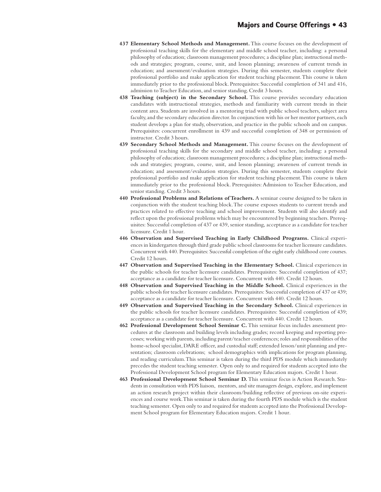- **437 Elementary School Methods and Management.** This course focuses on the development of professional teaching skills for the elementary and middle school teacher, including: a personal philosophy of education; classroom management procedures; a discipline plan; instructional methods and strategies; program, course, unit, and lesson planning; awareness of current trends in education; and assessment/evaluation strategies. During this semester, students complete their professional portfolio and make application for student teaching placement. This course is taken immediately prior to the professional block. Prerequisites: Successful completion of 341 and 416, admission to Teacher Education, and senior standing. Credit 3 hours.
- **438 Teaching (subject) in the Secondary School.** This course provides secondary education candidates with instructional strategies, methods and familiarity with current trends in their content area. Students are involved in a mentoring triad with public school teachers, subject area faculty, and the secondary education director. In conjunction with his or her mentor partners, each student develops a plan for study, observation, and practice in the public schools and on campus. Prerequisites: concurrent enrollment in 439 and successful completion of 348 or permission of instructor. Credit 3 hours.
- **439 Secondary School Methods and Management.** This course focuses on the development of professional teaching skills for the secondary and middle school teacher, including: a personal philosophy of education; classroom management procedures; a discipline plan; instructional methods and strategies; program, course, unit, and lesson planning; awareness of current trends in education; and assessment/evaluation strategies. During this semester, students complete their professional portfolio and make application for student teaching placement. This course is taken immediately prior to the professional block. Prerequisites: Admission to Teacher Education, and senior standing. Credit 3 hours.
- **440 Professional Problems and Relations of Teachers.** A seminar course designed to be taken in conjunction with the student teaching block. The course exposes students to current trends and practices related to effective teaching and school improvement. Students will also identify and reflect upon the professional problems which may be encountered by beginning teachers. Prerequisites: Successful completion of 437 or 439, senior standing, acceptance as a candidate for teacher licensure. Credit 1 hour.
- **446 Observation and Supervised Teaching in Early Childhood Programs.** Clinical experiences in kindergarten through third grade public school classrooms for teacher licensure candidates. Concurrent with 440. Prerequisites: Successful completion of the eight early childhood core courses. Credit 12 hours.
- **447 Observation and Supervised Teaching in the Elementary School.** Clinical experiences in the public schools for teacher licensure candidates. Prerequisites: Successful completion of 437; acceptance as a candidate for teacher licensure. Concurrent with 440. Credit 12 hours.
- **448 Observation and Supervised Teaching in the Middle School.** Clinical experiences in the public schools for teacher licensure candidates. Prerequisites: Successful completion of 437 or 439; acceptance as a candidate for teacher licensure. Concurrent with 440. Credit 12 hours.
- **449 Observation and Supervised Teaching in the Secondary School.** Clinical experiences in the public schools for teacher licensure candidates. Prerequisites: Successful completion of 439; acceptance as a candidate for teacher licensure. Concurrent with 440. Credit 12 hours.
- **462 Professional Development School Seminar C.** This seminar focus includes assessment procedures at the classroom and building levels including grades; record keeping and reporting processes; working with parents, including parent/teacher conferences; roles and responsibilities of the home-school specialist, DARE officer, and custodial staff; extended lesson/unit planning and presentation; classroom celebrations; school demographics with implications for program planning, and reading curriculum. This seminar is taken during the third PDS module which immediately precedes the student teaching semester. Open only to and required for students accepted into the Professional Development School program for Elementary Education majors. Credit 1 hour.
- **463 Professional Development School Seminar D.** This seminar focus is Action Research. Students in consultation with PDS liaison, mentors, and site managers design, explore, and implement an action research project within their classroom/building reflective of previous on-site experiences and course work. This seminar is taken during the fourth PDS module which is the student teaching semester. Open only to and required for students accepted into the Professional Development School program for Elementary Education majors. Credit 1 hour.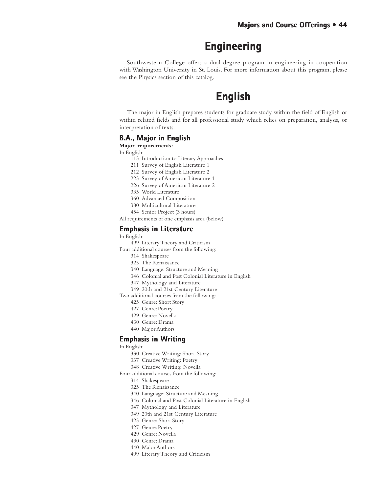# **Engineering Engineering**

Southwestern College offers a dual-degree program in engineering in cooperation with Washington University in St. Louis. For more information about this program, please see the Physics section of this catalog.

# **English English**

The major in English prepares students for graduate study within the field of English or within related fields and for all professional study which relies on preparation, analysis, or interpretation of texts.

## **B.A., Major in English**

#### **Major requirements:**

In English:

- 115 Introduction to Literary Approaches
- 211 Survey of English Literature 1
- 212 Survey of English Literature 2
- 225 Survey of American Literature 1
- 226 Survey of American Literature 2
- 335 World Literature
- 360 Advanced Composition
- 380 Multicultural Literature
- 454 Senior Project (3 hours)

All requirements of one emphasis area (below)

## **Emphasis in Literature**

In English:

- 499 Literary Theory and Criticism
- Four additional courses from the following:
	- 314 Shakespeare
	- 325 The Renaissance
	- 340 Language: Structure and Meaning
	- 346 Colonial and Post Colonial Literature in English
	- 347 Mythology and Literature
	- 349 20th and 21st Century Literature
- Two additional courses from the following:
	- 425 Genre: Short Story
	- 427 Genre: Poetry
	- 429 Genre: Novella
	- 430 Genre: Drama
	- 440 Major Authors

## **Emphasis in Writing**

In English:

- 330 Creative Writing: Short Story
- 337 Creative Writing: Poetry
- 348 Creative Writing: Novella
- Four additional courses from the following:
	- 314 Shakespeare
	- 325 The Renaissance
	- 340 Language: Structure and Meaning
	- 346 Colonial and Post Colonial Literature in English
	- 347 Mythology and Literature
	- 349 20th and 21st Century Literature
	- 425 Genre: Short Story
	- 427 Genre: Poetry
	- 429 Genre: Novella
	- 430 Genre: Drama
	- 440 Major Authors
	- 499 Literary Theory and Criticism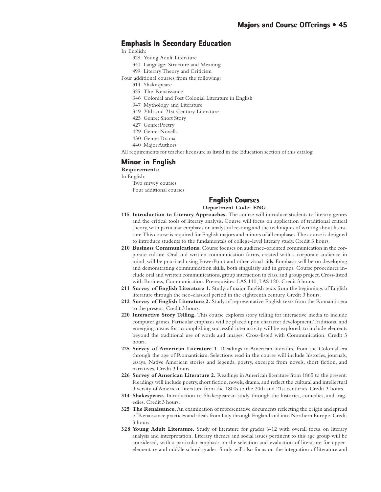# **Emphasis in Secondary Education**

In English:

- 328 Young Adult Literature
- 340 Language: Structure and Meaning
- 499 Literary Theory and Criticism
- Four additional courses from the following:
	- 314 Shakespeare
	- 325 The Renaissance
	- 346 Colonial and Post Colonial Literature in English
	- 347 Mythology and Literature
	- 349 20th and 21st Century Literature
	- 425 Genre: Short Story
	- 427 Genre: Poetry
	- 429 Genre: Novella
	- 430 Genre: Drama
	- 440 Major Authors

All requirements for teacher licensure as listed in the Education section of this catalog

#### **Minor in English**

#### **Requirements:**

In English:

Two survey courses Four additional courses

# **English Courses**

**Department Code: ENG**

- **115 Introduction to Literary Approaches.** The course will introduce students to literary genres and the critical tools of literary analysis. Course will focus on application of traditional critical theory, with particular emphasis on analytical reading and the techniques of writing about literature. This course is required for English majors and minors of all emphases. The course is designed to introduce students to the fundamentals of college-level literary study. Credit 3 hours.
- **210 Business Communications.** Course focuses on audience-oriented communication in the corporate culture. Oral and written communication forms, created with a corporate audience in mind, will be practiced using PowerPoint and other visual aids. Emphasis will be on developing and demonstrating communication skills, both singularly and in groups. Course procedures include oral and written communications, group interaction in class, and group project. Cross-listed with Business, Communication. Prerequisites: LAS 110, LAS 120. Credit 3 hours.
- **211 Survey of English Literature 1.** Study of major English texts from the beginnings of English literature through the neo-classical period in the eighteenth century. Credit 3 hours.
- **212 Survey of English Literature 2.** Study of representative English texts from the Romantic era to the present. Credit 3 hours.
- **220 Interactive Story Telling.** This course explores story telling for interactive media to include computer games. Particular emphasis will be placed upon character development. Traditional and emerging means for accomplishing successful interactivity will be explored, to include elements beyond the traditional use of words and images. Cross-listed with Communication. Credit 3 hours.
- **225 Survey of American Literature 1.** Readings in American literature from the Colonial era through the age of Romanticism. Selections read in the course will include histories, journals, essays, Native American stories and legends, poetry, excerpts from novels, short fiction, and narratives. Credit 3 hours.
- **226 Survey of American Literature 2.** Readings in American literature from 1865 to the present. Readings will include poetry, short fiction, novels, drama, and reflect the cultural and intellectual diversity of American literature from the 1800s to the 20th and 21st centuries. Credit 3 hours.
- **314 Shakespeare.** Introduction to Shakespearean study through the histories, comedies, and tragedies. Credit 3 hours.
- **325 The Renaissance.** An examination of representative documents reflecting the origin and spread of Renaissance practices and ideals from Italy through England and into Northern Europe. Credit 3 hours.
- **328 Young Adult Literature.** Study of literature for grades 6-12 with overall focus on literary analysis and interpretation. Literary themes and social issues pertinent to this age group will be considered, with a particular emphasis on the selection and evaluation of literature for upperelementary and middle school grades. Study will also focus on the integration of literature and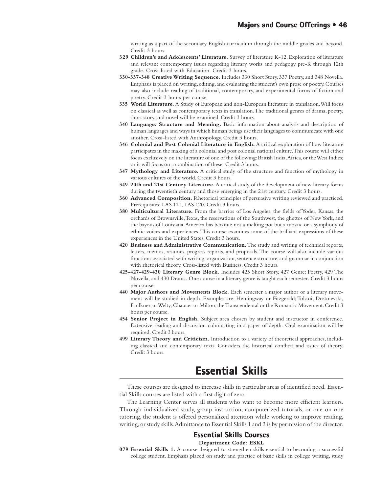writing as a part of the secondary English curriculum through the middle grades and beyond. Credit 3 hours.

- **329 Children's and Adolescents' Literature.** Survey of literature K-12. Exploration of literature and relevant contemporary issues regarding literary works and pedagogy pre-K through 12th grade. Cross-listed with Education. Credit 3 hours.
- **330-337-348 Creative Writing Sequence.** Includes 330 Short Story, 337 Poetry, and 348 Novella. Emphasis is placed on writing, editing, and evaluating the student's own prose or poetry. Courses may also include reading of traditional, contemporary, and experimental forms of fiction and poetry. Credit 3 hours per course.
- **335 World Literature.** A Study of European and non-European literature in translation. Will focus on classical as well as contemporary texts in translation. The traditional genres of drama, poetry, short story, and novel will be examined. Credit 3 hours.
- **340 Language: Structure and Meaning.** Basic information about analysis and description of human languages and ways in which human beings use their languages to communicate with one another. Cross-listed with Anthropology. Credit 3 hours.
- **346 Colonial and Post Colonial Literature in English.** A critical exploration of how literature participates in the making of a colonial and post colonial national culture. This course will either focus exclusively on the literature of one of the following: British India, Africa, or the West Indies; or it will focus on a combination of these. Credit 3 hours.
- **347 Mythology and Literature.** A critical study of the structure and function of mythology in various cultures of the world. Credit 3 hours.
- **349 20th and 21st Century Literature.** A critical study of the development of new literary forms during the twentieth century and those emerging in the 21st century. Credit 3 hours.
- **360 Advanced Composition.** Rhetorical principles of persuasive writing reviewed and practiced. Prerequisites: LAS 110, LAS 120. Credit 3 hours.
- **380 Multicultural Literature.** From the barrios of Los Angeles, the fields of Yoder, Kansas, the orchards of Brownsville, Texas, the reservations of the Southwest, the ghettos of New York, and the bayous of Louisiana, America has become not a melting pot but a mosaic or a symphony of ethnic voices and experiences. This course examines some of the brilliant expressions of these experiences in the United States. Credit 3 hours.
- **420 Business and Administrative Communication.** The study and writing of technical reports, letters, memos, resumes, progress reports, and proposals. The course will also include various functions associated with writing: organization, sentence structure, and grammar in conjunction with rhetorical theory. Cross-listed with Business. Credit 3 hours.
- **425-427-429-430 Literary Genre Block.** Includes 425 Short Story, 427 Genre: Poetry, 429 The Novella, and 430 Drama. One course in a literary genre is taught each semester. Credit 3 hours per course.
- **440 Major Authors and Movements Block.** Each semester a major author or a literary movement will be studied in depth. Examples are: Hemingway or Fitzgerald; Tolstoi, Dostoievski, Faulkner, or Welty; Chaucer or Milton; the Transcendental or the Romantic Movement. Credit 3 hours per course.
- **454 Senior Project in English.** Subject area chosen by student and instructor in conference. Extensive reading and discussion culminating in a paper of depth. Oral examination will be required. Credit 3 hours.
- **499 Literary Theory and Criticism.** Introduction to a variety of theoretical approaches, including classical and contemporary texts. Considers the historical conflicts and issues of theory. Credit 3 hours.

# **Essential Skills Essential Skills**

These courses are designed to increase skills in particular areas of identified need. Essential Skills courses are listed with a first digit of zero.

The Learning Center serves all students who want to become more efficient learners. Through individualized study, group instruction, computerized tutorials, or one-on-one tutoring, the student is offered personalized attention while working to improve reading, writing, or study skills. Admittance to Essential Skills 1 and 2 is by permission of the director.

## **Essential Skills Courses**

**Department Code: ESKL**

**079 Essential Skills 1.** A course designed to strengthen skills essential to becoming a successful college student. Emphasis placed on study and practice of basic skills in college writing, study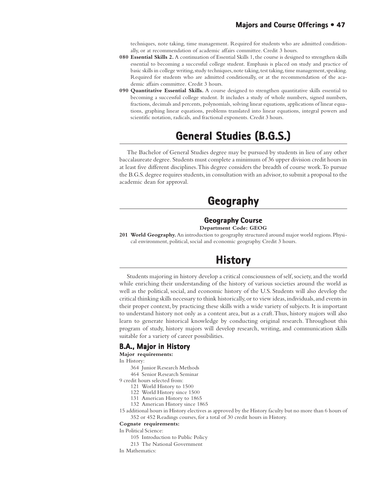techniques, note taking, time management. Required for students who are admitted conditionally, or at recommendation of academic affairs committee. Credit 3 hours.

- **080 Essential Skills 2.** A continuation of Essential Skills 1, the course is designed to strengthen skills essential to becoming a successful college student. Emphasis is placed on study and practice of basic skills in college writing, study techniques, note taking, test taking, time management, speaking. Required for students who are admitted conditionally, or at the recommendation of the academic affairs committee. Credit 3 hours.
- **090 Quantitative Essential Skills.** A course designed to strengthen quantitative skills essential to becoming a successful college student. It includes a study of whole numbers, signed numbers, fractions, decimals and percents, polynomials, solving linear equations, applications of linear equations, graphing linear equations, problems translated into linear equations, integral powers and scientific notation, radicals, and fractional exponents. Credit 3 hours.

# **General Studies (B.G.S.) General Studies (B.G.S.)**

The Bachelor of General Studies degree may be pursued by students in lieu of any other baccalaureate degree. Students must complete a minimum of 36 upper division credit hours in at least five different disciplines. This degree considers the breadth of course work. To pursue the B.G.S. degree requires students, in consultation with an advisor, to submit a proposal to the academic dean for approval.

# **Geography**

#### **Geography Course Department Code: GEOG**

**201 World Geography.** An introduction to geography structured around major world regions. Physical environment, political, social and economic geography. Credit 3 hours.

# **History History**

Students majoring in history develop a critical consciousness of self, society, and the world while enriching their understanding of the history of various societies around the world as well as the political, social, and economic history of the U.S. Students will also develop the critical thinking skills necessary to think historically, or to view ideas, individuals, and events in their proper context, by practicing these skills with a wide variety of subjects. It is important to understand history not only as a content area, but as a craft. Thus, history majors will also learn to generate historical knowledge by conducting original research. Throughout this program of study, history majors will develop research, writing, and communication skills suitable for a variety of career possibilities.

## **B.A., Major in History**

**Major requirements:**

In History:

- 364 Junior Research Methods
- 464 Senior Research Seminar

9 credit hours selected from:

- 121 World History to 1500
- 122 World History since 1500
- 131 American History to 1865 132 American History since 1865
- 
- 15 additional hours in History electives as approved by the History faculty but no more than 6 hours of 352 or 452 Readings courses, for a total of 30 credit hours in History.

#### **Cognate requirements:**

In Political Science:

- 105 Introduction to Public Policy
- 213 The National Government
- In Mathematics: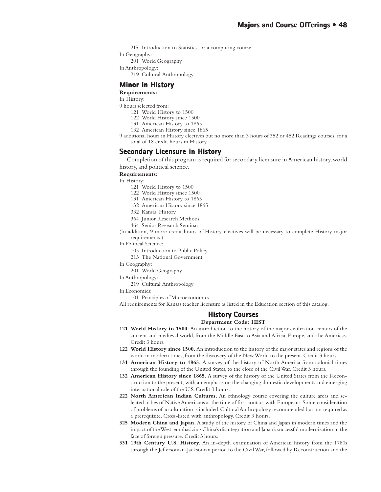215 Introduction to Statistics, or a computing course

In Geography:

201 World Geography

In Anthropology:

219 Cultural Anthropology

# **Minor in History**

**Requirements:**

In History:

- 9 hours selected from:
	- 121 World History to 1500
	- 122 World History since 1500
	- 131 American History to 1865
	- 132 American History since 1865
- 9 additional hours in History electives but no more than 3 hours of 352 or 452 Readings courses, for a total of 18 credit hours in History.

## **Secondary Licensure in History**

Completion of this program is required for secondary licensure in American history, world history, and political science.

**Requirements:**

In History:

- 121 World History to 1500
	- 122 World History since 1500
	- 131 American History to 1865
	- 132 American History since 1865
	- 332 Kansas History
	- 364 Junior Research Methods
	- 464 Senior Research Seminar

(In addition, 9 more credit hours of History electives will be necessary to complete History major requirements.)

In Political Science:

105 Introduction to Public Policy

213 The National Government

- In Geography:
	- 201 World Geography

In Anthropology:

219 Cultural Anthropology

In Economics:

101 Principles of Microeconomics

All requirements for Kansas teacher licensure as listed in the Education section of this catalog.

### **History Courses Courses**

#### **Department Code: HIST**

- **121 World History to 1500.** An introduction to the history of the major civilization centers of the ancient and medieval world, from the Middle East to Asia and Africa, Europe, and the Americas. Credit 3 hours.
- **122 World History since 1500.** An introduction to the history of the major states and regions of the world in modern times, from the discovery of the New World to the present. Credit 3 hours.
- **131 American History to 1865.** A survey of the history of North America from colonial times through the founding of the United States, to the close of the Civil War. Credit 3 hours.
- **132 American History since 1865.** A survey of the history of the United States from the Reconstruction to the present, with an emphasis on the changing domestic developments and emerging international role of the U.S. Credit 3 hours.
- **222 North American Indian Cultures.** An ethnology course covering the culture areas and selected tribes of Native Americans at the time of first contact with Europeans. Some consideration of problems of acculturation is included. Cultural Anthropology recommended but not required as a prerequisite. Cross-listed with anthropology. Credit 3 hours.
- **325 Modern China and Japan.** A study of the history of China and Japan in modern times and the impact of the West, emphasizing China's disintegration and Japan's successful modernization in the face of foreign pressure. Credit 3 hours.
- **331 19th Century U.S. History.** An in-depth examination of American history from the 1780s through the Jeffersonian-Jacksonian period to the Civil War, followed by Reconstruction and the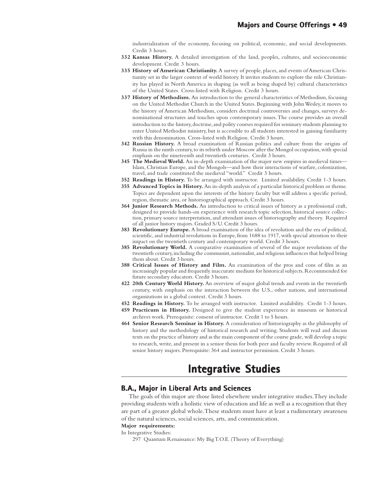industrialization of the economy, focusing on political, economic, and social developments. Credit 3 hours.

- **332 Kansas History.** A detailed investigation of the land, peoples, cultures, and socioeconomic development. Credit 3 hours.
- **335 History of American Christianity.** A survey of people, places, and events of American Christianity set in the larger context of world history. It invites students to explore the role Christianity has played in North America in shaping (as well as being shaped by) cultural characteristics of the United States. Cross-listed with Religion. Credit 3 hours.
- **337 History of Methodism.** An introduction to the general characteristics of Methodism, focusing on the United Methodist Church in the United States. Beginning with John Wesley, it moves to the history of American Methodism, considers doctrinal controversies and changes, surveys denominational structures and touches upon contemporary issues. The course provides an overall introduction to the history, doctrine, and polity courses required for seminary students planning to enter United Methodist ministry, but is accessible to all students interested in gaining familiarity with this denomination. Cross-listed with Religion. Credit 3 hours.
- **342 Russian History.** A broad examination of Russian politics and culture from the origins of Russia in the ninth century, to its rebirth under Moscow after the Mongol occupation, with special emphasis on the nineteenth and twentieth centuries. Credit 3 hours.
- **345 The Medieval World.** An in-depth examination of the major new empires in medieval times— Islam, Christian Europe, and the Mongols—and how their interactions of warfare, colonization, travel, and trade constituted the medieval "world." Credit 3 hours.
- **352 Readings in History.** To be arranged with instructor. Limited availability. Credit 1-3 hours.
- **355 Advanced Topics in History.** An in-depth analysis of a particular historical problem or theme. Topics are dependent upon the interests of the history faculty but will address a specific period, region, thematic area, or historiographical approach. Credit 3 hours.
- **364 Junior Research Methods.** An introduction to critical issues of history as a professional craft, designed to provide hands-on experience with research topic selection, historical source collection, primary source interpretation, and attendant issues of historiography and theory. Required of all junior history majors. Graded S/U. Credit 3 hours.
- **383 Revolutionary Europe.** A broad examination of the idea of revolution and the era of political, scientific, and industrial revolutions in Europe, from 1688 to 1917, with special attention to their impact on the twentieth century and contemporary world. Credit 3 hours.
- **385 Revolutionary World.** A comparative examination of several of the major revolutions of the twentieth century, including the communist, nationalist, and religious influences that helped bring them about. Credit 3 hours.
- **388 Critical Issues of History and Film.** An examination of the pros and cons of film as an increasingly popular and frequently inaccurate medium for historical subjects. Recommended for future secondary educators. Credit 3 hours.
- **422 20th Century World History.** An overview of major global trends and events in the twentieth century, with emphasis on the interaction between the U.S., other nations, and international organizations in a global context. Credit 3 hours.
- **452 Readings in History.** To be arranged with instructor. Limited availability. Credit 1-3 hours.
- **459 Practicum in History.** Designed to give the student experience in museum or historical archives work. Prerequisite: consent of instructor. Credit 1 to 5 hours.
- **464 Senior Research Seminar in History.** A consideration of historiography as the philosophy of history and the methodology of historical research and writing. Students will read and discuss texts on the practice of history and as the main component of the course grade, will develop a topic to research, write, and present in a senior thesis for both peer and faculty review. Required of all senior history majors. Prerequisite: 364 and instructor permission. Credit 3 hours.

# **Integrative Studies Integrative Studies**

## **B.A., Major in Liberal Arts and Sciences**

The goals of this major are those listed elsewhere under integrative studies. They include providing students with a holistic view of education and life as well as a recognition that they are part of a greater global whole. These students must have at least a rudimentary awareness of the natural sciences, social sciences, arts, and communication.

## **Major requirements:**

In Integrative Studies:

297 Quantum Renaissance: My Big T.O.E. (Theory of Everything)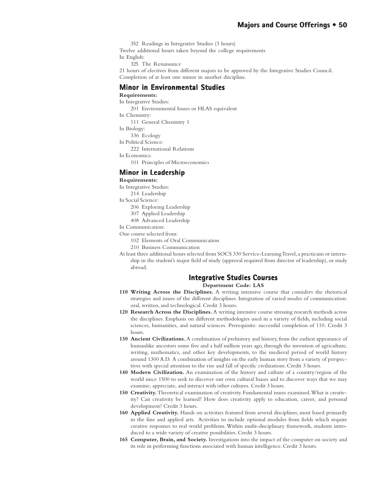352 Readings in Integrative Studies (3 hours) Twelve additional hours taken beyond the college requirements In English:

325 The Renaissance

21 hours of electives from different majors to be approved by the Integrative Studies Council. Completion of at least one minor in another discipline.

## **Minor in Environmental Studies in Environmental**

**Requirements:** In Integrative Studies: 201 Environmental Issues or HLAS equivalent In Chemistry: 111 General Chemistry 1 In Biology: 336 Ecology In Political Science: 222 International Relations In Economics: 101 Principles of Microeconomics **Minor in Leadership**

## **Requirements:**

In Integrative Studies:

214 Leadership

In Social Science:

- 206 Exploring Leadership
- 307 Applied Leadership

408 Advanced Leadership

In Communication:

One course selected from:

102 Elements of Oral Communication

210 Business Communication

At least three additional hours selected from SOCS 330 Service-Learning Travel, a practicum or internship in the student's major field of study (approval required from director of leadership), or study abroad.

## **Integrative Studies Courses**

**Department Code: LAS**

- **110 Writing Across the Disciplines.** A writing intensive course that considers the rhetorical strategies and issues of the different disciplines. Integration of varied modes of communication: oral, written, and technological. Credit 3 hours.
- **120 Research Across the Disciplines.** A writing intensive course stressing research methods across the disciplines. Emphasis on different methodologies used in a variety of fields, including social sciences, humanities, and natural sciences. Prerequisite: successful completion of 110. Credit 3 hours.
- **130 Ancient Civilizations.** A combination of prehistory and history, from the earliest appearance of humanlike ancestors some five and a half million years ago, through the invention of agriculture, writing, mathematics, and other key developments, to the medieval period of world history around 1300 A.D. A combination of insights on the early human story from a variety of perspectives with special attention to the rise and fall of specific civilizations. Credit 3 hours.
- **140 Modern Civilization.** An examination of the history and culture of a country/region of the world since 1500 to seek to discover our own cultural biases and to discover ways that we may examine, appreciate, and interact with other cultures. Credit 3 hours.
- **150 Creativity.** Theoretical examination of creativity. Fundamental issues examined. What is creativity? Can creativity be learned? How does creativity apply to education, career, and personal development? Credit 3 hours.
- **160 Applied Creativity.** Hands on activities featured from several disciplines; most based primarily in the fine and applied arts. Activities to include optional modules from fields which require creative responses to real world problems. Within multi-disciplinary framework, students introduced to a wide variety of creative possibilities. Credit 3 hours.
- **165 Computer, Brain, and Society.** Investigations into the impact of the computer on society and its role in performing functions associated with human intelligence. Credit 3 hours.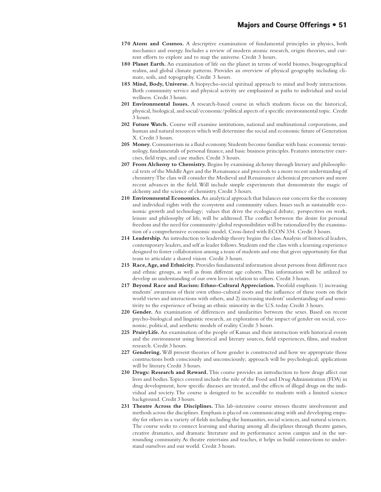- **170 Atom and Cosmos.** A descriptive examination of fundamental principles in physics, both mechanics and energy. Includes a review of modern atomic research, origin theories, and current efforts to explore and to map the universe. Credit 3 hours.
- **180 Planet Earth.** An examination of life on the planet in terms of world biomes, biogeographical realms, and global climate patterns. Provides an overview of physical geography including climate, soils, and topography. Credit 3 hours.
- **185 Mind, Body, Universe.** A biopsycho-social spiritual approach to mind and body interactions. Both community service and physical activity are emphasized as paths to individual and social wellness. Credit 3 hours.
- **201 Environmental Issues.** A research-based course in which students focus on the historical, physical, biological, and social/economic/political aspects of a specific environmental topic. Credit 3 hours.
- **202 Future Watch.** Course will examine institutions, national and multinational corporations, and human and natural resources which will determine the social and economic future of Generation X. Credit 3 hours.
- **205 Money.** Consumerism in a fluid economy. Students become familiar with basic economic terminology, fundamentals of personal finance, and basic business principles. Features interactive exercises, field trips, and case studies. Credit 3 hours.
- **207 From Alchemy to Chemistry.** Begins by examining alchemy through literary and philosophical texts of the Middle Ages and the Renaissance and proceeds to a more recent understanding of chemistry: The class will consider the Medieval and Renaissance alchemical precursors and more recent advances in the field. Will include simple experiments that demonstrate the magic of alchemy and the science of chemistry. Credit 3 hours.
- **210 Environmental Economics.** An analytical approach that balances our concern for the economy and individual rights with the ecosystem and community values. Issues such as sustainable economic growth and technology; values that drive the ecological debate; perspectives on work, leisure and philosophy of life, will be addressed. The conflict between the desire for personal freedom and the need for community/global responsibilities will be rationalized by the examination of a comprehensive economic model. Cross-listed with ECON 334. Credit 3 hours.
- **214 Leadership.** An introduction to leadership theory begins the class. Analysis of historical leaders, contemporary leaders, and self as leader follows. Students end the class with a learning experience designed to foster collaboration among a team of students and one that gives opportunity for that team to articulate a shared vision. Credit 3 hours.
- **215 Race, Age, and Ethnicity.** Provides fundamental information about persons from different race and ethnic groups, as well as from different age cohorts. This information will be utilized to develop an understanding of our own lives in relation to others. Credit 3 hours.
- **217 Beyond Race and Racism: Ethno-Cultural Appreciation.** Twofold emphasis: 1) increasing students' awareness of their own ethno-cultural roots and the influence of these roots on their world views and interactions with others, and 2) increasing students' understanding of and sensitivity to the experience of being an ethnic minority in the U.S. today. Credit 3 hours.
- **220 Gender.** An examination of differences and similarities between the sexes. Based on recent psycho-biological and linguistic research, an exploration of the impact of gender on social, economic, political, and aesthetic models of reality. Credit 3 hours.
- **225 PrairyLife.** An examination of the people of Kansas and their interaction with historical events and the environment using historical and literary sources, field experiences, films, and student research. Credit 3 hours.
- **227 Gendering.** Will present theories of how gender is constructed and how we appropriate those constructions both consciously and unconsciously; approach will be psychological; applications will be literary. Credit 3 hours.
- **230 Drugs: Research and Reward.** This course provides an introduction to how drugs affect our lives and bodies. Topics covered include the role of the Food and Drug Administration (FDA) in drug development, how specific diseases are treated, and the effects of illegal drugs on the individual and society. The course is designed to be accessible to students with a limited science background. Credit 3 hours.
- **231 Theatre Across the Disciplines.** This lab-intensive course stresses theatre involvement and methods across the disciplines. Emphasis is placed on communicating with and developing empathy for others in a variety of fields including the humanities, social sciences, and natural sciences. The course seeks to connect learning and sharing among all disciplines through theatre games, creative dramatics, and dramatic literature and its performance across campus and in the surrounding community. As theatre entertains and teaches, it helps us build connections to understand ourselves and our world. Credit 3 hours.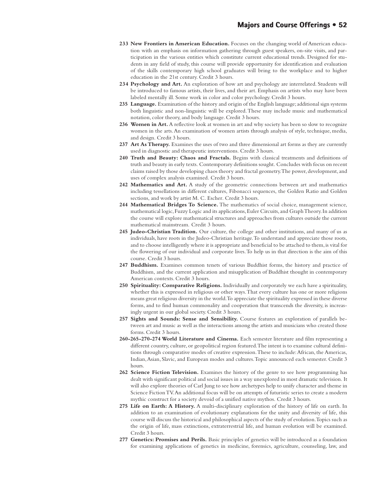- **233 New Frontiers in American Education.** Focuses on the changing world of American education with an emphasis on information gathering through guest speakers, on-site visits, and participation in the various entities which constitute current educational trends. Designed for students in any field of study, this course will provide opportunity for identification and evaluation of the skills contemporary high school graduates will bring to the workplace and to higher education in the 21st century. Credit 3 hours.
- **234 Psychology and Art.** An exploration of how art and psychology are interrelated. Students will be introduced to famous artists, their lives, and their art. Emphasis on artists who may have been labeled mentally ill. Some work in color and color psychology. Credit 3 hours.
- **235 Language.** Examination of the history and origin of the English language; additional sign systems both linguistic and non-linguistic will be explored. These may include music and mathematical notation, color theory, and body language. Credit 3 hours.
- **236 Women in Art.** A reflective look at women in art and why society has been so slow to recognize women in the arts. An examination of women artists through analysis of style, technique, media, and design. Credit 3 hours.
- 237 Art As Therapy. Examines the uses of two and three dimensional art forms as they are currently used in diagnostic and therapeutic interventions. Credit 3 hours.
- **240 Truth and Beauty: Chaos and Fractals.** Begins with classical treatments and definitions of truth and beauty in early texts. Contemporary definitions sought. Concludes with focus on recent claims raised by those developing chaos theory and fractal geometry. The power, development, and uses of complex analysis examined. Credit 3 hours.
- **242 Mathematics and Art.** A study of the geometric connections between art and mathematics including tessellations in different cultures, Fibonacci sequences, the Golden Ratio and Golden sections, and work by artist M. C. Escher. Credit 3 hours.
- **244 Mathematical Bridges To Science.** The mathematics of social choice, management science, mathematical logic, Fuzzy Logic and its applications, Euler Circuits, and Graph Theory. In addition the course will explore mathematical structures and approaches from cultures outside the current mathematical mainstream. Credit 3 hours.
- **245 Judeo-Christian Tradition.** Our culture, the college and other institutions, and many of us as individuals, have roots in the Judeo-Christian heritage. To understand and appreciate those roots, and to choose intelligently where it is appropriate and beneficial to be attached to them, is vital for the flowering of our individual and corporate lives. To help us in that direction is the aim of this course. Credit 3 hours.
- **247 Buddhism.** Examines common tenets of various Buddhist forms, the history and practice of Buddhism, and the current application and misapplication of Buddhist thought in contemporary American contexts. Credit 3 hours.
- **250 Spirituality: Comparative Religions.** Individually and corporately we each have a spirituality, whether this is expressed in religious or other ways. That every culture has one or more religions means great religious diversity in the world. To appreciate the spirituality expressed in these diverse forms, and to find human commonality and cooperation that transcends the diversity, is increasingly urgent in our global society. Credit 3 hours.
- **257 Sights and Sounds: Sense and Sensibility.** Course features an exploration of parallels between art and music as well as the interactions among the artists and musicians who created those forms. Credit 3 hours.
- **260-265-270-274 World Literature and Cinema.** Each semester literature and film representing a different country, culture, or geopolitical region featured. The intent is to examine cultural definitions through comparative modes of creative expression. These to include: African, the Americas, Indian, Asian, Slavic, and European modes and cultures. Topic announced each semester. Credit 3 hours.
- **262 Science Fiction Television.** Examines the history of the genre to see how programming has dealt with significant political and social issues in a way unexplored in most dramatic television. It will also explore theories of Carl Jung to see how archetypes help to unify character and theme in Science Fiction TV. An additional focus will be on attempts of futuristic series to create a modern mythic construct for a society devoid of a unified native mythos. Credit 3 hours.
- **275 Life on Earth: A History.** A multi-disciplinary exploration of the history of life on earth. In addition to an examination of evolutionary explanations for the unity and diversity of life, this course will discuss the historical and philosophical aspects of the study of evolution. Topics such as the origin of life, mass extinctions, extraterrestrial life, and human evolution will be examined. Credit 3 hours.
- **277 Genetics: Promises and Perils.** Basic principles of genetics will be introduced as a foundation for examining applications of genetics in medicine, forensics, agriculture, counseling, law, and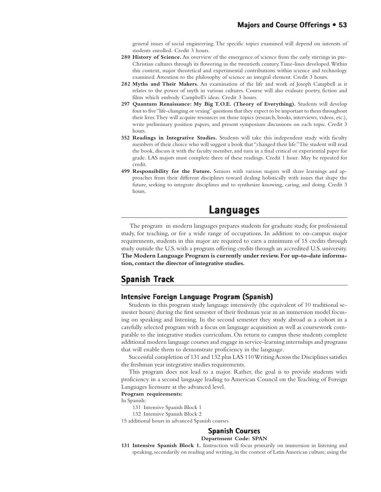general issues of social engineering. The specific topics examined will depend on interests of students enrolled. Credit 3 hours.

- **280 History of Science.** An overview of the emergence of science from the early stirrings in pre-Christian cultures through its flowering in the twentieth century. Time-lines developed. Within this context, major theoretical and experimental contributions within science and technology examined. Attention to the philosophy of science an integral element. Credit 3 hours.
- **282 Myths and Their Makers.** An examination of the life and work of Joseph Campbell as it relates to the power of myth in various cultures. Course will also evaluate poetry, fiction and films which embody Campbell's ideas. Credit 3 hours.
- **297 Quantum Renaissance: My Big T.O.E. (Theory of Everything).** Students will develop four to five "life-changing or vexing" questions that they expect to be important to them throughout their lives. They will acquire resources on those topics (research, books, interviews, videos, etc.), write preliminary position papers, and present symposium discussions on each topic. Credit 3 hours.
- **352 Readings in Integrative Studies.** Students will take this independent study with faculty members of their choice who will suggest a book that "changed their life." The student will read the book, discuss it with the faculty member, and turn in a final critical or experiential paper for grade. LAS majors must complete three of these readings. Credit 1 hour. May be repeated for credit.
- **499 Responsibility for the Future.** Seniors with various majors will share learnings and approaches from their different disciplines toward dealing holistically with issues that shape the future, seeking to integrate disciplines and to synthesize knowing, caring, and doing. Credit 3 hours.

# **Languages**

 The program in modern languages prepares students for graduate study, for professional study, for teaching, or for a wide range of occupations. In addition to on-campus major requirements, students in this major are required to earn a minimum of 15 credits through study outside the U.S. with a program offering credits through an accredited U.S. university. **The Modern Language Program is currently under review. For up-to-date information, contact the director of integrative studies.**

# **Spanish Track**

# **Intensive Foreign Language Program (Spanish) Intensive Foreign Program**

Students in this program study language intensively (the equivalent of 10 traditional semester hours) during the first semester of their freshman year in an immersion model focusing on speaking and listening. In the second semester they study abroad as a cohort in a carefully selected program with a focus on language acquisition as well as coursework comparable to the integrative studies curriculum. On return to campus these students complete additional modern language courses and engage in service-learning internships and programs that will enable them to demonstrate proficiency in the language.

Successful completion of 131 and 132 plus LAS 110 Writing Across the Disciplines satisfies the freshman year integrative studies requirements.

This program does not lead to a major. Rather, the goal is to provide students with proficiency in a second language leading to American Council on the Teaching of Foreign Languages licensure at the advanced level.

#### **Program requirements:**

In Spanish:

- 131 Intensive Spanish Block 1
- 132 Intensive Spanish Block 2

15 additional hours in advanced Spanish courses

# **Spanish Courses Courses**

#### **Department Code: SPAN**

**131 Intensive Spanish Block 1.** Instruction will focus primarily on immersion in listening and speaking, secondarily on reading and writing, in the context of Latin American culture, using the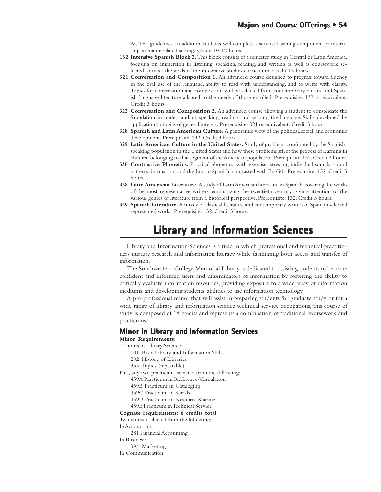ACTFL guidelines. In addition, students will complete a service-learning component or internship in major related setting. Credit 10-12 hours.

- **132 Intensive Spanish Block 2.** This block consists of a semester study in Central or Latin America, focusing on immersion in listening, speaking, reading, and writing as well as coursework selected to meet the goals of the integrative studies curriculum. Credit 15 hours.
- **321 Conversation and Composition 1.** An advanced course designed to progress toward fluency in the oral use of the language, ability to read with understanding, and to write with clarity. Topics for conversation and composition will be selected from contemporary culture and Spanish-language literature adapted to the needs of those enrolled. Prerequisite: 132 or equivalent. Credit 3 hours.
- **322 Conversation and Composition 2.** An advanced course allowing a student to consolidate the foundation in understanding, speaking, reading, and writing the language. Skills developed by application to topics of general interest. Prerequisite: 321 or equivalent. Credit 3 hours.
- **328 Spanish and Latin American Culture.** A panoramic view of the political, social, and economic development. Prerequisite: 132. Credit 3 hours.
- **329 Latin American Culture in the United States.** Study of problems confronted by the Spanishspeaking population in the United States and how these problems affect the process of learning in children belonging to that segment of the American population. Prerequisite: 132. Credit 3 hours.
- **330 Contrastive Phonetics.** Practical phonetics, with exercises stressing individual sounds, sound patterns, intonation, and rhythm, in Spanish, contrasted with English. Prerequisite: 132. Credit 3 hours.
- **428 Latin American Literature.** A study of Latin American literature in Spanish, covering the works of the most representative writers, emphasizing the twentieth century, giving attention to the various genres of literature from a historical perspective. Prerequisite: 132. Credit 3 hours.
- **429 Spanish Literature.** A survey of classical literature and contemporary writers of Spain in selected represented works. Prerequisite: 132. Credit 3 hours.

# **Library and Information Sciences Library and Information Sciences**

Library and Information Sciences is a field in which professional and technical practitioners nurture research and information literacy while facilitating both access and transfer of information.

The Southwestern College Memorial Library is dedicated to assisting students to become confident and informed users and disseminators of information by fostering the ability to critically evaluate information resources, providing exposure to a wide array of information mediums, and developing students' abilities to use information technology.

A pre-professional minor that will assist in preparing students for graduate study or for a wide range of library and information science technical service occupations, this course of study is composed of 18 credits and represents a combination of traditional coursework and practicums.

## **Minor in Library and Information Services in Library and Information**

**Minor Requirements:**

- 12 hours in Library Science:
	- 101 Basic Library and Information Skills
	- 202 History of Libraries
	- 355 Topics (repeatable)
- Plus, any two practicums selected from the following:
	- 459A Practicum in Reference/Circulation
	- 459B Practicum in Cataloging
	- 459C Practicum in Serials
	- 459D Practicum in Resource Sharing
	- 459E Practicum in Technical Service
- **Cognate requirements: 6 credits total**
- Two courses selected from the following:
- In Accounting:
- 281 Financial Accounting
- In Business:
- 394 Marketing
- In Communication: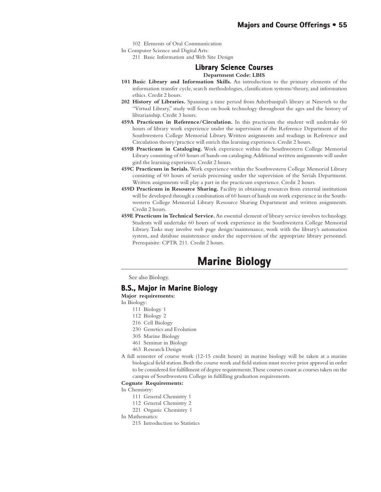102 Elements of Oral Communication

In Computer Science and Digital Arts:

211 Basic Information and Web Site Design

## **Library Science Courses**

#### **Department Code: LBIS**

- **101 Basic Library and Information Skills.** An introduction to the primary elements of the information transfer cycle, search methodologies, classification systems/theory, and information ethics. Credit 2 hours.
- **202 History of Libraries.** Spanning a time period from Asherbanipal's library at Nineveh to the "Virtual Library," study will focus on book technology throughout the ages and the history of librarianship. Credit 3 hours.
- **459A Practicum in Reference/Circulation.** In this practicum the student will undertake 60 hours of library work experience under the supervision of the Reference Department of the Southwestern College Memorial Library. Written assignments and readings in Reference and Circulation theory/practice will enrich this learning experience. Credit 2 hours.
- **459B Practicum in Cataloging.** Work experience within the Southwestern College Memorial Library consisting of 60 hours of hands-on cataloging. Additional written assignments will under gird the learning experience. Credit 2 hours.
- **459C Practicum in Serials.** Work experience within the Southwestern College Memorial Library consisting of 60 hours of serials processing under the supervision of the Serials Department. Written assignments will play a part in the practicum experience. Credit 2 hours.
- **459D Practicum in Resource Sharing.** Facility in obtaining resources from external institutions will be developed through a combination of 60 hours of hands on work experience in the Southwestern College Memorial Library Resource Sharing Department and written assignments. Credit 2 hours.
- **459E Practicum in Technical Service.** An essential element of library service involves technology. Students will undertake 60 hours of work experience in the Southwestern College Memorial Library. Tasks may involve web page design/maintenance, work with the library's automation system, and database maintenance under the supervision of the appropriate library personnel. Prerequisite: CPTR 211. Credit 2 hours.

# **Marine Biology Marine Biology**

See also Biology.

## **B.S., Major in Marine Biology**

**Major requirements:**

- In Biology:
	- 111 Biology 1
	- 112 Biology 2
	- 216 Cell Biology
	- 230 Genetics and Evolution
	- 305 Marine Biology
	- 461 Seminar in Biology
	- 463 Research Design
- A full semester of course work (12-15 credit hours) in marine biology will be taken at a marine biological field station. Both the course work and field station must receive prior approval in order to be considered for fulfillment of degree requirements. These courses count as courses taken on the campus of Southwestern College in fulfilling graduation requirements.

#### **Cognate Requirements:**

In Chemistry:

- 111 General Chemistry 1
- 112 General Chemistry 2
- 221 Organic Chemistry 1

In Mathematics:

215 Introduction to Statistics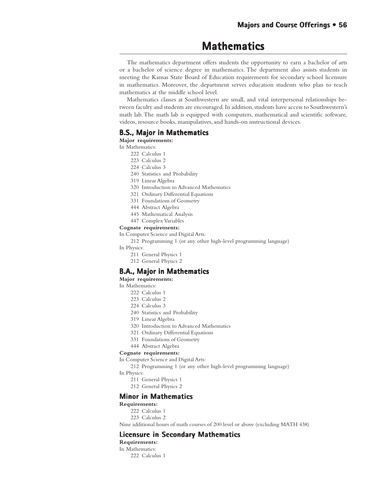# **Mathematics**

The mathematics department offers students the opportunity to earn a bachelor of arts or a bachelor of science degree in mathematics. The department also assists students in meeting the Kansas State Board of Education requirements for secondary school licensure in mathematics. Moreover, the department serves education students who plan to teach mathematics at the middle school level.

Mathematics classes at Southwestern are small, and vital interpersonal relationships between faculty and students are encouraged. In addition, students have access to Southwestern's math lab. The math lab is equipped with computers, mathematical and scientific software, videos, resource books, manipulatives, and hands-on instructional devices.

## **B.S., Major in Mathematics**

**Major requirements:**

In Mathematics:

- 222 Calculus 1
- 223 Calculus 2
- 224 Calculus 3
- 240 Statistics and Probability
- 319 Linear Algebra
- 320 Introduction to Advanced Mathematics
- 321 Ordinary Differential Equations
- 331 Foundations of Geometry
- 444 Abstract Algebra
- 445 Mathematical Analysis
- 447 Complex Variables

#### **Cognate requirements:**

In Computer Science and Digital Arts:

212 Programming 1 (or any other high-level programming language)

- In Physics:
	- 211 General Physics 1
	- 212 General Physics 2

## **B.A., Major in Mathematics**

**Major requirements:**

In Mathematics:

- 222 Calculus 1
- 223 Calculus 2
- 224 Calculus 3
- 240 Statistics and Probability
- 319 Linear Algebra
- 320 Introduction to Advanced Mathematics
- 321 Ordinary Differential Equations
- 331 Foundations of Geometry
- 444 Abstract Algebra

#### **Cognate requirements:**

In Computer Science and Digital Arts:

212 Programming 1 (or any other high-level programming language)

In Physics:

- 211 General Physics 1
- 212 General Physics 2

## **Minor in Mathematics in**

**Requirements:**

- 222 Calculus 1
- 223 Calculus 2

Nine additional hours of math courses of 200 level or above (excluding MATH 438)

## **Licensure in Secondary Mathematics in Secondary Mathematics**

**Requirements:**

In Mathematics: 222 Calculus 1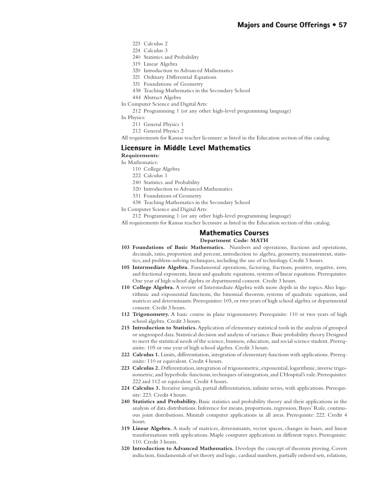- 223 Calculus 2
- 224 Calculus 3
- 240 Statistics and Probability
- 319 Linear Algebra
- 320 Introduction to Advanced Mathematics
- 321 Ordinary Differential Equations
- 331 Foundations of Geometry
- 438 Teaching Mathematics in the Secondary School
- 444 Abstract Algebra
- In Computer Science and Digital Arts:

212 Programming 1 (or any other high-level programming language)

In Physics:

- 211 General Physics 1
- 212 General Physics 2

All requirements for Kansas teacher licensure as listed in the Education section of this catalog.

## **Licensure in Middle Level Mathematics**

**Requirements:**

- In Mathematics:
	- 110 College Algebra
	- 222 Calculus 1
	- 240 Statistics and Probability
	- 320 Introduction to Advanced Mathematics
	- 331 Foundations of Geometry
	- 438 Teaching Mathematics in the Secondary School

In Computer Science and Digital Arts:

212 Programming 1 (or any other high-level programming language)

All requirements for Kansas teacher licensure as listed in the Education section of this catalog.

## **Mathematics Courses Courses**

**Department Code: MATH**

- **103 Foundations of Basic Mathematics.** Numbers and operations, fractions and operations, decimals, ratio, proportion and percent, introduction to algebra, geometry, measurement, statistics, and problem-solving techniques, including the use of technology. Credit 3 hours.
- **105 Intermediate Algebra.** Fundamental operations, factoring, fractions, positive, negative, zero, and fractional exponents, linear and quadratic equations, systems of linear equations. Prerequisites: One year of high school algebra or departmental consent. Credit 3 hours.
- **110 College Algebra.** A review of Intermediate Algebra with more depth in the topics. Also logarithmic and exponential functions, the binomial theorem, systems of quadratic equations, and matrices and determinants. Prerequisites: 105, or two years of high school algebra or departmental consent. Credit 3 hours.
- **112 Trigonometry.** A basic course in plane trigonometry. Prerequisite: 110 or two years of high school algebra. Credit 3 hours.
- **215 Introduction to Statistics.** Application of elementary statistical tools in the analysis of grouped or ungrouped data. Statistical decision and analysis of variance. Basic probability theory. Designed to meet the statistical needs of the science, business, education, and social science student. Prerequisite: 105 or one year of high school algebra. Credit 3 hours.
- **222 Calculus 1.** Limits, differentiation, integration of elementary functions with applications. Prerequisite: 110 or equivalent. Credit 4 hours.
- **223 Calculus 2.** Differentiation, integration of trigonometric, exponential, logarithmic, inverse trigonometric, and hyperbolic functions, techniques of integration, and L'Hospital's rule. Prerequisites: 222 and 112 or equivalent. Credit 4 hours.
- **224 Calculus 3.** Iterative integrals, partial differentiation, infinite series, with applications. Prerequisite: 223. Credit 4 hours.
- **240 Statistics and Probability.** Basic statistics and probability theory and their applications in the analysis of data distributions. Inference for means, proportions, regression, Bayes' Rule, continuous joint distributions. Minitab computer applications in all areas. Prerequisite: 222. Credit 4 hours.
- **319 Linear Algebra.** A study of matrices, determinants, vector spaces, changes in bases, and linear transformations with applications. Maple computer applications in different topics. Prerequisite: 110. Credit 3 hours.
- **320 Introduction to Advanced Mathematics.** Develops the concept of theorem proving. Covers induction, fundamentals of set theory and logic, cardinal numbers, partially ordered sets, relations,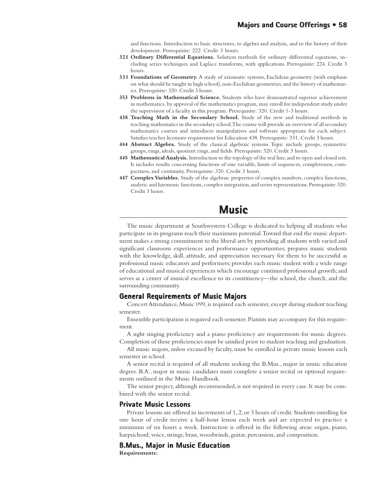and functions. Introduction to basic structures, to algebra and analysis, and to the history of their development. Prerequisite: 222. Credit 3 hours.

- **321 Ordinary Differential Equations.** Solution methods for ordinary differential equations, including series techniques and Laplace transforms, with applications. Prerequisite: 224. Credit 3 hours.
- **331 Foundations of Geometry.** A study of axiomatic systems, Euclidean geometry (with emphasis on what should be taught in high school), non-Euclidean geometries, and the history of mathematics. Prerequisite: 320. Credit 3 hours.
- **353 Problems in Mathematical Science.** Students who have demonstrated superior achievement in mathematics, by approval of the mathematics program, may enroll for independent study under the supervision of a faculty in this program. Prerequisite: 320. Credit 1-3 hours.
- **438 Teaching Math in the Secondary School.** Study of the new and traditional methods in teaching mathematics in the secondary school. The course will provide an overview of all secondary mathematics courses and introduces manipulatives and software appropriate for each subject. Satisfies teacher licensure requirement for Education 438. Prerequisite: 331. Credit 3 hours.
- **444 Abstract Algebra.** Study of the classical algebraic systems. Topic include groups, symmetric groups, rings, ideals, quotient rings, and fields. Prerequisite: 320. Credit 3 hours.
- **445 Mathematical Analysis.** Introduction to the topology of the real line, and to open and closed sets. It includes results concerning functions of one variable, limits of sequences, completeness, compactness, and continuity. Prerequisite: 320. Credit 3 hours.
- **447 Complex Variables.** Study of the algebraic properties of complex numbers, complex functions, analytic and harmonic functions, complex integration, and series representations. Prerequisite: 320. Credit 3 hours.

# **Music**

The music department at Southwestern College is dedicated to helping all students who participate in its programs reach their maximum potential. Toward that end the music department makes a strong commitment to the liberal arts by providing all students with varied and significant classroom experiences and performance opportunities; prepares music students with the knowledge, skill, attitude, and appreciation necessary for them to be successful as professional music educators and performers; provides each music student with a wide range of educational and musical experiences which encourage continued professional growth; and serves as a center of musical excellence to its constituency—the school, the church, and the surrounding community.

## **General Requirements of Music Majors**

Concert Attendance, Music 099, is required each semester, except during student teaching semester.

Ensemble participation is required each semester. Pianists may accompany for this requirement.

A sight singing proficiency and a piano proficiency are requirements for music degrees. Completion of these proficiencies must be satisfied prior to student teaching and graduation.

All music majors, unless excused by faculty, must be enrolled in private music lessons each semester in school.

A senior recital is required of all students seeking the B.Mus., major in music education degree. B.A., major in music candidates must complete a senior recital or optional requirements outlined in the Music Handbook.

The senior project, although recommended, is not required in every case. It may be combined with the senior recital.

## **Private Music Lessons Private Music**

Private lessons are offered in increments of 1, 2, or 3 hours of credit. Students enrolling for one hour of credit receive a half-hour lesson each week and are expected to practice a minimum of six hours a week. Instruction is offered in the following areas: organ, piano, harpsichord, voice, strings, brass, woodwinds, guitar, percussion, and composition.

## **B.Mus., Major in Music Education**

**Requirements:**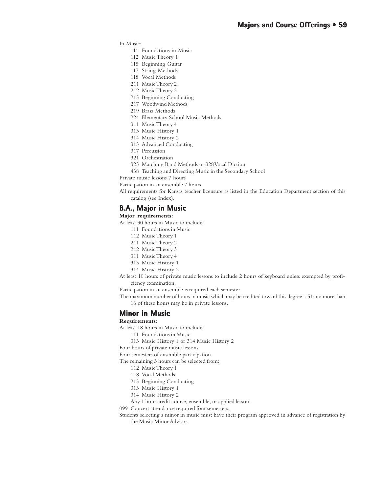In Music:

- 111 Foundations in Music
- 112 Music Theory 1
- 115 Beginning Guitar
- 117 String Methods
- 118 Vocal Methods
- 211 Music Theory 2
- 212 Music Theory 3
- 215 Beginning Conducting
- 217 Woodwind Methods
- 219 Brass Methods
- 224 Elementary School Music Methods
- 311 Music Theory 4
- 313 Music History 1
- 314 Music History 2
- 315 Advanced Conducting
- 317 Percussion
- 321 Orchestration
- 325 Marching Band Methods or 328 Vocal Diction
- 438 Teaching and Directing Music in the Secondary School

Private music lessons 7 hours

Participation in an ensemble 7 hours

All requirements for Kansas teacher licensure as listed in the Education Department section of this catalog (see Index).

## **B.A., Major in Music**

#### **Major requirements:**

At least 30 hours in Music to include:

- 111 Foundations in Music
- 112 Music Theory 1
- 211 Music Theory 2
- 212 Music Theory 3
- 311 Music Theory 4
- 313 Music History 1
- 314 Music History 2
- At least 10 hours of private music lessons to include 2 hours of keyboard unless exempted by proficiency examination.

Participation in an ensemble is required each semester.

The maximum number of hours in music which may be credited toward this degree is 51; no more than 16 of these hours may be in private lessons.

#### **Minor in Music**

#### **Requirements:**

At least 18 hours in Music to include:

111 Foundations in Music

313 Music History 1 or 314 Music History 2

Four hours of private music lessons

Four semesters of ensemble participation

The remaining 3 hours can be selected from:

- 112 Music Theory 1
- 118 Vocal Methods
- 215 Beginning Conducting
- 313 Music History 1
- 314 Music History 2
- Any 1 hour credit course, ensemble, or applied lesson.
- 099 Concert attendance required four semesters.
- Students selecting a minor in music must have their program approved in advance of registration by the Music Minor Advisor.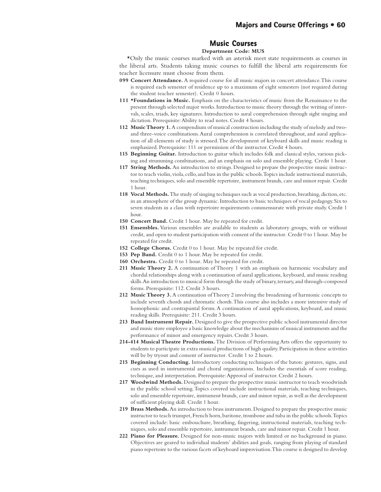## **Music Courses**

## **Department Code: MUS**

\*Only the music courses marked with an asterisk meet state requirements as courses in the liberal arts. Students taking music courses to fulfill the liberal arts requirements for teacher licensure must choose from them.

- **099 Concert Attendance.** A required course for all music majors in concert attendance. This course is required each semester of residence up to a maximum of eight semesters (not required during the student teacher semester). Credit 0 hours.
- 111 **\*Foundations in Music.** Emphasis on the characteristics of music from the Renaissance to the present through selected major works. Introduction to music theory through the writing of intervals, scales, triads, key signatures. Introduction to aural comprehension through sight singing and dictation. Prerequisite: Ability to read notes. Credit 4 hours.
- **112 Music Theory 1.** A compendium of musical construction including the study of melody and twoand three-voice combinations. Aural comprehension is correlated throughout, and aural application of all elements of study is stressed. The development of keyboard skills and music reading is emphasized. Prerequisite: 111 or permission of the instructor. Credit 4 hours.
- **115 Beginning Guitar.** Introduction to guitar which includes folk and classical styles, various picking and strumming combinations, and an emphasis on solo and ensemble playing. Credit 1 hour.
- **117 String Methods.** An introduction to strings. Designed to prepare the prospective music instructor to teach violin, viola, cello, and bass in the public schools. Topics include instructional materials, teaching techniques, solo and ensemble repertoire, instrument brands, care and minor repair. Credit 1 hour.
- **118 Vocal Methods.** The study of singing techniques such as vocal production, breathing, diction, etc. in an atmosphere of the group dynamic. Introduction to basic techniques of vocal pedagogy. Six to seven students in a class with repertoire requirements commensurate with private study. Credit 1 hour.
- **150 Concert Band.** Credit 1 hour. May be repeated for credit.
- **151 Ensembles.** Various ensembles are available to students as laboratory groups, with or without credit, and open to student participation with consent of the instructor. Credit 0 to 1 hour. May be repeated for credit.
- **152 College Chorus.** Credit 0 to 1 hour. May be repeated for credit.
- **153 Pep Band.** Credit 0 to 1 hour. May be repeated for credit.
- **160 Orchestra.** Credit 0 to 1 hour. May be repeated for credit.
- **211 Music Theory 2.** A continuation of Theory 1 with an emphasis on harmonic vocabulary and chordal relationships along with a continuation of aural applications, keyboard, and music reading skills. An introduction to musical form through the study of binary, ternary, and through-composed forms. Prerequisite: 112. Credit 3 hours.
- **212 Music Theory 3.** A continuation of Theory 2 involving the broadening of harmonic concepts to include seventh chords and chromatic chords. This course also includes a more intensive study of homophonic and contrapuntal forms. A continuation of aural applications, keyboard, and music reading skills. Prerequisite: 211. Credit 3 hours.
- **213 Band Instrument Repair.** Designed to give the prospective public school instrumental director and music store employee a basic knowledge about the mechanisms of musical instruments and the performance of minor and emergency repairs. Credit 3 hours.
- **214-414 Musical Theatre Productions.** The Division of Performing Arts offers the opportunity to students to participate in extra musical productions of high quality. Participation in these activities will be by tryout and consent of instructor. Credit 1 to 2 hours.
- **215 Beginning Conducting.** Introductory conducting techniques of the baton: gestures, signs, and cues as used in instrumental and choral organizations. Includes the essentials of score reading, technique, and interpretation. Prerequisite: Approval of instructor. Credit 2 hours.
- **217 Woodwind Methods.** Designed to prepare the prospective music instructor to teach woodwinds in the public school setting. Topics covered include instructional materials, teaching techniques, solo and ensemble repertoire, instrument brands, care and minor repair, as well as the development of sufficient playing skill. Credit 1 hour.
- **219 Brass Methods.** An introduction to brass instruments. Designed to prepare the prospective music instructor to teach trumpet, French horn, baritone, trombone and tuba in the public schools. Topics covered include: basic embouchure, breathing, fingering, instructional materials, teaching techniques, solo and ensemble repertoire, instrument brands, care and minor repair. Credit 1 hour.
- **222 Piano for Pleasure.** Designed for non-music majors with limited or no background in piano. Objectives are geared to individual students' abilities and goals, ranging from playing of standard piano repertoire to the various facets of keyboard improvisation. This course is designed to develop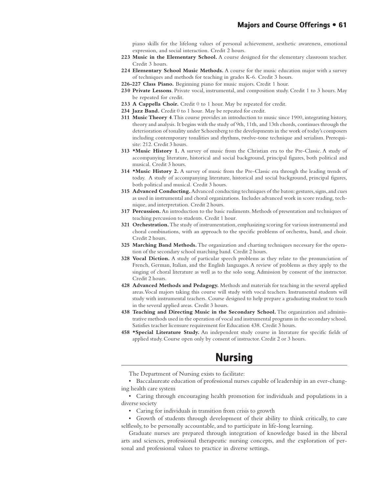piano skills for the lifelong values of personal achievement, aesthetic awareness, emotional expression, and social interaction. Credit 2 hours.

- **223 Music in the Elementary School.** A course designed for the elementary classroom teacher. Credit 3 hours.
- **224 Elementary School Music Methods.** A course for the music education major with a survey of techniques and methods for teaching in grades K-6. Credit 3 hours.
- **226-227 Class Piano.** Beginning piano for music majors. Credit 1 hour.
- **230 Private Lessons**. Private vocal, instrumental, and composition study. Credit 1 to 3 hours. May be repeated for credit.
- **233 A Cappella Choir.** Credit 0 to 1 hour. May be repeated for credit.
- **234 Jazz Band.** Credit 0 to 1 hour. May be repeated for credit.
- **311 Music Theory 4**. This course provides an introduction to music since 1900, integrating history, theory and analysis. It begins with the study of 9th, 11th, and 13th chords, continues through the deterioration of tonality under Schoenberg to the developments in the work of today's composers including contemporary tonalities and rhythms, twelve-tone technique and serialism. Prerequisite: 212. Credit 3 hours.
- **313 \*Music History 1.** A survey of music from the Christian era to the Pre-Classic. A study of accompanying literature, historical and social background, principal figures, both political and musical. Credit 3 hours.
- **314 \*Music History 2.** A survey of music from the Pre-Classic era through the leading trends of today. A study of accompanying literature, historical and social background, principal figures, both political and musical. Credit 3 hours.
- **315 Advanced Conducting.** Advanced conducting techniques of the baton: gestures, signs, and cues as used in instrumental and choral organizations. Includes advanced work in score reading, technique, and interpretation. Credit 2 hours.
- **317 Percussion.** An introduction to the basic rudiments. Methods of presentation and techniques of teaching percussion to students. Credit 1 hour.
- **321 Orchestration.** The study of instrumentation, emphasizing scoring for various instrumental and choral combinations, with an approach to the specific problems of orchestra, band, and choir. Credit 2 hours.
- **325 Marching Band Methods.** The organization and charting techniques necessary for the operation of the secondary school marching band. Credit 2 hours.
- **328 Vocal Diction.** A study of particular speech problems as they relate to the pronunciation of French, German, Italian, and the English languages. A review of problems as they apply to the singing of choral literature as well as to the solo song. Admission by consent of the instructor. Credit 2 hours.
- **428 Advanced Methods and Pedagogy.** Methods and materials for teaching in the several applied areas. Vocal majors taking this course will study with vocal teachers. Instrumental students will study with instrumental teachers. Course designed to help prepare a graduating student to teach in the several applied areas. Credit 3 hours.
- **438 Teaching and Directing Music in the Secondary School.** The organization and administrative methods used in the operation of vocal and instrumental programs in the secondary school. Satisfies teacher licensure requirement for Education 438. Credit 3 hours.
- **458 \*Special Literature Study.** An independent study course in literature for specific fields of applied study. Course open only by consent of instructor. Credit 2 or 3 hours.

# **Nursing Nursing**

The Department of Nursing exists to facilitate:

• Baccalaureate education of professional nurses capable of leadership in an ever-changing health care system

• Caring through encouraging health promotion for individuals and populations in a diverse society

• Caring for individuals in transition from crisis to growth

• Growth of students through development of their ability to think critically, to care selflessly, to be personally accountable, and to participate in life-long learning.

Graduate nurses are prepared through integration of knowledge based in the liberal arts and sciences, professional therapeutic nursing concepts, and the exploration of personal and professional values to practice in diverse settings.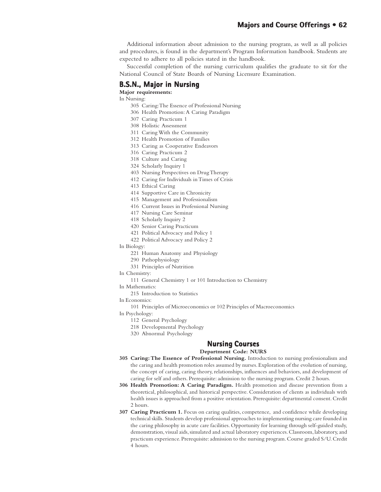Additional information about admission to the nursing program, as well as all policies and procedures, is found in the department's Program Information handbook. Students are expected to adhere to all policies stated in the handbook.

Successful completion of the nursing curriculum qualifies the graduate to sit for the National Council of State Boards of Nursing Licensure Examination.

# **B.S.N., Major in Nursing**

**Major requirements:**

In Nursing:

- 305 Caring: The Essence of Professional Nursing
- 306 Health Promotion: A Caring Paradigm
- 307 Caring Practicum 1
- 308 Holistic Assessment
- 311 Caring With the Community
- 312 Health Promotion of Families
- 313 Caring as Cooperative Endeavors
- 316 Caring Practicum 2
- 318 Culture and Caring 324 Scholarly Inquiry 1
- 403 Nursing Perspectives on Drug Therapy
- 412 Caring for Individuals in Times of Crisis
- 413 Ethical Caring
- 414 Supportive Care in Chronicity
- 415 Management and Professionalism
- 416 Current Issues in Professional Nursing
- 417 Nursing Care Seminar
- 418 Scholarly Inquiry 2
- 420 Senior Caring Practicum
- 421 Political Advocacy and Policy 1
- 422 Political Advocacy and Policy 2
- In Biology:
	- 221 Human Anatomy and Physiology
	- 290 Pathophysiology
	- 331 Principles of Nutrition
- In Chemistry:
	- 111 General Chemistry 1 or 101 Introduction to Chemistry
- In Mathematics:
	- 215 Introduction to Statistics
- In Economics:

101 Principles of Microeconomics or 102 Principles of Macroeconomics

- In Psychology:
	- 112 General Psychology
	- 218 Developmental Psychology
	- 320 Abnormal Psychology

## **Nursing Courses Nursing Courses**

### **Department Code: NURS**

- **305 Caring: The Essence of Professional Nursing.** Introduction to nursing professionalism and the caring and health promotion roles assumed by nurses. Exploration of the evolution of nursing, the concept of caring, caring theory, relationships, influences and behaviors, and development of caring for self and others. Prerequisite: admission to the nursing program. Credit 2 hours.
- **306 Health Promotion: A Caring Paradigm.** Health promotion and disease prevention from a theoretical, philosophical, and historical perspective. Consideration of clients as individuals with health issues is approached from a positive orientation. Prerequisite: departmental consent. Credit 2 hours.
- **307 Caring Practicum 1.** Focus on caring qualities, competence, and confidence while developing technical skills. Students develop professional approaches to implementing nursing care founded in the caring philosophy in acute care facilities. Opportunity for learning through self-guided study, demonstration, visual aids, simulated and actual laboratory experiences. Classroom, laboratory, and practicum experience. Prerequisite: admission to the nursing program. Course graded S/U. Credit 4 hours.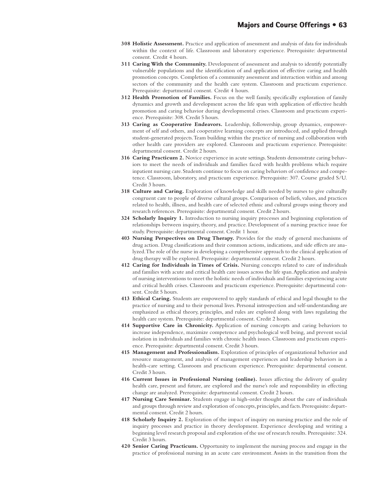- **308 Holistic Assessment.** Practice and application of assessment and analysis of data for individuals within the context of life. Classroom and laboratory experience. Prerequisite: departmental consent. Credit 4 hours.
- **311 Caring With the Community.** Development of assessment and analysis to identify potentially vulnerable populations and the identification of and application of effective caring and health promotion concepts. Completion of a community assessment and interaction within and among sectors of the community and the health care system. Classroom and practicum experience. Prerequisite: departmental consent. Credit 4 hours.
- **312 Health Promotion of Families.** Focus on the well family, specifically exploration of family dynamics and growth and development across the life span with application of effective health promotion and caring behavior during developmental crises. Classroom and practicum experience. Prerequisite: 308. Credit 5 hours.
- **313 Caring as Cooperative Endeavors.** Leadership, followership, group dynamics, empowerment of self and others, and cooperative learning concepts are introduced, and applied through student-generated projects. Team building within the practice of nursing and collaboration with other health care providers are explored. Classroom and practicum experience. Prerequisite: departmental consent. Credit 2 hours.
- **316 Caring Practicum 2.** Novice experience in acute settings. Students demonstrate caring behaviors to meet the needs of individuals and families faced with health problems which require inpatient nursing care. Students continue to focus on caring behaviors of confidence and competence. Classroom, laboratory, and practicum experience. Prerequisite: 307. Course graded S/U. Credit 3 hours.
- **318 Culture and Caring.** Exploration of knowledge and skills needed by nurses to give culturally congruent care to people of diverse cultural groups. Comparison of beliefs, values, and practices related to health, illness, and health care of selected ethnic and cultural groups using theory and research references. Prerequisite: departmental consent. Credit 2 hours.
- **324 Scholarly Inquiry 1.** Introduction to nursing inquiry processes and beginning exploration of relationships between inquiry, theory, and practice. Development of a nursing practice issue for study. Prerequisite: departmental consent. Credit 1 hour.
- **403 Nursing Perspectives on Drug Therapy.** Provides for the study of general mechanisms of drug action. Drug classifications and their common actions, indications, and side effects are analyzed. The role of the nurse in developing a comprehensive approach to the clinical application of drug therapy will be explored. Prerequisite: departmental consent. Credit 2 hours.
- **412 Caring for Individuals in Times of Crisis.** Nursing concepts related to care of individuals and families with acute and critical health care issues across the life span. Application and analysis of nursing interventions to meet the holistic needs of individuals and families experiencing acute and critical health crises. Classroom and practicum experience. Prerequisite: departmental consent. Credit 5 hours.
- **413 Ethical Caring.** Students are empowered to apply standards of ethical and legal thought to the practice of nursing and to their personal lives. Personal introspection and self-understanding are emphasized as ethical theory, principles, and rules are explored along with laws regulating the health care system. Prerequisite: departmental consent. Credit 2 hours.
- **414 Supportive Care in Chronicity.** Application of nursing concepts and caring behaviors to increase independence, maximize competence and psychological well being, and prevent social isolation in individuals and families with chronic health issues. Classroom and practicum experience. Prerequisite: departmental consent. Credit 3 hours.
- **415 Management and Professionalism.** Exploration of principles of organizational behavior and resource management, and analysis of management experiences and leadership behaviors in a health-care setting. Classroom and practicum experience. Prerequisite: departmental consent. Credit 3 hours.
- **416 Current Issues in Professional Nursing (online).** Issues affecting the delivery of quality health care, present and future, are explored and the nurse's role and responsibility in effecting change are analyzed. Prerequisite: departmental consent. Credit 2 hours.
- **417 Nursing Care Seminar.** Students engage in high-order thought about the care of individuals and groups through review and exploration of concepts, principles, and facts. Prerequisite: departmental consent. Credit 2 hours.
- **418 Scholarly Inquiry 2.** Exploration of the impact of inquiry on nursing practice and the role of inquiry processes and practice in theory development. Experience developing and writing a beginning level research proposal and exploration of the use of research results. Prerequisite: 324. Credit 3 hours.
- **420 Senior Caring Practicum.** Opportunity to implement the nursing process and engage in the practice of professional nursing in an acute care environment. Assists in the transition from the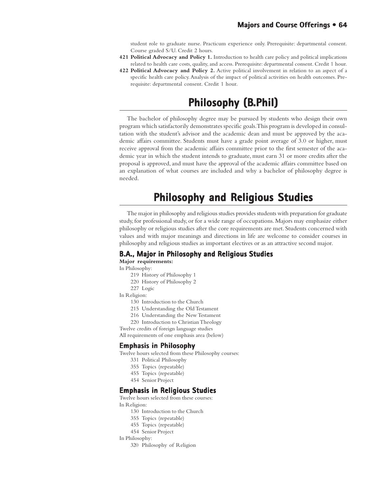student role to graduate nurse. Practicum experience only. Prerequisite: departmental consent. Course graded S/U. Credit 2 hours.

- **421 Political Advocacy and Policy 1.** Introduction to health care policy and political implications related to health care costs, quality, and access. Prerequisite: departmental consent. Credit 1 hour.
- **422 Political Advocacy and Policy 2.** Active political involvement in relation to an aspect of a specific health care policy. Analysis of the impact of political activities on health outcomes. Prerequisite: departmental consent. Credit 1 hour.

# **Philosophy (B (B.Phil)**

The bachelor of philosophy degree may be pursued by students who design their own program which satisfactorily demonstrates specific goals. This program is developed in consultation with the student's advisor and the academic dean and must be approved by the academic affairs committee. Students must have a grade point average of 3.0 or higher, must receive approval from the academic affairs committee prior to the first semester of the academic year in which the student intends to graduate, must earn 31 or more credits after the proposal is approved, and must have the approval of the academic affairs committee based on an explanation of what courses are included and why a bachelor of philosophy degree is needed.

# **Philosophy and Religious Studies Religious**

The major in philosophy and religious studies provides students with preparation for graduate study, for professional study, or for a wide range of occupations. Majors may emphasize either philosophy or religious studies after the core requirements are met. Students concerned with values and with major meanings and directions in life are welcome to consider courses in philosophy and religious studies as important electives or as an attractive second major.

# **B.A., Major in Philosophy and Religious Studies**

**Major requirements:**

In Philosophy:

- 219 History of Philosophy 1
- 220 History of Philosophy 2
- 227 Logic

In Religion:

- 130 Introduction to the Church
- 215 Understanding the Old Testament
- 216 Understanding the New Testament
- 220 Introduction to Christian Theology

Twelve credits of foreign language studies All requirements of one emphasis area (below)

## **Emphasis in Philosophy**

Twelve hours selected from these Philosophy courses:

- 331 Political Philosophy
- 355 Topics (repeatable)
- 455 Topics (repeatable)
- 454 Senior Project

#### **Emphasis in Religious Studies Emphasis in**

Twelve hours selected from these courses:

In Religion:

- 130 Introduction to the Church
- 355 Topics (repeatable)
- 455 Topics (repeatable)
- 454 Senior Project

In Philosophy:

320 Philosophy of Religion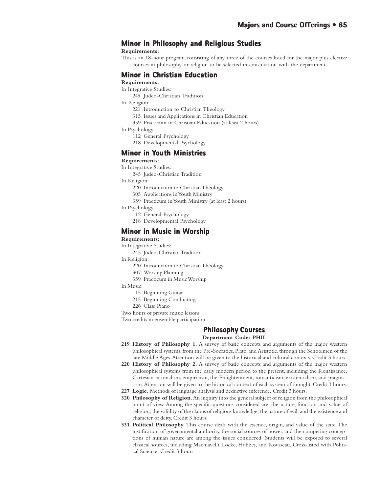# **Minor in Philosophy and Religious Studies in Philosophy and Religious Studies**

#### **Requirements:**

This is an 18-hour program consisting of any three of the courses listed for the major plus elective courses in philosophy or religion to be selected in consultation with the department.

## **Minor in Christian Education**

#### **Requirements:**

#### In Integrative Studies:

- 245 Judeo-Christian Tradition
- In Religion:
	- 220 Introduction to Christian Theology
	- 315 Issues and Applications in Christian Education
	- 359 Practicum in Christian Education (at least 2 hours)
- In Psychology:
	- 112 General Psychology
	- 218 Developmental Psychology

#### **Minor in Youth Ministries**

#### **Requirements**:

In Integrative Studies:

245 Judeo-Christian Tradition

In Religion:

- 220 Introduction to Christian Theology
- 305 Applications in Youth Ministry
- 359 Practicum in Youth Ministry (at least 2 hours)

In Psychology:

- 112 General Psychology
- 218 Developmental Psychology

### **Minor in Music in Worship**

### **Requirements:**

- In Integrative Studies:
	- 245 Judeo-Christian Tradition

In Religion:

- 220 Introduction to Christian Theology
- 307 Worship Planning
- 359 Practicum in Music Worship

#### In Music:

- 115 Beginning Guitar
- 215 Beginning Conducting
- 226 Class Piano
- Two hours of private music lessons

Two credits in ensemble participation

## **Philosophy Courses Philosophy Courses**

#### **Department Code: PHIL**

- 219 History of Philosophy 1. A survey of basic concepts and arguments of the major western philosophical systems, from the Pre-Socratics, Plato, and Aristotle, through the Schoolmen of the late Middle Ages. Attention will be given to the historical and cultural contexts. Credit 3 hours.
- **220 History of Philosophy 2.** A survey of basic concepts and arguments of the major western philosophical systems from the early modern period to the present, including the Renaissance, Cartesian rationalism, empiricism, the Enlightenment, romanticism, existentialism, and pragmatism. Attention will be given to the historical context of each system of thought. Credit 3 hours.
- **227 Logic.** Methods of language analysis and deductive inference. Credit 3 hours.
- **320 Philosophy of Religion.** An inquiry into the general subject of religion from the philosophical point of view. Among the specific questions considered are: the nature, function and value of religion; the validity of the claims of religious knowledge; the nature of evil; and the existence and character of deity. Credit 3 hours.
- **331 Political Philosophy.** This course deals with the essence, origin, and value of the state. The justification of governmental authority, the social sources of power, and the competing conceptions of human nature are among the issues considered. Students will be exposed to several classical sources, including Machiavelli, Locke, Hobbes, and Rousseau. Cross-listed with Political Science. Credit 3 hours.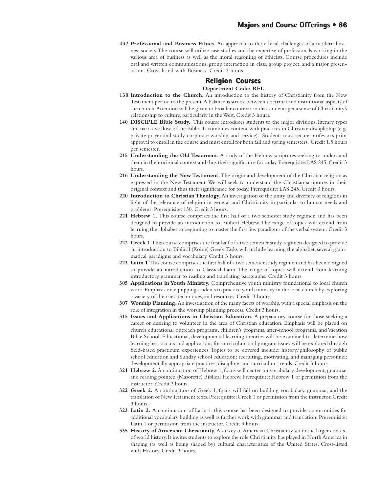**437 Professional and Business Ethics.** An approach to the ethical challenges of a modern business society. The course will utilize case studies and the expertise of professionals working in the various area of business as well as the moral reasoning of ethicists. Course procedures include oral and written communications, group interaction in class, group project, and a major presentation. Cross-listed with Business. Credit 3 hours.

### **Religion Courses Department Code: REL**

- **130 Introduction to the Church.** An introduction to the history of Christianity from the New Testament period to the present. A balance is struck between doctrinal and institutional aspects of the church. Attention will be given to broader contexts so that students get a sense of Christianity's relationship to culture, particularly in the West. Credit 3 hours.
- **140 DISCIPLE Bible Study.** This course introduces students to the major divisions, literary types and narrative flow of the Bible. It combines content with practices in Christian discipleship (e.g. private prayer and study, corporate worship, and service). Students must secure professor's prior approval to enroll in the course and must enroll for both fall and spring semesters. Credit 1.5 hours per semester.
- **215 Understanding the Old Testament.** A study of the Hebrew scriptures seeking to understand them in their original context and thus their significance for today. Prerequisite: LAS 245. Credit 3 hours.
- **216 Understanding the New Testament.** The origin and development of the Christian religion as expressed in the New Testament. We will seek to understand the Christian scriptures in their original context and thus their significance for today. Prerequisite: LAS 245. Credit 3 hours.
- **220 Introduction to Christian Theology.** An investigation of the unity and diversity of religions in light of the relevance of religion in general and Christianity in particular to human needs and problems. Prerequisite: 130. Credit 3 hours.
- 221 Hebrew 1. This course comprises the first half of a two semester study regimen and has been designed to provide an introduction to Biblical Hebrew. The range of topics will extend from learning the alphabet to beginning to master the first few paradigms of the verbal system. Credit 3 hours.
- **222 Greek 1** This course comprises the first half of a two semester study regimen designed to provide an introduction to Biblical (Koine) Greek. Tasks will include learning the alphabet, several grammatical paradigms and vocabulary. Credit 3 hours.
- **223 Latin 1** This course comprises the first half of a two semester study regimen and has been designed to provide an introduction to Classical Latin. The range of topics will extend from learning introductory grammar to reading and translating paragraphs. Credit 3 hours.
- **305 Applications in Youth Ministry.** Comprehensive youth ministry foundational to local church work. Emphasis on equipping students to practice youth ministry in the local church by exploring a variety of theories, techniques, and resources. Credit 3 hours.
- **307 Worship Planning.** An investigation of the many facets of worship, with a special emphasis on the role of integration in the worship planning process. Credit 3 hours.
- **315 Issues and Applications in Christian Education.** A preparatory course for those seeking a career or desiring to volunteer in the area of Christian education. Emphasis will be placed on church educational outreach programs, children's programs, after-school programs, and Vacation Bible School. Educational, developmental learning theories will be examined to determine how learning best occurs and applications for curriculum and program issues will be explored through field-based practicum experiences. Topics to be covered include: history/philosophy of public school education and Sunday school education; recruiting, motivating, and managing personnel; developmentally appropriate practices; discipline; and curriculum trends. Credit 3 hours.
- **321 Hebrew 2.** A continuation of Hebrew 1, focus will center on vocabulary development, grammar and reading pointed (Masoretic) Biblical Hebrew. Prerequisite: Hebrew 1 or permission from the instructor. Credit 3 hours.
- **322 Greek 2.** A continuation of Greek 1, focus will fall on building vocabulary, grammar, and the translation of New Testament texts. Prerequisite: Greek 1 or permission from the instructor. Credit 3 hours.
- **323 Latin 2.** A continuation of Latin 1, this course has been designed to provide opportunities for additional vocabulary building as well as further work with grammar and translation. Prerequisite: Latin 1 or permission from the instructor. Credit 3 hours.
- **335 History of American Christianity.** A survey of American Christianity set in the larger context of world history. It invites students to explore the role Christianity has played in North America in shaping (as well as being shaped by) cultural characteristics of the United States. Cross-listed with History. Credit 3 hours.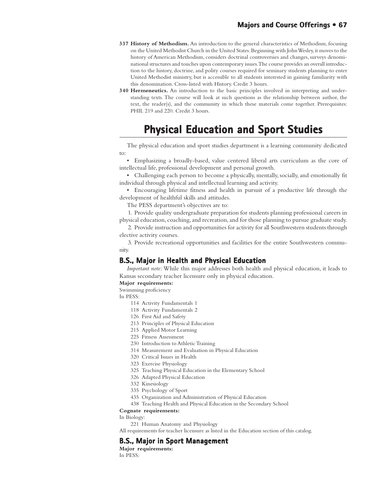- **337 History of Methodism.** An introduction to the general characteristics of Methodism, focusing on the United Methodist Church in the United States. Beginning with John Wesley, it moves to the history of American Methodism, considers doctrinal controversies and changes, surveys denominational structures and touches upon contemporary issues. The course provides an overall introduction to the history, doctrine, and polity courses required for seminary students planning to enter United Methodist ministry, but is accessible to all students interested in gaining familiarity with this denomination. Cross-listed with History. Credit 3 hours.
- **340 Hermeneutics.** An introduction to the basic principles involved in interpreting and understanding texts. The course will look at such questions as the relationship between author, the text, the reader(s), and the community in which these materials come together. Prerequisites: PHIL 219 and 220. Credit 3 hours.

# **Physical Education and Sport Studies**

The physical education and sport studies department is a learning community dedicated to:

• Emphasizing a broadly-based, value centered liberal arts curriculum as the core of intellectual life, professional development and personal growth.

• Challenging each person to become a physically, mentally, socially, and emotionally fit individual through physical and intellectual learning and activity.

• Encouraging lifetime fitness and health in pursuit of a productive life through the development of healthful skills and attitudes.

The PESS department's objectives are to:

1. Provide quality undergraduate preparation for students planning professional careers in physical education, coaching, and recreation, and for those planning to pursue graduate study.

2. Provide instruction and opportunities for activity for all Southwestern students through elective activity courses.

3. Provide recreational opportunities and facilities for the entire Southwestern community.

## **B.S., Major in Health and Physical Education**

*Important note:* While this major addresses both health and physical education, it leads to Kansas secondary teacher licensure only in physical education.

#### **Major requirements:**

Swimming proficiency

In PESS:

- 114 Activity Fundamentals 1
- 118 Activity Fundamentals 2
- 126 First Aid and Safety
- 213 Principles of Physical Education
- 215 Applied Motor Learning
- 225 Fitness Assessment
- 230 Introduction to Athletic Training
- 314 Measurement and Evaluation in Physical Education
- 320 Critical Issues in Health
- 323 Exercise Physiology
- 325 Teaching Physical Education in the Elementary School
- 326 Adapted Physical Education
- 332 Kinesiology
- 335 Psychology of Sport
- 435 Organization and Administration of Physical Education
- 438 Teaching Health and Physical Education in the Secondary School

#### **Cognate requirements:**

In Biology:

221 Human Anatomy and Physiology

All requirements for teacher licensure as listed in the Education section of this catalog.

## **B.S., Major in Sport Management**

**Major requirements:** In PESS: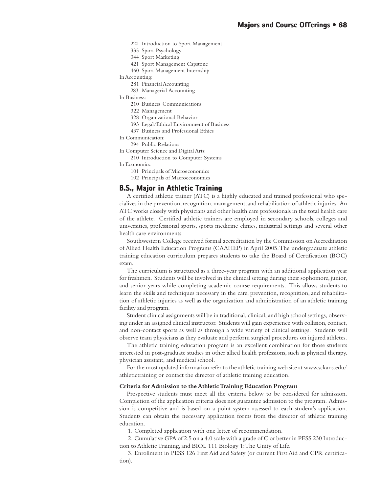- 220 Introduction to Sport Management
- 335 Sport Psychology
- 344 Sport Marketing
- 421 Sport Management Capstone
- 460 Sport Management Internship

In Accounting:

- 281 Financial Accounting
- 283 Managerial Accounting

In Business:

- 210 Business Communications
- 322 Management
- 328 Organizational Behavior
- 393 Legal/Ethical Environment of Business
- 437 Business and Professional Ethics

In Communication:

294 Public Relations

- In Computer Science and Digital Arts:
	- 210 Introduction to Computer Systems

In Economics:

- 101 Principals of Microeconomics
- 102 Principals of Macroeconomics

#### **B.S., Major in Athletic Training**

A certified athletic trainer (ATC) is a highly educated and trained professional who specializes in the prevention, recognition, management, and rehabilitation of athletic injuries. An ATC works closely with physicians and other health care professionals in the total health care of the athlete. Certified athletic trainers are employed in secondary schools, colleges and universities, professional sports, sports medicine clinics, industrial settings and several other health care environments.

Southwestern College received formal accreditation by the Commission on Accreditation of Allied Health Education Programs (CAAHEP) in April 2005. The undergraduate athletic training education curriculum prepares students to take the Board of Certification (BOC) exam.

The curriculum is structured as a three-year program with an additional application year for freshmen. Students will be involved in the clinical setting during their sophomore, junior, and senior years while completing academic course requirements. This allows students to learn the skills and techniques necessary in the care, prevention, recognition, and rehabilitation of athletic injuries as well as the organization and administration of an athletic training facility and program.

Student clinical assignments will be in traditional, clinical, and high school settings, observing under an assigned clinical instructor. Students will gain experience with collision, contact, and non-contact sports as well as through a wide variety of clinical settings. Students will observe team physicians as they evaluate and perform surgical procedures on injured athletes.

The athletic training education program is an excellent combination for those students interested in post-graduate studies in other allied health professions, such as physical therapy, physician assistant, and medical school.

For the most updated information refer to the athletic training web site at www.sckans.edu/ athletictraining or contact the director of athletic training education.

#### **Criteria for Admission to the Athletic Training Education Program**

Prospective students must meet all the criteria below to be considered for admission. Completion of the application criteria does not guarantee admission to the program. Admission is competitive and is based on a point system assessed to each student's application. Students can obtain the necessary application forms from the director of athletic training education.

1. Completed application with one letter of recommendation.

2. Cumulative GPA of 2.5 on a 4.0 scale with a grade of C or better in PESS 230 Introduction to Athletic Training, and BIOL 111 Biology 1: The Unity of Life.

3. Enrollment in PESS 126 First Aid and Safety (or current First Aid and CPR certification).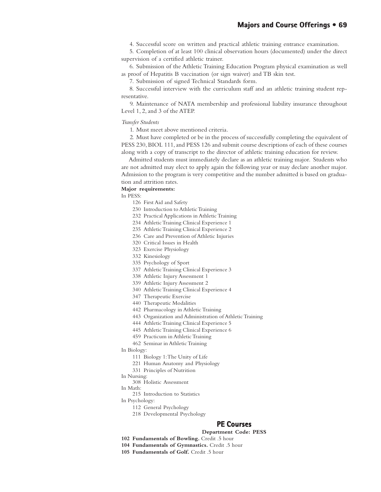4. Successful score on written and practical athletic training entrance examination.

5. Completion of at least 100 clinical observation hours (documented) under the direct supervision of a certified athletic trainer.

6. Submission of the Athletic Training Education Program physical examination as well as proof of Hepatitis B vaccination (or sign waiver) and TB skin test.

7. Submission of signed Technical Standards form.

8. Successful interview with the curriculum staff and an athletic training student representative.

9. Maintenance of NATA membership and professional liability insurance throughout Level 1, 2, and 3 of the ATEP.

*Transfer Students*

1. Must meet above mentioned criteria.

2. Must have completed or be in the process of successfully completing the equivalent of PESS 230, BIOL 111, and PESS 126 and submit course descriptions of each of these courses along with a copy of transcript to the director of athletic training education for review.

Admitted students must immediately declare as an athletic training major. Students who are not admitted may elect to apply again the following year or may declare another major. Admission to the program is very competitive and the number admitted is based on graduation and attrition rates.

#### **Major requirements:**

In PESS:

126 First Aid and Safety

- 230 Introduction to Athletic Training
- 232 Practical Applications in Athletic Training
- 234 Athletic Training Clinical Experience 1
- 235 Athletic Training Clinical Experience 2
- 236 Care and Prevention of Athletic Injuries
- 320 Critical Issues in Health
- 323 Exercise Physiology
- 332 Kinesiology
- 335 Psychology of Sport
- 337 Athletic Training Clinical Experience 3
- 338 Athletic Injury Assessment 1
- 339 Athletic Injury Assessment 2
- 340 Athletic Training Clinical Experience 4
- 347 Therapeutic Exercise
- 440 Therapeutic Modalities
- 442 Pharmacology in Athletic Training
- 443 Organization and Administration of Athletic Training
- 444 Athletic Training Clinical Experience 5
- 445 Athletic Training Clinical Experience 6
- 459 Practicum in Athletic Training
- 462 Seminar in Athletic Training

In Biology:

- 111 Biology 1: The Unity of Life
- 221 Human Anatomy and Physiology
- 331 Principles of Nutrition
- In Nursing:
	- 308 Holistic Assessment
- In Math:
	- 215 Introduction to Statistics

In Psychology:

- 112 General Psychology
- 218 Developmental Psychology

## **PE Courses**

#### **Department Code: PESS**

- **102 Fundamentals of Bowling.** Credit .5 hour
- **104 Fundamentals of Gymnastics.** Credit .5 hour
- **105 Fundamentals of Golf.** Credit .5 hour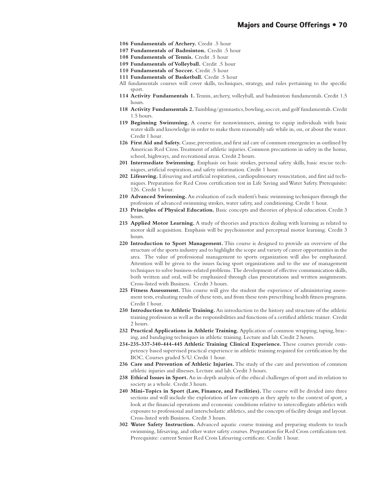- **106 Fundamentals of Archery.** Credit .5 hour
- **107 Fundamentals of Badminton.** Credit .5 hour
- **108 Fundamentals of Tennis.** Credit .5 hour
- **109 Fundamentals of Volleyball.** Credit .5 hour
- **110 Fundamentals of Soccer.** Credit .5 hour
- **111 Fundamentals of Basketball.** Credit .5 hour
- All fundamentals courses will cover skills, techniques, strategy, and rules pertaining to the specific sport.
- **114 Activity Fundamentals 1.** Tennis, archery, volleyball, and badminton fundamentals. Credit 1.5 hours.
- **118 Activity Fundamentals 2.** Tumbling/gymnastics, bowling, soccer, and golf fundamentals. Credit 1.5 hours.
- **119 Beginning Swimming.** A course for nonswimmers, aiming to equip individuals with basic water skills and knowledge in order to make them reasonably safe while in, on, or about the water. Credit 1 hour.
- **126 First Aid and Safety.** Cause, prevention, and first aid care of common emergencies as outlined by American Red Cross. Treatment of athletic injuries. Common precautions in safety in the home, school, highways, and recreational areas. Credit 2 hours.
- **201 Intermediate Swimming.** Emphasis on basic strokes, personal safety skills, basic rescue techniques, artificial respiration, and safety information. Credit 1 hour.
- **202 Lifesaving.** Lifesaving and artificial respiration, cardiopulmonary resuscitation, and first aid techniques. Preparation for Red Cross certification test in Life Saving and Water Safety. Prerequisite: 126. Credit 1 hour.
- **210 Advanced Swimming.** An evaluation of each student's basic swimming techniques through the profession of advanced swimming strokes, water safety, and conditioning. Credit 1 hour.
- **213 Principles of Physical Education.** Basic concepts and theories of physical education. Credit 3 hours.
- **215 Applied Motor Learning.** A study of theories and practices dealing with learning as related to motor skill acquisition. Emphasis will be psychomotor and perceptual motor learning. Credit 3 hours.
- **220 Introduction to Sport Management.** This course is designed to provide an overview of the structure of the sports industry and to highlight the scope and variety of career opportunities in the area. The value of professional management to sports organization will also be emphasized. Attention will be given to the issues facing sport organizations and to the use of management techniques to solve business-related problems. The development of effective communication skills, both written and oral, will be emphasized through class presentations and written assignments. Cross-listed with Business. Credit 3 hours.
- **225 Fitness Assessment.** This course will give the student the experience of administering assessment tests, evaluating results of these tests, and from these tests prescribing health fitness programs. Credit 1 hour.
- **230 Introduction to Athletic Training.** An introduction to the history and structure of the athletic training profession as well as the responsibilities and functions of a certified athletic trainer. Credit 2 hours.
- **232 Practical Applications in Athletic Training.** Application of common wrapping, taping, bracing, and bandaging techniques in athletic training. Lecture and lab. Credit 2 hours.
- **234-235-337-340-444-445 Athletic Training Clinical Experience.** These courses provide competency based supervised practical experience in athletic training required for certification by the BOC. Courses graded S/U. Credit 1 hour.
- **236 Care and Prevention of Athletic Injuries.** The study of the care and prevention of common athletic injuries and illnesses. Lecture and lab. Credit 3 hours.
- **238 Ethical Issues in Sport.** An in-depth analysis of the ethical challenges of sport and its relation to society as a whole. Credit 3 hours.
- **240 Mini-Topics in Sport (Law, Finance, and Facilities).** The course will be divided into three sections and will include the exploration of law concepts as they apply to the context of sport, a look at the financial operations and economic conditions relative to intercollegiate athletics with exposure to professional and interscholastic athletics, and the concepts of facility design and layout. Cross-listed with Business. Credit 3 hours.
- **302 Water Safety Instruction.** Advanced aquatic course training and preparing students to teach swimming, lifesaving, and other water safety courses. Preparation for Red Cross certification test. Prerequisite: current Senior Red Cross Lifesaving certificate. Credit 1 hour.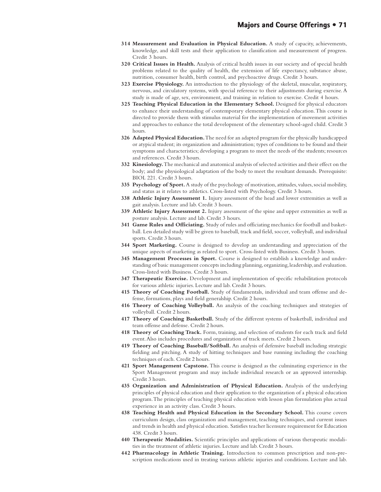- **314 Measurement and Evaluation in Physical Education.** A study of capacity, achievements, knowledge, and skill tests and their application to classification and measurement of progress. Credit 3 hours.
- **320 Critical Issues in Health.** Analysis of critical health issues in our society and of special health problems related to the quality of health, the extension of life expectancy, substance abuse, nutrition, consumer health, birth control, and psychoactive drugs. Credit 3 hours.
- **323 Exercise Physiology.** An introduction to the physiology of the skeletal, muscular, respiratory, nervous, and circulatory systems, with special reference to their adjustments during exercise. A study is made of age, sex, environment, and training in relation to exercise. Credit 4 hours.
- **325 Teaching Physical Education in the Elementary School.** Designed for physical educators to enhance their understanding of contemporary elementary physical education. This course is directed to provide them with stimulus material for the implementation of movement activities and approaches to enhance the total development of the elementary school-aged child. Credit 3 hours.
- **326 Adapted Physical Education.** The need for an adapted program for the physically handicapped or atypical student; its organization and administration; types of conditions to be found and their symptoms and characteristics; developing a program to meet the needs of the students; resources and references. Credit 3 hours.
- **332 Kinesiology.** The mechanical and anatomical analysis of selected activities and their effect on the body; and the physiological adaptation of the body to meet the resultant demands. Prerequisite: BIOL 221. Credit 3 hours.
- **335 Psychology of Sport.** A study of the psychology of motivation, attitudes, values, social mobility, and status as it relates to athletics. Cross-listed with Psychology. Credit 3 hours.
- **338 Athletic Injury Assessment 1.** Injury assessment of the head and lower extremities as well as gait analysis. Lecture and lab. Credit 3 hours.
- **339 Athletic Injury Assessment 2.** Injury assessment of the spine and upper extremities as well as posture analysis. Lecture and lab. Credit 3 hours.
- **341 Game Rules and Officiating.** Study of rules and officiating mechanics for football and basketball. Less detailed study will be given to baseball, track and field, soccer, volleyball, and individual sports. Credit 3 hours.
- **344 Sport Marketing.** Course is designed to develop an understanding and appreciation of the unique aspects of marketing as related to sport. Cross-listed with Business. Credit 3 hours.
- **345 Management Processes in Sport.** Course is designed to establish a knowledge and understanding of basic management concepts including planning, organizing, leadership, and evaluation. Cross-listed with Business. Credit 3 hours.
- **347 Therapeutic Exercise.** Development and implementation of specific rehabilitation protocols for various athletic injuries. Lecture and lab. Credit 3 hours.
- **415 Theory of Coaching Football.** Study of fundamentals, individual and team offense and defense, formations, plays and field generalship. Credit 2 hours.
- **416 Theory of Coaching Volleyball.** An analysis of the coaching techniques and strategies of volleyball. Credit 2 hours.
- **417 Theory of Coaching Basketball.** Study of the different systems of basketball, individual and team offense and defense. Credit 2 hours.
- **418 Theory of Coaching Track.** Form, training, and selection of students for each track and field event. Also includes procedures and organization of track meets. Credit 2 hours.
- **419 Theory of Coaching Baseball/Softball.** An analysis of defensive baseball including strategic fielding and pitching. A study of hitting techniques and base running including the coaching techniques of each. Credit 2 hours.
- **421 Sport Management Capstone.** This course is designed as the culminating experience in the Sport Management program and may include individual research or an approved internship. Credit 3 hours.
- **435 Organization and Administration of Physical Education.** Analysis of the underlying principles of physical education and their application to the organization of a physical education program. The principles of teaching physical education with lesson plan formulation plus actual experience in an activity class. Credit 3 hours.
- **438 Teaching Health and Physical Education in the Secondary School.** This course covers curriculum design, class organization and management, teaching techniques, and current issues and trends in health and physical education. Satisfies teacher licensure requirement for Education 438. Credit 3 hours.
- **440 Therapeutic Modalities.** Scientific principles and applications of various therapeutic modalities in the treatment of athletic injuries. Lecture and lab. Credit 3 hours.
- **442 Pharmacology in Athletic Training.** Introduction to common prescription and non-prescription medications used in treating various athletic injuries and conditions. Lecture and lab.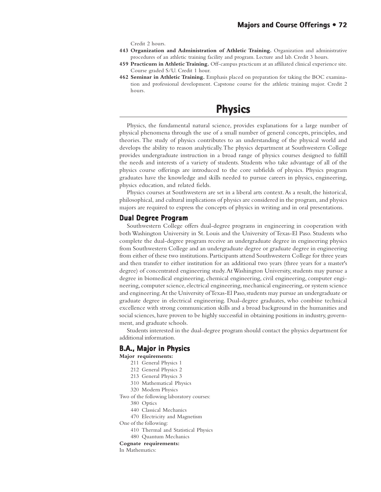Credit 2 hours.

- **443 Organization and Administration of Athletic Training.** Organization and administrative procedures of an athletic training facility and program. Lecture and lab. Credit 3 hours.
- **459 Practicum in Athletic Training.** Off-campus practicum at an affiliated clinical experience site. Course graded S/U. Credit 1 hour.
- **462 Seminar in Athletic Training.** Emphasis placed on preparation for taking the BOC examination and professional development. Capstone course for the athletic training major. Credit 2 hours.

# **Physics Physics**

Physics, the fundamental natural science, provides explanations for a large number of physical phenomena through the use of a small number of general concepts, principles, and theories. The study of physics contributes to an understanding of the physical world and develops the ability to reason analytically. The physics department at Southwestern College provides undergraduate instruction in a broad range of physics courses designed to fulfill the needs and interests of a variety of students. Students who take advantage of all of the physics course offerings are introduced to the core subfields of physics. Physics program graduates have the knowledge and skills needed to pursue careers in physics, engineering, physics education, and related fields.

Physics courses at Southwestern are set in a liberal arts context. As a result, the historical, philosophical, and cultural implications of physics are considered in the program, and physics majors are required to express the concepts of physics in writing and in oral presentations.

### **Dual Degree Program**

Southwestern College offers dual-degree programs in engineering in cooperation with both Washington University in St. Louis and the University of Texas-El Paso. Students who complete the dual-degree program receive an undergraduate degree in engineering physics from Southwestern College and an undergraduate degree or graduate degree in engineering from either of these two institutions. Participants attend Southwestern College for three years and then transfer to either institution for an additional two years (three years for a master's degree) of concentrated engineering study. At Washington University, students may pursue a degree in biomedical engineering, chemical engineering, civil engineering, computer engineering, computer science, electrical engineering, mechanical engineering, or system science and engineering. At the University of Texas-El Paso, students may pursue an undergraduate or graduate degree in electrical engineering. Dual-degree graduates, who combine technical excellence with strong communication skills and a broad background in the humanities and social sciences, have proven to be highly successful in obtaining positions in industry, government, and graduate schools.

Students interested in the dual-degree program should contact the physics department for additional information.

## **B.A., Major in Physics**

- **Major requirements:**
	- 211 General Physics 1
	- 212 General Physics 2
	- 213 General Physics 3
	- 310 Mathematical Physics
	- 320 Modern Physics

Two of the following laboratory courses:

- 380 Optics
- 440 Classical Mechanics
- 470 Electricity and Magnetism

One of the following:

- 410 Thermal and Statistical Physics
- 480 Quantum Mechanics
- **Cognate requirements:**

In Mathematics: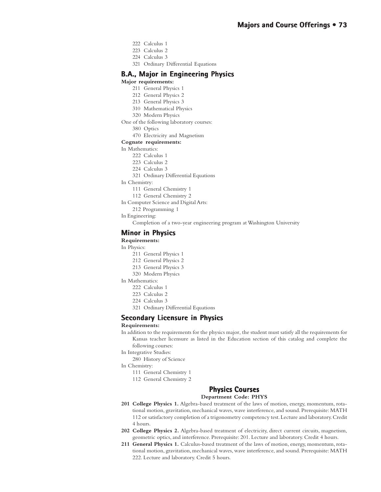- 222 Calculus 1
- 223 Calculus 2
- 224 Calculus 3
- 321 Ordinary Differential Equations

## **B.A., Major in Engineering Physics**

#### **Major requirements:**

- 211 General Physics 1
- 212 General Physics 2
- 213 General Physics 3
- 310 Mathematical Physics
- 320 Modern Physics
- One of the following laboratory courses:
	- 380 Optics
	- 470 Electricity and Magnetism

#### **Cognate requirements:**

#### In Mathematics:

- 222 Calculus 1
- 223 Calculus 2
- 224 Calculus 3
- 321 Ordinary Differential Equations
- In Chemistry:
	- 111 General Chemistry 1
	- 112 General Chemistry 2
- In Computer Science and Digital Arts:
	- 212 Programming 1
- In Engineering:

Completion of a two-year engineering program at Washington University

#### **Minor in Physics in**

#### **Requirements:**

- In Physics:
	- 211 General Physics 1
	- 212 General Physics 2
	- 213 General Physics 3
	- 320 Modern Physics
- In Mathematics:
	- 222 Calculus 1
	- 223 Calculus 2
	- 224 Calculus 3
	- 321 Ordinary Differential Equations

#### **Secondary Licensure in Physics in Physics**

#### **Requirements:**

- In addition to the requirements for the physics major, the student must satisfy all the requirements for Kansas teacher licensure as listed in the Education section of this catalog and complete the following courses:
- In Integrative Studies:
	- 280 History of Science
- In Chemistry:
	- 111 General Chemistry 1
	- 112 General Chemistry 2

## **Physics Courses Physics Courses**

#### **Department Code: PHYS**

- **201 College Physics 1.** Algebra-based treatment of the laws of motion, energy, momentum, rotational motion, gravitation, mechanical waves, wave interference, and sound. Prerequisite: MATH 112 or satisfactory completion of a trigonometry competency test. Lecture and laboratory. Credit 4 hours.
- **202 College Physics 2.** Algebra-based treatment of electricity, direct current circuits, magnetism, geometric optics, and interference. Prerequisite: 201. Lecture and laboratory. Credit 4 hours.
- **211 General Physics 1.** Calculus-based treatment of the laws of motion, energy, momentum, rotational motion, gravitation, mechanical waves, wave interference, and sound. Prerequisite: MATH 222. Lecture and laboratory. Credit 5 hours.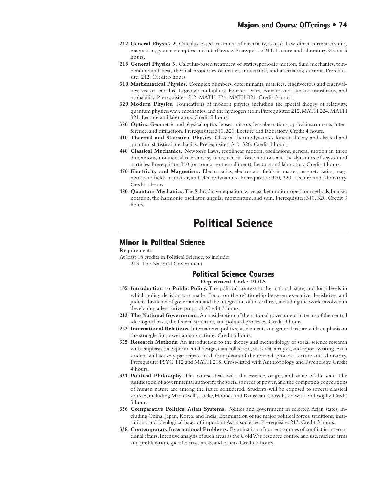- **212 General Physics 2.** Calculus-based treatment of electricity, Gauss's Law, direct current circuits, magnetism, geometric optics and interference. Prerequisite: 211. Lecture and laboratory. Credit 5 hours.
- **213 General Physics 3.** Calculus-based treatment of statics, periodic motion, fluid mechanics, temperature and heat, thermal properties of matter, inductance, and alternating current. Prerequisite: 212. Credit 3 hours.
- **310 Mathematical Physics.** Complex numbers, determinants, matrices, eigenvectors and eigenvalues, vector calculus, Lagrange multipliers, Fourier series, Fourier and Laplace transforms, and probability. Prerequisites: 212, MATH 224, MATH 321. Credit 3 hours.
- **320 Modern Physics.** Foundations of modern physics including the special theory of relativity, quantum physics, wave mechanics, and the hydrogen atom. Prerequisites: 212, MATH 224, MATH 321. Lecture and laboratory. Credit 5 hours.
- **380 Optics.** Geometric and physical optics-lenses, mirrors, lens aberrations, optical instruments, interference, and diffraction. Prerequisites: 310, 320. Lecture and laboratory. Credit 4 hours.
- **410 Thermal and Statistical Physics.** Classical thermodynamics, kinetic theory, and classical and quantum statistical mechanics. Prerequisites: 310, 320. Credit 3 hours.
- **440 Classical Mechanics.** Newton's Laws, rectilinear motion, oscillations, general motion in three dimensions, noninertial reference systems, central force motion, and the dynamics of a system of particles. Prerequisite: 310 (or concurrent enrollment). Lecture and laboratory. Credit 4 hours.
- **470 Electricity and Magnetism.** Electrostatics, electrostatic fields in matter, magnetostatics, magnetostatic fields in matter, and electrodynamics. Prerequisites: 310, 320. Lecture and laboratory. Credit 4 hours.
- **480 Quantum Mechanics.** The Schrodinger equation, wave packet motion, operator methods, bracket notation, the harmonic oscillator, angular momentum, and spin. Prerequisites: 310, 320. Credit 3 hours.

## **Political Science olitical Science**

#### **Minor in Political Science**

Requirements:

At least 18 credits in Political Science, to include: 213 The National Government

#### **Political Science Courses olitical Science Courses**

**Department Code: POLS**

- **105 Introduction to Public Policy.** The political context at the national, state, and local levels in which policy decisions are made. Focus on the relationship between executive, legislative, and judicial branches of government and the integration of these three, including the work involved in developing a legislative proposal. Credit 3 hours.
- **213 The National Government.** A consideration of the national government in terms of the central ideological basis, the federal structure, and political processes. Credit 3 hours.
- **222 International Relations.** International politics, its elements and general nature with emphasis on the struggle for power among nations. Credit 3 hours.
- **325 Research Methods.** An introduction to the theory and methodology of social science research with emphasis on experimental design, data collection, statistical analysis, and report writing. Each student will actively participate in all four phases of the research process. Lecture and laboratory. Prerequisite: PSYC 112 and MATH 215. Cross-listed with Anthropology and Psychology. Credit 4 hours.
- **331 Political Philosophy.** This course deals with the essence, origin, and value of the state. The justification of governmental authority, the social sources of power, and the competing conceptions of human nature are among the issues considered. Students will be exposed to several classical sources, including Machiavelli, Locke, Hobbes, and Rousseau. Cross-listed with Philosophy. Credit 3 hours.
- **336 Comparative Politics: Asian Systems.** Politics and government in selected Asian states, including China, Japan, Korea, and India. Examination of the major political forces, traditions, institutions, and ideological bases of important Asian societies. Prerequisite: 213. Credit 3 hours.
- **338 Contemporary International Problems.** Examination of current sources of conflict in international affairs. Intensive analysis of such areas as the Cold War, resource control and use, nuclear arms and proliferation, specific crisis areas, and others. Credit 3 hours.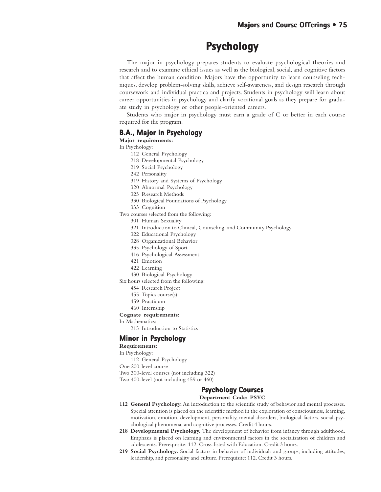## **Psychology Psychology**

The major in psychology prepares students to evaluate psychological theories and research and to examine ethical issues as well as the biological, social, and cognitive factors that affect the human condition. Majors have the opportunity to learn counseling techniques, develop problem-solving skills, achieve self-awareness, and design research through coursework and individual practica and projects. Students in psychology will learn about career opportunities in psychology and clarify vocational goals as they prepare for graduate study in psychology or other people-oriented careers.

Students who major in psychology must earn a grade of C or better in each course required for the program.

#### **B.A., Major in Psychology**

**Major requirements:**

- In Psychology:
	- 112 General Psychology
	- 218 Developmental Psychology
	- 219 Social Psychology
	- 242 Personality
	- 319 History and Systems of Psychology
	- 320 Abnormal Psychology
	- 325 Research Methods
	- 330 Biological Foundations of Psychology
	- 333 Cognition
- Two courses selected from the following:
	- 301 Human Sexuality
	- 321 Introduction to Clinical, Counseling, and Community Psychology
	- 322 Educational Psychology
	- 328 Organizational Behavior
	- 335 Psychology of Sport
	- 416 Psychological Assessment
	- 421 Emotion
	- 422 Learning
	- 430 Biological Psychology
- Six hours selected from the following:
	- 454 Research Project
	- 455 Topics course(s)
	- 459 Practicum
	- 460 Internship

#### **Cognate requirements:**

- In Mathematics:
	- 215 Introduction to Statistics

## **Minor in Psychology**

**Requirements:**

- In Psychology:
- 112 General Psychology

One 200-level course

Two 300-level courses (not including 322)

Two 400-level (not including 459 or 460)

## **Psychology Courses Psychology Courses**

**Department Code: PSYC**

- **112 General Psychology.** An introduction to the scientific study of behavior and mental processes. Special attention is placed on the scientific method in the exploration of consciousness, learning, motivation, emotion, development, personality, mental disorders, biological factors, social-psychological phenomena, and cognitive processes. Credit 4 hours.
- **218 Developmental Psychology.** The development of behavior from infancy through adulthood. Emphasis is placed on learning and environmental factors in the socialization of children and adolescents. Prerequisite: 112. Cross-listed with Education. Credit 3 hours.
- **219 Social Psychology.** Social factors in behavior of individuals and groups, including attitudes, leadership, and personality and culture. Prerequisite: 112. Credit 3 hours.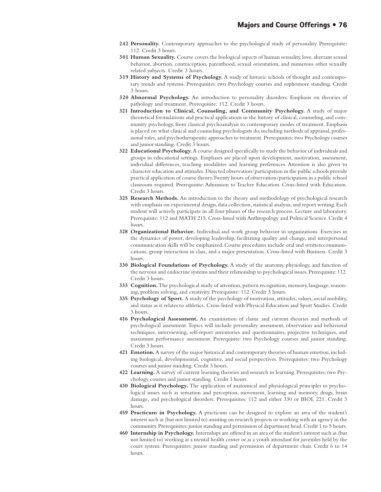- **242 Personality.** Contemporary approaches to the psychological study of personality. Prerequisite: 112. Credit 3 hours.
- **301 Human Sexuality.** Course covers the biological aspects of human sexuality, love, aberrant sexual behavior, abortion, contraception, parenthood, sexual orientation, and numerous other sexually related subjects. Credit 3 hours.
- **319 History and Systems of Psychology.** A study of historic schools of thought and contemporary trends and systems. Prerequisites: two Psychology courses and sophomore standing. Credit 3 hours.
- **320 Abnormal Psychology.** An introduction to personality disorders. Emphasis on theories of pathology and treatment. Prerequisite: 112. Credit 3 hours.
- **321 Introduction to Clinical, Counseling, and Community Psychology.** A study of major theoretical formulations and practical applications in the history of clinical, counseling, and community psychology, from classical psychoanalysis to contemporary modes of treatment. Emphasis is placed on what clinical and counseling psychologists do, including methods of appraisal, professional roles, and psychotherapeutic approaches to treatment. Prerequisites: two Psychology courses and junior standing. Credit 3 hours.
- **322 Educational Psychology.** A course designed specifically to study the behavior of individuals and groups in educational settings. Emphases are placed upon development, motivation, assessment, individual differences, teaching modalities and learning preferences. Attention is also given to character education and attitudes. Directed observation/participation in the public schools provide practical application of course theory. Twenty hours of observation/participation in a public school classroom required. Prerequisite: Admission to Teacher Education. Cross-listed with Education. Credit 3 hours.
- **325 Research Methods.** An introduction to the theory and methodology of psychological research with emphasis on experimental design, data collection, statistical analysis, and report writing. Each student will actively participate in all four phases of the research process. Lecture and laboratory. Prerequisite: 112 and MATH 215. Cross-listed with Anthropology and Political Science. Credit 4 hours.
- **328 Organizational Behavior.** Individual and work group behavior in organizations. Exercises in the dynamics of power, developing leadership, facilitating quality and change, and interpersonal communication skills will be emphasized. Course procedures include oral and written communications, group interaction in class, and a major presentation. Cross-listed with Business. Credit 3 hours.
- **330 Biological Foundations of Psychology.** A study of the anatomy, physiology, and function of the nervous and endocrine systems and their relationship to psychological issues. Prerequisite: 112. Credit 3 hours.
- **333 Cognition.** The psychological study of attention, pattern recognition, memory, language, reasoning, problem solving, and creativity. Prerequisite: 112. Credit 3 hours.
- **335 Psychology of Sport.** A study of the psychology of motivation, attitudes, values, social mobility, and status as it relates to athletics. Cross-listed with Physical Education and Sport Studies. Credit 3 hours.
- **416 Psychological Assessment.** An examination of classic and current theories and methods of psychological assessment. Topics will include personality assessment, observation and behavioral techniques, interviewing, self-report inventories and questionnaires, projective techniques, and maximum performance assessment. Prerequisite: two Psychology courses and junior standing. Credit 3 hours.
- **421 Emotion.** A survey of the major historical and contemporary theories of human emotion, including biological, developmental, cognitive, and social perspectives. Prerequisites: two Psychology courses and junior standing. Credit 3 hours.
- **422 Learning.** A survey of current learning theories and research in learning. Prerequisites: two Psychology courses and junior standing. Credit 3 hours.
- **430 Biological Psychology.** The application of anatomical and physiological principles to psychological issues such as sensation and perception, movement, learning and memory, drugs, brain damage, and psychological disorders. Prerequisites: 112 and either 330 or BIOL 221. Credit 3 hours.
- **459 Practicum in Psychology.** A practicum can be designed to explore an area of the student's interest such as (but not limited to) assisting on research projects or working with an agency in the community. Prerequisites: junior standing and permission of department head. Credit 1 to 5 hours.
- **460 Internship in Psychology.** Internships are offered in an area of the student's interest such as (but not limited to) working at a mental health center or as a youth attendant for juveniles held by the court system. Prerequisites: junior standing and permission of department chair. Credit 6 to 14 hours.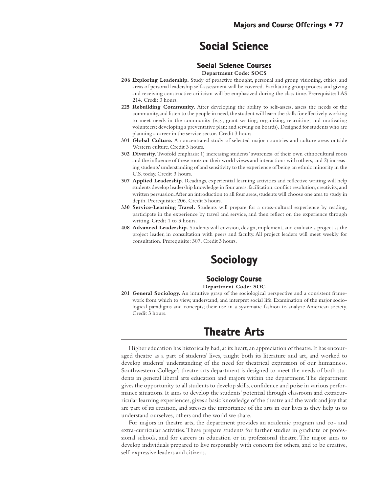## **Social Science Social Science**

#### **Social Science Courses Science Courses**

**Department Code: SOCS**

- **206 Exploring Leadership.** Study of proactive thought, personal and group visioning, ethics, and areas of personal leadership self-assessment will be covered. Facilitating group process and giving and receiving constructive criticism will be emphasized during the class time. Prerequisite: LAS 214. Credit 3 hours.
- **225 Rebuilding Community.** After developing the ability to self-assess, assess the needs of the community, and listen to the people in need, the student will learn the skills for effectively working to meet needs in the community (e.g., grant writing; organizing, recruiting, and motivating volunteers; developing a preventative plan; and serving on boards). Designed for students who are planning a career in the service sector. Credit 3 hours.
- **301 Global Culture.** A concentrated study of selected major countries and culture areas outside Western culture. Credit 3 hours.
- **302 Diversity.** Twofold emphasis: 1) increasing students' awareness of their own ethnocultural roots and the influence of these roots on their world views and interactions with others, and 2) increasing students' understanding of and sensitivity to the experience of being an ethnic minority in the U.S. today. Credit 3 hours.
- **307 Applied Leadership.** Readings, experiential learning activities and reflective writing will help students develop leadership knowledge in four areas: facilitation, conflict resolution, creativity, and written persuasion. After an introduction to all four areas, students will choose one area to study in depth. Prerequisite: 206. Credit 3 hours.
- **330 Service-Learning Travel.** Students will prepare for a cross-cultural experience by reading, participate in the experience by travel and service, and then reflect on the experience through writing. Credit 1 to 3 hours.
- **408 Advanced Leadership.** Students will envision, design, implement, and evaluate a project as the project leader, in consultation with peers and faculty. All project leaders will meet weekly for consultation. Prerequisite: 307. Credit 3 hours.

## **Sociology Sociology**

## **Sociology Course**

**Department Code: SOC**

**201 General Sociology.** An intuitive grasp of the sociological perspective and a consistent framework from which to view, understand, and interpret social life. Examination of the major sociological paradigms and concepts; their use in a systematic fashion to analyze American society. Credit 3 hours.

## **Theatre Arts Arts**

Higher education has historically had, at its heart, an appreciation of theatre. It has encouraged theatre as a part of students' lives, taught both its literature and art, and worked to develop students' understanding of the need for theatrical expression of our humanness. Southwestern College's theatre arts department is designed to meet the needs of both students in general liberal arts education and majors within the department. The department gives the opportunity to all students to develop skills, confidence and poise in various performance situations. It aims to develop the students' potential through classroom and extracurricular learning experiences, gives a basic knowledge of the theatre and the work and joy that are part of its creation, and stresses the importance of the arts in our lives as they help us to understand ourselves, others and the world we share.

For majors in theatre arts, the department provides an academic program and co- and extra-curricular activities. These prepare students for further studies in graduate or professional schools, and for careers in education or in professional theatre. The major aims to develop individuals prepared to live responsibly with concern for others, and to be creative, self-expressive leaders and citizens.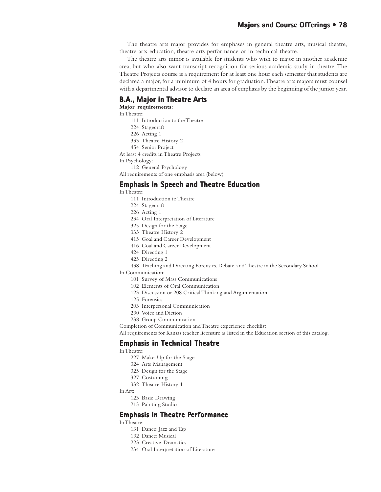#### **Majors and Course Offerings • 78**

The theatre arts major provides for emphases in general theatre arts, musical theatre, theatre arts education, theatre arts performance or in technical theatre.

The theatre arts minor is available for students who wish to major in another academic area, but who also want transcript recognition for serious academic study in theatre. The Theatre Projects course is a requirement for at least one hour each semester that students are declared a major, for a minimum of 4 hours for graduation. Theatre arts majors must counsel with a departmental advisor to declare an area of emphasis by the beginning of the junior year.

#### **B.A., Major in Theatre Arts**

**Major requirements:**

In Theatre:

- 111 Introduction to the Theatre
- 224 Stagecraft
- 226 Acting 1
- 333 Theatre History 2
- 454 Senior Project
- At least 4 credits in Theatre Projects
- In Psychology:
	- 112 General Psychology

All requirements of one emphasis area (below)

#### **Emphasis in Speech and Theatre Education**

- In Theatre:
	- 111 Introduction to Theatre
	- 224 Stagecraft
	- 226 Acting 1
	- 234 Oral Interpretation of Literature
	- 325 Design for the Stage
	- 333 Theatre History 2
	- 415 Goal and Career Development
	- 416 Goal and Career Development
	- 424 Directing 1
	- 425 Directing 2

438 Teaching and Directing Forensics, Debate, and Theatre in the Secondary School

In Communication:

- 101 Survey of Mass Communications
- 102 Elements of Oral Communication
- 123 Discussion or 208 Critical Thinking and Argumentation
- 125 Forensics
- 203 Interpersonal Communication
- 230 Voice and Diction
- 238 Group Communication

Completion of Communication and Theatre experience checklist

All requirements for Kansas teacher licensure as listed in the Education section of this catalog.

#### **Emphasis in Technical Theatre**

In Theatre:

- 227 Make-Up for the Stage
- 324 Arts Management
- 325 Design for the Stage
- 327 Costuming
- 332 Theatre History 1
- In Art:
	- 123 Basic Drawing
	- 215 Painting Studio

#### **Emphasis in Theatre Performance**

#### In Theatre:

- 131 Dance: Jazz and Tap
- 132 Dance: Musical
- 223 Creative Dramatics
- 234 Oral Interpretation of Literature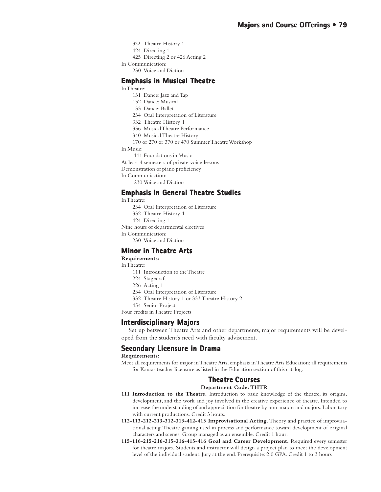- 332 Theatre History 1
- 424 Directing 1
- 425 Directing 2 or 426 Acting 2
- In Communication:
	- 230 Voice and Diction

#### **Emphasis in Musical Theatre**

- In Theatre:
	- 131 Dance: Jazz and Tap
	- 132 Dance: Musical
	- 133 Dance: Ballet
	- 234 Oral Interpretation of Literature
	- 332 Theatre History 1
	- 336 Musical Theatre Performance
	- 340 Musical Theatre History
	- 170 or 270 or 370 or 470 Summer Theatre Workshop
- In Music:
	- 111 Foundations in Music
- At least 4 semesters of private voice lessons
- Demonstration of piano proficiency
- In Communication:
	- 230 Voice and Diction

#### **Emphasis in General Theatre Studies Emphasis in Theatre**

In Theatre:

- 234 Oral Interpretation of Literature
- 332 Theatre History 1
- 424 Directing 1

Nine hours of departmental electives

- In Communication:
	- 230 Voice and Diction

#### **Minor in Theatre Arts**

#### **Requirements:**

In Theatre:

- 111 Introduction to the Theatre
- 224 Stagecraft
- 226 Acting 1
- 234 Oral Interpretation of Literature
- 332 Theatre History 1 or 333 Theatre History 2
- 454 Senior Project

Four credits in Theatre Projects

#### **Interdisciplinary Majors Interdisciplinary**

Set up between Theatre Arts and other departments, major requirements will be developed from the student's need with faculty advisement.

#### **Secondary Licensure in Drama**

**Requirements:**

Meet all requirements for major in Theatre Arts, emphasis in Theatre Arts Education; all requirements for Kansas teacher licensure as listed in the Education section of this catalog.

## **Theatre Courses Theatre**

**Department Code: THTR**

- **111 Introduction to the Theatre.** Introduction to basic knowledge of the theatre, its origins, development, and the work and joy involved in the creative experience of theatre. Intended to increase the understanding of and appreciation for theatre by non-majors and majors. Laboratory with current productions. Credit 3 hours.
- **112-113-212-213-312-313-412-413 Improvisational Acting.** Theory and practice of improvisational acting. Theatre gaming used in process and performance toward development of original characters and scenes. Group managed as an ensemble. Credit 1 hour.
- **115-116-215-216-315-316-415-416 Goal and Career Development.** Required every semester for theatre majors. Students and instructor will design a project plan to meet the development level of the individual student. Jury at the end. Prerequisite: 2.0 GPA. Credit 1 to 3 hours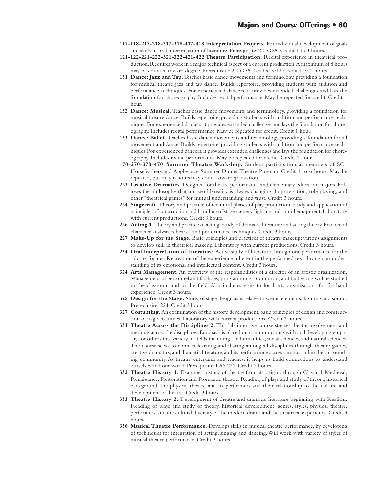- **117-118-217-218-317-318-417-418 Interpretation Projects.** For individual development of goals and skills in oral interpretation of literature. Prerequisite: 2.0 GPA. Credit 1 to 3 hours.
- **121-122-221-222-321-322-421-422 Theatre Participation.** Recital experience in theatrical production. Requires work in a major technical aspect of a current production. A maximum of 8 hours may be counted toward degree. Prerequisite: 2.0 GPA. Graded S/U. Credit 1 or 2 hours.
- **131 Dance: Jazz and Tap.** Teaches basic dance movements and terminology, providing a foundation for musical theatre jazz and tap dance. Builds repertoire, providing students with audition and performance techniques. For experienced dancers, it provides extended challenges and lays the foundation for choreography. Includes recital performance. May be repeated for credit. Credit 1 hour.
- **132 Dance: Musical.** Teaches basic dance movements and terminology, providing a foundation for musical theatre dance. Builds repertoire, providing students with audition and performance techniques. For experienced dancers, it provides extended challenges and lays the foundation for choreography. Includes recital performance. May be repeated for credit. Credit 1 hour.
- **133 Dance: Ballet.** Teaches basic dance movements and terminology, providing a foundation for all movement and dance. Builds repertoire, providing students with audition and performance techniques. For experienced dancers, it provides extended challenges and lays the foundation for choreography. Includes recital performance. May be repeated for credit. Credit 1 hour.
- **170-270-370-470 Summer Theatre Workshop.** Student participation as members of SC's Horsefeathers and Applesauce Summer Dinner Theatre Program. Credit 1 to 6 hours. May be repeated, but only 6 hours may count toward graduation.
- **223 Creative Dramatics.** Designed for theatre performance and elementary education majors. Follows the philosophy that our world/reality is always changing. Improvisation, role playing, and other "theatrical games" for mutual understanding and trust. Credit 3 hours.
- **224 Stagecraft.** Theory and practice of technical phases of play production. Study and application of principles of construction and handling of stage scenery, lighting and sound equipment. Laboratory with current productions. Credit 3 hours.
- **226 Acting 1.** Theory and practice of acting. Study of dramatic literature and acting theory. Practice of character analysis, rehearsal and performance techniques. Credit 3 hours.
- **227 Make-Up for the Stage.** Basic principles and practices of theatre makeup; various assignments to develop skill in theatrical makeup. Laboratory with current productions. Credit 3 hours.
- **234 Oral Interpretation of Literature.** Active study of literature through oral performance for the solo performer. Recreation of the experience inherent in the performed text through an understanding of its emotional and intellectual content. Credit 3 hours.
- **324 Arts Management.** An overview of the responsibilities of a director of an artistic organization. Management of personnel and facilities, programming, promotion, and budgeting will be studied in the classroom and in the field. Also includes visits to local arts organizations for firsthand experience. Credit 3 hours.
- **325 Design for the Stage.** Study of stage design as it relates to scenic elements, lighting and sound. Prerequisite: 224. Credit 3 hours.
- **327 Costuming.** An examination of the history, development, basic principles of design and construction of stage costumes. Laboratory with current productions. Credit 3 hours.
- **331 Theatre Across the Disciplines 2.** This lab-intensive course stresses theatre involvement and methods across the disciplines. Emphasis is placed on communicating with and developing empathy for others in a variety of fields including the humanities, social sciences, and natural sciences. The course seeks to connect learning and sharing among all disciplines through theatre games, creative dramatics, and dramatic literature, and its performance across campus and in the surrounding community. As theatre entertains and teaches, it helps us build connections to understand ourselves and our world. Prerequisite: LAS 231. Credit 3 hours*.*
- **332 Theatre History 1.** Examines history of theatre from its origins through Classical, Medieval, Renaissance, Restoration and Romantic theatre. Reading of plays and study of theory, historical background, the physical theatre and its performers and their relationship to the culture and development of theatre. Credit 3 hours.
- **333 Theatre History 2.** Development of theatre and dramatic literature beginning with Realism. Reading of plays and study of theory, historical development, genres, styles, physical theatre, performers, and the cultural diversity of the modern drama and the theatrical experience. Credit 3 hours.
- **336 Musical Theatre Performance.** Develops skills in musical theatre performance, by developing of techniques for integration of acting, singing and dancing. Will work with variety of styles of musical theatre performance. Credit 3 hours.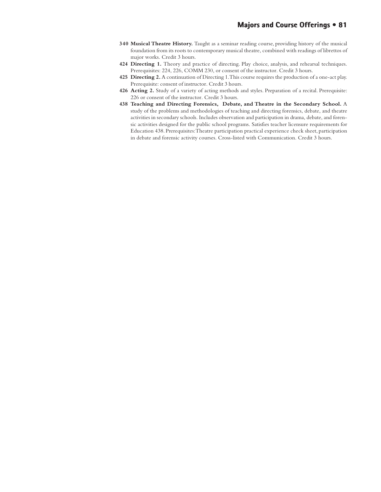- **340 Musical Theatre History.** Taught as a seminar reading course, providing history of the musical foundation from its roots to contemporary musical theatre, combined with readings of librettos of major works. Credit 3 hours.
- **424 Directing 1.** Theory and practice of directing. Play choice, analysis, and rehearsal techniques. Prerequisites: 224, 226, COMM 230, or consent of the instructor. Credit 3 hours.
- **425 Directing 2.** A continuation of Directing 1. This course requires the production of a one-act play. Prerequisite: consent of instructor. Credit 3 hours.
- **426 Acting 2.** Study of a variety of acting methods and styles. Preparation of a recital. Prerequisite: 226 or consent of the instructor. Credit 3 hours.
- **438 Teaching and Directing Forensics, Debate, and Theatre in the Secondary School.** A study of the problems and methodologies of teaching and directing forensics, debate, and theatre activities in secondary schools. Includes observation and participation in drama, debate, and forensic activities designed for the public school programs. Satisfies teacher licensure requirements for Education 438. Prerequisites: Theatre participation practical experience check sheet, participation in debate and forensic activity courses. Cross-listed with Communication. Credit 3 hours.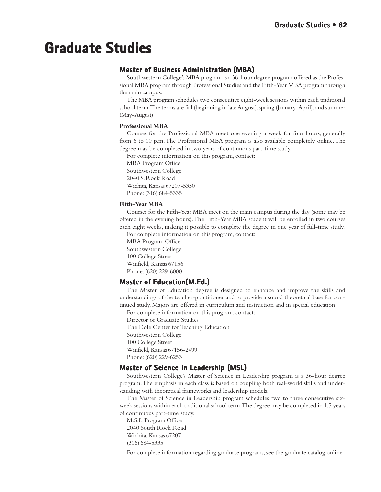# **Graduate Studies Studies Graduate**

## **Master of Business Administration (MBA)**

Southwestern College's MBA program is a 36-hour degree program offered as the Professional MBA program through Professional Studies and the Fifth-Year MBA program through the main campus.

The MBA program schedules two consecutive eight-week sessions within each traditional school term. The terms are fall (beginning in late August), spring (January-April), and summer (May-August).

#### **Professional MBA**

Courses for the Professional MBA meet one evening a week for four hours, generally from 6 to 10 p.m. The Professional MBA program is also available completely online. The degree may be completed in two years of continuous part-time study.

For complete information on this program, contact:

MBA Program Office Southwestern College 2040 S. Rock Road Wichita, Kansas 67207-5350 Phone: (316) 684-5335

#### **Fifth-Year MBA**

Courses for the Fifth-Year MBA meet on the main campus during the day (some may be offered in the evening hours). The Fifth-Year MBA student will be enrolled in two courses each eight weeks, making it possible to complete the degree in one year of full-time study.

For complete information on this program, contact: MBA Program Office Southwestern College 100 College Street Winfield, Kansas 67156 Phone: (620) 229-6000

## **Master of Education(M.Ed.)**

The Master of Education degree is designed to enhance and improve the skills and understandings of the teacher-practitioner and to provide a sound theoretical base for continued study. Majors are offered in curriculum and instruction and in special education.

For complete information on this program, contact:

Director of Graduate Studies The Dole Center for Teaching Education Southwestern College 100 College Street Winfield, Kansas 67156-2499

Phone: (620) 229-6253

## **Master of Science in Leadership (MSL) of in Leadership (MSL)**

Southwestern College's Master of Science in Leadership program is a 36-hour degree program. The emphasis in each class is based on coupling both real-world skills and understanding with theoretical frameworks and leadership models.

The Master of Science in Leadership program schedules two to three consecutive sixweek sessions within each traditional school term. The degree may be completed in 1.5 years of continuous part-time study.

M.S.L. Program Office 2040 South Rock Road Wichita, Kansas 67207 (316) 684-5335

For complete information regarding graduate programs, see the graduate catalog online.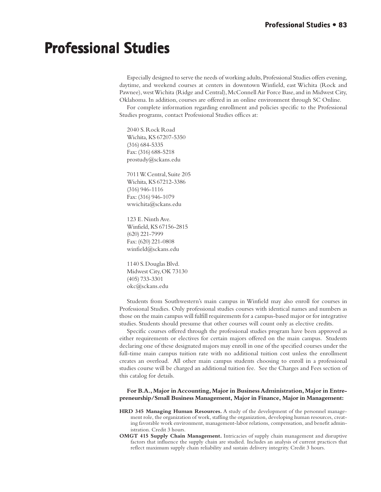# **Professional Studies**

Especially designed to serve the needs of working adults, Professional Studies offers evening, daytime, and weekend courses at centers in downtown Winfield, east Wichita (Rock and Pawnee), west Wichita (Ridge and Central), McConnell Air Force Base, and in Midwest City, Oklahoma. In addition, courses are offered in an online environment through SC Online.

For complete information regarding enrollment and policies specific to the Professional Studies programs, contact Professional Studies offices at:

2040 S. Rock Road Wichita, KS 67207-5350 (316) 684-5335 Fax: (316) 688-5218 prostudy@sckans.edu

7011 W. Central, Suite 205 Wichita, KS 67212-3386 (316) 946-1116 Fax: (316) 946-1079 wwichita@sckans.edu

123 E. Ninth Ave. Winfield, KS 67156-2815 (620) 221-7999 Fax: (620) 221-0808 winfield@sckans.edu

1140 S. Douglas Blvd. Midwest City, OK 73130 (405) 733-3301 okc@sckans.edu

Students from Southwestern's main campus in Winfield may also enroll for courses in Professional Studies. Only professional studies courses with identical names and numbers as those on the main campus will fulfill requirements for a campus-based major or for integrative studies. Students should presume that other courses will count only as elective credits.

Specific courses offered through the professional studies program have been approved as either requirements or electives for certain majors offered on the main campus. Students declaring one of these designated majors may enroll in one of the specified courses under the full-time main campus tuition rate with no additional tuition cost unless the enrollment creates an overload. All other main campus students choosing to enroll in a professional studies course will be charged an additional tuition fee. See the Charges and Fees section of this catalog for details.

#### **For B.A., Major in Accounting, Major in Business Administration, Major in Entrepreneurship/Small Business Management, Major in Finance, Major in Management:**

- **HRD 345 Managing Human Resources.** A study of the development of the personnel management role, the organization of work, staffing the organization, developing human resources, creating favorable work environment, management-labor relations, compensation, and benefit administration. Credit 3 hours.
- **OMGT 415 Supply Chain Management.** Intricacies of supply chain management and disruptive factors that influence the supply chain are studied. Includes an analysis of current practices that reflect maximum supply chain reliability and sustain delivery integrity. Credit 3 hours.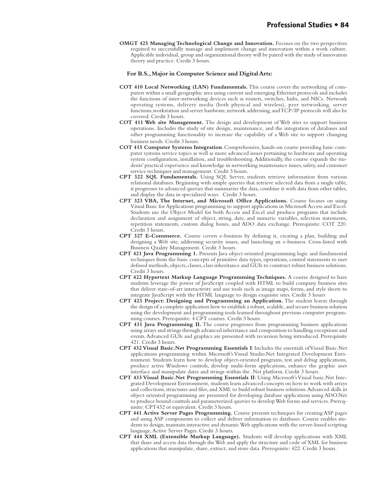**OMGT 425 Managing Technological Change and Innovation.** Focuses on the two perspectives required to successfully manage and implement change and innovation within a work culture. Applicable individual, group and organizational theory will be paired with the study of innovation theory and practice. Credit 3 hours.

#### **For B.S., Major in Computer Science and Digital Arts:**

- **COT 410 Local Networking (LAN) Fundamentals.** This course covers the networking of computers within a small geographic area using current and emerging Ethernet protocols and includes the functions of inter-networking devices such as routers, switches, hubs, and NICs. Network operating systems, delivery media (both physical and wireless), peer networking, server functions,workstation and server hardware, network addressing, and TCP/IP protocols will also be covered. Credit 3 hours.
- **COT 411 Web site Management.** The design and development of Web sites to support business operations. Includes the study of site design, maintenance, and the integration of databases and other programming functionality to increase the capability of a Web site to support changing business needs. Credit 3 hours.
- **COT 415 Computer Systems Integration**. Comprehensive, hands-on course providing basic computer systems service topics as well as more advanced issues pertaining to hardware and operating system configuration, installation, and troubleshooting. Additionally, the course expands the students' practical experience and knowledge in networking maintenance issues, safety, and customer service techniques and management. Credit 3 hours.
- **CPT 322 SQL Fundamentals.** Using SQL Server, students retrieve information from various relational databases. Beginning with simple queries that retrieve selected data from a single table, it progresses to advanced queries that summarize the data, combine it with data from other tables, and display the data in specialized ways. Credit 3 hours.
- **CPT 323 VBA, The Internet, and Microsoft Office Applications.** Course focuses on using Visual Basic for Applications programming to support applications in Microsoft Access and Excel. Students use the Object Model for both Access and Excel and produce programs that include declaration and assignment of object, string, date, and numeric variables, selection statements, repetition statements, custom dialog boxes, and ADO data exchange. Prerequisite: COT 220. Credit 3 hours.
- **CPT 327 E-Commerce.** Course covers e-business by defining it, creating a plan, building and designing a Web site, addressing security issues, and launching an e-business. Cross-listed with Business Quality Management. Credit 3 hours.
- **CPT 421 Java Programming 1.** Presents Java object oriented programming logic and fundamental techniques from the basic concepts of primitive data types, operations, control statements to user defined methods, objects, classes, class inheritance and GUIs to construct robust business solutions. Credit 3 hours.
- **CPT 422 Hypertext Markup Language Programming Techniques.** A course designed to have students leverage the power of JavaScript coupled with HTML to build company business sites that deliver state-of-art interactivity and use tools such as image maps, forms, and style sheets to integrate JavaScript with the HTML language to design exquisite sites. Credit 3 hours
- **CPT 423 Project: Designing and Programming an Application.** The student learns through the design of a complete application how to establish a robust, scalable, and secure business solution using the development and programming tools learned throughout previous computer programming courses. Prerequisite: 4 CPT courses. Credit 3 hours.
- **CPT 431 Java Programming II.** The course progresses from programming business applications using arrays and strings through advanced inheritance and composition to handling exceptions and events. Advanced GUIs and graphics are presented with recursion being introduced. Prerequisite 421. Credit 3 hours.
- **CPT 432 Visual Basic.Net Programming Essentials I**: Includes the essentials of Visual Basic.Net applications programming within Microsoft's Visual Studio.Net Integrated Development Environment. Students learn how to develop object-oriented programs, test and debug applications, produce active Windows controls, develop multi-form applications, enhance the graphic user interface and manipulate dates and strings within the .Net platform. Credit 3 hours.
- **CPT 433 Visual Basic.Net Programming Essentials II**: Using Microsoft's Visual basic.Net Integrated Development Environment, students learn advanced concepts on how to work with arrays and collections, structures and files, and XML to build robust business solutions. Advanced skills in object oriented programming are presented for developing database applications using ADO.Net to produce bound controls and parameterized queries to develop Web forms and services. Prerequisite: CPT432 or equivalent. Credit 3 hours.
- **CPT 441 Active Server Pages Programming.** Course presents techniques for creating ASP pages and using ASP components to collect and deliver information to databases. Course enables students to design, maintain interactive and dynamic Web applications with the server-based scripting language, Active Server Pages. Credit 3 hours.
- **CPT 444 XML (Extensible Markup Language).** Students will develop applications with XML that share and access data through the Web and apply the structure and code of XML for business applications that manipulate, share, extract, and store data. Prerequisite: 422. Credit 3 hours.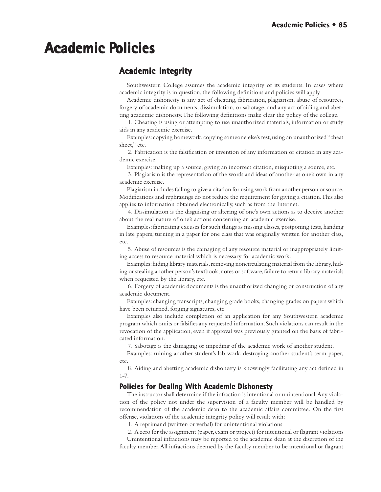# **Academic Policies**

## **Academic Integrity Academic**

Southwestern College assumes the academic integrity of its students. In cases where academic integrity is in question, the following definitions and policies will apply.

Academic dishonesty is any act of cheating, fabrication, plagiarism, abuse of resources, forgery of academic documents, dissimulation, or sabotage, and any act of aiding and abetting academic dishonesty. The following definitions make clear the policy of the college.

1. Cheating is using or attempting to use unauthorized materials, information or study aids in any academic exercise.

Examples: copying homework, copying someone else's test, using an unauthorized "cheat sheet," etc.

2. Fabrication is the falsification or invention of any information or citation in any academic exercise.

Examples: making up a source, giving an incorrect citation, misquoting a source, etc.

3. Plagiarism is the representation of the words and ideas of another as one's own in any academic exercise.

Plagiarism includes failing to give a citation for using work from another person or source. Modifications and rephrasings do not reduce the requirement for giving a citation. This also applies to information obtained electronically, such as from the Internet.

4. Dissimulation is the disguising or altering of one's own actions as to deceive another about the real nature of one's actions concerning an academic exercise.

Examples: fabricating excuses for such things as missing classes, postponing tests, handing in late papers; turning in a paper for one class that was originally written for another class, etc.

5. Abuse of resources is the damaging of any resource material or inappropriately limiting access to resource material which is necessary for academic work.

Examples: hiding library materials, removing noncirculating material from the library, hiding or stealing another person's textbook, notes or software, failure to return library materials when requested by the library, etc.

6. Forgery of academic documents is the unauthorized changing or construction of any academic document.

Examples: changing transcripts, changing grade books, changing grades on papers which have been returned, forging signatures, etc.

Examples also include completion of an application for any Southwestern academic program which omits or falsifies any requested information. Such violations can result in the revocation of the application, even if approval was previously granted on the basis of fabricated information.

7. Sabotage is the damaging or impeding of the academic work of another student.

Examples: ruining another student's lab work, destroying another student's term paper, etc.

8. Aiding and abetting academic dishonesty is knowingly facilitating any act defined in 1-7.

#### **Policies for Dealing With Academic Dishonesty**

The instructor shall determine if the infraction is intentional or unintentional. Any violation of the policy not under the supervision of a faculty member will be handled by recommendation of the academic dean to the academic affairs committee. On the first offense, violations of the academic integrity policy will result with:

1. A reprimand (written or verbal) for unintentional violations

2. A zero for the assignment (paper, exam or project) for intentional or flagrant violations Unintentional infractions may be reported to the academic dean at the discretion of the faculty member. All infractions deemed by the faculty member to be intentional or flagrant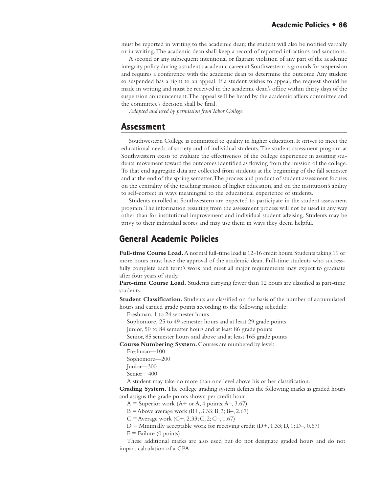must be reported in writing to the academic dean; the student will also be notified verbally or in writing. The academic dean shall keep a record of reported infractions and sanctions.

A second or any subsequent intentional or flagrant violation of any part of the academic integrity policy during a student's academic career at Southwestern is grounds for suspension and requires a conference with the academic dean to determine the outcome. Any student so suspended has a right to an appeal. If a student wishes to appeal, the request should be made in writing and must be received in the academic dean's office within thirty days of the suspension announcement. The appeal will be heard by the academic affairs committee and the committee's decision shall be final.

*Adapted and used by permission from Tabor College.*

#### **Assessment Assessment**

Southwestern College is committed to quality in higher education. It strives to meet the educational needs of society and of individual students. The student assessment program at Southwestern exists to evaluate the effectiveness of the college experience in assisting students' movement toward the outcomes identified as flowing from the mission of the college. To that end aggregate data are collected from students at the beginning of the fall semester and at the end of the spring semester. The process and product of student assessment focuses on the centrality of the teaching mission of higher education, and on the institution's ability to self-correct in ways meaningful to the educational experience of students.

Students enrolled at Southwestern are expected to participate in the student assessment program. The information resulting from the assessment process will not be used in any way other than for institutional improvement and individual student advising. Students may be privy to their individual scores and may use them in ways they deem helpful.

## **General Academic Policies olicies**

**Full-time Course Load.** A normal full-time load is 12-16 credit hours. Students taking 19 or more hours must have the approval of the academic dean. Full-time students who successfully complete each term's work and meet all major requirements may expect to graduate after four years of study.

**Part-time Course Load.** Students carrying fewer than 12 hours are classified as part-time students.

**Student Classification.** Students are classified on the basis of the number of accumulated hours and earned grade points according to the following schedule:

Freshman, 1 to 24 semester hours

Sophomore, 25 to 49 semester hours and at least 29 grade points

Junior, 50 to 84 semester hours and at least 86 grade points

Senior, 85 semester hours and above and at least 165 grade points

**Course Numbering System.** Courses are numbered by level:

Freshman—100

Sophomore—200

Junior—300 Senior—400

A student may take no more than one level above his or her classification.

**Grading System.** The college grading system defines the following marks as graded hours and assigns the grade points shown per credit hour:

 $A =$  Superior work (A+ or A, 4 points; A–, 3.67)

 $B =$  Above average work  $(B+, 3.33; B, 3; B-, 2.67)$ 

 $C =$  Average work  $(C+, 2.33; C, 2; C-, 1.67)$ 

 $D =$  Minimally acceptable work for receiving credit  $(D+, 1.33; D, 1; D-, 0.67)$ 

 $F =$  Failure (0 points)

These additional marks are also used but do not designate graded hours and do not impact calculation of a GPA: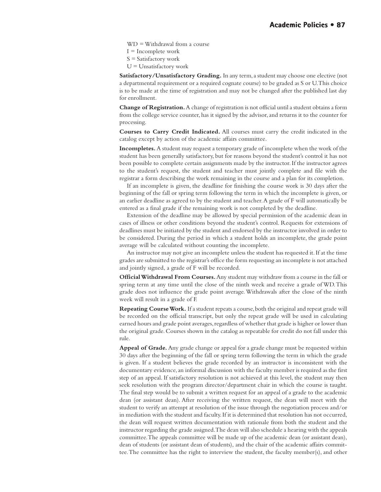WD = Withdrawal from a course

 $I = Incomplete$  work

S = Satisfactory work

 $U =$ Unsatisfactory work

**Satisfactory/Unsatisfactory Grading.** In any term, a student may choose one elective (not a departmental requirement or a required cognate course) to be graded as S or U. This choice is to be made at the time of registration and may not be changed after the published last day for enrollment.

**Change of Registration.** A change of registration is not official until a student obtains a form from the college service counter, has it signed by the advisor, and returns it to the counter for processing.

**Courses to Carry Credit Indicated.** All courses must carry the credit indicated in the catalog except by action of the academic affairs committee.

**Incompletes.** A student may request a temporary grade of incomplete when the work of the student has been generally satisfactory, but for reasons beyond the student's control it has not been possible to complete certain assignments made by the instructor. If the instructor agrees to the student's request, the student and teacher must jointly complete and file with the registrar a form describing the work remaining in the course and a plan for its completion.

If an incomplete is given, the deadline for finishing the course work is 30 days after the beginning of the fall or spring term following the term in which the incomplete is given, or an earlier deadline as agreed to by the student and teacher. A grade of F will automatically be entered as a final grade if the remaining work is not completed by the deadline.

Extension of the deadline may be allowed by special permission of the academic dean in cases of illness or other conditions beyond the student's control. Requests for extensions of deadlines must be initiated by the student and endorsed by the instructor involved in order to be considered. During the period in which a student holds an incomplete, the grade point average will be calculated without counting the incomplete.

An instructor may not give an incomplete unless the student has requested it. If at the time grades are submitted to the registrar's office the form requesting an incomplete is not attached and jointly signed, a grade of F will be recorded.

**Official Withdrawal From Courses.** Any student may withdraw from a course in the fall or spring term at any time until the close of the ninth week and receive a grade of WD. This grade does not influence the grade point average. Withdrawals after the close of the ninth week will result in a grade of F.

**Repeating Course Work.** If a student repeats a course, both the original and repeat grade will be recorded on the official transcript, but only the repeat grade will be used in calculating earned hours and grade point averages, regardless of whether that grade is higher or lower than the original grade. Courses shown in the catalog as repeatable for credit do not fall under this rule.

**Appeal of Grade.** Any grade change or appeal for a grade change must be requested within 30 days after the beginning of the fall or spring term following the term in which the grade is given. If a student believes the grade recorded by an instructor is inconsistent with the documentary evidence, an informal discussion with the faculty member is required as the first step of an appeal. If satisfactory resolution is not achieved at this level, the student may then seek resolution with the program director/department chair in which the course is taught. The final step would be to submit a written request for an appeal of a grade to the academic dean (or assistant dean). After receiving the written request, the dean will meet with the student to verify an attempt at resolution of the issue through the negotiation process and/or in mediation with the student and faculty. If it is determined that resolution has not occurred, the dean will request written documentation with rationale from both the student and the instructor regarding the grade assigned. The dean will also schedule a hearing with the appeals committee. The appeals committee will be made up of the academic dean (or assistant dean), dean of students (or assistant dean of students), and the chair of the academic affairs committee. The committee has the right to interview the student, the faculty member(s), and other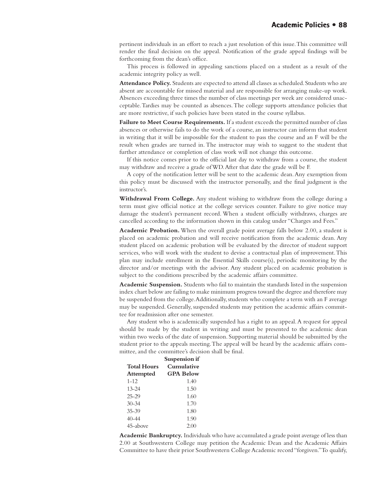pertinent individuals in an effort to reach a just resolution of this issue. This committee will render the final decision on the appeal. Notification of the grade appeal findings will be forthcoming from the dean's office.

This process is followed in appealing sanctions placed on a student as a result of the academic integrity policy as well.

**Attendance Policy.** Students are expected to attend all classes as scheduled. Students who are absent are accountable for missed material and are responsible for arranging make-up work. Absences exceeding three times the number of class meetings per week are considered unacceptable. Tardies may be counted as absences. The college supports attendance policies that are more restrictive, if such policies have been stated in the course syllabus.

Failure to Meet Course Requirements. If a student exceeds the permitted number of class absences or otherwise fails to do the work of a course, an instructor can inform that student in writing that it will be impossible for the student to pass the course and an F will be the result when grades are turned in. The instructor may wish to suggest to the student that further attendance or completion of class work will not change this outcome.

If this notice comes prior to the official last day to withdraw from a course, the student may withdraw and receive a grade of WD. After that date the grade will be F.

A copy of the notification letter will be sent to the academic dean. Any exemption from this policy must be discussed with the instructor personally, and the final judgment is the instructor's.

**Withdrawal From College.** Any student wishing to withdraw from the college during a term must give official notice at the college services counter. Failure to give notice may damage the student's permanent record. When a student officially withdraws, charges are cancelled according to the information shown in this catalog under "Charges and Fees."

**Academic Probation.** When the overall grade point average falls below 2.00, a student is placed on academic probation and will receive notification from the academic dean. Any student placed on academic probation will be evaluated by the director of student support services, who will work with the student to devise a contractual plan of improvement. This plan may include enrollment in the Essential Skills course(s), periodic monitoring by the director and/or meetings with the advisor. Any student placed on academic probation is subject to the conditions prescribed by the academic affairs committee.

**Academic Suspension.** Students who fail to maintain the standards listed in the suspension index chart below are failing to make minimum progress toward the degree and therefore may be suspended from the college. Additionally, students who complete a term with an F average may be suspended. Generally, suspended students may petition the academic affairs committee for readmission after one semester.

Any student who is academically suspended has a right to an appeal. A request for appeal should be made by the student in writing and must be presented to the academic dean within two weeks of the date of suspension. Supporting material should be submitted by the student prior to the appeals meeting. The appeal will be heard by the academic affairs committee, and the committee's decision shall be final.

|                    | Suspension if    |  |
|--------------------|------------------|--|
| <b>Total Hours</b> | Cumulative       |  |
| <b>Attempted</b>   | <b>GPA Below</b> |  |
| $1 - 12$           | 1.40             |  |
| $13 - 24$          | 1.50             |  |
| $25 - 29$          | 1.60             |  |
| $30 - 34$          | 1.70             |  |
| $35 - 39$          | 1.80             |  |
| $40 - 44$          | 1.90             |  |
| 45-above           | 2(0)             |  |

**Academic Bankruptcy.** Individuals who have accumulated a grade point average of less than 2.00 at Southwestern College may petition the Academic Dean and the Academic Affairs Committee to have their prior Southwestern College Academic record "forgiven." To qualify,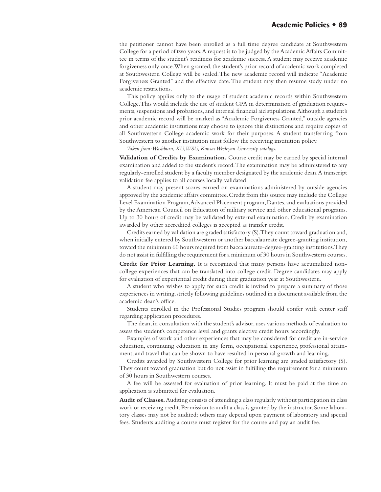the petitioner cannot have been enrolled as a full time degree candidate at Southwestern College for a period of two years. A request is to be judged by the Academic Affairs Committee in terms of the student's readiness for academic success. A student may receive academic forgiveness only once. When granted, the student's prior record of academic work completed at Southwestern College will be sealed. The new academic record will indicate "Academic Forgiveness Granted" and the effective date. The student may then resume study under no academic restrictions.

This policy applies only to the usage of student academic records within Southwestern College. This would include the use of student GPA in determination of graduation requirements, suspensions and probations, and internal financial aid stipulations. Although a student's prior academic record will be marked as "Academic Forgiveness Granted," outside agencies and other academic institutions may choose to ignore this distinctions and require copies of all Southwestern College academic work for their purposes. A student transferring from Southwestern to another institution must follow the receiving institution policy.

*Taken from: Washburn, KU, WSU, Kansas Wesleyan University catalogs.*

**Validation of Credits by Examination.** Course credit may be earned by special internal examination and added to the student's record. The examination may be administered to any regularly-enrolled student by a faculty member designated by the academic dean. A transcript validation fee applies to all courses locally validated.

A student may present scores earned on examinations administered by outside agencies approved by the academic affairs committee. Credit from this source may include the College Level Examination Program, Advanced Placement program, Dantes, and evaluations provided by the American Council on Education of military service and other educational programs. Up to 30 hours of credit may be validated by external examination. Credit by examination awarded by other accredited colleges is accepted as transfer credit.

Credits earned by validation are graded satisfactory (S). They count toward graduation and, when initially entered by Southwestern or another baccalaureate degree-granting institution, toward the minimum 60 hours required from baccalaureate-degree-granting institutions. They do not assist in fulfilling the requirement for a minimum of 30 hours in Southwestern courses.

**Credit for Prior Learning.** It is recognized that many persons have accumulated noncollege experiences that can be translated into college credit. Degree candidates may apply for evaluation of experiential credit during their graduation year at Southwestern.

A student who wishes to apply for such credit is invited to prepare a summary of those experiences in writing, strictly following guidelines outlined in a document available from the academic dean's office.

Students enrolled in the Professional Studies program should confer with center staff regarding application procedures.

The dean, in consultation with the student's advisor, uses various methods of evaluation to assess the student's competence level and grants elective credit hours accordingly.

Examples of work and other experiences that may be considered for credit are in-service education, continuing education in any form, occupational experience, professional attainment, and travel that can be shown to have resulted in personal growth and learning.

Credits awarded by Southwestern College for prior learning are graded satisfactory (S). They count toward graduation but do not assist in fulfilling the requirement for a minimum of 30 hours in Southwestern courses.

A fee will be assessed for evaluation of prior learning. It must be paid at the time an application is submitted for evaluation.

**Audit of Classes.** Auditing consists of attending a class regularly without participation in class work or receiving credit. Permission to audit a class is granted by the instructor. Some laboratory classes may not be audited; others may depend upon payment of laboratory and special fees. Students auditing a course must register for the course and pay an audit fee.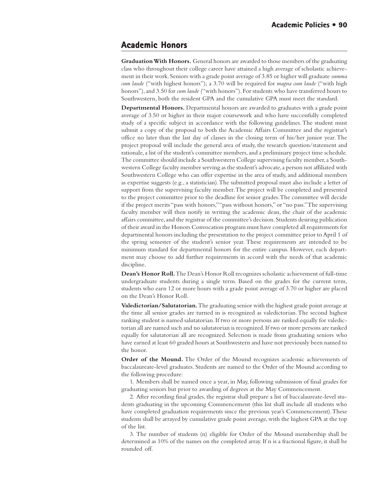## **Academic Honors**

**Graduation With Honors.** General honors are awarded to those members of the graduating class who throughout their college career have attained a high average of scholastic achievement in their work. Seniors with a grade point average of 3.85 or higher will graduate *summa cum laude* ("with highest honors"); a 3.70 will be required for *magna cum laude* ("with high honors"), and 3.50 for *cum laude* ("with honors"). For students who have transferred hours to Southwestern, both the resident GPA and the cumulative GPA must meet the standard.

**Departmental Honors.** Departmental honors are awarded to graduates with a grade point average of 3.50 or higher in their major coursework and who have successfully completed study of a specific subject in accordance with the following guidelines. The student must submit a copy of the proposal to both the Academic Affairs Committee and the registrar's office no later than the last day of classes in the closing term of his/her junior year. The project proposal will include the general area of study, the research question/statement and rationale, a list of the student's committee members, and a preliminary project time schedule. The committee should include a Southwestern College supervising faculty member, a Southwestern College faculty member serving as the student's advocate, a person not affiliated with Southwestern College who can offer expertise in the area of study, and additional members as expertise suggests (e.g., a statistician). The submitted proposal must also include a letter of support from the supervising faculty member. The project will be completed and presented to the project committee prior to the deadline for senior grades. The committee will decide if the project merits "pass with honors," "pass without honors," or "no pass." The supervising faculty member will then notify in writing the academic dean, the chair of the academic affairs committee, and the registrar of the committee's decision. Students desiring publication of their award in the Honors Convocation program must have completed all requirements for departmental honors including the presentation to the project committee prior to April 1 of the spring semester of the student's senior year. These requirements are intended to be minimum standard for departmental honors for the entire campus. However, each department may choose to add further requirements in accord with the needs of that academic discipline.

**Dean's Honor Roll.** The Dean's Honor Roll recognizes scholastic achievement of full-time undergraduate students during a single term. Based on the grades for the current term, students who earn 12 or more hours with a grade point average of 3.70 or higher are placed on the Dean's Honor Roll.

**Valedictorian/Salutatorian.** The graduating senior with the highest grade point average at the time all senior grades are turned in is recognized as valedictorian. The second highest ranking student is named salutatorian. If two or more persons are ranked equally for valedictorian all are named such and no salutatorian is recognized. If two or more persons are ranked equally for salutatorian all are recognized. Selection is made from graduating seniors who have earned at least 60 graded hours at Southwestern and have not previously been named to the honor.

**Order of the Mound.** The Order of the Mound recognizes academic achievements of baccalaureate-level graduates. Students are named to the Order of the Mound according to the following procedure:

1. Members shall be named once a year, in May, following submission of final grades for graduating seniors but prior to awarding of degrees at the May Commencement.

2. After recording final grades, the registrar shall prepare a list of baccalaureate-level students graduating in the upcoming Commencement (this list shall include all students who have completed graduation requirements since the previous year's Commencement). These students shall be arrayed by cumulative grade point average, with the highest GPA at the top of the list.

3. The number of students (n) eligible for Order of the Mound membership shall be determined as 10% of the names on the completed array. If n is a fractional figure, it shall be rounded off.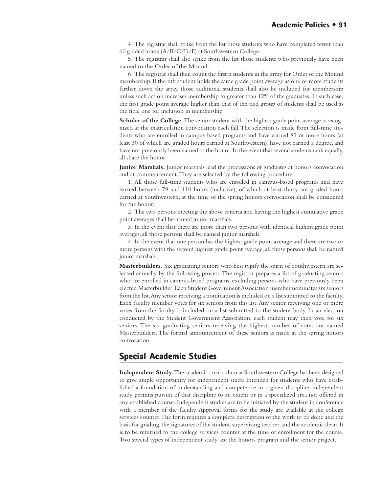4. The registrar shall strike from the list those students who have completed fewer than 60 graded hours (A/B/C/D/F) at Southwestern College.

5. The registrar shall also strike from the list those students who previously have been named to the Order of the Mound.

6. The registrar shall then count the first n students in the array for Order of the Mound membership. If the nth student holds the same grade point average as one or more students farther down the array, those additional students shall also be included for membership unless such action increases membership to greater than 12% of the graduates. In such case, the first grade point average higher than that of the tied group of students shall be used as the final one for inclusion in membership.

**Scholar of the College.** The senior student with the highest grade point average is recognized at the matriculation convocation each fall. The selection is made from full-time students who are enrolled in campus-based programs and have earned 85 or more hours (at least 30 of which are graded hours earned at Southwestern), have not earned a degree, and have not previously been named to the honor. In the event that several students rank equally, all share the honor.

**Junior Marshals.** Junior marshals lead the processions of graduates at honors convocation and at commencement. They are selected by the following procedure:

1. All those full-time students who are enrolled in campus-based programs and have earned between 79 and 110 hours (inclusive), of which at least thirty are graded hours earned at Southwestern, at the time of the spring honors convocation shall be considered for the honor.

2. The two persons meeting the above criteria and having the highest cumulative grade point averages shall be named junior marshals.

3. In the event that there are more than two persons with identical highest grade point averages, all those persons shall be named junior marshals.

4. In the event that one person has the highest grade point average and there are two or more persons with the second highest grade point average, all those persons shall be named junior marshals.

**Masterbuilders.** Six graduating seniors who best typify the spirit of Southwestern are selected annually by the following process. The registrar prepares a list of graduating seniors who are enrolled in campus-based programs, excluding persons who have previously been elected Masterbuilder. Each Student Government Association member nominates six seniors from the list. Any senior receiving a nomination is included on a list submitted to the faculty. Each faculty member votes for six seniors from this list. Any senior receiving one or more votes from the faculty is included on a list submitted to the student body. In an election conducted by the Student Government Association, each student may then vote for six seniors. The six graduating seniors receiving the highest number of votes are named Masterbuilders. The formal announcement of these seniors is made at the spring honors convocation.

## **Special Academic Studies Special Academic**

**Independent Study.** The academic curriculum at Southwestern College has been designed to give ample opportunity for independent study. Intended for students who have established a foundation of understanding and competence in a given discipline, independent study permits pursuit of that discipline to an extent or in a specialized area not offered in any established course. Independent studies are to be initiated by the student in conference with a member of the faculty. Approval forms for the study are available at the college services counter. The form requires a complete description of the work to be done and the basis for grading, the signatures of the student, supervising teacher, and the academic dean. It is to be returned to the college services counter at the time of enrollment for the course. Two special types of independent study are the honors program and the senior project.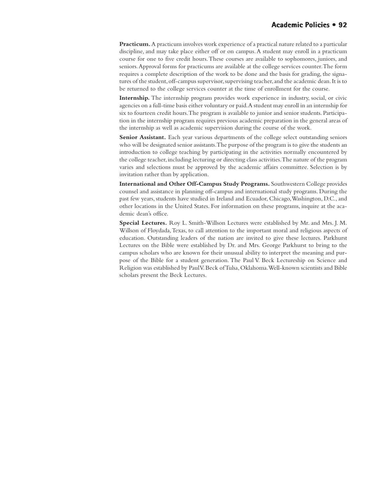**Practicum.** A practicum involves work experience of a practical nature related to a particular discipline, and may take place either off or on campus. A student may enroll in a practicum course for one to five credit hours. These courses are available to sophomores, juniors, and seniors. Approval forms for practicums are available at the college services counter. The form requires a complete description of the work to be done and the basis for grading, the signatures of the student, off-campus supervisor, supervising teacher, and the academic dean. It is to be returned to the college services counter at the time of enrollment for the course.

**Internship.** The internship program provides work experience in industry, social, or civic agencies on a full-time basis either voluntary or paid. A student may enroll in an internship for six to fourteen credit hours. The program is available to junior and senior students. Participation in the internship program requires previous academic preparation in the general areas of the internship as well as academic supervision during the course of the work.

**Senior Assistant.** Each year various departments of the college select outstanding seniors who will be designated senior assistants. The purpose of the program is to give the students an introduction to college teaching by participating in the activities normally encountered by the college teacher, including lecturing or directing class activities. The nature of the program varies and selections must be approved by the academic affairs committee. Selection is by invitation rather than by application.

**International and Other Off-Campus Study Programs.** Southwestern College provides counsel and assistance in planning off-campus and international study programs. During the past few years, students have studied in Ireland and Ecuador, Chicago, Washington, D.C., and other locations in the United States. For information on these programs, inquire at the academic dean's office.

**Special Lectures.** Roy L. Smith-Willson Lectures were established by Mr. and Mrs. J. M. Willson of Floydada, Texas, to call attention to the important moral and religious aspects of education. Outstanding leaders of the nation are invited to give these lectures. Parkhurst Lectures on the Bible were established by Dr. and Mrs. George Parkhurst to bring to the campus scholars who are known for their unusual ability to interpret the meaning and purpose of the Bible for a student generation. The Paul V. Beck Lectureship on Science and Religion was established by Paul V. Beck of Tulsa, Oklahoma. Well-known scientists and Bible scholars present the Beck Lectures.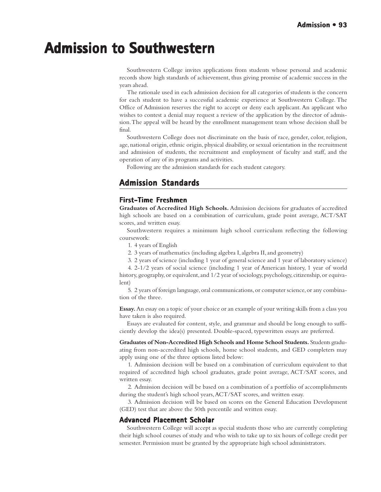## **Admission to Southwestern Admission to Southwestern**

Southwestern College invites applications from students whose personal and academic records show high standards of achievement, thus giving promise of academic success in the years ahead.

The rationale used in each admission decision for all categories of students is the concern for each student to have a successful academic experience at Southwestern College. The Office of Admission reserves the right to accept or deny each applicant. An applicant who wishes to contest a denial may request a review of the application by the director of admission. The appeal will be heard by the enrollment management team whose decision shall be final.

Southwestern College does not discriminate on the basis of race, gender, color, religion, age, national origin, ethnic origin, physical disability, or sexual orientation in the recruitment and admission of students, the recruitment and employment of faculty and staff, and the operation of any of its programs and activities.

Following are the admission standards for each student category.

## **Admission Standards Admission Standards**

## **First-Time Freshmen**

**Graduates of Accredited High Schools.** Admission decisions for graduates of accredited high schools are based on a combination of curriculum, grade point average, ACT/SAT scores, and written essay.

Southwestern requires a minimum high school curriculum reflecting the following coursework:

1. 4 years of English

2. 3 years of mathematics (including algebra I, algebra II, and geometry)

3. 2 years of science (including 1 year of general science and 1 year of laboratory science)

4. 2-1/2 years of social science (including 1 year of American history, 1 year of world history, geography, or equivalent, and 1/2 year of sociology, psychology, citizenship, or equivalent)

5. 2 years of foreign language, oral communications, or computer science, or any combination of the three.

**Essay.** An essay on a topic of your choice or an example of your writing skills from a class you have taken is also required.

Essays are evaluated for content, style, and grammar and should be long enough to sufficiently develop the idea(s) presented. Double-spaced, typewritten essays are preferred.

**Graduates of Non-Accredited High Schools and Home School Students.** Students graduating from non-accredited high schools, home school students, and GED completers may apply using one of the three options listed below:

1. Admission decision will be based on a combination of curriculum equivalent to that required of accredited high school graduates, grade point average, ACT/SAT scores, and written essay.

2. Admission decision will be based on a combination of a portfolio of accomplishments during the student's high school years, ACT/SAT scores, and written essay.

3. Admission decision will be based on scores on the General Education Development (GED) test that are above the 50th percentile and written essay.

#### **Advanced Placement Scholar Placement Scholar**

Southwestern College will accept as special students those who are currently completing their high school courses of study and who wish to take up to six hours of college credit per semester. Permission must be granted by the appropriate high school administrators.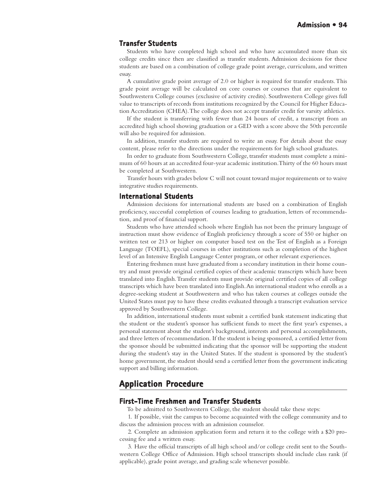#### **Transfer Students**

Students who have completed high school and who have accumulated more than six college credits since then are classified as transfer students. Admission decisions for these students are based on a combination of college grade point average, curriculum, and written essay.

A cumulative grade point average of 2.0 or higher is required for transfer students. This grade point average will be calculated on core courses or courses that are equivalent to Southwestern College courses (exclusive of activity credits). Southwestern College gives full value to transcripts of records from institutions recognized by the Council for Higher Education Accreditation (CHEA). The college does not accept transfer credit for varsity athletics.

If the student is transferring with fewer than 24 hours of credit, a transcript from an accredited high school showing graduation or a GED with a score above the 50th percentile will also be required for admission.

In addition, transfer students are required to write an essay. For details about the essay content, please refer to the directions under the requirements for high school graduates.

In order to graduate from Southwestern College, transfer students must complete a minimum of 60 hours at an accredited four-year academic institution. Thirty of the 60 hours must be completed at Southwestern.

Transfer hours with grades below C will not count toward major requirements or to waive integrative studies requirements.

#### **International Students**

Admission decisions for international students are based on a combination of English proficiency, successful completion of courses leading to graduation, letters of recommendation, and proof of financial support.

Students who have attended schools where English has not been the primary language of instruction must show evidence of English proficiency through a score of 550 or higher on written test or 213 or higher on computer based test on the Test of English as a Foreign Language (TOEFL), special courses in other institutions such as completion of the highest level of an Intensive English Language Center program, or other relevant experiences.

Entering freshmen must have graduated from a secondary institution in their home country and must provide original certified copies of their academic transcripts which have been translated into English. Transfer students must provide original certified copies of all college transcripts which have been translated into English. An international student who enrolls as a degree-seeking student at Southwestern and who has taken courses at colleges outside the United States must pay to have these credits evaluated through a transcript evaluation service approved by Southwestern College.

In addition, international students must submit a certified bank statement indicating that the student or the student's sponsor has sufficient funds to meet the first year's expenses, a personal statement about the student's background, interests and personal accomplishments, and three letters of recommendation. If the student is being sponsored, a certified letter from the sponsor should be submitted indicating that the sponsor will be supporting the student during the student's stay in the United States. If the student is sponsored by the student's home government, the student should send a certified letter from the government indicating support and billing information.

## **Application Procedure Application**

#### **First-Time Freshmen and Transfer Students Freshmen and Transfer Students**

To be admitted to Southwestern College, the student should take these steps:

1. If possible, visit the campus to become acquainted with the college community and to discuss the admission process with an admission counselor.

2. Complete an admission application form and return it to the college with a \$20 processing fee and a written essay.

3. Have the official transcripts of all high school and/or college credit sent to the Southwestern College Office of Admission. High school transcripts should include class rank (if applicable), grade point average, and grading scale whenever possible.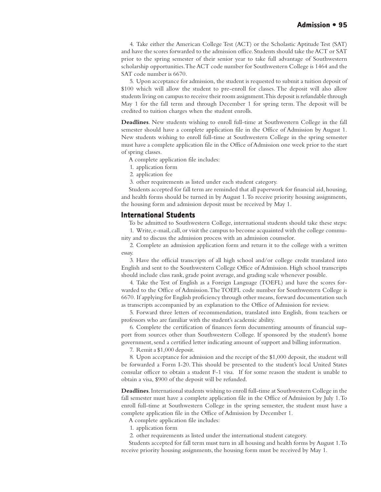4. Take either the American College Test (ACT) or the Scholastic Aptitude Test (SAT) and have the scores forwarded to the admission office. Students should take the ACT or SAT prior to the spring semester of their senior year to take full advantage of Southwestern scholarship opportunities. The ACT code number for Southwestern College is 1464 and the SAT code number is 6670.

5. Upon acceptance for admission, the student is requested to submit a tuition deposit of \$100 which will allow the student to pre-enroll for classes. The deposit will also allow students living on campus to receive their room assignment. This deposit is refundable through May 1 for the fall term and through December 1 for spring term. The deposit will be credited to tuition charges when the student enrolls.

**Deadlines**. New students wishing to enroll full-time at Southwestern College in the fall semester should have a complete application file in the Office of Admission by August 1. New students wishing to enroll full-time at Southwestern College in the spring semester must have a complete application file in the Office of Admission one week prior to the start of spring classes.

- A complete application file includes:
- 1. application form
- 2. application fee
- 3. other requirements as listed under each student category.

Students accepted for fall term are reminded that all paperwork for financial aid, housing, and health forms should be turned in by August 1. To receive priority housing assignments, the housing form and admission deposit must be received by May 1.

#### **International Students**

To be admitted to Southwestern College, international students should take these steps:

1. Write, e-mail, call, or visit the campus to become acquainted with the college community and to discuss the admission process with an admission counselor.

2. Complete an admission application form and return it to the college with a written essay.

3. Have the official transcripts of all high school and/or college credit translated into English and sent to the Southwestern College Office of Admission. High school transcripts should include class rank, grade point average, and grading scale whenever possible.

4. Take the Test of English as a Foreign Language (TOEFL) and have the scores forwarded to the Office of Admission. The TOEFL code number for Southwestern College is 6670. If applying for English proficiency through other means, forward documentation such as transcripts accompanied by an explanation to the Office of Admission for review.

5. Forward three letters of recommendation, translated into English, from teachers or professors who are familiar with the student's academic ability.

6. Complete the certification of finances form documenting amounts of financial support from sources other than Southwestern College. If sponsored by the student's home government, send a certified letter indicating amount of support and billing information.

7. Remit a \$1,000 deposit.

8. Upon acceptance for admission and the receipt of the \$1,000 deposit, the student will be forwarded a Form I-20. This should be presented to the student's local United States consular officer to obtain a student F-1 visa. If for some reason the student is unable to obtain a visa, \$900 of the deposit will be refunded.

**Deadlines**. International students wishing to enroll full-time at Southwestern College in the fall semester must have a complete application file in the Office of Admission by July 1. To enroll full-time at Southwestern College in the spring semester, the student must have a complete application file in the Office of Admission by December 1.

A complete application file includes:

- 1. application form
- 2. other requirements as listed under the international student category.

Students accepted for fall term must turn in all housing and health forms by August 1. To receive priority housing assignments, the housing form must be received by May 1.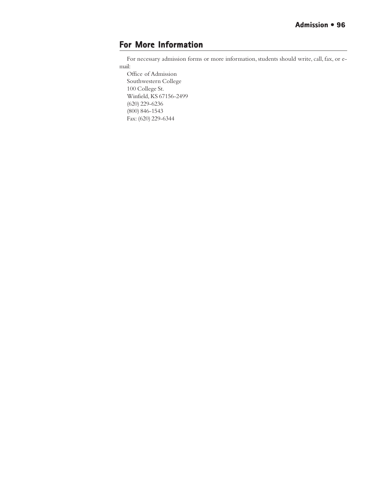## **For More Information**

For necessary admission forms or more information, students should write, call, fax, or email:

Office of Admission Southwestern College 100 College St. Winfield, KS 67156-2499 (620) 229-6236 (800) 846-1543 Fax: (620) 229-6344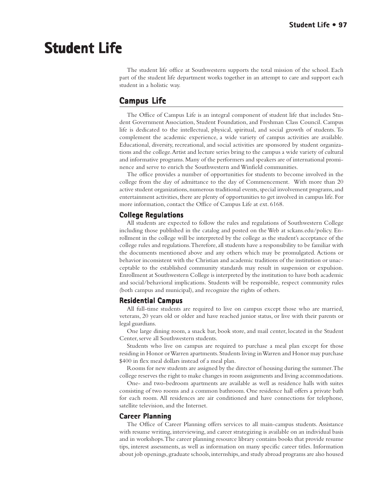# **Student Life Student Life**

The student life office at Southwestern supports the total mission of the school. Each part of the student life department works together in an attempt to care and support each student in a holistic way.

## **Campus Life**

The Office of Campus Life is an integral component of student life that includes Student Government Association, Student Foundation, and Freshman Class Council. Campus life is dedicated to the intellectual, physical, spiritual, and social growth of students. To complement the academic experience, a wide variety of campus activities are available. Educational, diversity, recreational, and social activities are sponsored by student organizations and the college. Artist and lecture series bring to the campus a wide variety of cultural and informative programs. Many of the performers and speakers are of international prominence and serve to enrich the Southwestern and Winfield communities.

The office provides a number of opportunities for students to become involved in the college from the day of admittance to the day of Commencement. With more than 20 active student organizations, numerous traditional events, special involvement programs, and entertainment activities, there are plenty of opportunities to get involved in campus life. For more information, contact the Office of Campus Life at ext. 6168.

#### **College Regulations**

All students are expected to follow the rules and regulations of Southwestern College including those published in the catalog and posted on the Web at sckans.edu/policy. Enrollment in the college will be interpreted by the college as the student's acceptance of the college rules and regulations. Therefore, all students have a responsibility to be familiar with the documents mentioned above and any others which may be promulgated. Actions or behavior inconsistent with the Christian and academic traditions of the institution or unacceptable to the established community standards may result in suspension or expulsion. Enrollment at Southwestern College is interpreted by the institution to have both academic and social/behavioral implications. Students will be responsible, respect community rules (both campus and municipal), and recognize the rights of others.

#### **Residential Campus Residential**

All full-time students are required to live on campus except those who are married, veterans, 20 years old or older and have reached junior status, or live with their parents or legal guardians.

One large dining room, a snack bar, book store, and mail center, located in the Student Center, serve all Southwestern students.

Students who live on campus are required to purchase a meal plan except for those residing in Honor or Warren apartments. Students living in Warren and Honor may purchase \$400 in flex meal dollars instead of a meal plan.

Rooms for new students are assigned by the director of housing during the summer. The college reserves the right to make changes in room assignments and living accommodations.

One- and two-bedroom apartments are available as well as residence halls with suites consisting of two rooms and a common bathroom. One residence hall offers a private bath for each room. All residences are air conditioned and have connections for telephone, satellite television, and the Internet.

#### **Career Planning**

The Office of Career Planning offers services to all main-campus students. Assistance with resume writing, interviewing, and career strategizing is available on an individual basis and in workshops. The career planning resource library contains books that provide resume tips, interest assessments, as well as information on many specific career titles. Information about job openings, graduate schools, internships, and study abroad programs are also housed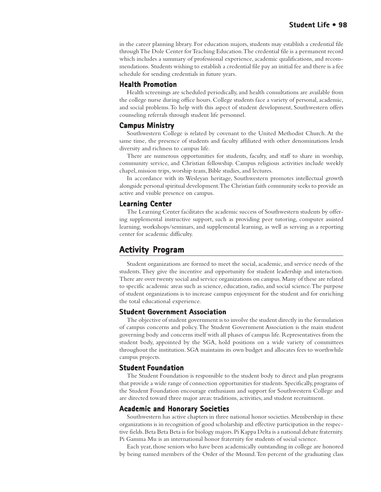in the career planning library. For education majors, students may establish a credential file through The Dole Center for Teaching Education. The credential file is a permanent record which includes a summary of professional experience, academic qualifications, and recommendations. Students wishing to establish a credential file pay an initial fee and there is a fee schedule for sending credentials in future years.

#### **Health Promotion**

Health screenings are scheduled periodically, and health consultations are available from the college nurse during office hours. College students face a variety of personal, academic, and social problems. To help with this aspect of student development, Southwestern offers counseling referrals through student life personnel.

#### **Campus Ministry**

Southwestern College is related by covenant to the United Methodist Church. At the same time, the presence of students and faculty affiliated with other denominations lends diversity and richness to campus life.

There are numerous opportunities for students, faculty, and staff to share in worship, community service, and Christian fellowship. Campus religious activities include weekly chapel, mission trips, worship team, Bible studies, and lectures.

In accordance with its Wesleyan heritage, Southwestern promotes intellectual growth alongside personal spiritual development. The Christian faith community seeks to provide an active and visible presence on campus.

#### **Learning Center Center**

The Learning Center facilitates the academic success of Southwestern students by offering supplemental instructive support, such as providing peer tutoring, computer assisted learning, workshops/seminars, and supplemental learning, as well as serving as a reporting center for academic difficulty.

## **Activity Program**

Student organizations are formed to meet the social, academic, and service needs of the students. They give the incentive and opportunity for student leadership and interaction. There are over twenty social and service organizations on campus. Many of these are related to specific academic areas such as science, education, radio, and social science. The purpose of student organizations is to increase campus enjoyment for the student and for enriching the total educational experience.

#### **Student Government Association**

The objective of student government is to involve the student directly in the formulation of campus concerns and policy. The Student Government Association is the main student governing body and concerns itself with all phases of campus life. Representatives from the student body, appointed by the SGA, hold positions on a wide variety of committees throughout the institution. SGA maintains its own budget and allocates fees to worthwhile campus projects.

#### **Student Foundation**

The Student Foundation is responsible to the student body to direct and plan programs that provide a wide range of connection opportunities for students. Specifically, programs of the Student Foundation encourage enthusiasm and support for Southwestern College and are directed toward three major areas: traditions, activities, and student recruitment.

#### **Academic and Honorary Societies**

Southwestern has active chapters in three national honor societies. Membership in these organizations is in recognition of good scholarship and effective participation in the respective fields. Beta Beta Beta is for biology majors. Pi Kappa Delta is a national debate fraternity. Pi Gamma Mu is an international honor fraternity for students of social science.

Each year, those seniors who have been academically outstanding in college are honored by being named members of the Order of the Mound. Ten percent of the graduating class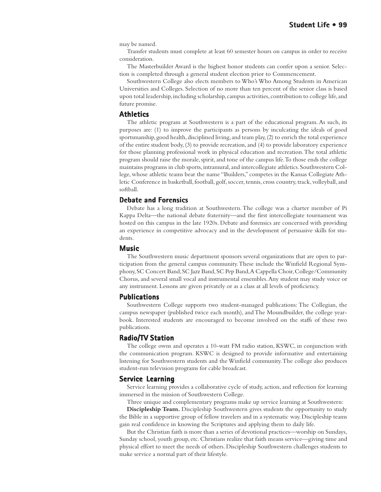may be named.

Transfer students must complete at least 60 semester hours on campus in order to receive consideration.

The Masterbuilder Award is the highest honor students can confer upon a senior. Selection is completed through a general student election prior to Commencement.

Southwestern College also elects members to Who's Who Among Students in American Universities and Colleges. Selection of no more than ten percent of the senior class is based upon total leadership, including scholarship, campus activities, contribution to college life, and future promise.

#### **Athletics**

The athletic program at Southwestern is a part of the educational program. As such, its purposes are: (1) to improve the participants as persons by inculcating the ideals of good sportsmanship, good health, disciplined living, and team play, (2) to enrich the total experience of the entire student body, (3) to provide recreation, and (4) to provide laboratory experience for those planning professional work in physical education and recreation. The total athletic program should raise the morale, spirit, and tone of the campus life. To those ends the college maintains programs in club sports, intramural, and intercollegiate athletics. Southwestern College, whose athletic teams bear the name "Builders," competes in the Kansas Collegiate Athletic Conference in basketball, football, golf, soccer, tennis, cross country, track, volleyball, and softball.

#### **Debate and Forensics and Forensics**

Debate has a long tradition at Southwestern. The college was a charter member of Pi Kappa Delta—the national debate fraternity—and the first intercollegiate tournament was hosted on this campus in the late 1920s. Debate and forensics are concerned with providing an experience in competitive advocacy and in the development of persuasive skills for students.

#### **Music**

The Southwestern music department sponsors several organizations that are open to participation from the general campus community. These include the Winfield Regional Symphony, SC Concert Band, SC Jazz Band, SC Pep Band, A Cappella Choir, College/Community Chorus, and several small vocal and instrumental ensembles. Any student may study voice or any instrument. Lessons are given privately or as a class at all levels of proficiency.

#### **Publications**

Southwestern College supports two student-managed publications: The Collegian, the campus newspaper (published twice each month), and The Moundbuilder, the college yearbook. Interested students are encouraged to become involved on the staffs of these two publications.

#### **Radio/TV Station**

The college owns and operates a 10-watt FM radio station, KSWC, in conjunction with the communication program. KSWC is designed to provide informative and entertaining listening for Southwestern students and the Winfield community. The college also produces student-run television programs for cable broadcast.

#### **Service Learning**

Service learning provides a collaborative cycle of study, action, and reflection for learning immersed in the mission of Southwestern College.

Three unique and complementary programs make up service learning at Southwestern:

**Discipleship Team.** Discipleship Southwestern gives students the opportunity to study the Bible in a supportive group of fellow travelers and in a systematic way. Discipleship teams gain real confidence in knowing the Scriptures and applying them to daily life.

But the Christian faith is more than a series of devotional practices—worship on Sundays, Sunday school, youth group, etc. Christians realize that faith means service—giving time and physical effort to meet the needs of others. Discipleship Southwestern challenges students to make service a normal part of their lifestyle.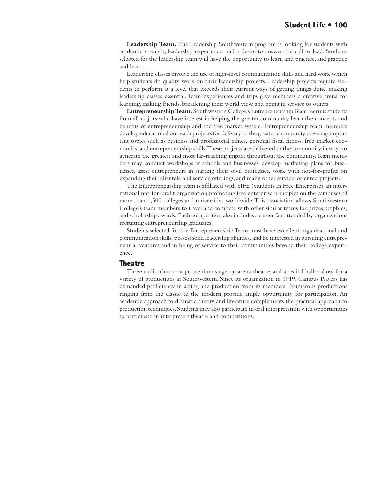**Leadership Team.** The Leadership Southwestern program is looking for students with academic strength, leadership experience, and a desire to answer the call to lead. Students selected for the leadership team will have the opportunity to learn and practice, and practice and learn.

Leadership classes involve the use of high-level communication skills and hard work which help students do quality work on their leadership projects. Leadership projects require students to perform at a level that exceeds their current ways of getting things done, making leadership classes essential. Team experiences and trips give members a creative arena for learning, making friends, broadening their world view, and being in service to others.

**Entrepreneurship Team.** Southwestern College's Entrepreneurship Team recruits students from all majors who have interest in helping the greater community learn the concepts and benefits of entrepreneurship and the free market system. Entrepreneurship team members develop educational outreach projects for delivery to the greater community covering important topics such as business and professional ethics, personal fiscal fitness, free market economics, and entrepreneurship skills. These projects are delivered to the community in ways to generate the greatest and most far-reaching impact throughout the community. Team members may conduct workshops at schools and businesses, develop marketing plans for businesses, assist entrepreneurs in starting their own businesses, work with not-for-profits on expanding their clientele and service offerings, and many other service-oriented projects.

The Entrepreneurship team is affiliated with SIFE (Students In Free Enterprise), an international not-for-profit organization promoting free enterprise principles on the campuses of more than 1,500 colleges and universities worldwide. This association allows Southwestern College's team members to travel and compete with other similar teams for prizes, trophies, and scholarship awards. Each competition also includes a career fair attended by organizations recruiting entrepreneurship graduates.

Students selected for the Entrepreneurship Team must have excellent organizational and communication skills, possess solid leadership abilities, and be interested in pursuing entrepreneurial ventures and in being of service to their communities beyond their college experience.

#### **Theatre**

Three auditoriums—a proscenium stage, an arena theatre, and a recital hall—allow for a variety of productions at Southwestern. Since its organization in 1919, Campus Players has demanded proficiency in acting and production from its members. Numerous productions ranging from the classic to the modern provide ample opportunity for participation. An academic approach to dramatic theory and literature complements the practical approach to production techniques. Students may also participate in oral interpretation with opportunities to participate in interpreters theatre and competitions.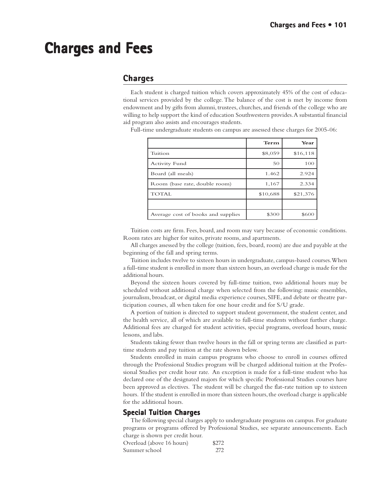# **Charges and Fees Charges and Fees**

## **Charges**

Each student is charged tuition which covers approximately 45% of the cost of educational services provided by the college. The balance of the cost is met by income from endowment and by gifts from alumni, trustees, churches, and friends of the college who are willing to help support the kind of education Southwestern provides. A substantial financial aid program also assists and encourages students.

Full-time undergraduate students on campus are assessed these charges for 2005-06:

|                                    | Term     | Year     |
|------------------------------------|----------|----------|
| Tuition                            | \$8,059  | \$16,118 |
| <b>Activity Fund</b>               | 50       | 100      |
| Board (all meals)                  | 1.462    | 2.924    |
| Room (base rate, double room)      | 1,167    | 2.334    |
| <b>TOTAL</b>                       | \$10,688 | \$21,376 |
|                                    |          |          |
| Average cost of books and supplies | \$300    | \$600    |

Tuition costs are firm. Fees, board, and room may vary because of economic conditions. Room rates are higher for suites, private rooms, and apartments.

All charges assessed by the college (tuition, fees, board, room) are due and payable at the beginning of the fall and spring terms.

Tuition includes twelve to sixteen hours in undergraduate, campus-based courses. When a full-time student is enrolled in more than sixteen hours, an overload charge is made for the additional hours.

Beyond the sixteen hours covered by full-time tuition, two additional hours may be scheduled without additional charge when selected from the following: music ensembles, journalism, broadcast, or digital media experience courses, SIFE, and debate or theatre participation courses, all when taken for one hour credit and for S/U grade.

A portion of tuition is directed to support student government, the student center, and the health service, all of which are available to full-time students without further charge. Additional fees are charged for student activities, special programs, overload hours, music lessons, and labs.

Students taking fewer than twelve hours in the fall or spring terms are classified as parttime students and pay tuition at the rate shown below.

Students enrolled in main campus programs who choose to enroll in courses offered through the Professional Studies program will be charged additional tuition at the Professional Studies per credit hour rate. An exception is made for a full-time student who has declared one of the designated majors for which specific Professional Studies courses have been approved as electives. The student will be charged the flat-rate tuition up to sixteen hours. If the student is enrolled in more than sixteen hours, the overload charge is applicable for the additional hours.

#### **Special Tuition Charges**

The following special charges apply to undergraduate programs on campus. For graduate programs or programs offered by Professional Studies, see separate announcements. Each charge is shown per credit hour.

Overload (above 16 hours) \$272 Summer school 272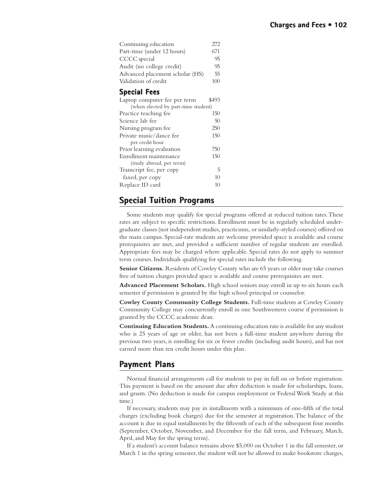| Continuing education<br>Part-time (under 12 hours)<br>CCCC special<br>Audit (no college credit)<br>Advanced placement scholar (HS)<br>Validation of credit | 272<br>671<br>95<br>95<br>55<br>100 |  |
|------------------------------------------------------------------------------------------------------------------------------------------------------------|-------------------------------------|--|
| <b>Special Fees</b>                                                                                                                                        |                                     |  |
| Laptop computer fee per term                                                                                                                               | \$493                               |  |
| (when elected by part-time student)                                                                                                                        |                                     |  |
| Practice teaching fee                                                                                                                                      | 150                                 |  |
| Science lab fee                                                                                                                                            | 50                                  |  |
| Nursing program fee                                                                                                                                        | 250                                 |  |
| Private music/dance fee                                                                                                                                    | 150                                 |  |
| per credit hour                                                                                                                                            |                                     |  |
| Prior learning evaluation                                                                                                                                  | 750                                 |  |
| Enrollment maintenance                                                                                                                                     | 150                                 |  |
| (study abroad, per term)                                                                                                                                   |                                     |  |
| Transcript fee, per copy                                                                                                                                   |                                     |  |

## **Special Tuition Programs Special Tuition Programs**

faxed, per copy 10 Replace ID card 10

Some students may qualify for special programs offered at reduced tuition rates. These rates are subject to specific restrictions. Enrollment must be in regularly scheduled undergraduate classes (not independent studies, practicums, or similarly-styled courses) offered on the main campus. Special-rate students are welcome provided space is available and course prerequisites are met, and provided a sufficient number of regular students are enrolled. Appropriate fees may be charged where applicable. Special rates do not apply to summer term courses. Individuals qualifying for special rates include the following.

**Senior Citizens.** Residents of Cowley County who are 65 years or older may take courses free of tuition charges provided space is available and course prerequisites are met.

**Advanced Placement Scholars.** High school seniors may enroll in up to six hours each semester if permission is granted by the high school principal or counselor.

**Cowley County Community College Students.** Full-time students at Cowley County Community College may concurrently enroll in one Southwestern course if permission is granted by the CCCC academic dean.

**Continuing Education Students.** A continuing education rate is available for any student who is 25 years of age or older, has not been a full-time student anywhere during the previous two years, is enrolling for six or fewer credits (including audit hours), and has not earned more than ten credit hours under this plan.

## **Payment Plans ayment Plans**

Normal financial arrangements call for students to pay in full on or before registration. This payment is based on the amount due after deduction is made for scholarships, loans, and grants. (No deduction is made for campus employment or Federal Work Study at this time.)

If necessary, students may pay in installments with a minimum of one-fifth of the total charges (excluding book charges) due for the semester at registration. The balance of the account is due in equal installments by the fifteenth of each of the subsequent four months (September, October, November, and December for the fall term, and February, March, April, and May for the spring term).

If a student's account balance remains above \$5,000 on October 1 in the fall semester, or March 1 in the spring semester, the student will not be allowed to make bookstore charges,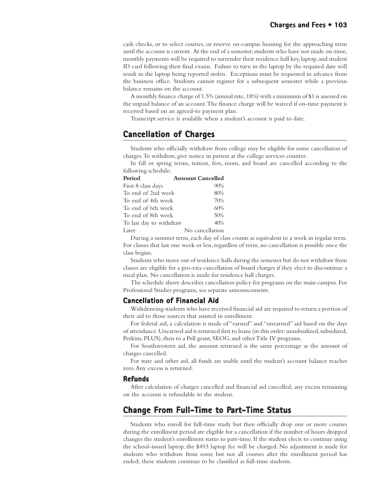cash checks, or to select courses, or reserve on-campus housing for the approaching term until the account is current. At the end of a semester, students who have not made on-time, monthly payments will be required to surrender their residence hall key, laptop, and student ID card following their final exams. Failure to turn in the laptop by the required date will result in the laptop being reported stolen. Exceptions must be requested in advance from the business office. Students cannot register for a subsequent semester while a previous balance remains on the account.

A monthly finance charge of 1.5% (annual rate, 18%) with a minimum of \$1 is assessed on the unpaid balance of an account. The finance charge will be waived if on-time payment is received based on an agreed-to payment plan.

Transcript service is available when a student's account is paid to date.

## **Cancellation of Charges Cancellation Charges**

Students who officially withdraw from college may be eligible for some cancellation of charges. To withdraw, give notice in person at the college services counter.

In fall or spring terms, tuition, fees, room, and board are cancelled according to the following schedule:

| Period                  | <b>Amount Cancelled</b> |
|-------------------------|-------------------------|
| First 8 class days      | 90%                     |
| To end of 2nd week      | 80%                     |
| To end of 4th week      | 70%                     |
| To end of 6th week      | 60%                     |
| To end of 8th week      | 50%                     |
| To last day to withdraw | 40%                     |
| Later                   | No cancellation         |

During a summer term, each day of class counts as equivalent to a week in regular term. For classes that last one week or less, regardless of term, no cancellation is possible once the class begins.

Students who move out of residence halls during the semester but do not withdraw from classes are eligible for a pro-rata cancellation of board charges if they elect to discontinue a meal plan. No cancellation is made for residence hall charges.

The schedule above describes cancellation policy for programs on the main campus. For Professional Studies programs, see separate announcements.

#### **Cancellation of Financial Aid**

Withdrawing students who have received financial aid are required to return a portion of their aid to those sources that assisted in enrollment.

For federal aid, a calculation is made of "earned" and "unearned" aid based on the days of attendance. Unearned aid is returned first to loans (in this order: unsubsidized, subsidized, Perkins, PLUS), then to a Pell grant, SEOG, and other Title IV programs.

For Southwestern aid, the amount returned is the same percentage as the amount of charges cancelled.

For state and other aid, all funds are usable until the student's account balance reaches zero. Any excess is returned.

#### **Refunds**

After calculation of charges cancelled and financial aid cancelled, any excess remaining on the account is refundable to the student.

## **Change From Full-Time to Part-Time Status art-Time Status**

Students who enroll for full-time study but then officially drop one or more courses during the enrollment period are eligible for a cancellation if the number of hours dropped changes the student's enrollment status to part-time. If the student elects to continue using the school-issued laptop, the \$493 laptop fee will be charged. No adjustment is made for students who withdraw from some but not all courses after the enrollment period has ended; these students continue to be classified as full-time students.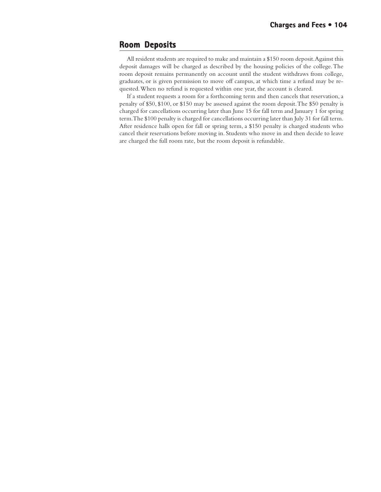## **Room Deposits Deposits**

All resident students are required to make and maintain a \$150 room deposit. Against this deposit damages will be charged as described by the housing policies of the college. The room deposit remains permanently on account until the student withdraws from college, graduates, or is given permission to move off campus, at which time a refund may be requested. When no refund is requested within one year, the account is cleared.

If a student requests a room for a forthcoming term and then cancels that reservation, a penalty of \$50, \$100, or \$150 may be assessed against the room deposit. The \$50 penalty is charged for cancellations occurring later than June 15 for fall term and January 1 for spring term. The \$100 penalty is charged for cancellations occurring later than July 31 for fall term. After residence halls open for fall or spring term, a \$150 penalty is charged students who cancel their reservations before moving in. Students who move in and then decide to leave are charged the full room rate, but the room deposit is refundable.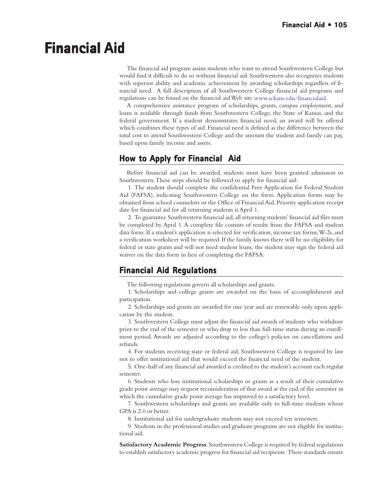# **Financial Aid Financial Aid**

The financial aid program assists students who want to attend Southwestern College but would find it difficult to do so without financial aid. Southwestern also recognizes students with superior ability and academic achievement by awarding scholarships regardless of financial need. A full description of all Southwestern College financial aid programs and regulations can be found on the financial aid Web site www.sckans.edu/financialaid.

A comprehensive assistance program of scholarships, grants, campus employment, and loans is available through funds from Southwestern College, the State of Kansas, and the federal government. If a student demonstrates financial need, an award will be offered which combines these types of aid. Financial need is defined as the difference between the total cost to attend Southwestern College and the amount the student and family can pay, based upon family income and assets.

## **How to Apply for Financial Aid**

Before financial aid can be awarded, students must have been granted admission to Southwestern. These steps should be followed to apply for financial aid:

1. The student should complete the confidential Free Application for Federal Student Aid (FAFSA), indicating Southwestern College on the form. Application forms may be obtained from school counselors or the Office of Financial Aid. Priority application receipt date for financial aid for all returning students is April 1.

2. To guarantee Southwestern financial aid, all returning students' financial aid files must be completed by April 1. A complete file consists of results from the FAFSA and student data form. If a student's application is selected for verification, income tax forms, W-2s, and a verification worksheet will be required. If the family knows there will be no eligibility for federal or state grants and will not need student loans, the student may sign the federal aid waiver on the data form in lieu of completing the FAFSA.

## **Financial Aid Regulations Aid Regulations**

The following regulations govern all scholarships and grants:

1. Scholarships and college grants are awarded on the basis of accomplishment and participation.

2. Scholarships and grants are awarded for one year and are renewable only upon application by the student.

3. Southwestern College must adjust the financial aid awards of students who withdraw prior to the end of the semester or who drop to less than full-time status during an enrollment period. Awards are adjusted according to the college's policies on cancellations and refunds.

4. For students receiving state or federal aid, Southwestern College is required by law not to offer institutional aid that would exceed the financial need of the student.

5. One-half of any financial aid awarded is credited to the student's account each regular semester.

6. Students who lose institutional scholarships or grants as a result of their cumulative grade point average may request reconsideration of that award at the end of the semester in which the cumulative grade point average has improved to a satisfactory level.

7. Southwestern scholarships and grants are available only to full-time students whose GPA is 2.0 or better.

8. Institutional aid for undergraduate students may not exceed ten semesters.

9. Students in the professional studies and graduate programs are not eligible for institutional aid.

**Satisfactory Academic Progress**. Southwestern College is required by federal regulations to establish satisfactory academic progress for financial aid recipients. These standards ensure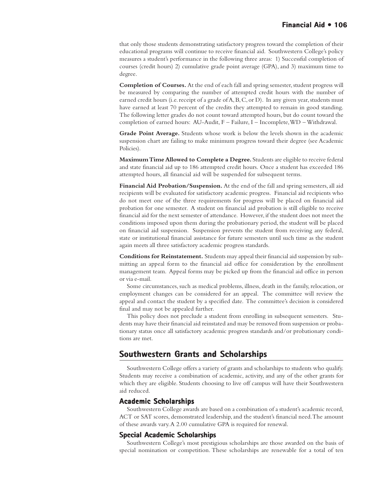that only those students demonstrating satisfactory progress toward the completion of their educational programs will continue to receive financial aid. Southwestern College's policy measures a student's performance in the following three areas: 1) Successful completion of courses (credit hours) 2) cumulative grade point average (GPA), and 3) maximum time to degree.

**Completion of Courses.** At the end of each fall and spring semester, student progress will be measured by comparing the number of attempted credit hours with the number of earned credit hours (i.e. receipt of a grade of A, B, C, or D). In any given year, students must have earned at least 70 percent of the credits they attempted to remain in good standing. The following letter grades do not count toward attempted hours, but do count toward the completion of earned hours: AU-Audit, F – Failure, I – Incomplete, WD – Withdrawal.

**Grade Point Average.** Students whose work is below the levels shown in the academic suspension chart are failing to make minimum progress toward their degree (see Academic Policies).

**Maximum Time Allowed to Complete a Degree.** Students are eligible to receive federal and state financial aid up to 186 attempted credit hours. Once a student has exceeded 186 attempted hours, all financial aid will be suspended for subsequent terms.

**Financial Aid Probation/Suspension.** At the end of the fall and spring semesters, all aid recipients will be evaluated for satisfactory academic progress. Financial aid recipients who do not meet one of the three requirements for progress will be placed on financial aid probation for one semester. A student on financial aid probation is still eligible to receive financial aid for the next semester of attendance. However, if the student does not meet the conditions imposed upon them during the probationary period, the student will be placed on financial aid suspension. Suspension prevents the student from receiving any federal, state or institutional financial assistance for future semesters until such time as the student again meets all three satisfactory academic progress standards.

**Conditions for Reinstatement.** Students may appeal their financial aid suspension by submitting an appeal form to the financial aid office for consideration by the enrollment management team. Appeal forms may be picked up from the financial aid office in person or via e-mail.

Some circumstances, such as medical problems, illness, death in the family, relocation, or employment changes can be considered for an appeal. The committee will review the appeal and contact the student by a specified date. The committee's decision is considered final and may not be appealed further.

This policy does not preclude a student from enrolling in subsequent semesters. Students may have their financial aid reinstated and may be removed from suspension or probationary status once all satisfactory academic progress standards and/or probationary conditions are met.

## **Southwestern Grants and Scholarships**

Southwestern College offers a variety of grants and scholarships to students who qualify. Students may receive a combination of academic, activity, and any of the other grants for which they are eligible. Students choosing to live off campus will have their Southwestern aid reduced.

#### **Academic Scholarships**

Southwestern College awards are based on a combination of a student's academic record, ACT or SAT scores, demonstrated leadership, and the student's financial need. The amount of these awards vary. A 2.00 cumulative GPA is required for renewal.

#### **Special Academic Scholarships**

Southwestern College's most prestigious scholarships are those awarded on the basis of special nomination or competition. These scholarships are renewable for a total of ten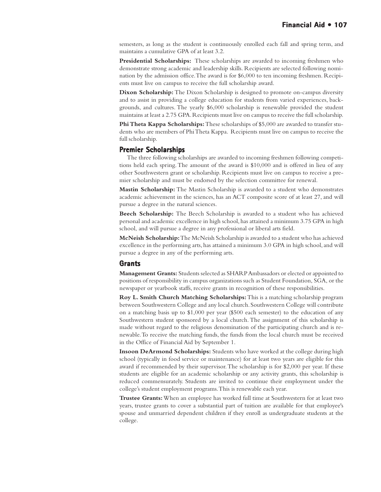semesters, as long as the student is continuously enrolled each fall and spring term, and maintains a cumulative GPA of at least 3.2.

**Presidential Scholarships:** These scholarships are awarded to incoming freshmen who demonstrate strong academic and leadership skills. Recipients are selected following nomination by the admission office. The award is for \$6,000 to ten incoming freshmen. Recipients must live on campus to receive the full scholarship award.

**Dixon Scholarship:** The Dixon Scholarship is designed to promote on-campus diversity and to assist in providing a college education for students from varied experiences, backgrounds, and cultures. The yearly \$6,000 scholarship is renewable provided the student maintains at least a 2.75 GPA. Recipients must live on campus to receive the full scholarship.

**Phi Theta Kappa Scholarships:** These scholarships of \$5,000 are awarded to transfer students who are members of Phi Theta Kappa. Recipients must live on campus to receive the full scholarship.

#### **Premier Scholarships**

The three following scholarships are awarded to incoming freshmen following competitions held each spring. The amount of the award is \$10,000 and is offered in lieu of any other Southwestern grant or scholarship. Recipients must live on campus to receive a premier scholarship and must be endorsed by the selection committee for renewal.

**Mastin Scholarship:** The Mastin Scholarship is awarded to a student who demonstrates academic achievement in the sciences, has an ACT composite score of at least 27, and will pursue a degree in the natural sciences.

**Beech Scholarship:** The Beech Scholarship is awarded to a student who has achieved personal and academic excellence in high school, has attained a minimum 3.75 GPA in high school, and will pursue a degree in any professional or liberal arts field.

**McNeish Scholarship:** The McNeish Scholarship is awarded to a student who has achieved excellence in the performing arts, has attained a minimum 3.0 GPA in high school, and will pursue a degree in any of the performing arts.

#### **Grants**

**Management Grants:** Students selected as SHARP Ambassadors or elected or appointed to positions of responsibility in campus organizations such as Student Foundation, SGA, or the newspaper or yearbook staffs, receive grants in recognition of these responsibilities.

**Roy L. Smith Church Matching Scholarships:** This is a matching scholarship program between Southwestern College and any local church. Southwestern College will contribute on a matching basis up to \$1,000 per year (\$500 each semester) to the education of any Southwestern student sponsored by a local church. The assignment of this scholarship is made without regard to the religious denomination of the participating church and is renewable. To receive the matching funds, the funds from the local church must be received in the Office of Financial Aid by September 1.

**Insoon DeArmond Scholarships:** Students who have worked at the college during high school (typically in food service or maintenance) for at least two years are eligible for this award if recommended by their supervisor. The scholarship is for \$2,000 per year. If these students are eligible for an academic scholarship or any activity grants, this scholarship is reduced commensurately. Students are invited to continue their employment under the college's student employment programs. This is renewable each year.

**Trustee Grants:** When an employee has worked full time at Southwestern for at least two years, trustee grants to cover a substantial part of tuition are available for that employee's spouse and unmarried dependent children if they enroll as undergraduate students at the college.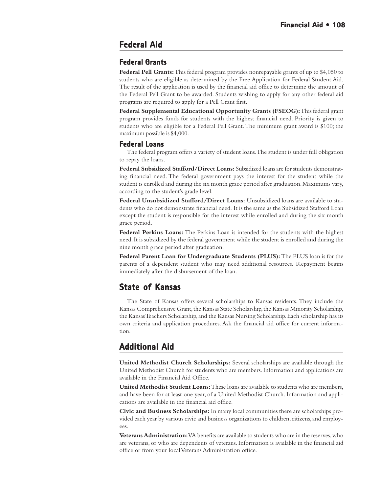## **Federal Aid**

## **Federal Grants Grants**

**Federal Pell Grants:** This federal program provides nonrepayable grants of up to \$4,050 to students who are eligible as determined by the Free Application for Federal Student Aid. The result of the application is used by the financial aid office to determine the amount of the Federal Pell Grant to be awarded. Students wishing to apply for any other federal aid programs are required to apply for a Pell Grant first.

**Federal Supplemental Educational Opportunity Grants (FSEOG):** This federal grant program provides funds for students with the highest financial need. Priority is given to students who are eligible for a Federal Pell Grant. The minimum grant award is \$100; the maximum possible is \$4,000.

#### **Federal Loans**

The federal program offers a variety of student loans. The student is under full obligation to repay the loans.

**Federal Subsidized Stafford/Direct Loans:** Subsidized loans are for students demonstrating financial need. The federal government pays the interest for the student while the student is enrolled and during the six month grace period after graduation. Maximums vary, according to the student's grade level.

**Federal Unsubsidized Stafford/Direct Loans:** Unsubsidized loans are available to students who do not demonstrate financial need. It is the same as the Subsidized Stafford Loan except the student is responsible for the interest while enrolled and during the six month grace period.

**Federal Perkins Loans:** The Perkins Loan is intended for the students with the highest need. It is subsidized by the federal government while the student is enrolled and during the nine month grace period after graduation.

**Federal Parent Loan for Undergraduate Students (PLUS):** The PLUS loan is for the parents of a dependent student who may need additional resources. Repayment begins immediately after the disbursement of the loan.

## **State of Kansas of Kansas**

The State of Kansas offers several scholarships to Kansas residents. They include the Kansas Comprehensive Grant, the Kansas State Scholarship, the Kansas Minority Scholarship, the Kansas Teachers Scholarship, and the Kansas Nursing Scholarship. Each scholarship has its own criteria and application procedures. Ask the financial aid office for current information.

## **Additional Aid**

**United Methodist Church Scholarships:** Several scholarships are available through the United Methodist Church for students who are members. Information and applications are available in the Financial Aid Office.

**United Methodist Student Loans:** These loans are available to students who are members, and have been for at least one year, of a United Methodist Church. Information and applications are available in the financial aid office.

**Civic and Business Scholarships:** In many local communities there are scholarships provided each year by various civic and business organizations to children, citizens, and employees.

**Veterans Administration:** VA benefits are available to students who are in the reserves, who are veterans, or who are dependents of veterans. Information is available in the financial aid office or from your local Veterans Administration office.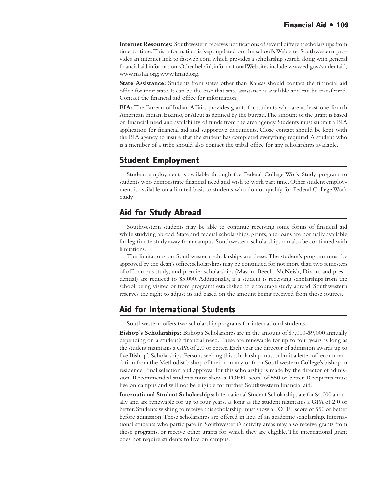<span id="page-108-0"></span>**Internet Resources:** Southwestern receives notifications of several different scholarships from time to time. This information is kept updated on the school's Web site. Southwestern provides an internet link to fastweb.com which provides a scholarship search along with general financial aid information. Other helpful, informational Web sites include www.ed.gov/studentaid; www.nasfaa.org; www.finaid.org.

**State Assistance:** Students from states other than Kansas should contact the financial aid office for their state. It can be the case that state assistance is available and can be transferred. Contact the financial aid office for information.

**BIA:** The Bureau of Indian Affairs provides grants for students who are at least one-fourth American Indian, Eskimo, or Aleut as defined by the bureau. The amount of the grant is based on financial need and availability of funds from the area agency. Students must submit a BIA application for financial aid and supportive documents. Close contact should be kept with the BIA agency to insure that the student has completed everything required. A student who is a member of a tribe should also contact the tribal office for any scholarships available.

# **Student Employment**

Student employment is available through the Federal College Work Study program to students who demonstrate financial need and wish to work part time. Other student employment is available on a limited basis to students who do not qualify for Federal College Work Study.

# **Aid for Study Abroad**

Southwestern students may be able to continue receiving some forms of financial aid while studying abroad. State and federal scholarships, grants, and loans are normally available for legitimate study away from campus. Southwestern scholarships can also be continued with limitations.

The limitations on Southwestern scholarships are these: The student's program must be approved by the dean's office; scholarships may be continued for not more than two semesters of off-campus study; and premier scholarships (Mastin, Beech, McNeish, Dixon, and presidential) are reduced to \$5,000. Additionally, if a student is receiving scholarships from the school being visited or from programs established to encourage study abroad, Southwestern reserves the right to adjust its aid based on the amount being received from those sources.

# **Aid for International Students Aid for International**

Southwestern offers two scholarship programs for international students.

**Bishop**'**s Scholarships:** Bishop's Scholarships are in the amount of \$7,000-\$9,000 annually depending on a student's financial need. These are renewable for up to four years as long as the student maintains a GPA of 2.0 or better. Each year the director of admission awards up to five Bishop's Scholarships. Persons seeking this scholarship must submit a letter of recommendation from the Methodist bishop of their country or from Southwestern College's bishop in residence. Final selection and approval for this scholarship is made by the director of admission. Recommended students must show a TOEFL score of 550 or better. Recipients must live on campus and will not be eligible for further Southwestern financial aid.

**International Student Scholarships:** International Student Scholarships are for \$4,000 annually and are renewable for up to four years, as long as the student maintains a GPA of 2.0 or better. Students wishing to receive this scholarship must show a TOEFL score of 550 or better before admission. These scholarships are offered in lieu of an academic scholarship. International students who participate in Southwestern's activity areas may also receive grants from those programs, or receive other grants for which they are eligible. The international grant does not require students to live on campus.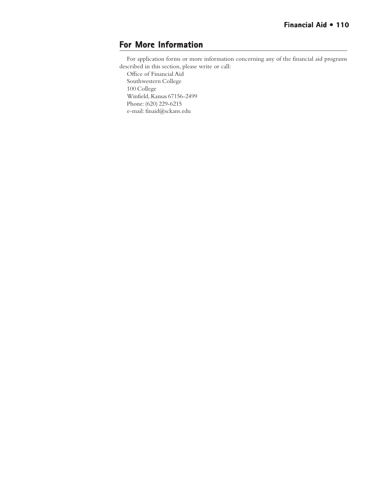# **For More Information**

For application forms or more information concerning any of the financial aid programs described in this section, please write or call:

Office of Financial Aid Southwestern College 100 College Winfield, Kansas 67156-2499 Phone: (620) 229-6215 e-mail: finaid@sckans.edu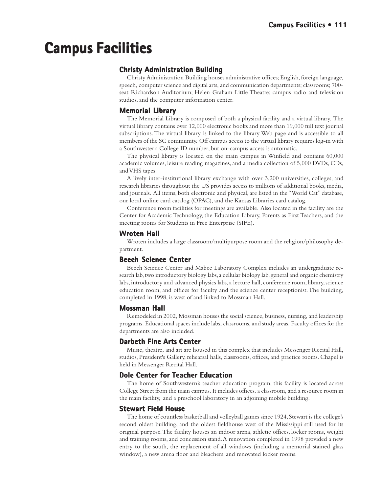# <span id="page-110-0"></span>**Campus Facilities Campus Facilities**

# **Christy Administration Building**

Christy Administration Building houses administrative offices; English, foreign language, speech, computer science and digital arts, and communication departments; classrooms; 700 seat Richardson Auditorium; Helen Graham Little Theatre; campus radio and television studios, and the computer information center.

# **Memorial Library**

The Memorial Library is composed of both a physical facility and a virtual library. The virtual library contains over 12,000 electronic books and more than 19,000 full text journal subscriptions. The virtual library is linked to the library Web page and is accessible to all members of the SC community. Off campus access to the virtual library requires log-in with a Southwestern College ID number, but on-campus access is automatic.

The physical library is located on the main campus in Winfield and contains 60,000 academic volumes, leisure reading magazines, and a media collection of 5,000 DVDs, CDs, and VHS tapes.

A lively inter-institutional library exchange with over 3,200 universities, colleges, and research libraries throughout the US provides access to millions of additional books, media, and journals. All items, both electronic and physical, are listed in the "World Cat" database, our local online card catalog (OPAC), and the Kansas Libraries card catalog.

Conference room facilities for meetings are available. Also located in the facility are the Center for Academic Technology, the Education Library, Parents as First Teachers, and the meeting rooms for Students in Free Enterprise (SIFE).

## **Wroten Hall Hall**

Wroten includes a large classroom/multipurpose room and the religion/philosophy department.

## **Beech Science Center**

Beech Science Center and Mabee Laboratory Complex includes an undergraduate research lab, two introductory biology labs, a cellular biology lab, general and organic chemistry labs, introductory and advanced physics labs, a lecture hall, conference room, library, science education room, and offices for faculty and the science center receptionist. The building, completed in 1998, is west of and linked to Mossman Hall.

### **Mossman Hall Hall**

Remodeled in 2002, Mossman houses the social science, business, nursing, and leadership programs. Educational spaces include labs, classrooms, and study areas. Faculty offices for the departments are also included.

## **Darbeth Fine Arts Center Center**

Music, theatre, and art are housed in this complex that includes Messenger Recital Hall, studios, President's Gallery, rehearsal halls, classrooms, offices, and practice rooms. Chapel is held in Messenger Recital Hall.

# **Dole Center for Teacher Education**

The home of Southwestern's teacher education program, this facility is located across College Street from the main campus. It includes offices, a classroom, and a resource room in the main facility, and a preschool laboratory in an adjoining mobile building.

### **Stewart Field House**

The home of countless basketball and volleyball games since 1924, Stewart is the college's second oldest building, and the oldest fieldhouse west of the Mississippi still used for its original purpose. The facility houses an indoor arena, athletic offices, locker rooms, weight and training rooms, and concession stand. A renovation completed in 1998 provided a new entry to the south, the replacement of all windows (including a memorial stained glass window), a new arena floor and bleachers, and renovated locker rooms.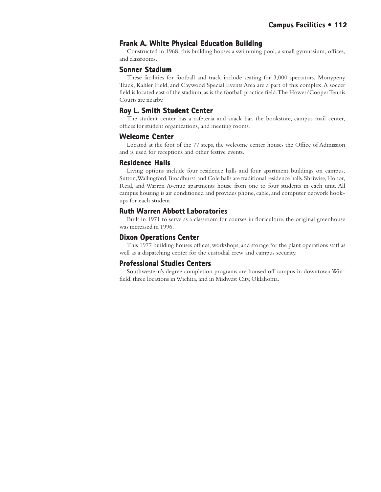# **Frank A. White Physical Education Building**

Constructed in 1968, this building houses a swimming pool, a small gymnasium, offices, and classrooms.

### **Sonner Stadium**

These facilities for football and track include seating for 3,000 spectators. Monypeny Track, Kahler Field, and Caywood Special Events Area are a part of this complex. A soccer field is located east of the stadium, as is the football practice field. The Hower/Cooper Tennis Courts are nearby.

### **Roy L. Smith Student Center Roy L. Student Center**

The student center has a cafeteria and snack bar, the bookstore, campus mail center, offices for student organizations, and meeting rooms.

### **Welcome Center Welcome Center**

Located at the foot of the 77 steps, the welcome center houses the Office of Admission and is used for receptions and other festive events.

### **Residence Halls Halls**

Living options include four residence halls and four apartment buildings on campus. Sutton, Wallingford, Broadhurst, and Cole halls are traditional residence halls. Shriwise, Honor, Reid, and Warren Avenue apartments house from one to four students in each unit. All campus housing is air conditioned and provides phone, cable, and computer network hookups for each student.

### **Ruth Warren Abbott Laboratories**

Built in 1971 to serve as a classroom for courses in floriculture, the original greenhouse was increased in 1996.

### **Dixon Operations Center**

This 1977 building houses offices, workshops, and storage for the plant operations staff as well as a dispatching center for the custodial crew and campus security.

### **Professional Studies Centers**

Southwestern's degree completion programs are housed off campus in downtown Winfield, three locations in Wichita, and in Midwest City, Oklahoma.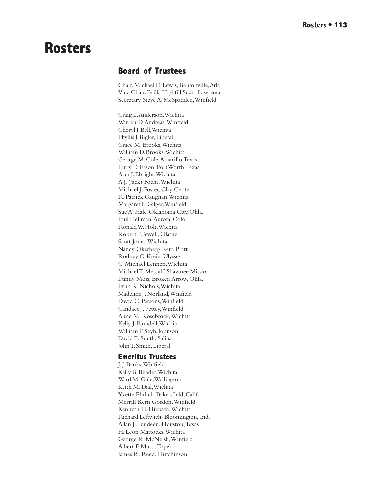# <span id="page-112-0"></span>**Rosters Rosters**

# **Board of Trustees of Trustees**

Chair, Michael D. Lewis, Bentonville, Ark. Vice Chair, Brilla Highfill Scott, Lawrence Secretary, Steve A. McSpadden, Winfield

Craig L. Anderson, Wichita Warren D. Andreas, Winfield Cheryl J. Bell, Wichita Phyllis J. Bigler, Liberal Grace M. Brooks, Wichita William D. Brooks, Wichita George M. Cole, Amarillo, Texas Larry D. Eason, Fort Worth, Texas Alan J. Ebright, Wichita A.J. (Jack) Focht, Wichita Michael J. Foster, Clay Center R. Patrick Gaughan, Wichita Margaret L. Gilger, Winfield Sue A. Hale, Oklahoma City, Okla. Paul Hellman, Aurora, Colo. Ronald W. Holt, Wichita Robert P. Jewell, Olathe Scott Jones, Wichita Nancy Okerberg Kerr, Pratt Rodney C. Kreie, Ulysses C. Michael Lennen, Wichita Michael T. Metcalf, Shawnee Mission Danny Moss, Broken Arrow, Okla. Lynn R. Nichols, Wichita Madeline J. Norland, Winfield David C. Parsons, Winfield Candace J. Pettey, Winfield Anne M. Rosebrock, Wichita Kelly J. Rundell, Wichita William T. Seyb, Johnson David E. Smith, Salina John T. Smith, Liberal

# **Emeritus Trustees Emeritus**

J. J. Banks, Winfield Kelly B. Bender, Wichita Ward M. Cole, Wellington Keith M. Dial, Wichita Yvette Ehrlich, Bakersfield, Calif. Merrill Kern Gordon, Winfield Kenneth H. Hiebsch, Wichita Richard Leftwich, Bloomington, Ind. Allan J. Lundeen, Houston, Texas H. Leon Mattocks, Wichita George R. McNeish, Winfield Albert F. Mutti, Topeka James R. Reed, Hutchinson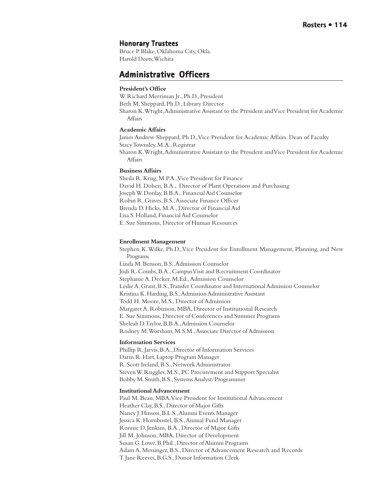## <span id="page-113-0"></span>**Honorary Trustees Honorary Trustees**

Bruce P. Blake, Oklahoma City, Okla. Harold Deets, Wichita

# **Administrative Officers Administrative Officers**

### **President's Office**

W. Richard Merriman Jr., Ph.D., President Beth M. Sheppard, Ph.D., Library Director Sharon K. Wright, Administrative Assistant to the President and Vice President for Academic **Affairs** 

#### **Academic Affairs**

James Andrew Sheppard, Ph.D., Vice President for Academic Affairs. Dean of Faculty Stacy Townsley, M.A., Registrar Sharon K. Wright, Administrative Assistant to the President and Vice President for Academic Affairs

### **Business Affairs**

Sheila R. Krug, M.P.A., Vice President for Finance David H. Dolsen, B.A., Director of Plant Operations and Purchasing Joseph W. Donlay, B.B.A., Financial Aid Counselor Robin R. Graves, B.S., Associate Finance Officer Brenda D. Hicks, M.A., Director of Financial Aid Lisa S. Holland, Financial Aid Counselor E. Sue Simmons, Director of Human Resources

#### **Enrollment Management**

Stephen K. Wilke, Ph.D., Vice President for Enrollment Management, Planning, and New Programs Linda M. Benson, B.S., Admission Counselor Jodi R. Combs, B.A., Campus Visit and Recruitment Coordinator Stephanie A. Decker, M.Ed., Admission Counselor Leslie A. Grant, B.S., Transfer Coordinator and International Admission Counselor Kristina K. Harding, B.S., Admission Administrative Assistant Todd H. Moore, M.S., Director of Admission Margaret A. Robinson, MBA, Director of Institutional Research E. Sue Simmons, Director of Conferences and Summer Programs Sheleah D. Taylor, B.B.A., Admission Counselor Rodney M. Worsham, M.S.M., Associate Director of Admission

#### **Information Services**

Phillip R. Jarvis, B.A., Director of Information Services Darin R. Hart, Laptop Program Manager R. Scott Ireland, B.S., Network Administrator Steven W. Ruggles, M.S., PC Procurement and Support Specialist Bobby M. Smith, B.S., Systems Analyst/Programmer

#### **Institutional Advancement**

Paul M. Bean, MBA, Vice President for Institutional Advancement Heather Clay, B.S., Director of Major Gifts Nancy J. Hinson, B.L.S., Alumni Events Manager Jessica K. Hornbostel, B.S., Annual Fund Manager Ronnie D. Jenkins, B.A., Director of Major Gifts Jill M. Johnson, MBA, Director of Development Susan G. Lowe, B.Phil., Director of Alumni Programs Adam A. Messinger, B.S., Director of Advancement Research and Records T. Jane Reeves, B.G.S., Donor Information Clerk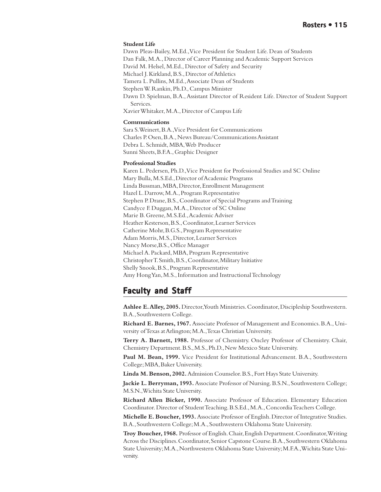#### <span id="page-114-0"></span>**Student Life**

Dawn Pleas-Bailey, M.Ed., Vice President for Student Life. Dean of Students Dan Falk, M.A., Director of Career Planning and Academic Support Services David M. Helsel, M.Ed., Director of Safety and Security Michael J. Kirkland, B.S., Director of Athletics Tamera L. Pullins, M.Ed., Associate Dean of Students Stephen W. Rankin, Ph.D., Campus Minister Dawn D. Spielman, B.A., Assistant Director of Resident Life. Director of Student Support Services. Xavier Whitaker, M.A., Director of Campus Life **Communications**

Sara S. Weinert, B.A., Vice President for Communications Charles P. Osen, B.A., News Bureau/Communications Assistant Debra L. Schmidt, MBA, Web Producer Sunni Sheets, B.F.A., Graphic Designer

#### **Professional Studies**

Karen L. Pedersen, Ph.D., Vice President for Professional Studies and SC Online Mary Bulla, M.S.Ed., Director of Academic Programs Linda Bussman, MBA, Director, Enrollment Management Hazel L. Darrow, M.A., Program Representative Stephen P. Drane, B.S., Coordinator of Special Programs and Training Candyce F. Duggan, M.A., Director of SC Online Marie B. Greene, M.S.Ed., Academic Adviser Heather Kesterson, B.S., Coordinator, Learner Services Catherine Mohr, B.G.S., Program Representative Adam Morris, M.S., Director, Learner Services Nancy Morse,B.S., Office Manager Michael A. Packard, MBA, Program Representative Christopher T. Smith, B.S., Coordinator, Military Initiative Shelly Snook, B.S., Program Representative Amy Hong Yan, M.S., Information and Instructional Technology

# **Faculty and Staff Faculty and Staff**

**Ashlee E. Alley, 2005.** Director, Youth Ministries. Coordinator, Discipleship Southwestern. B.A., Southwestern College.

**Richard E. Barnes, 1967.** Associate Professor of Management and Economics. B.A., University of Texas at Arlington; M.A., Texas Christian University.

**Terry A. Barnett, 1988.** Professor of Chemistry. Oncley Professor of Chemistry. Chair, Chemistry Department. B.S., M.S., Ph.D., New Mexico State University.

**Paul M. Bean, 1999.** Vice President for Institutional Advancement. B.A., Southwestern College; MBA, Baker University.

**Linda M. Benson, 2002.** Admission Counselor. B.S., Fort Hays State University.

**Jackie L. Berryman, 1993.** Associate Professor of Nursing. B.S.N., Southwestern College; M.S.N., Wichita State University.

**Richard Allen Bicker, 1990.** Associate Professor of Education. Elementary Education Coordinator. Director of Student Teaching. B.S.Ed., M.A., Concordia Teachers College.

**Michelle E. Boucher, 1993.** Associate Professor of English. Director of Integrative Studies. B.A., Southwestern College; M.A., Southwestern Oklahoma State University.

**Troy Boucher, 1968.** Professor of English. Chair, English Department. Coordinator, Writing Across the Disciplines. Coordinator, Senior Capstone Course. B.A., Southwestern Oklahoma State University; M.A., Northwestern Oklahoma State University; M.F.A., Wichita State University.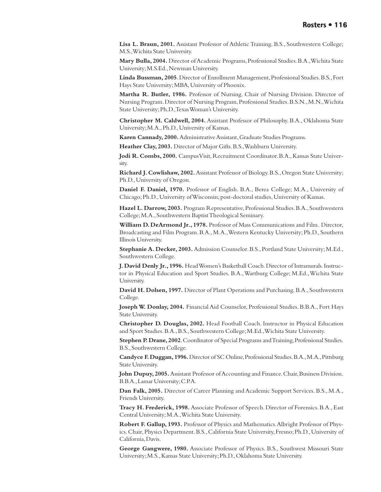**Lisa L. Braun, 2001.** Assistant Professor of Athletic Training. B.S., Southwestern College; M.S., Wichita State University.

**Mary Bulla, 2004.** Director of Academic Programs, Professional Studies. B.A., Wichita State University; M.S.Ed., Newman University.

**Linda Bussman, 2005**. Director of Enrollment Management, Professional Studies. B.S., Fort Hays State University; MBA, University of Phoenix.

**Martha R. Butler, 1986.** Professor of Nursing. Chair of Nursing Division. Director of Nursing Program. Director of Nursing Program, Professional Studies. B.S.N., M.N., Wichita State University; Ph.D., Texas Woman's University.

**Christopher M. Caldwell, 2004.** Assistant Professor of Philosophy. B.A., Oklahoma State University; M.A., Ph.D., University of Kansas.

**Karen Cannady, 2000.** Administrative Assistant, Graduate Studies Programs.

**Heather Clay, 2003.** Director of Major Gifts. B.S., Washburn University.

**Jodi R. Combs, 2000.** Campus Visit, Recruitment Coordinator. B.A., Kansas State University.

**Richard J. Cowlishaw, 2002.** Assistant Professor of Biology. B.S., Oregon State University; Ph.D., University of Oregon.

**Daniel F. Daniel, 1970.** Professor of English. B.A., Berea College; M.A., University of Chicago; Ph.D., University of Wisconsin; post-doctoral studies, University of Kansas.

**Hazel L. Darrow, 2003.** Program Representative, Professional Studies. B.A., Southwestern College; M.A., Southwestern Baptist Theological Seminary.

**William D. DeArmond Jr., 1978.** Professor of Mass Communications and Film. Director, Broadcasting and Film Program. B.A., M.A., Western Kentucky University; Ph.D., Southern Illinois University.

**Stephanie A. Decker, 2003.** Admission Counselor. B.S., Portland State University; M.Ed., Southwestern College.

**J. David Denly Jr., 1996.** Head Women's Basketball Coach. Director of Intramurals. Instructor in Physical Education and Sport Studies. B.A., Wartburg College; M.Ed., Wichita State University.

**David H. Dolsen, 1997.** Director of Plant Operations and Purchasing. B.A., Southwestern College.

**Joseph W. Donlay, 2004.** Financial Aid Counselor, Professional Studies. B.B.A., Fort Hays State University.

**Christopher D. Douglas, 2002.** Head Football Coach. Instructor in Physical Education and Sport Studies. B.A., B.S., Southwestern College; M.Ed., Wichita State University.

**Stephen P. Drane, 2002**. Coordinator of Special Programs and Training, Professional Studies. B.S., Southwestern College.

**Candyce F. Duggan, 1996.** Director of SC Online, Professional Studies. B.A., M.A., Pittsburg State University.

**John Dupuy, 2005.** Assistant Professor of Accounting and Finance. Chair, Business Division. B.B.A., Lamar University; C.P.A.

**Dan Falk, 2005.** Director of Career Planning and Academic Support Services. B.S., M.A., Friends University.

**Tracy H. Frederick, 1998.** Associate Professor of Speech. Director of Forensics. B.A., East Central University; M.A., Wichita State University.

**Robert F. Gallup, 1993.** Professor of Physics and Mathematics. Albright Professor of Physics. Chair, Physics Department. B.S., California State University, Fresno; Ph.D., University of California, Davis.

**George Gangwere, 1980.** Associate Professor of Physics. B.S., Southwest Missouri State University; M.S., Kansas State University; Ph.D., Oklahoma State University.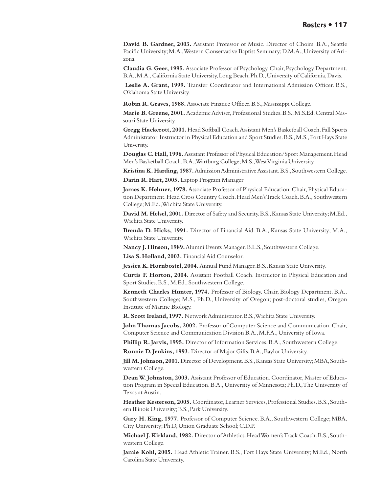**David B. Gardner, 2003.** Assistant Professor of Music. Director of Choirs. B.A., Seattle Pacific University; M.A., Western Conservative Baptist Seminary; D.M.A., University of Arizona.

**Claudia G. Geer, 1995.** Associate Professor of Psychology. Chair, Psychology Department. B.A., M.A., California State University, Long Beach; Ph.D., University of California, Davis.

**Leslie A. Grant, 1999.** Transfer Coordinator and International Admission Officer. B.S., Oklahoma State University.

**Robin R. Graves, 1988.** Associate Finance Officer. B.S., Mississippi College.

**Marie B. Greene, 2001.** Academic Adviser, Professional Studies. B.S., M.S.Ed, Central Missouri State University.

**Gregg Hackerott, 2001.** Head Softball Coach. Assistant Men's Basketball Coach. Fall Sports Administrator. Instructor in Physical Education and Sport Studies. B.S., M.S., Fort Hays State University.

**Douglas C. Hall, 1996.** Assistant Professor of Physical Education/Sport Management. Head Men's Basketball Coach. B.A., Wartburg College; M.S., West Virginia University.

**Kristina K. Harding, 1987.** Admission Administrative Assistant. B.S., Southwestern College.

**Darin R. Hart, 2005.** Laptop Program Manager

**James K. Helmer, 1978.** Associate Professor of Physical Education. Chair, Physical Education Department. Head Cross Country Coach. Head Men's Track Coach. B.A., Southwestern College; M.Ed., Wichita State University.

**David M. Helsel, 2001.** Director of Safety and Security. B.S., Kansas State University; M.Ed., Wichita State University.

**Brenda D. Hicks, 1991.** Director of Financial Aid. B.A., Kansas State University; M.A., Wichita State University.

**Nancy J. Hinson, 1989.** Alumni Events Manager. B.L.S., Southwestern College.

**Lisa S. Holland, 2003.** Financial Aid Counselor.

**Jessica K. Hornbostel, 2004.** Annual Fund Manager. B.S., Kansas State University.

**Curtis F. Horton, 2004.** Assistant Football Coach. Instructor in Physical Education and Sport Studies. B.S., M.Ed., Southwestern College.

**Kenneth Charles Hunter, 1974.** Professor of Biology. Chair, Biology Department. B.A., Southwestern College; M.S., Ph.D., University of Oregon; post-doctoral studies, Oregon Institute of Marine Biology.

**R. Scott Ireland, 1997.** Network Administrator. B.S., Wichita State University.

**John Thomas Jacobs, 2002.** Professor of Computer Science and Communication. Chair, Computer Science and Communication Division B.A., M.F.A., University of Iowa.

**Phillip R. Jarvis, 1995.** Director of Information Services. B.A., Southwestern College.

**Ronnie D. Jenkins, 1993.** Director of Major Gifts. B.A., Baylor University.

**Jill M. Johnson, 2001.** Director of Development. B.S., Kansas State University; MBA, Southwestern College.

**Dean W. Johnston, 2003.** Assistant Professor of Education. Coordinator, Master of Education Program in Special Education. B.A., University of Minnesota; Ph.D., The University of Texas at Austin.

**Heather Kesterson, 2005.** Coordinator, Learner Services, Professional Studies. B.S., Southern Illinois University; B.S., Park University.

**Gary H. King, 1977.** Professor of Computer Science. B.A., Southwestern College; MBA, City University; Ph.D, Union Graduate School; C.D.P.

**Michael J. Kirkland, 1982.** Director of Athletics. Head Women's Track Coach. B.S., Southwestern College.

**Jamie Kohl, 2005.** Head Athletic Trainer. B.S., Fort Hays State University; M.Ed., North Carolina State University.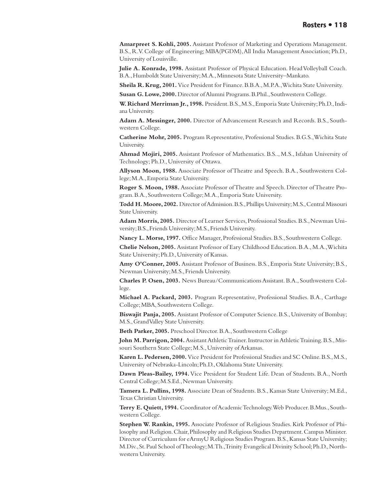**Amarpreet S. Kohli, 2005.** Assistant Professor of Marketing and Operations Management. B.S., R.V. College of Engineering; MBA(PGDM), All India Management Association; Ph.D., University of Louisville.

**Julie A. Konrade, 1998.** Assistant Professor of Physical Education. Head Volleyball Coach. B.A., Humboldt State University; M.A., Minnesota State University–Mankato.

**Sheila R. Krug, 2001.** Vice President for Finance. B.B.A., M.P.A., Wichita State University.

**Susan G. Lowe, 2000.** Director of Alumni Programs. B.Phil., Southwestern College.

**W. Richard Merriman Jr., 1998.** President. B.S., M.S., Emporia State University; Ph.D., Indiana University.

**Adam A. Messinger, 2000.** Director of Advancement Research and Records. B.S., Southwestern College.

**Catherine Mohr, 2005.** Program Representative, Professional Studies. B.G.S., Wichita State University.

**Ahmad Mojiri, 2005.** Assistant Professor of Mathematics. B.S.., M.S., Isfahan University of Technology; Ph.D., University of Ottawa.

**Allyson Moon, 1988.** Associate Professor of Theatre and Speech. B.A., Southwestern College; M.A., Emporia State University.

**Roger S. Moon, 1988.** Associate Professor of Theatre and Speech. Director of Theatre Program. B.A., Southwestern College; M.A., Emporia State University.

**Todd H. Moore, 2002.** Director of Admission. B.S., Phillips University; M.S., Central Missouri State University.

**Adam Morris, 2005.** Director of Learner Services, Professional Studies. B.S., Newman University; B.S., Friends University; M.S., Friends University.

**Nancy L. Morse, 1997.** Office Manager, Professional Studies. B.S., Southwestern College.

**Chelie Nelson, 2005.** Assistant Professor of Eary Childhood Education. B.A., M.A., Wichita State University; Ph.D., University of Kansas.

**Amy O'Conner, 2005.** Assistant Professor of Business. B.S., Emporia State University; B.S., Newman University; M.S., Friends University.

**Charles P. Osen, 2003.** News Bureau/Communications Assistant. B.A., Southwestern College.

**Michael A. Packard, 2003.** Program Representative, Professional Studies. B.A., Carthage College; MBA, Southwestern College.

**Biswajit Panja, 2005.** Assistant Professor of Computer Science. B.S., University of Bombay; M.S., Grand Valley State University.

**Beth Parker, 2005.** Preschool Director. B.A., Southwestern College

**John M. Parrigon, 2004.** Assistant Athletic Trainer. Instructor in Athletic Training. B.S., Missouri Southern State College; M.S., University of Arkansas.

**Karen L. Pedersen, 2000.** Vice President for Professional Studies and SC Online. B.S., M.S., University of Nebraska-Lincoln; Ph.D., Oklahoma State University.

**Dawn Pleas-Bailey, 1994.** Vice President for Student Life. Dean of Students. B.A., North Central College; M.S.Ed., Newman University.

**Tamera L. Pullins, 1998.** Associate Dean of Students. B.S., Kansas State University; M.Ed., Texas Christian University.

**Terry E. Quiett, 1994.** Coordinator of Academic Technology. Web Producer. B.Mus., Southwestern College.

**Stephen W. Rankin, 1995.** Associate Professor of Religious Studies. Kirk Professor of Philosophy and Religion. Chair, Philosophy and Religious Studies Department. Campus Minister. Director of Curriculum for eArmyU Religious Studies Program. B.S., Kansas State University; M.Div., St. Paul School of Theology; M.Th., Trinity Evangelical Divinity School; Ph.D., Northwestern University.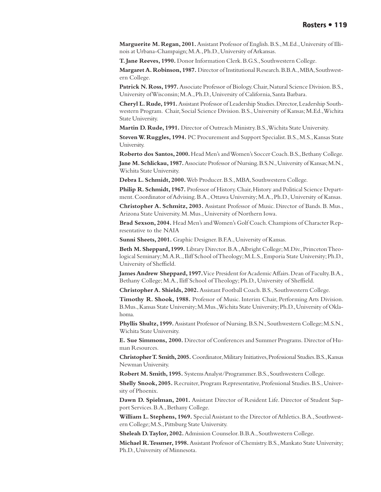**Marguerite M. Regan, 2001.** Assistant Professor of English. B.S., M.Ed., University of Illinois at Urbana-Champaign; M.A., Ph.D., University of Arkansas.

**T. Jane Reeves, 1990.** Donor Information Clerk. B.G.S., Southwestern College.

**Margaret A. Robinson, 1987.** Director of Institutional Research. B.B.A., MBA, Southwestern College.

**Patrick N. Ross, 1997.** Associate Professor of Biology. Chair, Natural Science Division. B.S., University of Wisconsin; M.A., Ph.D., University of California, Santa Barbara.

**Cheryl L. Rude, 1991.** Assistant Professor of Leadership Studies. Director, Leadership Southwestern Program. Chair, Social Science Division. B.S., University of Kansas; M.Ed., Wichita State University.

**Martin D. Rude, 1991.** Director of Outreach Ministry. B.S., Wichita State University.

**Steven W. Ruggles, 1994.** PC Procurement and Support Specialist. B.S., M.S., Kansas State University.

**Roberto dos Santos, 2000.** Head Men's and Women's Soccer Coach. B.S., Bethany College. **Jane M. Schlickau, 1987.** Associate Professor of Nursing. B.S.N., University of Kansas; M.N., Wichita State University.

**Debra L. Schmidt, 2000.** Web Producer. B.S., MBA, Southwestern College.

**Philip R. Schmidt, 1967.** Professor of History. Chair, History and Political Science Department. Coordinator of Advising. B.A., Ottawa University; M.A., Ph.D., University of Kansas.

**Christopher A. Schmitz, 2003.** Assistant Professor of Music. Director of Bands. B. Mus., Arizona State University. M. Mus., University of Northern Iowa.

**Brad Sexson, 2004.** Head Men's and Women's Golf Coach. Champions of Character Representative to the NAIA

**Sunni Sheets, 2001.** Graphic Designer. B.F.A., University of Kansas.

**Beth M. Sheppard, 1999.** Library Director. B.A., Albright College; M.Div., Princeton Theological Seminary; M.A.R., Iliff School of Theology; M.L.S., Emporia State University; Ph.D., University of Sheffield.

**James Andrew Sheppard, 1997.** Vice President for Academic Affairs. Dean of Faculty. B.A., Bethany College; M.A., Iliff School of Theology; Ph.D., University of Sheffield.

**Christopher A. Shields, 2002.** Assistant Football Coach. B.S., Southwestern College.

**Timothy R. Shook, 1988.** Professor of Music. Interim Chair, Performing Arts Division. B.Mus., Kansas State University; M.Mus., Wichita State University; Ph.D., University of Oklahoma.

**Phyllis Shultz, 1999.** Assistant Professor of Nursing. B.S.N., Southwestern College; M.S.N., Wichita State University.

**E. Sue Simmons, 2000.** Director of Conferences and Summer Programs. Director of Human Resources.

**Christopher T. Smith, 2005.** Coordinator, Military Initiatives, Professional Studies. B.S., Kansas Newman University.

**Robert M. Smith, 1995.** Systems Analyst/Programmer. B.S., Southwestern College.

**Shelly Snook, 2005.** Recruiter, Program Representative, Professional Studies. B.S., University of Phoenix.

**Dawn D. Spielman, 2001.** Assistant Director of Resident Life. Director of Student Support Services. B.A., Bethany College.

**William L. Stephens, 1969.** Special Assistant to the Director of Athletics. B.A., Southwestern College; M.S., Pittsburg State University.

**Sheleah D. Taylor, 2002.** Admission Counselor. B.B.A., Southwestern College.

**Michael R. Tessmer, 1998.** Assistant Professor of Chemistry. B.S., Mankato State University; Ph.D., University of Minnesota.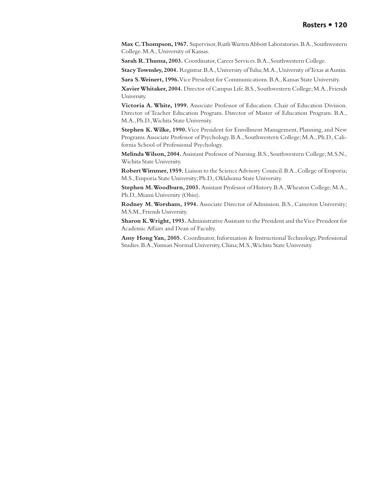**Max C. Thompson, 1967.** Supervisor, Ruth Warren Abbott Laboratories. B.A., Southwestern College. M.A., University of Kansas.

**Sarah R. Thuma, 2003.** Coordinator, Career Services. B.A., Southwestern College.

**Stacy Townsley, 2004.** Registrar. B.A., University of Tulsa; M.A., University of Texas at Austin.

**Sara S. Weinert, 1996.** Vice President for Communications. B.A., Kansas State University.

**Xavier Whitaker, 2004.** Director of Campus Life. B.S., Southwestern College; M.A., Friends University.

**Victoria A. White, 1999.** Associate Professor of Education. Chair of Education Division. Director of Teacher Education Program. Director of Master of Education Program. B.A., M.A., Ph.D., Wichita State University.

**Stephen K. Wilke, 1990.** Vice President for Enrollment Management, Planning, and New Programs. Associate Professor of Psychology. B.A., Southwestern College; M.A., Ph.D., California School of Professional Psychology.

**Melinda Wilson, 2004.** Assistant Professor of Nursing. B.S., Southwestern College; M.S.N., Wichita State University.

**Robert Wimmer, 1959.** Liaison to the Science Advisory Council. B.A., College of Emporia; M.S., Emporia State University; Ph.D., Oklahoma State University.

**Stephen M. Woodburn, 2003.** Assistant Professor of History. B.A., Wheaton College; M.A., Ph.D., Miami University (Ohio).

**Rodney M. Worsham, 1994.** Associate Director of Admission. B.S., Cameron University; M.S.M., Friends University.

**Sharon K. Wright, 1993.** Administrative Assistant to the President and the Vice President for Academic Affairs and Dean of Faculty.

**Amy Hong Yan, 2005.** Coordinator, Information & Instructional Technology, Professional Studies. B.A., Yunnan Normal University, China; M.S., Wichita State University.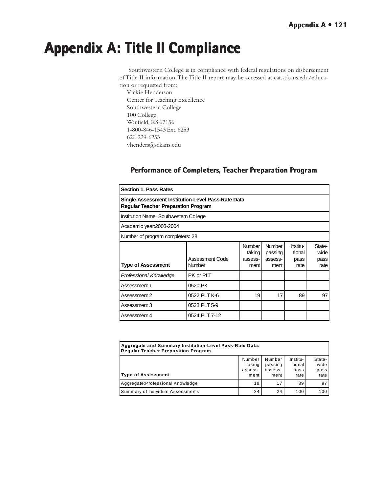# <span id="page-120-0"></span>**Appendix A: Title II Compliance Appendix A: Title II Compliance**

 Southwestern College is in compliance with federal regulations on disbursement of Title II information. The Title II report may be accessed at cat.sckans.edu/education or requested from:

Vickie Henderson Center for Teaching Excellence Southwestern College 100 College Winfield, KS 67156 1-800-846-1543 Ext. 6253 620-229-6253 vhenders@sckans.edu

# **Performance of Completers, Teacher Preparation Program**

| <b>Section 1. Pass Rates</b>                                                                     |                                  |                                            |                                             |                                    |                                |
|--------------------------------------------------------------------------------------------------|----------------------------------|--------------------------------------------|---------------------------------------------|------------------------------------|--------------------------------|
| Single-Assessment Institution-Level Pass-Rate Data<br><b>Regular Teacher Preparation Program</b> |                                  |                                            |                                             |                                    |                                |
| Institution Name: Southwestern College                                                           |                                  |                                            |                                             |                                    |                                |
| Academic year:2003-2004                                                                          |                                  |                                            |                                             |                                    |                                |
| Number of program completers: 28                                                                 |                                  |                                            |                                             |                                    |                                |
| <b>Type of Assessment</b>                                                                        | Assessment Code<br><b>Number</b> | <b>Number</b><br>taking<br>assess-<br>ment | <b>Number</b><br>passing<br>assess-<br>ment | Institu-<br>tional<br>pass<br>rate | State-<br>wide<br>pass<br>rate |
| Professional Knowledge                                                                           | PK or PLT                        |                                            |                                             |                                    |                                |
| Assessment 1                                                                                     | 0520 PK                          |                                            |                                             |                                    |                                |
| Assessment 2                                                                                     | 0522 PLT K-6                     | 19                                         | 17                                          | 89                                 | 97                             |
| Assessment 3                                                                                     | 0523 PLT 5-9                     |                                            |                                             |                                    |                                |
| Assessment 4                                                                                     | 0524 PLT 7-12                    |                                            |                                             |                                    |                                |

| Aggregate and Summary Institution-Level Pass-Rate Data:<br>Regular Teacher Preparation Program |                                     |                                      |                                    |                                |
|------------------------------------------------------------------------------------------------|-------------------------------------|--------------------------------------|------------------------------------|--------------------------------|
| <b>Type of Assessment</b>                                                                      | Number<br>taking<br>assess-<br>ment | Number<br>passing<br>assess-<br>ment | lnstitu-<br>tional<br>pass<br>rate | State-<br>wide<br>pass<br>rate |
| Aggregate: Professional Knowledge                                                              | 19                                  | 17                                   | 89                                 | 97                             |
| Summary of Individual Assessments                                                              | 24                                  | 24                                   | 100                                | 100                            |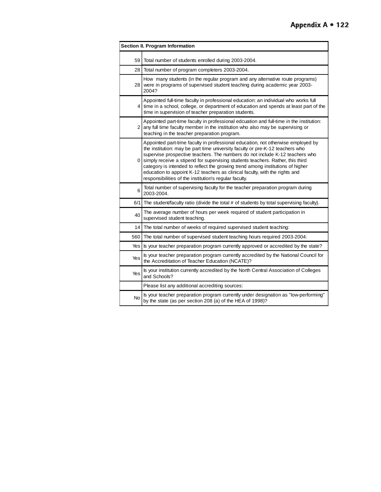|           | Section II. Program Information                                                                                                                                                                                                                                                                                                                                                                                                                                                                                                                                  |
|-----------|------------------------------------------------------------------------------------------------------------------------------------------------------------------------------------------------------------------------------------------------------------------------------------------------------------------------------------------------------------------------------------------------------------------------------------------------------------------------------------------------------------------------------------------------------------------|
| 59        | Total number of students enrolled during 2003-2004.                                                                                                                                                                                                                                                                                                                                                                                                                                                                                                              |
| 28        | Total number of program completers 2003-2004.                                                                                                                                                                                                                                                                                                                                                                                                                                                                                                                    |
|           | How many students (in the regular program and any alternative route programs)<br>28 were in programs of supervised student teaching during academic year 2003-<br>2004?                                                                                                                                                                                                                                                                                                                                                                                          |
|           | Appointed full-time faculty in professional education: an individual who works full<br>4 time in a school, college, or department of education and spends at least part of the<br>time in supervision of teacher preparation students.                                                                                                                                                                                                                                                                                                                           |
| 2         | Appointed part-time faculty in professional edcuation and full-time in the institution:<br>any full time faculty member in the institution who also may be supervising or<br>teaching in the teacher preparation program.                                                                                                                                                                                                                                                                                                                                        |
|           | Appointed part-time faculty in professional education, not otherwise employed by<br>the institution: may be part time university faculty or pre-K-12 teachers who<br>supervise prospective teachers. The numbers do not include K-12 teachers who<br>0 simply receive a stipend for supervising students teachers. Rather, this third<br>category is intended to reflect the growing trend among institutions of higher<br>education to appoint K-12 teachers as clinical faculty, with the rights and<br>responsibilities of the institution's regular faculty. |
| 6         | Total number of supervising faculty for the teacher preparation program during<br>2003-2004.                                                                                                                                                                                                                                                                                                                                                                                                                                                                     |
| 6/1       | The student/faculty ratio (divide the total # of students by total supervising faculty).                                                                                                                                                                                                                                                                                                                                                                                                                                                                         |
| 40        | The average number of hours per week required of student participation in<br>supervised student teaching.                                                                                                                                                                                                                                                                                                                                                                                                                                                        |
| 14        | The total number of weeks of required supervised student teaching:                                                                                                                                                                                                                                                                                                                                                                                                                                                                                               |
| 560       | The total number of supervised student teaching hours required 2003-2004:                                                                                                                                                                                                                                                                                                                                                                                                                                                                                        |
| Yes       | Is your teacher preparation program currently approved or accredited by the state?                                                                                                                                                                                                                                                                                                                                                                                                                                                                               |
| Yes       | Is your teacher preparation program currently accredited by the National Council for<br>the Accreditation of Teacher Education (NCATE)?                                                                                                                                                                                                                                                                                                                                                                                                                          |
| Yes       | Is your institution currently accredited by the North Central Association of Colleges<br>and Schools?                                                                                                                                                                                                                                                                                                                                                                                                                                                            |
|           | Please list any additional accrediting sources:                                                                                                                                                                                                                                                                                                                                                                                                                                                                                                                  |
| <b>No</b> | Is your teacher preparation program currently under designation as "low-performing"<br>by the state (as per section 208 (a) of the HEA of 1998)?                                                                                                                                                                                                                                                                                                                                                                                                                 |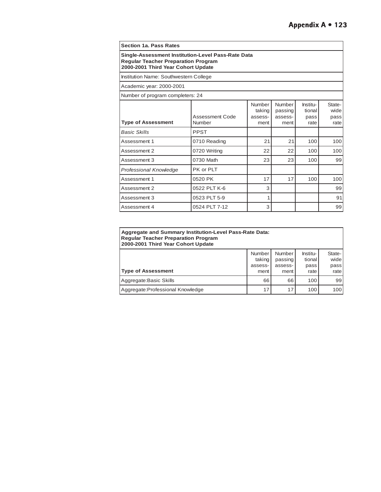| <b>Section 1a. Pass Rates</b>                                                                                                          |                           |                                     |                                      |                                    |                                |
|----------------------------------------------------------------------------------------------------------------------------------------|---------------------------|-------------------------------------|--------------------------------------|------------------------------------|--------------------------------|
| Single-Assessment Institution-Level Pass-Rate Data<br><b>Regular Teacher Preparation Program</b><br>2000-2001 Third Year Cohort Update |                           |                                     |                                      |                                    |                                |
| Institution Name: Southwestern College                                                                                                 |                           |                                     |                                      |                                    |                                |
| Academic year: 2000-2001                                                                                                               |                           |                                     |                                      |                                    |                                |
| Number of program completers: 24                                                                                                       |                           |                                     |                                      |                                    |                                |
| <b>Type of Assessment</b>                                                                                                              | Assessment Code<br>Number | Number<br>taking<br>assess-<br>ment | Number<br>passing<br>assess-<br>ment | Institu-<br>tional<br>pass<br>rate | State-<br>wide<br>pass<br>rate |
| <b>Basic Skills</b>                                                                                                                    | <b>PPST</b>               |                                     |                                      |                                    |                                |
| Assessment 1                                                                                                                           | 0710 Reading              | 21                                  | 21                                   | 100                                | 100                            |
| Assessment 2                                                                                                                           | 0720 Writing              | 22                                  | 22                                   | 100                                | 100                            |
| Assessment 3                                                                                                                           | 0730 Math                 | 23                                  | 23                                   | 100                                | 99                             |
| <b>Professional Knowledge</b>                                                                                                          | PK or PLT                 |                                     |                                      |                                    |                                |
| Assessment 1                                                                                                                           | 0520 PK                   | 17                                  | 17                                   | 100                                | 100                            |
| Assessment 2                                                                                                                           | 0522 PLT K-6              | 3                                   |                                      |                                    | 99                             |
| Assessment 3                                                                                                                           | 0523 PLT 5-9              | 1                                   |                                      |                                    | 91                             |
| Assessment 4                                                                                                                           | 0524 PLT 7-12             | 3                                   |                                      |                                    | 99                             |

| <b>Aggregate and Summary Institution-Level Pass-Rate Data:</b><br><b>Regular Teacher Preparation Program</b><br>2000-2001 Third Year Cohort Update |  |         |               |          |        |
|----------------------------------------------------------------------------------------------------------------------------------------------------|--|---------|---------------|----------|--------|
|                                                                                                                                                    |  | Number  | <b>Number</b> | lnstitu- | State- |
|                                                                                                                                                    |  | taking  | passing       | tional   | wide   |
|                                                                                                                                                    |  | assess- | assess-       | pass     | pass   |
| <b>Type of Assessment</b>                                                                                                                          |  | ment    | ment          | rate     | rate   |
| Aggregate: Basic Skills                                                                                                                            |  | 66      | 66            | 100      | 99     |
| Aggregate: Professional Knowledge                                                                                                                  |  | 17      | 17            | 100      | 100    |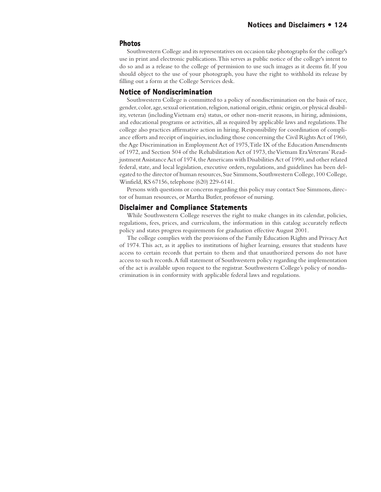### <span id="page-123-0"></span>**Photos**

Southwestern College and its representatives on occasion take photographs for the college's use in print and electronic publications. This serves as public notice of the college's intent to do so and as a release to the college of permission to use such images as it deems fit. If you should object to the use of your photograph, you have the right to withhold its release by filling out a form at the College Services desk.

### **Notice of Nondiscrimination**

Southwestern College is committed to a policy of nondiscrimination on the basis of race, gender, color, age, sexual orientation, religion, national origin, ethnic origin, or physical disability, veteran (including Vietnam era) status, or other non-merit reasons, in hiring, admissions, and educational programs or activities, all as required by applicable laws and regulations. The college also practices affirmative action in hiring. Responsibility for coordination of compliance efforts and receipt of inquiries, including those concerning the Civil Rights Act of 1960, the Age Discrimination in Employment Act of 1975, Title IX of the Education Amendments of 1972, and Section 504 of the Rehabilitation Act of 1973, the Vietnam Era Veterans' Readjustment Assistance Act of 1974, the Americans with Disabilities Act of 1990, and other related federal, state, and local legislation, executive orders, regulations, and guidelines has been delegated to the director of human resources, Sue Simmons, Southwestern College, 100 College, Winfield, KS 67156, telephone (620) 229-6141.

Persons with questions or concerns regarding this policy may contact Sue Simmons, director of human resources, or Martha Butler, professor of nursing.

### **Disclaimer and Compliance Statements**

While Southwestern College reserves the right to make changes in its calendar, policies, regulations, fees, prices, and curriculum, the information in this catalog accurately reflects policy and states progress requirements for graduation effective August 2001.

The college complies with the provisions of the Family Education Rights and Privacy Act of 1974. This act, as it applies to institutions of higher learning, ensures that students have access to certain records that pertain to them and that unauthorized persons do not have access to such records. A full statement of Southwestern policy regarding the implementation of the act is available upon request to the registrar. Southwestern College's policy of nondiscrimination is in conformity with applicable federal laws and regulations.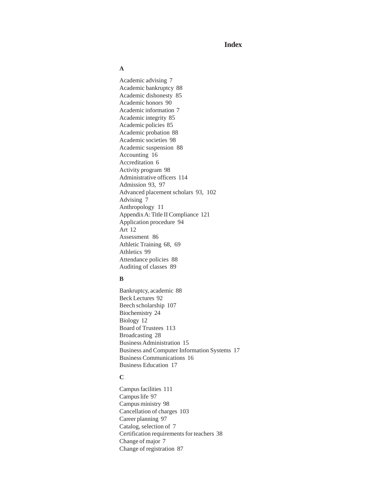# **Index**

### **A**

[Academic advising 7](#page-6-0) [Academic bankruptcy 88](#page-87-0) [Academic dishonesty 85](#page-84-0) [Academic honors 90](#page-89-0) [Academic information 7](#page-6-0) [Academic integrity 85](#page-84-0) [Academic policies 85](#page-84-0) [Academic probation 88](#page-87-0) [Academic societies 98](#page-97-0) [Academic suspension 88](#page-87-0) [Accounting 16](#page-15-0) [Accreditation 6](#page-5-0) [Activity program 98](#page-97-0) [Administrative officers 114](#page-113-0) [Admission 93](#page-92-0)[, 97](#page-96-0) [Advanced placement scholars 93](#page-92-0)[, 102](#page-101-0) [Advising 7](#page-6-0) [Anthropology 11](#page-10-0) [Appendix A: Title II Compliance 121](#page-120-0) [Application procedure 94](#page-93-0) [Art 12](#page-11-0) [Assessment 86](#page-85-0) [Athletic Training 68](#page-67-0)[, 69](#page-69-0) [Athletics 99](#page-98-0) [Attendance policies 88](#page-87-0) [Auditing of classes 89](#page-88-0)

#### **B**

[Bankruptcy, academic 88](#page-87-0) [Beck Lectures 92](#page-91-0) [Beech scholarship 107](#page-106-0) [Biochemistry 24](#page-23-0) [Biology 12](#page-11-0) [Board of Trustees 113](#page-112-0) [Broadcasting 28](#page-27-0) [Business Administration 15](#page-14-0) [Business and Computer Information Systems 17](#page-16-0) [Business Communications 16](#page-15-0) [Business Education 17](#page-16-0)

### **C**

[Campus facilities 111](#page-110-0) [Campus life 97](#page-96-0) [Campus ministry 98](#page-97-0) [Cancellation of charges 103](#page-102-0) [Career planning 97](#page-96-0) [Catalog, selection of 7](#page-6-0) [Certification requirements for teachers 38](#page-37-0) [Change of major 7](#page-6-0) [Change of registration 87](#page-86-0)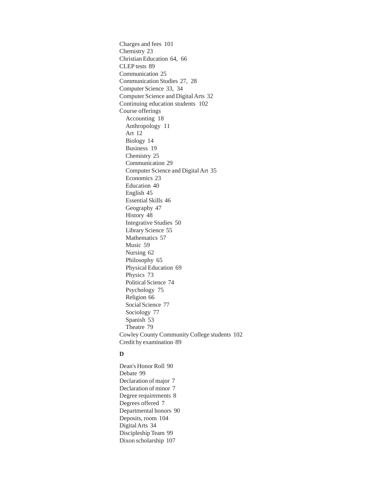[Charges and fees 101](#page-100-0) [Chemistry 23](#page-22-0) [Christian Education 64](#page-64-0)[, 66](#page-65-0) [CLEP tests 89](#page-88-0) [Communication 25](#page-24-0) [Communication Studies 27](#page-26-0)[, 28](#page-27-0) [Computer Science 33](#page-32-0)[, 34](#page-33-0) [Computer Science and Digital Arts 32](#page-31-0) [Continuing education students 102](#page-101-0) Course offerings [Accounting 18](#page-17-0) [Anthropology 11](#page-10-0) [Art 12](#page-11-0) [Biology 14](#page-13-0) [Business 19](#page-18-0) [Chemistry 25](#page-24-0) [Communication 29](#page-28-0) [Computer Science and Digital Art 35](#page-34-0) [Economics 23](#page-22-0) [Education 40](#page-39-0) [English 45](#page-44-0) [Essential Skills 46](#page-45-0) [Geography 47](#page-46-0) [History 48](#page-47-0) [Integrative Studies 50](#page-49-0) [Library Science 55](#page-54-0) [Mathematics 57](#page-56-0) [Music 59](#page-59-0) [Nursing 62](#page-61-0) [Philosophy 65](#page-64-0) [Physical Education 69](#page-68-0) [Physics 73](#page-72-0) [Political Science 74](#page-73-0) [Psychology 75](#page-74-0) [Religion 66](#page-65-0) [Social Science 77](#page-76-0) [Sociology 77](#page-76-0) [Spanish 53](#page-52-0) [Theatre 79](#page-78-0) [Cowley County Community College students 102](#page-101-0) [Credit by examination 89](#page-88-0)

### **D**

[Dean's Honor Roll 90](#page-89-0) [Debate 99](#page-98-0) [Declaration of major 7](#page-6-0) [Declaration of minor 7](#page-6-0) [Degree requirements 8](#page-7-0) [Degrees offered 7](#page-6-0) [Departmental honors 90](#page-89-0) [Deposits, room 104](#page-103-0) [Digital Arts 34](#page-33-0) [Discipleship Team 99](#page-98-0) [Dixon scholarship 107](#page-106-0)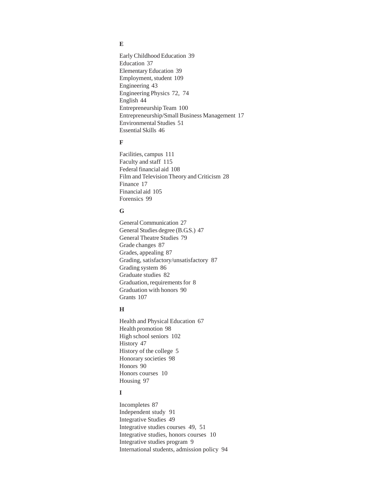# **E**

[Early Childhood Education 39](#page-38-0) [Education 37](#page-36-0) [Elementary Education 39](#page-38-0) [Employment, student 109](#page-108-0) [Engineering 43](#page-43-0) [Engineering Physics 72](#page-72-0)[, 74](#page-73-0) [English 44](#page-43-0) [Entrepreneurship Team 100](#page-99-0) [Entrepreneurship/Small Business Management 17](#page-16-0) [Environmental Studies 51](#page-50-0) [Essential Skills 46](#page-45-0)

### **F**

[Facilities, campus 111](#page-110-0) [Faculty and staff 115](#page-114-0) [Federal financial aid 108](#page-107-0) [Film and Television Theory and Criticism 28](#page-27-0) [Finance 17](#page-16-0) [Financial aid 105](#page-104-0) [Forensics 99](#page-98-0)

### **G**

[General Communication 27](#page-26-0) [General Studies degree \(B.G.S.\) 47](#page-46-0) [General Theatre Studies 79](#page-78-0) [Grade changes 87](#page-86-0) [Grades, appealing 87](#page-86-0) [Grading, satisfactory/unsatisfactory 87](#page-86-0) [Grading system 86](#page-85-0) [Graduate studies 82](#page-81-0) [Graduation, requirements for 8](#page-7-0) [Graduation with honors 90](#page-89-0) [Grants 107](#page-106-0)

# **H**

[Health and Physical Education 67](#page-66-0) [Health promotion 98](#page-97-0) [High school seniors 102](#page-101-0) [History 47](#page-46-0) [History of the college 5](#page-4-0) [Honorary societies 98](#page-97-0) [Honors 90](#page-89-0) [Honors courses 10](#page-9-0) [Housing 97](#page-96-0)

# **I**

[Incompletes 87](#page-86-0) [Independent study 91](#page-90-0) [Integrative Studies 49](#page-48-0) [Integrative studies courses 49](#page-48-0)[, 51](#page-50-0) [Integrative studies, honors courses 10](#page-9-0) [Integrative studies program 9](#page-8-0) [International students, admission policy 94](#page-93-0)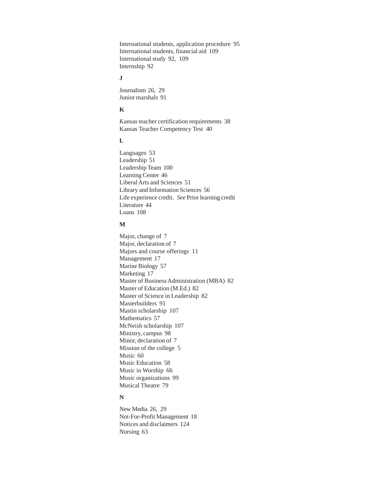[International students, application procedure 95](#page-94-0) [International students, financial aid 109](#page-108-0) [International study 92](#page-91-0)[, 109](#page-108-0) [Internship 92](#page-91-0)

### **J**

[Journalism 26](#page-25-0)[, 29](#page-28-0) [Junior marshals 91](#page-90-0)

# **K**

[Kansas teacher certification requirements 38](#page-37-0) [Kansas Teacher Competency Test 40](#page-39-0)

## **L**

[Languages 53](#page-52-0) [Leadership 51](#page-50-0) [Leadership Team 100](#page-99-0) [Learning Center 46](#page-45-0) [Liberal Arts and Sciences 51](#page-50-0) [Library and Information Sciences 56](#page-55-0) Life experience credit. *See* Prior learning credit [Literature 44](#page-43-0) [Loans 108](#page-107-0)

### **M**

[Major, change of 7](#page-6-0) [Major, declaration of 7](#page-6-0) [Majors and course offerings 11](#page-10-0) [Management 17](#page-16-0) [Marine Biology 57](#page-56-0) [Marketing 17](#page-16-0) [Master of Business Administration \(MBA\) 82](#page-81-0) [Master of Education \(M.Ed.\) 82](#page-81-0) [Master of Science in Leadership 82](#page-81-0) [Masterbuilders 91](#page-90-0) [Mastin scholarship 107](#page-106-0) [Mathematics 57](#page-56-0) [McNeish scholarship 107](#page-106-0) [Ministry, campus 98](#page-97-0) [Minor, declaration of 7](#page-6-0) [Mission of the college 5](#page-4-0) [Music 60](#page-59-0) [Music Education 58](#page-57-0) [Music in Worship 66](#page-65-0) [Music organizations 99](#page-98-0) [Musical Theatre 79](#page-78-0)

### **N**

[New Media 26](#page-25-0)[, 29](#page-28-0) [Not-For-Profit Management 18](#page-17-0) [Notices and disclaimers 124](#page-123-0) [Nursing 63](#page-62-0)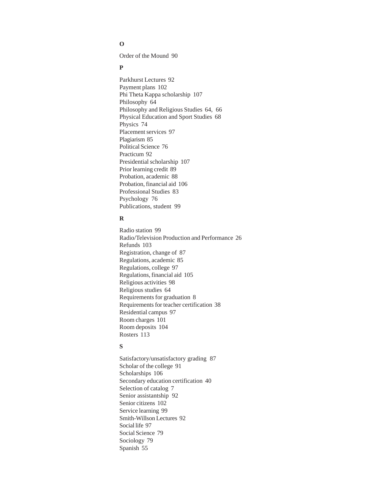## **O**

[Order of the Mound 90](#page-89-0)

### **P**

[Parkhurst Lectures 92](#page-91-0) [Payment plans 102](#page-101-0) [Phi Theta Kappa scholarship 107](#page-106-0) [Philosophy 64](#page-63-0) [Philosophy and Religious Studies 64](#page-63-0)[, 66](#page-65-0) [Physical Education and Sport Studies 68](#page-67-0) [Physics 74](#page-73-0) [Placement services 97](#page-96-0) [Plagiarism 85](#page-84-0) [Political Science 76](#page-75-0) [Practicum 92](#page-91-0) [Presidential scholarship 107](#page-106-0) [Prior learning credit 89](#page-88-0) [Probation, academic 88](#page-87-0) [Probation, financial aid 106](#page-105-0) [Professional Studies 83](#page-82-0) [Psychology 76](#page-75-0) [Publications, student 99](#page-98-0)

## **R**

[Radio station 99](#page-98-0) [Radio/Television Production and Performance 26](#page-25-0) [Refunds 103](#page-102-0) [Registration, change of 87](#page-86-0) [Regulations, academic 85](#page-84-0) [Regulations, college 97](#page-96-0) [Regulations, financial aid 105](#page-104-0) [Religious activities 98](#page-97-0) [Religious studies 64](#page-63-0) [Requirements for graduation 8](#page-7-0) [Requirements for teacher certification 38](#page-37-0) [Residential campus 97](#page-96-0) [Room charges 101](#page-100-0) [Room deposits 104](#page-103-0) [Rosters 113](#page-112-0)

# **S**

[Satisfactory/unsatisfactory grading 87](#page-86-0) [Scholar of the college 91](#page-90-0) [Scholarships 106](#page-105-0) [Secondary education certification 40](#page-39-0) [Selection of catalog 7](#page-6-0) [Senior assistantship 92](#page-91-0) [Senior citizens 102](#page-101-0) [Service learning 99](#page-98-0) [Smith-Willson Lectures 92](#page-91-0) [Social life 97](#page-96-0) [Social Science 79](#page-78-0) [Sociology 79](#page-78-0) [Spanish 55](#page-54-0)